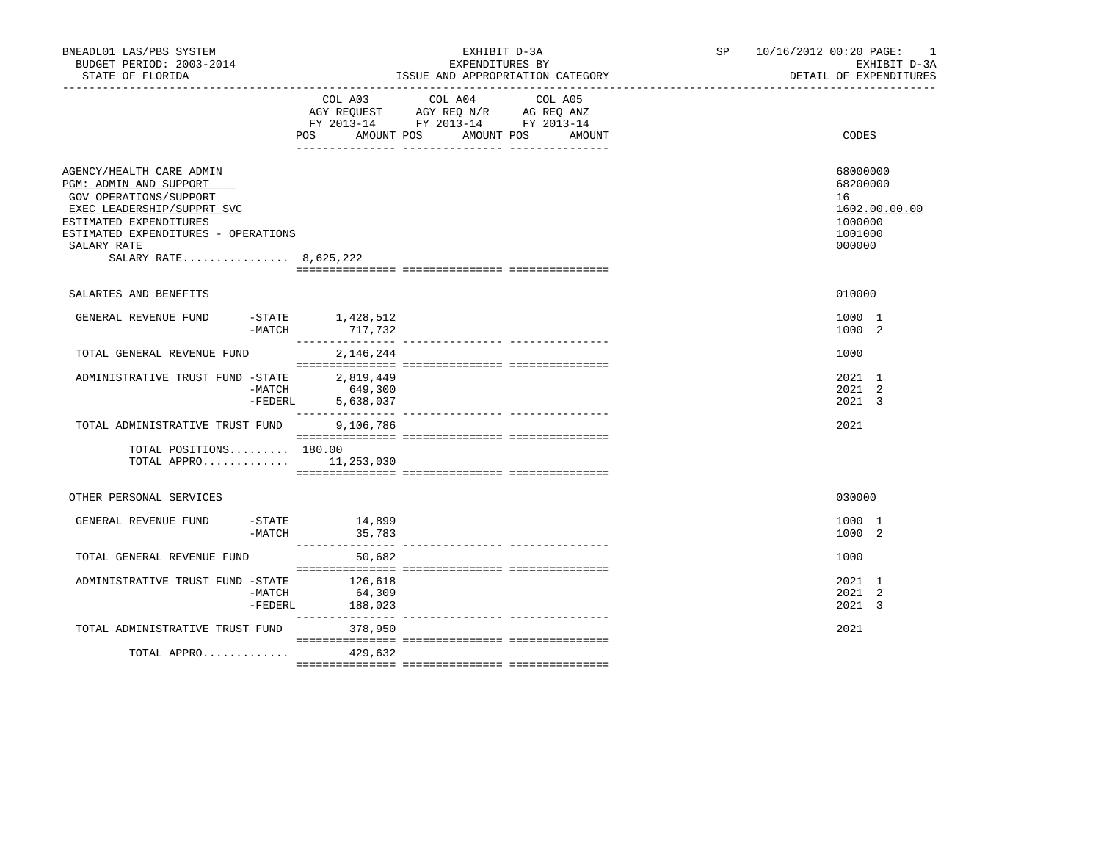| BNEADL01 LAS/PBS SYSTEM<br>BUDGET PERIOD: 2003-2014<br>STATE OF FLORIDA                                                                                                                                             |                     |                                                  | EXHIBIT D-3A<br>EXPENDITURES BY<br>ISSUE AND APPROPRIATION CATEGORY                                                                  | SP and the set of the set of the set of the set of the set of the set of the set of the set of the set of the set of the set of the set of the set of the set of the set of the set of the set of the set of the set of the se | 10/16/2012 00:20 PAGE: 1<br>EXHIBIT D-3A<br>DETAIL OF EXPENDITURES          |
|---------------------------------------------------------------------------------------------------------------------------------------------------------------------------------------------------------------------|---------------------|--------------------------------------------------|--------------------------------------------------------------------------------------------------------------------------------------|--------------------------------------------------------------------------------------------------------------------------------------------------------------------------------------------------------------------------------|-----------------------------------------------------------------------------|
|                                                                                                                                                                                                                     |                     | POS                                              | COL A03 COL A04 COL A05<br>AGY REQUEST AGY REQ N/R AG REQ ANZ<br>FY 2013-14 FY 2013-14 FY 2013-14<br>AMOUNT POS AMOUNT POS<br>AMOUNT |                                                                                                                                                                                                                                | CODES                                                                       |
| AGENCY/HEALTH CARE ADMIN<br>PGM: ADMIN AND SUPPORT<br>GOV OPERATIONS/SUPPORT<br>EXEC LEADERSHIP/SUPPRT SVC<br>ESTIMATED EXPENDITURES<br>ESTIMATED EXPENDITURES - OPERATIONS<br>SALARY RATE<br>SALARY RATE 8,625,222 |                     |                                                  |                                                                                                                                      |                                                                                                                                                                                                                                | 68000000<br>68200000<br>16<br>1602.00.00.00<br>1000000<br>1001000<br>000000 |
| SALARIES AND BENEFITS                                                                                                                                                                                               |                     |                                                  |                                                                                                                                      |                                                                                                                                                                                                                                | 010000                                                                      |
| GENERAL REVENUE FUND                                                                                                                                                                                                | $-MATCH$            | $-$ STATE $1,428,512$                            |                                                                                                                                      |                                                                                                                                                                                                                                | 1000 1<br>1000 2                                                            |
| TOTAL GENERAL REVENUE FUND                                                                                                                                                                                          |                     | 2,146,244                                        |                                                                                                                                      |                                                                                                                                                                                                                                | 1000                                                                        |
| ADMINISTRATIVE TRUST FUND -STATE                                                                                                                                                                                    |                     | 2,819,449<br>-MATCH 649,300<br>-FEDERL 5,638,037 |                                                                                                                                      |                                                                                                                                                                                                                                | 2021 1<br>2021 2<br>2021 3                                                  |
| TOTAL ADMINISTRATIVE TRUST FUND                                                                                                                                                                                     |                     | 9,106,786                                        |                                                                                                                                      |                                                                                                                                                                                                                                | 2021                                                                        |
| TOTAL POSITIONS 180.00<br>TOTAL APPRO $11,253,030$                                                                                                                                                                  |                     |                                                  |                                                                                                                                      |                                                                                                                                                                                                                                |                                                                             |
| OTHER PERSONAL SERVICES                                                                                                                                                                                             |                     |                                                  |                                                                                                                                      |                                                                                                                                                                                                                                | 030000                                                                      |
| GENERAL REVENUE FUND                                                                                                                                                                                                | -MATCH              | -STATE 14,899<br>35,783                          |                                                                                                                                      |                                                                                                                                                                                                                                | 1000 1<br>1000 2                                                            |
| TOTAL GENERAL REVENUE FUND                                                                                                                                                                                          |                     | 50,682                                           |                                                                                                                                      |                                                                                                                                                                                                                                | 1000                                                                        |
| ADMINISTRATIVE TRUST FUND -STATE                                                                                                                                                                                    | -MATCH<br>$-FEDERL$ | 126,618<br>64,309<br>188,023                     |                                                                                                                                      |                                                                                                                                                                                                                                | 2021 1<br>2021 2<br>2021 3                                                  |
| TOTAL ADMINISTRATIVE TRUST FUND                                                                                                                                                                                     |                     | 378,950                                          |                                                                                                                                      |                                                                                                                                                                                                                                | 2021                                                                        |
| TOTAL APPRO $429,632$                                                                                                                                                                                               |                     |                                                  |                                                                                                                                      |                                                                                                                                                                                                                                |                                                                             |
|                                                                                                                                                                                                                     |                     |                                                  |                                                                                                                                      |                                                                                                                                                                                                                                |                                                                             |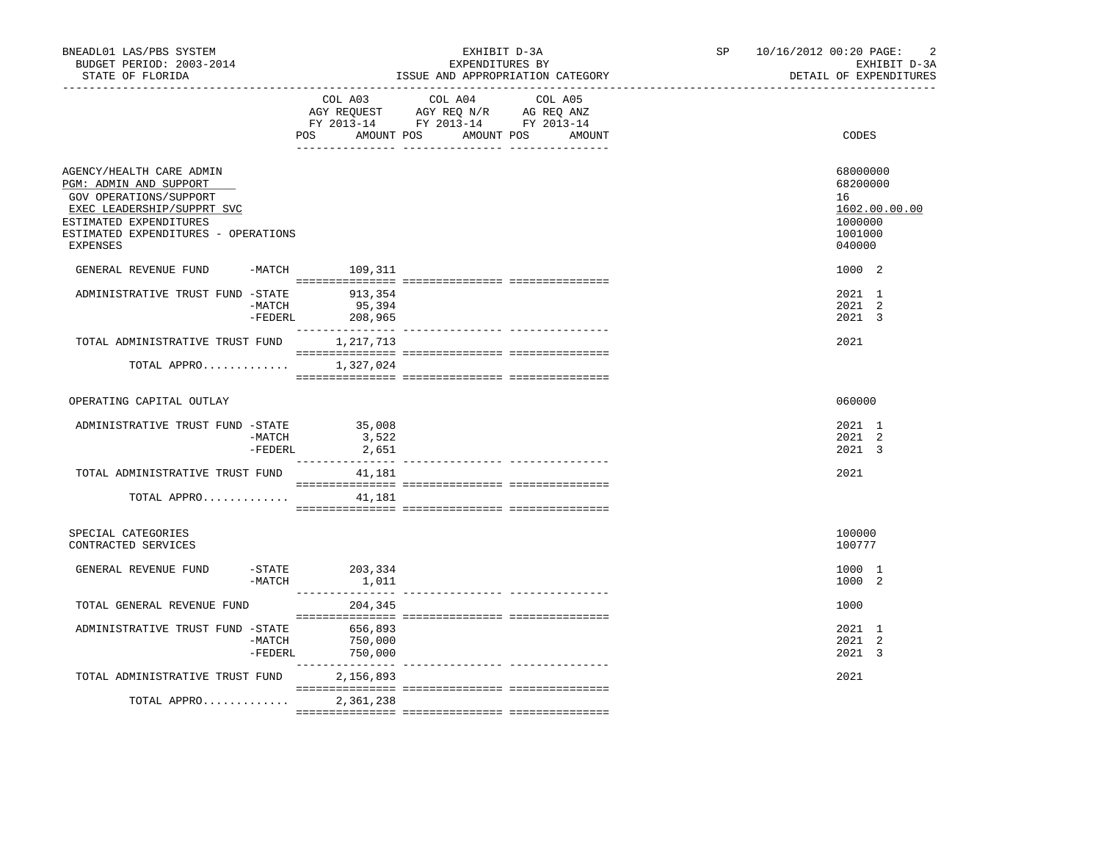| BNEADL01 LAS/PBS SYSTEM<br>BUDGET PERIOD: 2003-2014<br>STATE OF FLORIDA                                                              |                       |                                      | EXHIBIT D-3A<br>EXPENDITURES BY<br>ISSUE AND APPROPRIATION CATEGORY                                                               | SP 10/16/2012 00:20 PAGE:<br>$\overline{2}$<br>EXHIBIT D-3A<br>DETAIL OF EXPENDITURES |
|--------------------------------------------------------------------------------------------------------------------------------------|-----------------------|--------------------------------------|-----------------------------------------------------------------------------------------------------------------------------------|---------------------------------------------------------------------------------------|
|                                                                                                                                      |                       | POS                                  | COL A03 COL A04 COL A05<br>AGY REQUEST AGY REQ N/R AG REQ ANZ<br>FY 2013-14 FY 2013-14 FY 2013-14<br>AMOUNT POS AMOUNT POS AMOUNT | CODES                                                                                 |
| AGENCY/HEALTH CARE ADMIN<br>PGM: ADMIN AND SUPPORT<br>GOV OPERATIONS/SUPPORT<br>EXEC LEADERSHIP/SUPPRT SVC<br>ESTIMATED EXPENDITURES |                       |                                      |                                                                                                                                   | 68000000<br>68200000<br>16<br>1602.00.00.00<br>1000000                                |
| ESTIMATED EXPENDITURES - OPERATIONS<br>EXPENSES                                                                                      |                       |                                      |                                                                                                                                   | 1001000<br>040000                                                                     |
| GENERAL REVENUE FUND -MATCH 109,311                                                                                                  |                       |                                      |                                                                                                                                   | 1000 2                                                                                |
| ADMINISTRATIVE TRUST FUND -STATE                                                                                                     | $-MATCH$              | 913,354<br>95,394<br>-FEDERL 208,965 |                                                                                                                                   | 2021 1<br>2021 2<br>2021 3                                                            |
| TOTAL ADMINISTRATIVE TRUST FUND 1,217,713                                                                                            |                       |                                      |                                                                                                                                   | 2021                                                                                  |
| TOTAL APPRO                                                                                                                          |                       | 1,327,024                            |                                                                                                                                   |                                                                                       |
| OPERATING CAPITAL OUTLAY                                                                                                             |                       |                                      |                                                                                                                                   | 060000                                                                                |
| ADMINISTRATIVE TRUST FUND -STATE 35,008                                                                                              | -MATCH<br>$-FEDERL$   | 3,522<br>2,651                       |                                                                                                                                   | 2021 1<br>2021 2<br>2021 3                                                            |
| TOTAL ADMINISTRATIVE TRUST FUND                                                                                                      |                       | 41,181                               |                                                                                                                                   | 2021                                                                                  |
| TOTAL APPRO                                                                                                                          |                       | 41,181                               |                                                                                                                                   |                                                                                       |
| SPECIAL CATEGORIES<br>CONTRACTED SERVICES                                                                                            |                       |                                      |                                                                                                                                   | 100000<br>100777                                                                      |
| GENERAL REVENUE FUND                                                                                                                 | $-$ STATE<br>$-MATCH$ | 203,334<br>1,011                     |                                                                                                                                   | 1000 1<br>1000 2                                                                      |
| TOTAL GENERAL REVENUE FUND                                                                                                           |                       | 204,345                              |                                                                                                                                   | 1000                                                                                  |
| ADMINISTRATIVE TRUST FUND -STATE                                                                                                     | -MATCH<br>$-FEDERL$   | 656,893<br>750,000<br>750,000        |                                                                                                                                   | 2021 1<br>2021 2<br>2021 3                                                            |
| TOTAL ADMINISTRATIVE TRUST FUND                                                                                                      |                       | 2,156,893                            |                                                                                                                                   | 2021                                                                                  |
| TOTAL APPRO                                                                                                                          |                       | 2,361,238                            |                                                                                                                                   |                                                                                       |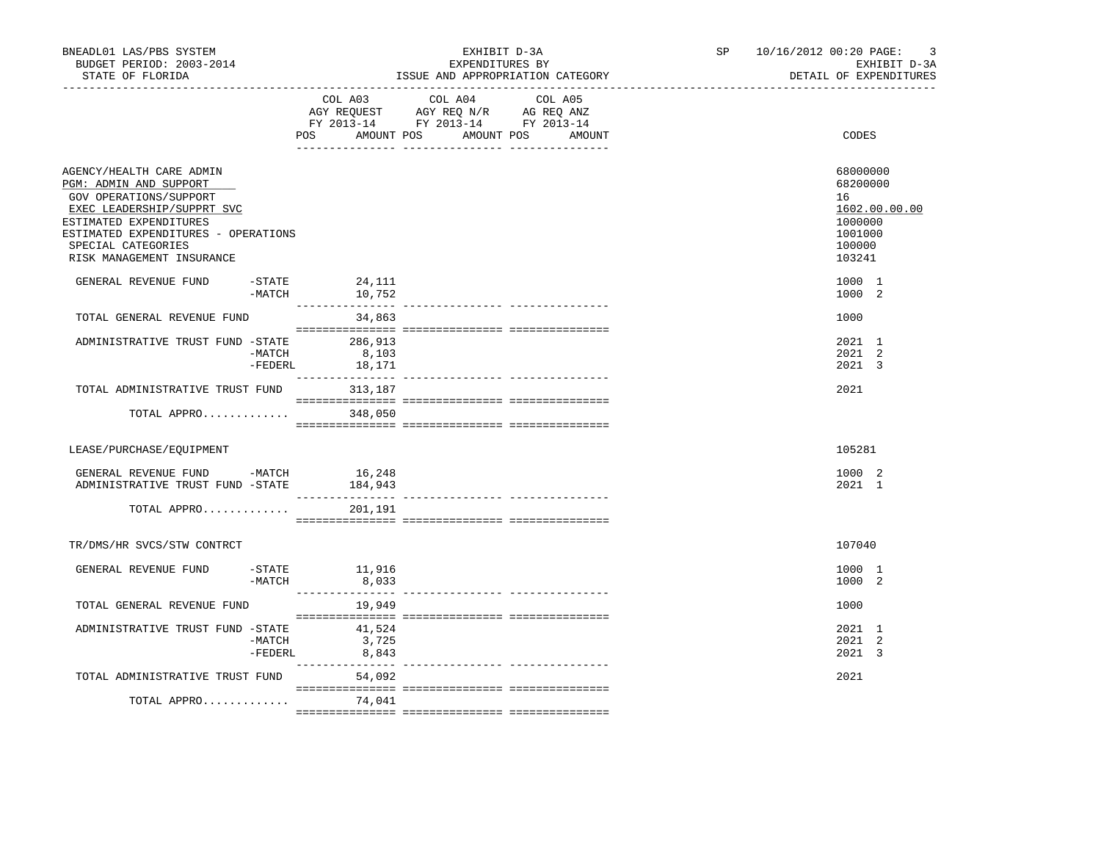| BNEADL01 LAS/PBS SYSTEM<br>BUDGET PERIOD: 2003-2014<br>STATE OF FLORIDA                                                                                                                                                        |                     |                           | EXPENDITURES BY<br>ISSUE AND APPROPRIATION CATEGORY                                                                                   | EXHIBIT D-3A | SP <sub>2</sub> | 10/16/2012 00:20 PAGE: |                                                                      | $\overline{\mathbf{3}}$<br>EXHIBIT D-3A<br>DETAIL OF EXPENDITURES |
|--------------------------------------------------------------------------------------------------------------------------------------------------------------------------------------------------------------------------------|---------------------|---------------------------|---------------------------------------------------------------------------------------------------------------------------------------|--------------|-----------------|------------------------|----------------------------------------------------------------------|-------------------------------------------------------------------|
|                                                                                                                                                                                                                                |                     |                           | COL A03 COL A04 COL A05<br>AGY REQUEST AGY REQ N/R AG REQ ANZ<br>FY 2013-14 FY 2013-14 FY 2013-14<br>POS AMOUNT POS AMOUNT POS AMOUNT |              |                 |                        | CODES                                                                |                                                                   |
| AGENCY/HEALTH CARE ADMIN<br>PGM: ADMIN AND SUPPORT<br>GOV OPERATIONS/SUPPORT<br>EXEC LEADERSHIP/SUPPRT SVC<br>ESTIMATED EXPENDITURES<br>ESTIMATED EXPENDITURES - OPERATIONS<br>SPECIAL CATEGORIES<br>RISK MANAGEMENT INSURANCE |                     |                           |                                                                                                                                       |              |                 |                        | 68000000<br>68200000<br>16<br>1000000<br>1001000<br>100000<br>103241 | 1602.00.00.00                                                     |
| GENERAL REVENUE FUND                                                                                                                                                                                                           | $-$ STATE           | 24,111<br>$-MATCH$ 10,752 |                                                                                                                                       |              |                 |                        | 1000 1<br>1000 2                                                     |                                                                   |
| TOTAL GENERAL REVENUE FUND                                                                                                                                                                                                     |                     | 34,863                    |                                                                                                                                       |              |                 |                        | 1000                                                                 |                                                                   |
| ADMINISTRATIVE TRUST FUND -STATE 286,913                                                                                                                                                                                       | $-MATCH$            | 8,103<br>-FEDERL 18,171   |                                                                                                                                       |              |                 |                        | 2021 1<br>2021 2<br>2021 3                                           |                                                                   |
| TOTAL ADMINISTRATIVE TRUST FUND                                                                                                                                                                                                |                     | 313,187                   |                                                                                                                                       |              |                 |                        | 2021                                                                 |                                                                   |
| TOTAL APPRO                                                                                                                                                                                                                    |                     | 348,050                   |                                                                                                                                       |              |                 |                        |                                                                      |                                                                   |
| LEASE/PURCHASE/EQUIPMENT                                                                                                                                                                                                       |                     |                           |                                                                                                                                       |              |                 |                        | 105281                                                               |                                                                   |
| GENERAL REVENUE FUND -MATCH<br>ADMINISTRATIVE TRUST FUND -STATE                                                                                                                                                                |                     | 16,248<br>184,943         |                                                                                                                                       |              |                 |                        | 1000 2<br>2021 1                                                     |                                                                   |
| TOTAL APPRO                                                                                                                                                                                                                    |                     | 201,191                   |                                                                                                                                       |              |                 |                        |                                                                      |                                                                   |
| TR/DMS/HR SVCS/STW CONTRCT                                                                                                                                                                                                     |                     |                           |                                                                                                                                       |              |                 |                        | 107040                                                               |                                                                   |
| GENERAL REVENUE FUND -STATE 11,916                                                                                                                                                                                             | -MATCH              | 8,033                     |                                                                                                                                       |              |                 |                        | 1000 1<br>1000 2                                                     |                                                                   |
| TOTAL GENERAL REVENUE FUND                                                                                                                                                                                                     |                     |                           |                                                                                                                                       |              |                 |                        | 1000                                                                 |                                                                   |
| ADMINISTRATIVE TRUST FUND -STATE                                                                                                                                                                                               | $-MATCH$<br>-FEDERL | 41,524<br>3,725<br>8,843  |                                                                                                                                       |              |                 |                        | 2021 1<br>2021 2<br>2021 3                                           |                                                                   |
| TOTAL ADMINISTRATIVE TRUST FUND                                                                                                                                                                                                |                     | 54,092                    |                                                                                                                                       |              |                 |                        | 2021                                                                 |                                                                   |
| TOTAL APPRO                                                                                                                                                                                                                    |                     | 74,041                    |                                                                                                                                       |              |                 |                        |                                                                      |                                                                   |
|                                                                                                                                                                                                                                |                     |                           |                                                                                                                                       |              |                 |                        |                                                                      |                                                                   |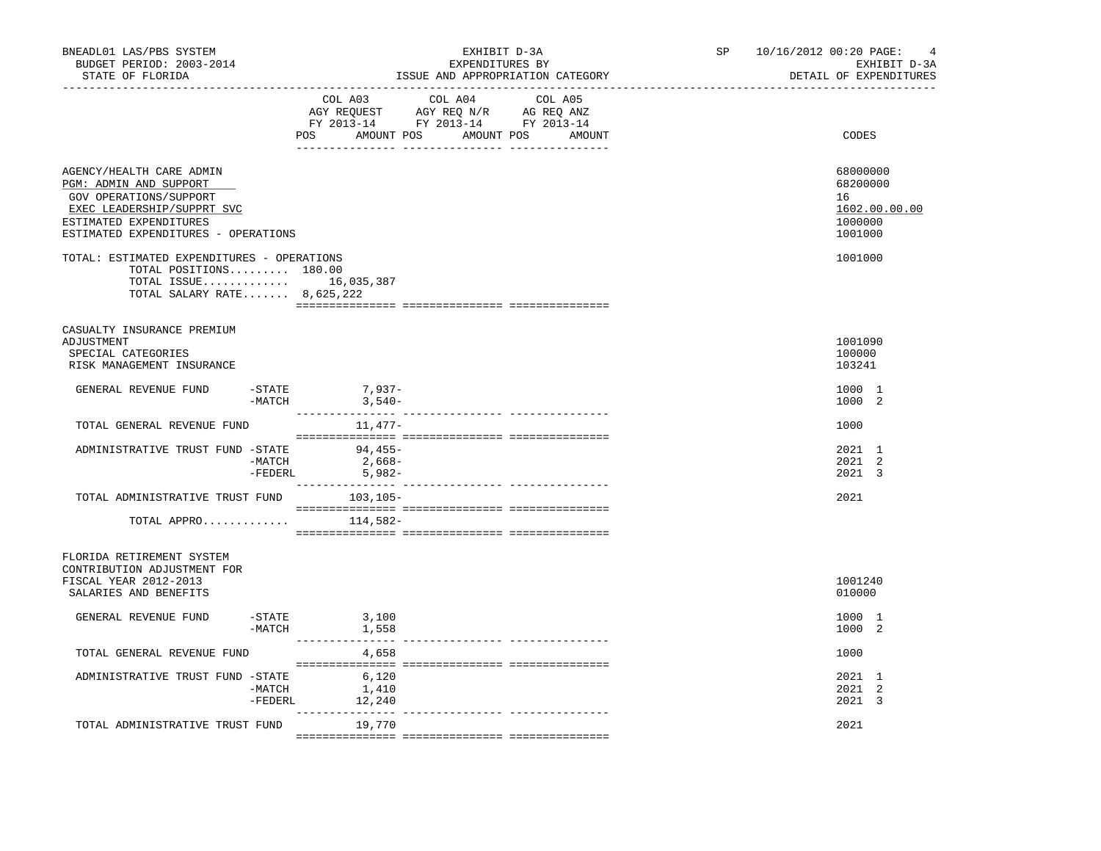| BNEADL01 LAS/PBS SYSTEM<br>BUDGET PERIOD: 2003-2014<br>STATE OF FLORIDA                                                                                                     |                                             | EXHIBIT D-3A<br>EXPENDITURES BY                                                          | ISSUE AND APPROPRIATION CATEGORY | SP <sub>2</sub><br>------------------------------- | 10/16/2012 00:20 PAGE:<br>EXHIBIT D-3A<br>DETAIL OF EXPENDITURES  | $\overline{4}$ |
|-----------------------------------------------------------------------------------------------------------------------------------------------------------------------------|---------------------------------------------|------------------------------------------------------------------------------------------|----------------------------------|----------------------------------------------------|-------------------------------------------------------------------|----------------|
|                                                                                                                                                                             | COL A03<br>POS AMOUNT POS AMOUNT POS AMOUNT | COL A04 COL A05<br>NG REQUEST AGY REQ N/R AG REQ ANZ<br>FY 2013-14 FY 2013-14 FY 2013-14 |                                  |                                                    | CODES                                                             |                |
| AGENCY/HEALTH CARE ADMIN<br>PGM: ADMIN AND SUPPORT<br>GOV OPERATIONS/SUPPORT<br>EXEC LEADERSHIP/SUPPRT SVC<br>ESTIMATED EXPENDITURES<br>ESTIMATED EXPENDITURES - OPERATIONS |                                             |                                                                                          |                                  |                                                    | 68000000<br>68200000<br>16<br>1602.00.00.00<br>1000000<br>1001000 |                |
| TOTAL: ESTIMATED EXPENDITURES - OPERATIONS<br>TOTAL POSITIONS 180.00<br>TOTAL ISSUE 16,035,387<br>TOTAL SALARY RATE 8,625,222                                               |                                             |                                                                                          |                                  |                                                    | 1001000                                                           |                |
| CASUALTY INSURANCE PREMIUM<br>ADJUSTMENT<br>SPECIAL CATEGORIES<br>RISK MANAGEMENT INSURANCE                                                                                 |                                             |                                                                                          |                                  |                                                    | 1001090<br>100000<br>103241                                       |                |
| $-STATE$<br>GENERAL REVENUE FUND<br>$-MATCH$                                                                                                                                | $7,937-$<br>$3,540-$                        |                                                                                          |                                  |                                                    | 1000 1<br>1000 2                                                  |                |
| TOTAL GENERAL REVENUE FUND                                                                                                                                                  | 11,477–                                     |                                                                                          |                                  |                                                    | 1000                                                              |                |
| ADMINISTRATIVE TRUST FUND -STATE 94,455-<br>$-MATCH$<br>$-FEDERL$                                                                                                           | $2,668-$<br>5,982-                          |                                                                                          |                                  |                                                    | 2021 1<br>2021 2<br>2021 3                                        |                |
| TOTAL ADMINISTRATIVE TRUST FUND 103,105-                                                                                                                                    |                                             |                                                                                          |                                  |                                                    | 2021                                                              |                |
| TOTAL APPRO $114,582-$                                                                                                                                                      |                                             |                                                                                          |                                  |                                                    |                                                                   |                |
| FLORIDA RETIREMENT SYSTEM<br>CONTRIBUTION ADJUSTMENT FOR<br>FISCAL YEAR 2012-2013<br>SALARIES AND BENEFITS                                                                  |                                             |                                                                                          |                                  |                                                    | 1001240<br>010000                                                 |                |
| GENERAL REVENUE FUND<br>$ STATE$                                                                                                                                            | 3,100<br>$-MATCH$ 1,558                     |                                                                                          |                                  |                                                    | 1000 1<br>1000 2                                                  |                |
| TOTAL GENERAL REVENUE FUND                                                                                                                                                  | 4,658                                       |                                                                                          |                                  |                                                    | 1000                                                              |                |
| ADMINISTRATIVE TRUST FUND -STATE<br>-MATCH<br>-FEDERL                                                                                                                       | 6,120<br>1,410<br>12,240                    |                                                                                          |                                  |                                                    | 2021 1<br>2021 2<br>2021 3                                        |                |
| TOTAL ADMINISTRATIVE TRUST FUND                                                                                                                                             | ________________<br>19,770                  |                                                                                          |                                  |                                                    | 2021                                                              |                |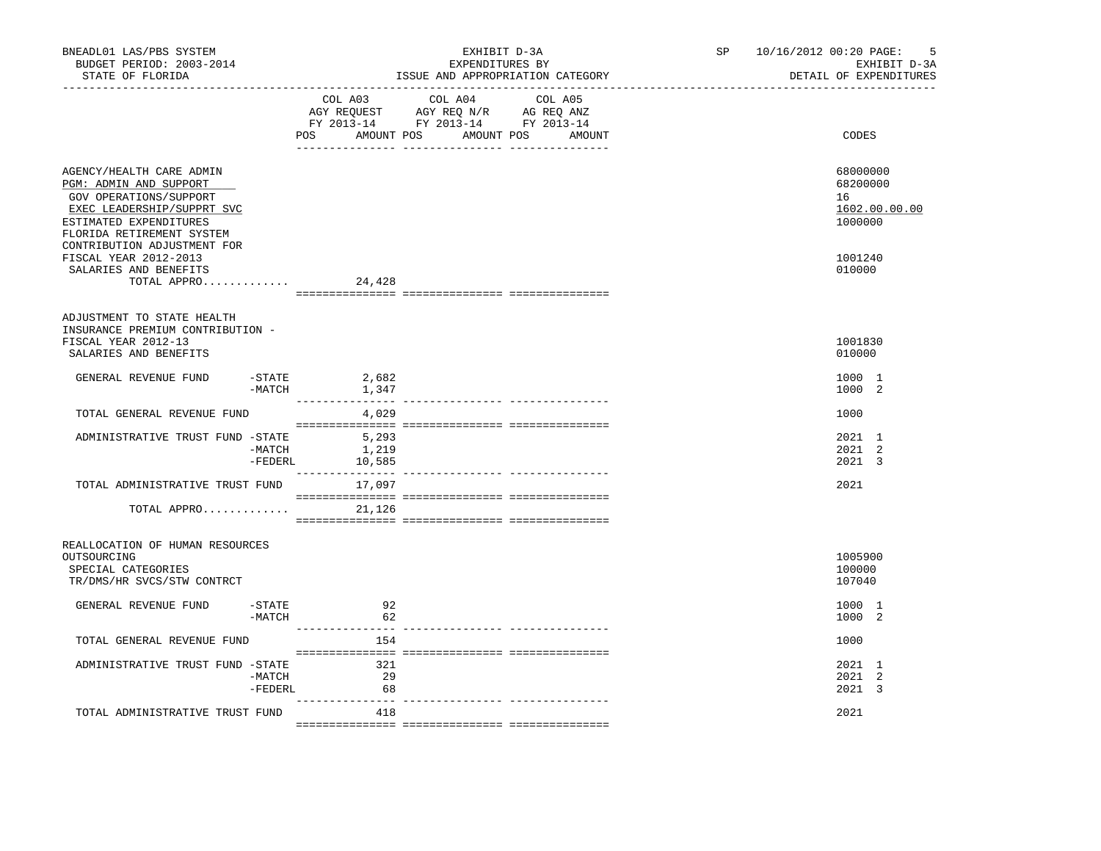| BNEADL01 LAS/PBS SYSTEM<br>BUDGET PERIOD: 2003-2014<br>STATE OF FLORIDA                                                                                           |                                    | EXHIBIT D-3A<br>EXPENDITURES BY<br>ISSUE AND APPROPRIATION CATEGORY                                                                   | SP and the set of the set of the set of the set of the set of the set of the set of the set of the set of the set of the set of the set of the set of the set of the set of the set of the set of the set of the set of the se | 10/16/2012 00:20 PAGE:<br>5<br>EXHIBIT D-3A<br>DETAIL OF EXPENDITURES |
|-------------------------------------------------------------------------------------------------------------------------------------------------------------------|------------------------------------|---------------------------------------------------------------------------------------------------------------------------------------|--------------------------------------------------------------------------------------------------------------------------------------------------------------------------------------------------------------------------------|-----------------------------------------------------------------------|
|                                                                                                                                                                   |                                    | COL A03 COL A04 COL A05<br>AGY REQUEST AGY REQ N/R AG REQ ANZ<br>FY 2013-14 FY 2013-14 FY 2013-14<br>POS AMOUNT POS AMOUNT POS AMOUNT |                                                                                                                                                                                                                                | CODES                                                                 |
| AGENCY/HEALTH CARE ADMIN<br>PGM: ADMIN AND SUPPORT<br>GOV OPERATIONS/SUPPORT<br>EXEC LEADERSHIP/SUPPRT SVC<br>ESTIMATED EXPENDITURES<br>FLORIDA RETIREMENT SYSTEM |                                    |                                                                                                                                       |                                                                                                                                                                                                                                | 68000000<br>68200000<br>16<br>1602.00.00.00<br>1000000                |
| CONTRIBUTION ADJUSTMENT FOR<br>FISCAL YEAR 2012-2013<br>SALARIES AND BENEFITS<br>TOTAL APPRO                                                                      | 24,428                             |                                                                                                                                       |                                                                                                                                                                                                                                | 1001240<br>010000                                                     |
| ADJUSTMENT TO STATE HEALTH<br>INSURANCE PREMIUM CONTRIBUTION -<br>FISCAL YEAR 2012-13<br>SALARIES AND BENEFITS                                                    |                                    |                                                                                                                                       |                                                                                                                                                                                                                                | 1001830<br>010000                                                     |
| GENERAL REVENUE FUND<br>$-MATCH$                                                                                                                                  | $-STATE$ 2,682<br>1,347            |                                                                                                                                       |                                                                                                                                                                                                                                | 1000 1<br>1000 2                                                      |
| TOTAL GENERAL REVENUE FUND                                                                                                                                        | 4,029                              |                                                                                                                                       |                                                                                                                                                                                                                                | 1000                                                                  |
| ADMINISTRATIVE TRUST FUND -STATE<br>-MATCH                                                                                                                        | 5,293<br>1,219<br>$-FEDERL$ 10,585 |                                                                                                                                       |                                                                                                                                                                                                                                | 2021 1<br>2021 2<br>2021 3                                            |
| TOTAL ADMINISTRATIVE TRUST FUND                                                                                                                                   | 17,097                             |                                                                                                                                       |                                                                                                                                                                                                                                | 2021                                                                  |
| TOTAL APPRO                                                                                                                                                       | 21,126                             |                                                                                                                                       |                                                                                                                                                                                                                                |                                                                       |
| REALLOCATION OF HUMAN RESOURCES<br>OUTSOURCING<br>SPECIAL CATEGORIES<br>TR/DMS/HR SVCS/STW CONTRCT                                                                |                                    |                                                                                                                                       |                                                                                                                                                                                                                                | 1005900<br>100000<br>107040                                           |
| $-$ STATE<br>GENERAL REVENUE FUND<br>$-MATCH$                                                                                                                     | 92<br>62                           |                                                                                                                                       |                                                                                                                                                                                                                                | 1000 1<br>1000 2                                                      |
| TOTAL GENERAL REVENUE FUND                                                                                                                                        | .<br>154                           |                                                                                                                                       |                                                                                                                                                                                                                                | 1000                                                                  |
| ADMINISTRATIVE TRUST FUND -STATE<br>-MATCH<br>-FEDERL                                                                                                             | 321<br>29<br>68                    |                                                                                                                                       |                                                                                                                                                                                                                                | 2021 1<br>2021 2<br>2021 3                                            |
| TOTAL ADMINISTRATIVE TRUST FUND                                                                                                                                   | 418                                |                                                                                                                                       |                                                                                                                                                                                                                                | 2021                                                                  |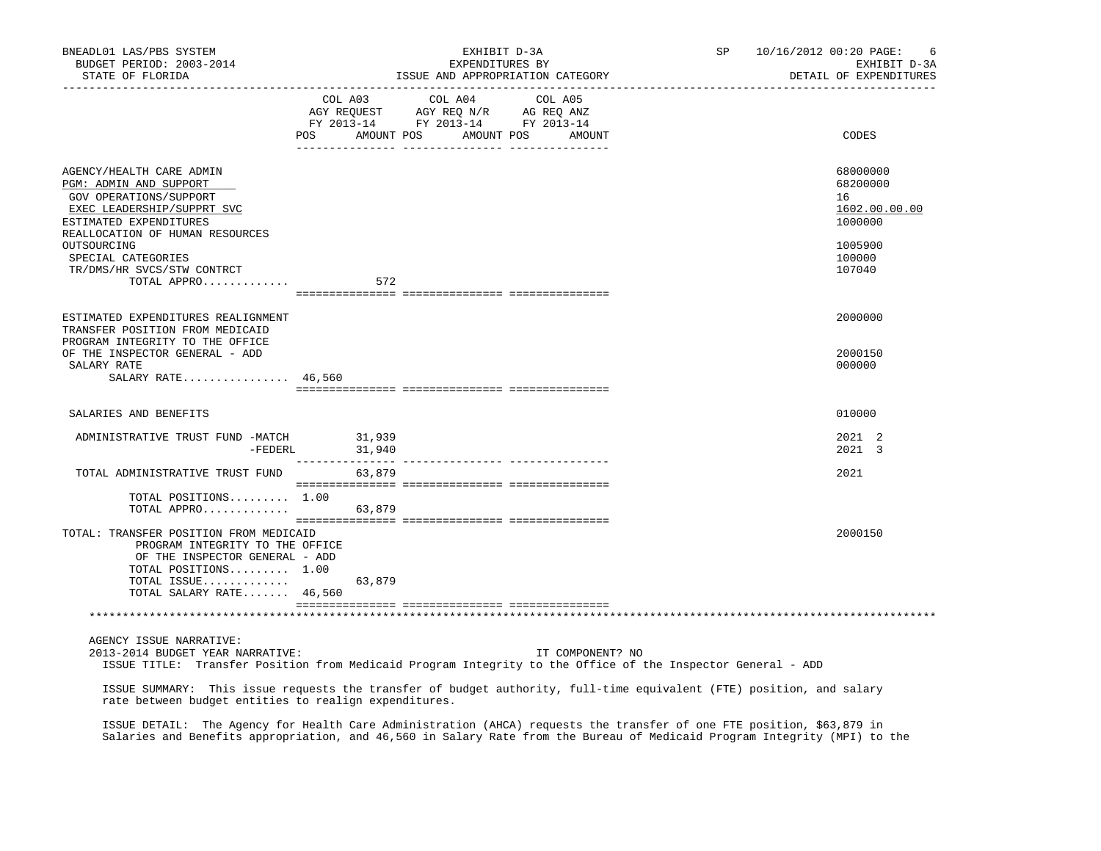| BNEADL01 LAS/PBS SYSTEM<br>BUDGET PERIOD: 2003-2014<br>STATE OF FLORIDA                                                                                                        |                          | EXHIBIT D-3A<br>EXPENDITURES BY<br>ISSUE AND APPROPRIATION CATEGORY                                                                                                                            | SP and the set of the set of the set of the set of the set of the set of the set of the set of the set of the set of the set of the set of the set of the set of the set of the set of the set of the set of the set of the se | 10/16/2012 00:20 PAGE:<br>6<br>EXHIBIT D-3A<br>DETAIL OF EXPENDITURES |
|--------------------------------------------------------------------------------------------------------------------------------------------------------------------------------|--------------------------|------------------------------------------------------------------------------------------------------------------------------------------------------------------------------------------------|--------------------------------------------------------------------------------------------------------------------------------------------------------------------------------------------------------------------------------|-----------------------------------------------------------------------|
|                                                                                                                                                                                |                          | $\begin{tabular}{lcccc} COL A03 & COL A04 & COL A05 \\ AGY REQUEST & AGY REQ N/R & AG REQ ANZ \\ FY & 2013-14 & FY & 2013-14 & FY & 2013-14 \end{tabular}$<br>POS AMOUNT POS AMOUNT POS AMOUNT |                                                                                                                                                                                                                                | CODES                                                                 |
| AGENCY/HEALTH CARE ADMIN<br>PGM: ADMIN AND SUPPORT<br>GOV OPERATIONS/SUPPORT<br>EXEC LEADERSHIP/SUPPRT SVC<br>ESTIMATED EXPENDITURES<br>REALLOCATION OF HUMAN RESOURCES        |                          |                                                                                                                                                                                                |                                                                                                                                                                                                                                | 68000000<br>68200000<br>16<br>1602.00.00.00<br>1000000                |
| OUTSOURCING<br>SPECIAL CATEGORIES<br>TR/DMS/HR SVCS/STW CONTRCT<br>TOTAL APPRO                                                                                                 | 572                      |                                                                                                                                                                                                |                                                                                                                                                                                                                                | 1005900<br>100000<br>107040                                           |
| ESTIMATED EXPENDITURES REALIGNMENT<br>TRANSFER POSITION FROM MEDICAID                                                                                                          |                          |                                                                                                                                                                                                |                                                                                                                                                                                                                                | 2000000                                                               |
| PROGRAM INTEGRITY TO THE OFFICE<br>OF THE INSPECTOR GENERAL - ADD<br>SALARY RATE<br>SALARY RATE 46,560                                                                         |                          |                                                                                                                                                                                                |                                                                                                                                                                                                                                | 2000150<br>000000                                                     |
| SALARIES AND BENEFITS                                                                                                                                                          |                          |                                                                                                                                                                                                |                                                                                                                                                                                                                                | 010000                                                                |
| ADMINISTRATIVE TRUST FUND -MATCH                                                                                                                                               | 31,939<br>-FEDERL 31,940 |                                                                                                                                                                                                |                                                                                                                                                                                                                                | 2021 2<br>2021 3                                                      |
| TOTAL ADMINISTRATIVE TRUST FUND                                                                                                                                                | 63,879                   |                                                                                                                                                                                                |                                                                                                                                                                                                                                | 2021                                                                  |
| TOTAL POSITIONS 1.00<br>TOTAL APPRO                                                                                                                                            | 63,879                   |                                                                                                                                                                                                |                                                                                                                                                                                                                                |                                                                       |
| TOTAL: TRANSFER POSITION FROM MEDICAID<br>PROGRAM INTEGRITY TO THE OFFICE<br>OF THE INSPECTOR GENERAL - ADD<br>TOTAL POSITIONS 1.00<br>TOTAL ISSUE<br>TOTAL SALARY RATE 46,560 | 63,879                   |                                                                                                                                                                                                |                                                                                                                                                                                                                                | 2000150                                                               |
|                                                                                                                                                                                |                          |                                                                                                                                                                                                |                                                                                                                                                                                                                                |                                                                       |
| AGENCY ISSUE NARRATIVE:<br>2013-2014 BUDGET YEAR NARRATIVE:                                                                                                                    |                          | IT COMPONENT? NO                                                                                                                                                                               | ISSUE TITLE: Transfer Position from Medicaid Program Integrity to the Office of the Inspector General - ADD                                                                                                                    |                                                                       |
| rate between budget entities to realign expenditures.                                                                                                                          |                          |                                                                                                                                                                                                | ISSUE SUMMARY: This issue requests the transfer of budget authority, full-time equivalent (FTE) position, and salary                                                                                                           |                                                                       |
|                                                                                                                                                                                |                          |                                                                                                                                                                                                | ISSUE DETAIL: The Agency for Health Care Administration (AHCA) requests the transfer of one FTE position, \$63,879 in                                                                                                          |                                                                       |

Salaries and Benefits appropriation, and 46,560 in Salary Rate from the Bureau of Medicaid Program Integrity (MPI) to the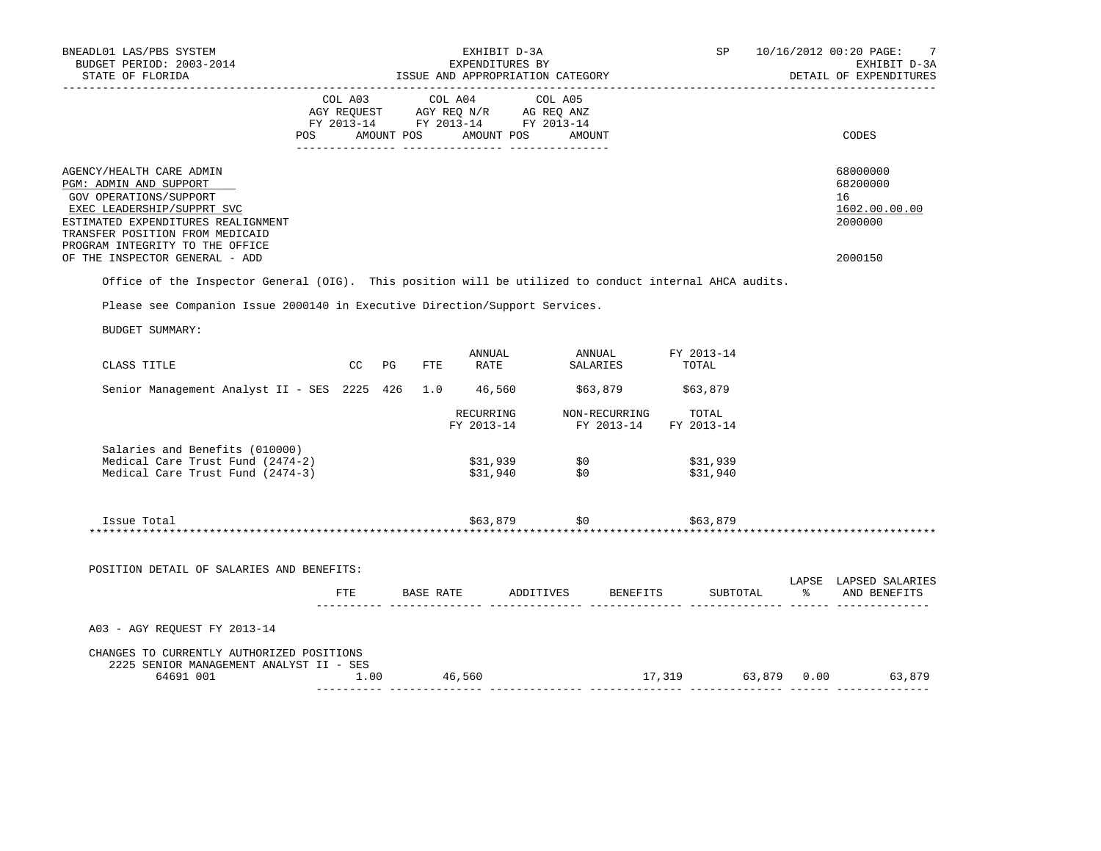| BNEADL01 LAS/PBS SYSTEM<br>BUDGET PERIOD: 2003-2014<br>STATE OF FLORIDA                                                                                                             |           |  | EXHIBIT D-3A<br>EXPENDITURES BY<br>ISSUE AND APPROPRIATION CATEGORY                                                                                                                            |              |                                                                                                                                                                 |          |               | SP 10/16/2012 00:20 PAGE:<br>7<br>EXHIBIT D-3A<br>DETAIL OF EXPENDITURES              |
|-------------------------------------------------------------------------------------------------------------------------------------------------------------------------------------|-----------|--|------------------------------------------------------------------------------------------------------------------------------------------------------------------------------------------------|--------------|-----------------------------------------------------------------------------------------------------------------------------------------------------------------|----------|---------------|---------------------------------------------------------------------------------------|
|                                                                                                                                                                                     |           |  | $\begin{tabular}{lcccc} CDL A03 & CDL A04 & CDL A05 \\ AGY REQUEST & AGY REQ N/R & AG REQ ANZ \\ FY & 2013-14 & FY & 2013-14 & FY & 2013-14 \end{tabular}$<br>POS AMOUNT POS AMOUNT POS AMOUNT |              |                                                                                                                                                                 |          |               | CODES                                                                                 |
|                                                                                                                                                                                     |           |  |                                                                                                                                                                                                |              |                                                                                                                                                                 |          |               |                                                                                       |
| AGENCY/HEALTH CARE ADMIN<br>PGM: ADMIN AND SUPPORT<br>GOV OPERATIONS/SUPPORT<br>EXEC LEADERSHIP/SUPPRT SVC<br>ESTIMATED EXPENDITURES REALIGNMENT<br>TRANSFER POSITION FROM MEDICAID |           |  |                                                                                                                                                                                                |              |                                                                                                                                                                 |          |               | 68000000<br>68200000<br>16<br>1602.00.00.00<br>2000000                                |
| PROGRAM INTEGRITY TO THE OFFICE<br>OF THE INSPECTOR GENERAL - ADD                                                                                                                   |           |  |                                                                                                                                                                                                |              |                                                                                                                                                                 |          |               | 2000150                                                                               |
| Office of the Inspector General (OIG). This position will be utilized to conduct internal AHCA audits.                                                                              |           |  |                                                                                                                                                                                                |              |                                                                                                                                                                 |          |               |                                                                                       |
| Please see Companion Issue 2000140 in Executive Direction/Support Services.                                                                                                         |           |  |                                                                                                                                                                                                |              |                                                                                                                                                                 |          |               |                                                                                       |
| BUDGET SUMMARY:                                                                                                                                                                     |           |  |                                                                                                                                                                                                |              |                                                                                                                                                                 |          |               |                                                                                       |
|                                                                                                                                                                                     |           |  |                                                                                                                                                                                                |              |                                                                                                                                                                 |          |               |                                                                                       |
| CLASS TITLE                                                                                                                                                                         | CC PG FTE |  | ANNUAL<br><b>RATE</b>                                                                                                                                                                          |              | ANNUAL FY 2013-14<br>SALARIES TOTAL                                                                                                                             |          |               |                                                                                       |
| Senior Management Analyst II - SES 2225 426 1.0 46,560 \$63,879 \$63,879                                                                                                            |           |  |                                                                                                                                                                                                |              |                                                                                                                                                                 |          |               |                                                                                       |
|                                                                                                                                                                                     |           |  |                                                                                                                                                                                                |              | $\begin{tabular}{lllllll} \bf RECURRING & \bf NON-RECURRING & \tt TOTAL \\ \bf FY & \tt 2013-14 & \tt FY & \tt 2013-14 & \tt FY & \tt 2013-14 \\ \end{tabular}$ |          |               |                                                                                       |
| Salaries and Benefits (010000)<br>Medical Care Trust Fund (2474-2)<br>Medical Care Trust Fund (2474-3)                                                                              |           |  | \$31,939               \$0<br>\$31,940             \$0                                                                                                                                         |              | \$31,939<br>\$31,940                                                                                                                                            |          |               |                                                                                       |
|                                                                                                                                                                                     |           |  |                                                                                                                                                                                                |              |                                                                                                                                                                 |          |               |                                                                                       |
| Issue Total                                                                                                                                                                         |           |  |                                                                                                                                                                                                | \$63,879 \$0 | \$63,879                                                                                                                                                        |          |               |                                                                                       |
|                                                                                                                                                                                     |           |  |                                                                                                                                                                                                |              |                                                                                                                                                                 |          |               |                                                                                       |
| POSITION DETAIL OF SALARIES AND BENEFITS:                                                                                                                                           |           |  |                                                                                                                                                                                                |              |                                                                                                                                                                 |          |               | LAPSE LAPSED SALARIES                                                                 |
|                                                                                                                                                                                     |           |  | FTE BASE RATE ADDITIVES BENEFITS                                                                                                                                                               |              |                                                                                                                                                                 | SUBTOTAL | $\frac{1}{6}$ | AND BENEFITS                                                                          |
| A03 - AGY REQUEST FY 2013-14                                                                                                                                                        |           |  |                                                                                                                                                                                                |              |                                                                                                                                                                 |          |               |                                                                                       |
| CHANGES TO CURRENTLY AUTHORIZED POSITIONS<br>2225 SENIOR MANAGEMENT ANALYST II - SES<br>64691 001 1.00 46,560                                                                       |           |  |                                                                                                                                                                                                |              |                                                                                                                                                                 |          |               | 17,319 63,879 0.00 63,879<br>$1.00$ 46,560 $46,560$ $17,319$ $63,879$ $0.00$ $63,879$ |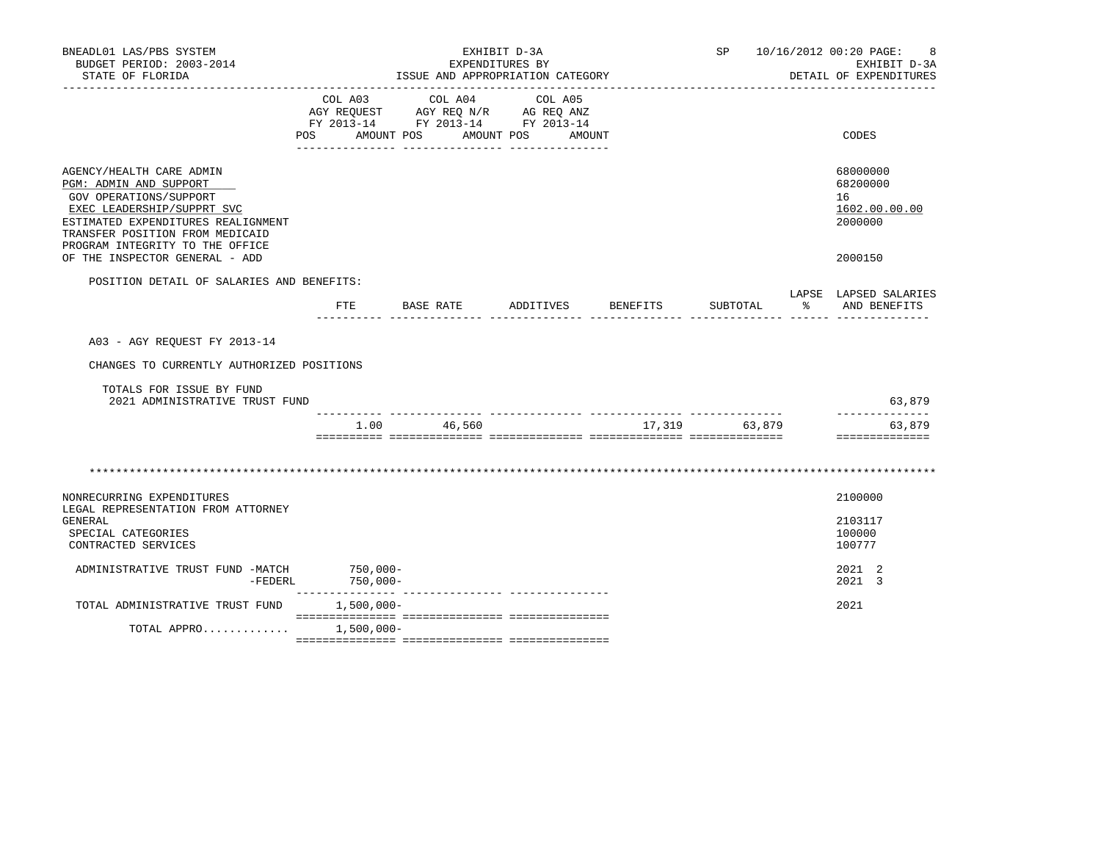| BNEADL01 LAS/PBS SYSTEM<br>BUDGET PERIOD: 2003-2014                                                                                                                                                                    |                         |                                                                                                                                                                                                                                                                 | EXHIBIT D-3A<br>EXPENDITURES BY |                 |               | SP 10/16/2012 00:20 PAGE:              | 8<br>EXHIBIT D-3A                          |
|------------------------------------------------------------------------------------------------------------------------------------------------------------------------------------------------------------------------|-------------------------|-----------------------------------------------------------------------------------------------------------------------------------------------------------------------------------------------------------------------------------------------------------------|---------------------------------|-----------------|---------------|----------------------------------------|--------------------------------------------|
| STATE OF FLORIDA                                                                                                                                                                                                       |                         | ISSUE AND APPROPRIATION CATEGORY                                                                                                                                                                                                                                |                                 |                 |               | DETAIL OF EXPENDITURES                 |                                            |
|                                                                                                                                                                                                                        | COL A03                 | COL A04<br>$\begin{tabular}{lllllll} \bf AGY \,\, &\bf REQUEST \,\, &\bf AGY \,\, &\bf REQ \,\, &\bf N/R \,\, &\bf AG \,\, &\bf REQ \,\, &\bf ANZ \,\, \\ \bf FY \,\, &\bf 2013-14 \,\, &\bf FY \,\, &\bf 2013-14 \,\, &\bf FY \,\, &\bf 2013-14 \end{tabular}$ | COL A05                         |                 |               |                                        |                                            |
|                                                                                                                                                                                                                        |                         | POS AMOUNT POS AMOUNT POS AMOUNT                                                                                                                                                                                                                                |                                 |                 |               | CODES                                  |                                            |
| AGENCY/HEALTH CARE ADMIN<br>PGM: ADMIN AND SUPPORT<br>GOV OPERATIONS/SUPPORT<br>EXEC LEADERSHIP/SUPPRT SVC<br>ESTIMATED EXPENDITURES REALIGNMENT<br>TRANSFER POSITION FROM MEDICAID<br>PROGRAM INTEGRITY TO THE OFFICE |                         |                                                                                                                                                                                                                                                                 |                                 |                 |               | 68000000<br>68200000<br>16<br>2000000  | 1602.00.00.00                              |
| OF THE INSPECTOR GENERAL - ADD                                                                                                                                                                                         |                         |                                                                                                                                                                                                                                                                 |                                 |                 |               | 2000150                                |                                            |
| POSITION DETAIL OF SALARIES AND BENEFITS:                                                                                                                                                                              | FTE                     | BASE RATE<br>. Alian and an and alian and alian and alian and alian and alian and alian and alian and alian and alian and a                                                                                                                                     | ADDITIVES                       | <b>BENEFITS</b> | SUBTOTAL      | LAPSE LAPSED SALARIES<br>$\sim$ $\sim$ | AND BENEFITS                               |
| A03 - AGY REQUEST FY 2013-14                                                                                                                                                                                           |                         |                                                                                                                                                                                                                                                                 |                                 |                 |               |                                        |                                            |
| CHANGES TO CURRENTLY AUTHORIZED POSITIONS                                                                                                                                                                              |                         |                                                                                                                                                                                                                                                                 |                                 |                 |               |                                        |                                            |
| TOTALS FOR ISSUE BY FUND<br>2021 ADMINISTRATIVE TRUST FUND                                                                                                                                                             |                         |                                                                                                                                                                                                                                                                 |                                 |                 |               |                                        | 63,879                                     |
|                                                                                                                                                                                                                        |                         | 1.00 46,560                                                                                                                                                                                                                                                     |                                 |                 | 17,319 63,879 |                                        | --------------<br>63,879<br>============== |
|                                                                                                                                                                                                                        |                         |                                                                                                                                                                                                                                                                 |                                 |                 |               |                                        |                                            |
| NONRECURRING EXPENDITURES<br>LEGAL REPRESENTATION FROM ATTORNEY                                                                                                                                                        |                         |                                                                                                                                                                                                                                                                 |                                 |                 |               | 2100000                                |                                            |
| GENERAL<br>SPECIAL CATEGORIES<br>CONTRACTED SERVICES                                                                                                                                                                   |                         |                                                                                                                                                                                                                                                                 |                                 |                 |               | 2103117<br>100000<br>100777            |                                            |
| ADMINISTRATIVE TRUST FUND -MATCH<br>$-$ FEDERL                                                                                                                                                                         | $750,000 -$<br>750,000- |                                                                                                                                                                                                                                                                 |                                 |                 |               | 2021 2<br>2021 3                       |                                            |
|                                                                                                                                                                                                                        |                         |                                                                                                                                                                                                                                                                 |                                 |                 |               |                                        |                                            |
| TOTAL ADMINISTRATIVE TRUST FUND                                                                                                                                                                                        | $1,500,000 -$           |                                                                                                                                                                                                                                                                 |                                 |                 |               | 2021                                   |                                            |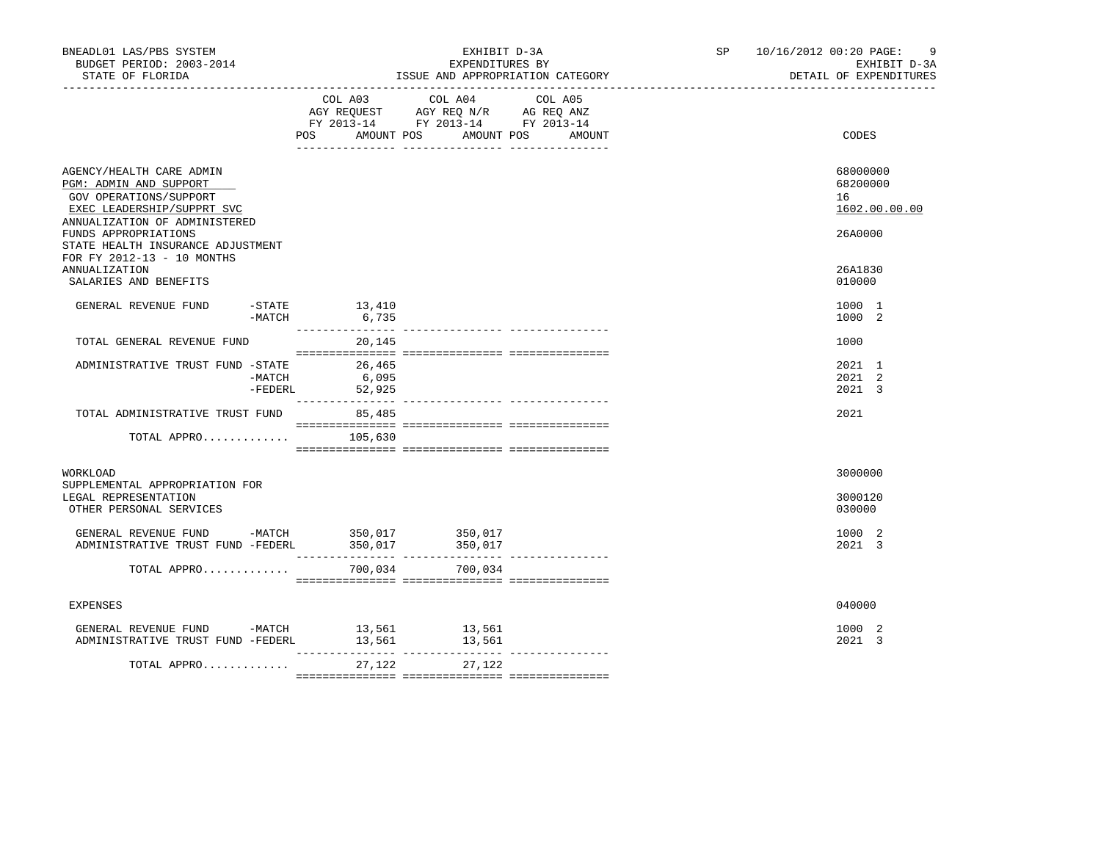| BNEADL01 LAS/PBS SYSTEM<br>BUDGET PERIOD: 2003-2014<br>STATE OF FLORIDA                                                                                                                                                                                                                 |                 | EXHIBIT D-3A<br>EXPENDITURES BY<br>ISSUE AND APPROPRIATION CATEGORY                                                                      | SP and the set of the set of the set of the set of the set of the set of the set of the set of the set of the set of the set of the set of the set of the set of the set of the set of the set of the set of the set of the se | 10/16/2012 00:20 PAGE:<br>-9<br>EXHIBIT D-3A<br>DETAIL OF EXPENDITURES      |
|-----------------------------------------------------------------------------------------------------------------------------------------------------------------------------------------------------------------------------------------------------------------------------------------|-----------------|------------------------------------------------------------------------------------------------------------------------------------------|--------------------------------------------------------------------------------------------------------------------------------------------------------------------------------------------------------------------------------|-----------------------------------------------------------------------------|
|                                                                                                                                                                                                                                                                                         |                 | COL A03 COL A04 COL A05<br>AGY REQUEST AGY REQ N/R AG REQ ANZ<br>FY 2013-14 FY 2013-14 FY 2013-14<br>POS AMOUNT POS AMOUNT POS<br>AMOUNT |                                                                                                                                                                                                                                | CODES                                                                       |
| AGENCY/HEALTH CARE ADMIN<br>PGM: ADMIN AND SUPPORT<br>GOV OPERATIONS/SUPPORT<br>EXEC LEADERSHIP/SUPPRT SVC<br>ANNUALIZATION OF ADMINISTERED<br>FUNDS APPROPRIATIONS<br>STATE HEALTH INSURANCE ADJUSTMENT<br>FOR FY 2012-13 - 10 MONTHS<br><b>ANNUALIZATION</b><br>SALARIES AND BENEFITS |                 |                                                                                                                                          |                                                                                                                                                                                                                                | 68000000<br>68200000<br>16<br>1602.00.00.00<br>26A0000<br>26A1830<br>010000 |
| GENERAL REVENUE FUND -STATE 13,410<br>$-MATCH$                                                                                                                                                                                                                                          | 6,735           |                                                                                                                                          |                                                                                                                                                                                                                                | 1000 1<br>1000 2                                                            |
| TOTAL GENERAL REVENUE FUND                                                                                                                                                                                                                                                              | 20,145          |                                                                                                                                          |                                                                                                                                                                                                                                | 1000                                                                        |
| ADMINISTRATIVE TRUST FUND -STATE 26,465<br>$-MATCH$<br>-FEDERL                                                                                                                                                                                                                          | 6,095<br>52,925 |                                                                                                                                          |                                                                                                                                                                                                                                | 2021 1<br>2021 2<br>2021 3                                                  |
| TOTAL ADMINISTRATIVE TRUST FUND 85,485                                                                                                                                                                                                                                                  |                 |                                                                                                                                          |                                                                                                                                                                                                                                | 2021                                                                        |
| TOTAL APPRO $105,630$                                                                                                                                                                                                                                                                   |                 |                                                                                                                                          |                                                                                                                                                                                                                                |                                                                             |
| WORKLOAD<br>SUPPLEMENTAL APPROPRIATION FOR<br>LEGAL REPRESENTATION<br>OTHER PERSONAL SERVICES                                                                                                                                                                                           |                 |                                                                                                                                          |                                                                                                                                                                                                                                | 3000000<br>3000120<br>030000                                                |
| ${\tt GENERAL}\quad {\tt REVENUE}\quad {\tt FUND}\qquad \qquad -{\tt MATCH}\qquad \qquad 350\, , 017$<br>ADMINISTRATIVE TRUST FUND -FEDERL                                                                                                                                              | 350,017         | 350,017<br>350,017                                                                                                                       |                                                                                                                                                                                                                                | 1000 2<br>2021 3                                                            |
| TOTAL APPRO                                                                                                                                                                                                                                                                             |                 | 700,034 700,034                                                                                                                          |                                                                                                                                                                                                                                |                                                                             |
| <b>EXPENSES</b>                                                                                                                                                                                                                                                                         |                 |                                                                                                                                          |                                                                                                                                                                                                                                | 040000                                                                      |
| GENERAL REVENUE FUND -MATCH 13,561 13,561<br>ADMINISTRATIVE TRUST FUND -FEDERL                                                                                                                                                                                                          |                 |                                                                                                                                          |                                                                                                                                                                                                                                | 1000 2<br>2021 3                                                            |
| TOTAL APPRO                                                                                                                                                                                                                                                                             | 27,122          | 27,122                                                                                                                                   |                                                                                                                                                                                                                                |                                                                             |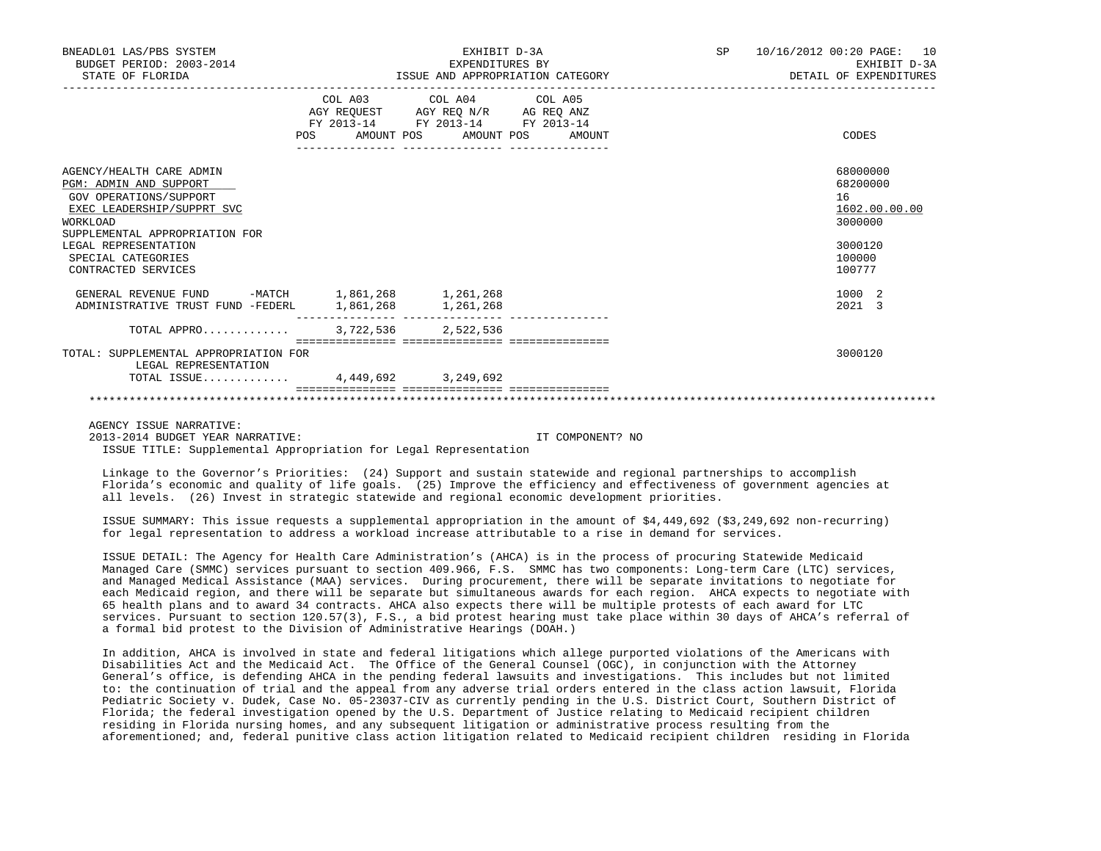| BNEADL01 LAS/PBS SYSTEM<br>BUDGET PERIOD: 2003-2014<br>STATE OF FLORIDA                                                                                                                                                       |                                                   | EXHIBIT D-3A<br>EXPENDITURES BY<br>ISSUE AND APPROPRIATION CATEGORY                                                                   | <b>SP</b> | 10/16/2012 00:20 PAGE: 10<br>EXHIBIT D-3A<br>DETAIL OF EXPENDITURES                   |
|-------------------------------------------------------------------------------------------------------------------------------------------------------------------------------------------------------------------------------|---------------------------------------------------|---------------------------------------------------------------------------------------------------------------------------------------|-----------|---------------------------------------------------------------------------------------|
|                                                                                                                                                                                                                               |                                                   | COL A03 COL A04 COL A05<br>AGY REQUEST AGY REQ N/R AG REQ ANZ<br>FY 2013-14 FY 2013-14 FY 2013-14<br>POS AMOUNT POS AMOUNT POS AMOUNT |           | CODES                                                                                 |
| AGENCY/HEALTH CARE ADMIN<br>PGM: ADMIN AND SUPPORT<br>GOV OPERATIONS/SUPPORT<br>EXEC LEADERSHIP/SUPPRT SVC<br>WORKLOAD<br>SUPPLEMENTAL APPROPRIATION FOR<br>LEGAL REPRESENTATION<br>SPECIAL CATEGORIES<br>CONTRACTED SERVICES |                                                   |                                                                                                                                       |           | 68000000<br>68200000<br>16<br>1602.00.00.00<br>3000000<br>3000120<br>100000<br>100777 |
| GENERAL REVENUE FUND<br>ADMINISTRATIVE TRUST FUND -FEDERL                                                                                                                                                                     | -MATCH 1,861,268 1,261,268<br>1,861,268 1,261,268 |                                                                                                                                       |           | 1000 2<br>2021 3                                                                      |
| TOTAL APPRO                                                                                                                                                                                                                   | 3,722,536 2,522,536                               |                                                                                                                                       |           |                                                                                       |
| TOTAL: SUPPLEMENTAL APPROPRIATION FOR<br>LEGAL REPRESENTATION                                                                                                                                                                 |                                                   |                                                                                                                                       |           | 3000120                                                                               |
| TOTAL ISSUE 4,449,692 3,249,692                                                                                                                                                                                               |                                                   |                                                                                                                                       |           |                                                                                       |
|                                                                                                                                                                                                                               |                                                   |                                                                                                                                       |           |                                                                                       |

AGENCY ISSUE NARRATIVE:

2013-2014 BUDGET YEAR NARRATIVE: IT COMPONENT? NO

ISSUE TITLE: Supplemental Appropriation for Legal Representation

 Linkage to the Governor's Priorities: (24) Support and sustain statewide and regional partnerships to accomplish Florida's economic and quality of life goals. (25) Improve the efficiency and effectiveness of government agencies at all levels. (26) Invest in strategic statewide and regional economic development priorities.

 ISSUE SUMMARY: This issue requests a supplemental appropriation in the amount of \$4,449,692 (\$3,249,692 non-recurring) for legal representation to address a workload increase attributable to a rise in demand for services.

 ISSUE DETAIL: The Agency for Health Care Administration's (AHCA) is in the process of procuring Statewide Medicaid Managed Care (SMMC) services pursuant to section 409.966, F.S. SMMC has two components: Long-term Care (LTC) services, and Managed Medical Assistance (MAA) services. During procurement, there will be separate invitations to negotiate for each Medicaid region, and there will be separate but simultaneous awards for each region. AHCA expects to negotiate with 65 health plans and to award 34 contracts. AHCA also expects there will be multiple protests of each award for LTC services. Pursuant to section 120.57(3), F.S., a bid protest hearing must take place within 30 days of AHCA's referral of a formal bid protest to the Division of Administrative Hearings (DOAH.)

 In addition, AHCA is involved in state and federal litigations which allege purported violations of the Americans with Disabilities Act and the Medicaid Act. The Office of the General Counsel (OGC), in conjunction with the Attorney General's office, is defending AHCA in the pending federal lawsuits and investigations. This includes but not limited to: the continuation of trial and the appeal from any adverse trial orders entered in the class action lawsuit, Florida Pediatric Society v. Dudek, Case No. 05-23037-CIV as currently pending in the U.S. District Court, Southern District of Florida; the federal investigation opened by the U.S. Department of Justice relating to Medicaid recipient children residing in Florida nursing homes, and any subsequent litigation or administrative process resulting from the aforementioned; and, federal punitive class action litigation related to Medicaid recipient children residing in Florida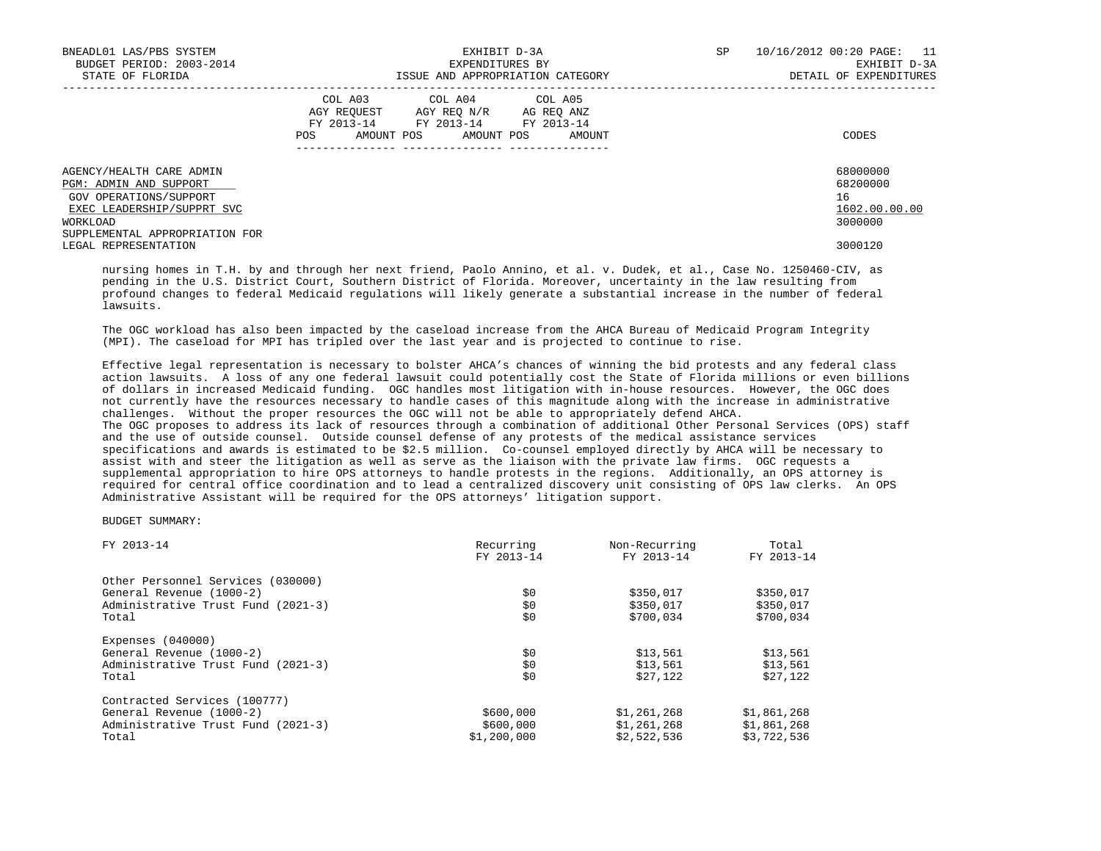| BNEADL01 LAS/PBS SYSTEM<br>BUDGET PERIOD: 2003-2014<br>STATE OF FLORIDA | EXHIBIT D-3A<br>EXPENDITURES BY<br>ISSUE AND APPROPRIATION CATEGORY                                                                                     | 10/16/2012 00:20 PAGE:<br>SP<br>11<br>EXHIBIT D-3A<br>DETAIL OF EXPENDITURES |
|-------------------------------------------------------------------------|---------------------------------------------------------------------------------------------------------------------------------------------------------|------------------------------------------------------------------------------|
|                                                                         | COL A03 COL A04 COL A05<br>AGY REOUEST<br>AGY REO N/R<br>AG REO ANZ<br>FY 2013-14<br>FY 2013-14 FY 2013-14<br>AMOUNT POS<br>AMOUNT POS<br>POS<br>AMOUNT | CODES                                                                        |
| AGENCY/HEALTH CARE ADMIN<br>PGM: ADMIN AND SUPPORT                      |                                                                                                                                                         | 68000000<br>68200000                                                         |
| GOV OPERATIONS/SUPPORT                                                  |                                                                                                                                                         | 16                                                                           |
| EXEC LEADERSHIP/SUPPRT SVC                                              |                                                                                                                                                         | 1602.00.00.00                                                                |
| WORKLOAD                                                                |                                                                                                                                                         | 3000000                                                                      |
| SUPPLEMENTAL APPROPRIATION FOR                                          |                                                                                                                                                         |                                                                              |
| LEGAL REPRESENTATION                                                    |                                                                                                                                                         | 3000120                                                                      |

 nursing homes in T.H. by and through her next friend, Paolo Annino, et al. v. Dudek, et al., Case No. 1250460-CIV, as pending in the U.S. District Court, Southern District of Florida. Moreover, uncertainty in the law resulting from profound changes to federal Medicaid regulations will likely generate a substantial increase in the number of federal lawsuits.

 The OGC workload has also been impacted by the caseload increase from the AHCA Bureau of Medicaid Program Integrity (MPI). The caseload for MPI has tripled over the last year and is projected to continue to rise.

 Effective legal representation is necessary to bolster AHCA's chances of winning the bid protests and any federal class action lawsuits. A loss of any one federal lawsuit could potentially cost the State of Florida millions or even billions of dollars in increased Medicaid funding. OGC handles most litigation with in-house resources. However, the OGC does not currently have the resources necessary to handle cases of this magnitude along with the increase in administrative challenges. Without the proper resources the OGC will not be able to appropriately defend AHCA. The OGC proposes to address its lack of resources through a combination of additional Other Personal Services (OPS) staff and the use of outside counsel. Outside counsel defense of any protests of the medical assistance services specifications and awards is estimated to be \$2.5 million. Co-counsel employed directly by AHCA will be necessary to assist with and steer the litigation as well as serve as the liaison with the private law firms. OGC requests a supplemental appropriation to hire OPS attorneys to handle protests in the regions. Additionally, an OPS attorney is required for central office coordination and to lead a centralized discovery unit consisting of OPS law clerks. An OPS Administrative Assistant will be required for the OPS attorneys' litigation support.

## BUDGET SUMMARY:

| FY 2013-14                         | Recurring   | Non-Recurring | Total       |  |
|------------------------------------|-------------|---------------|-------------|--|
|                                    | FY 2013-14  | FY 2013-14    | FY 2013-14  |  |
| Other Personnel Services (030000)  |             |               |             |  |
| General Revenue (1000-2)           | \$0         | \$350,017     | \$350,017   |  |
| Administrative Trust Fund (2021-3) | \$0         | \$350,017     | \$350,017   |  |
| Total                              | \$0         | \$700,034     | \$700,034   |  |
| Expenses $(040000)$                |             |               |             |  |
| General Revenue (1000-2)           | \$0         | \$13,561      | \$13,561    |  |
| Administrative Trust Fund (2021-3) | \$0         | \$13.561      | \$13,561    |  |
| Total                              | \$0         | \$27,122      | \$27,122    |  |
| Contracted Services (100777)       |             |               |             |  |
| General Revenue (1000-2)           | \$600,000   | \$1,261,268   | \$1,861,268 |  |
| Administrative Trust Fund (2021-3) | \$600,000   | \$1,261,268   | \$1,861,268 |  |
| Total                              | \$1,200,000 | \$2,522,536   | \$3,722,536 |  |
|                                    |             |               |             |  |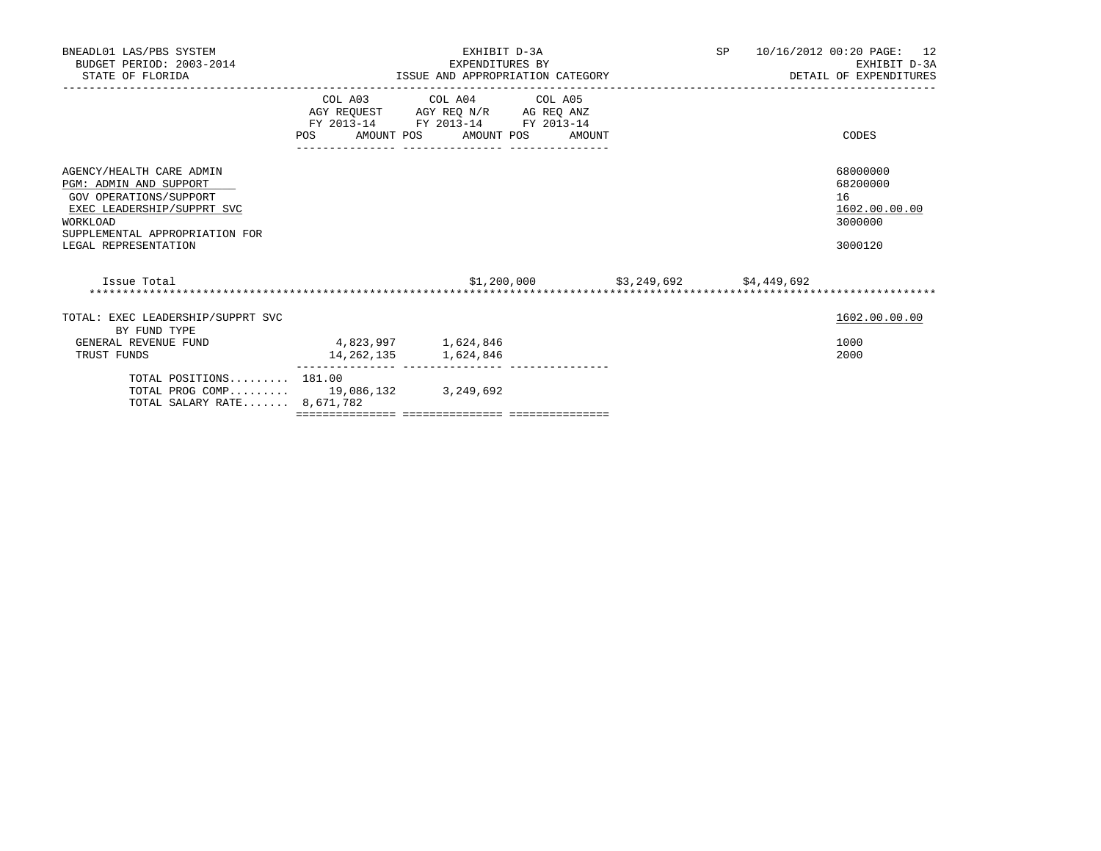| BNEADL01 LAS/PBS SYSTEM<br>BUDGET PERIOD: 2003-2014<br>STATE OF FLORIDA                                                                                                          |                     | EXHIBIT D-3A<br>EXPENDITURES BY<br>ISSUE AND APPROPRIATION CATEGORY                                                                   |                                        | SP 10/16/2012 00:20 PAGE: 12<br>EXHIBIT D-3A<br>DETAIL OF EXPENDITURES |
|----------------------------------------------------------------------------------------------------------------------------------------------------------------------------------|---------------------|---------------------------------------------------------------------------------------------------------------------------------------|----------------------------------------|------------------------------------------------------------------------|
|                                                                                                                                                                                  |                     | COL A03 COL A04 COL A05<br>AGY REQUEST AGY REQ N/R AG REQ ANZ<br>FY 2013-14 FY 2013-14 FY 2013-14<br>POS AMOUNT POS AMOUNT POS AMOUNT |                                        | CODES                                                                  |
| AGENCY/HEALTH CARE ADMIN<br>PGM: ADMIN AND SUPPORT<br>GOV OPERATIONS/SUPPORT<br>EXEC LEADERSHIP/SUPPRT SVC<br>WORKLOAD<br>SUPPLEMENTAL APPROPRIATION FOR<br>LEGAL REPRESENTATION |                     |                                                                                                                                       |                                        | 68000000<br>68200000<br>16<br>1602.00.00.00<br>3000000<br>3000120      |
| Issue Total                                                                                                                                                                      |                     |                                                                                                                                       | $$1,200,000$ $$3,249,692$ $$4,449,692$ |                                                                        |
| TOTAL: EXEC LEADERSHIP/SUPPRT SVC<br>BY FUND TYPE                                                                                                                                |                     |                                                                                                                                       |                                        | 1602.00.00.00                                                          |
| GENERAL REVENUE FUND<br>TRUST FUNDS                                                                                                                                              | 4,823,997 1,624,846 | 14, 262, 135 1, 624, 846                                                                                                              |                                        | 1000<br>2000                                                           |
| TOTAL POSITIONS 181.00<br>TOTAL PROG COMP 19,086,132 3,249,692<br>TOTAL SALARY RATE 8,671,782                                                                                    |                     |                                                                                                                                       |                                        |                                                                        |
|                                                                                                                                                                                  |                     |                                                                                                                                       |                                        |                                                                        |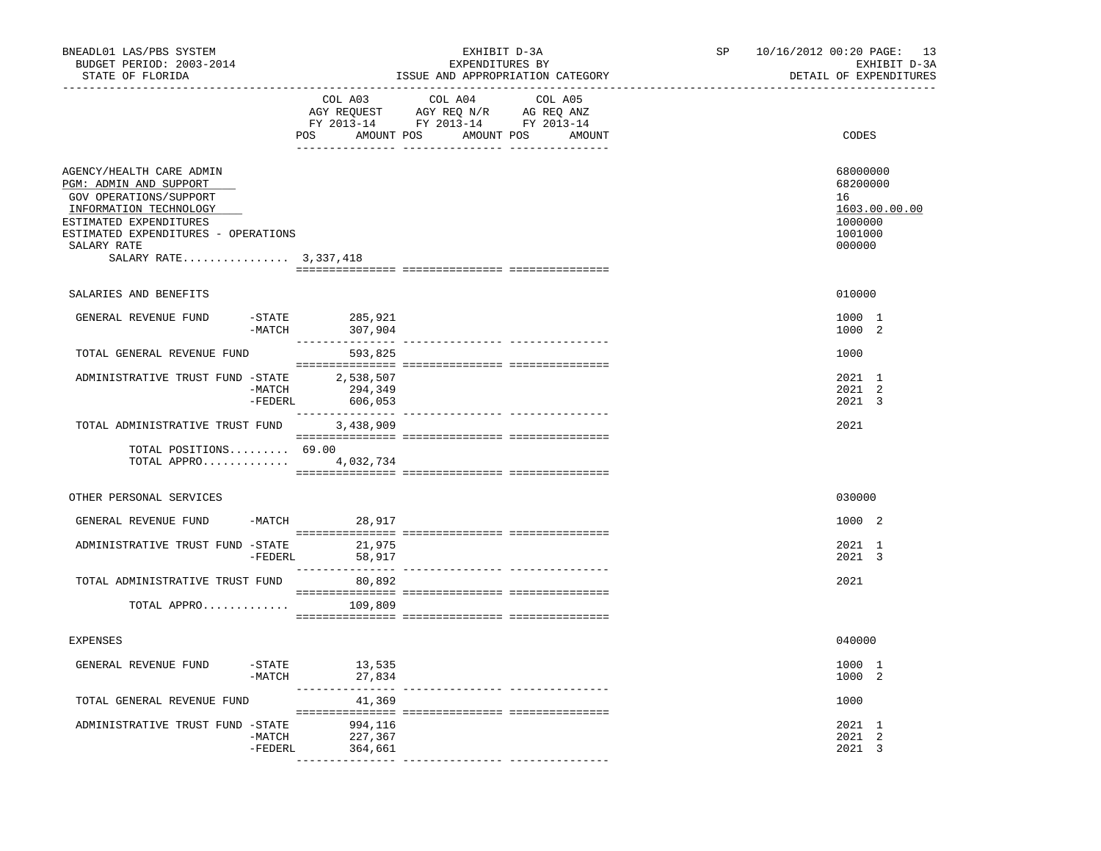| BNEADL01 LAS/PBS SYSTEM<br>BUDGET PERIOD: 2003-2014<br>STATE OF FLORIDA                                                                                                                                         |                                      | ________________________________                                                                                                                                                                                                                                                                                                                                                                                                                 | EXHIBIT D-3A<br>EXPENDITURES BY<br>ISSUE AND APPROPRIATION CATEGORY | SP<br>______________________ | 10/16/2012 00:20 PAGE: 13<br>EXHIBIT D-3A<br>DETAIL OF EXPENDITURES |                                                                             |
|-----------------------------------------------------------------------------------------------------------------------------------------------------------------------------------------------------------------|--------------------------------------|--------------------------------------------------------------------------------------------------------------------------------------------------------------------------------------------------------------------------------------------------------------------------------------------------------------------------------------------------------------------------------------------------------------------------------------------------|---------------------------------------------------------------------|------------------------------|---------------------------------------------------------------------|-----------------------------------------------------------------------------|
|                                                                                                                                                                                                                 | COL A03<br>POS AMOUNT POS AMOUNT POS | COL A04<br>AGY REQUEST AGY REQ N/R AG REQ ANZ<br>FY 2013-14 FY 2013-14 FY 2013-14                                                                                                                                                                                                                                                                                                                                                                | COL A05<br>AMOUNT                                                   |                              | CODES                                                               |                                                                             |
| AGENCY/HEALTH CARE ADMIN<br>PGM: ADMIN AND SUPPORT<br>GOV OPERATIONS/SUPPORT<br>INFORMATION TECHNOLOGY<br>ESTIMATED EXPENDITURES<br>ESTIMATED EXPENDITURES - OPERATIONS<br>SALARY RATE<br>SALARY RATE 3,337,418 |                                      |                                                                                                                                                                                                                                                                                                                                                                                                                                                  |                                                                     |                              |                                                                     | 68000000<br>68200000<br>16<br>1603.00.00.00<br>1000000<br>1001000<br>000000 |
| SALARIES AND BENEFITS                                                                                                                                                                                           |                                      |                                                                                                                                                                                                                                                                                                                                                                                                                                                  |                                                                     |                              |                                                                     | 010000                                                                      |
| GENERAL REVENUE FUND                                                                                                                                                                                            | $-MATCH$                             | -STATE 285,921<br>307,904                                                                                                                                                                                                                                                                                                                                                                                                                        |                                                                     |                              |                                                                     | 1000 1<br>1000 2                                                            |
| TOTAL GENERAL REVENUE FUND                                                                                                                                                                                      |                                      | 593,825                                                                                                                                                                                                                                                                                                                                                                                                                                          |                                                                     |                              |                                                                     | 1000                                                                        |
| ADMINISTRATIVE TRUST FUND -STATE 2,538,507                                                                                                                                                                      | $-MATCH$<br>$-FEDERL$                | 294,349<br>606,053                                                                                                                                                                                                                                                                                                                                                                                                                               |                                                                     |                              |                                                                     | 2021 1<br>2021 2<br>2021 3                                                  |
| TOTAL ADMINISTRATIVE TRUST FUND                                                                                                                                                                                 |                                      | 3,438,909                                                                                                                                                                                                                                                                                                                                                                                                                                        |                                                                     |                              |                                                                     | 2021                                                                        |
| TOTAL POSITIONS 69.00<br>TOTAL APPRO                                                                                                                                                                            |                                      | $\begin{minipage}{0.03\textwidth} \begin{tabular}{l} \textbf{1} & \textbf{2} & \textbf{3} & \textbf{5} & \textbf{5} & \textbf{6} & \textbf{6} & \textbf{7} & \textbf{8} & \textbf{8} & \textbf{9} & \textbf{9} & \textbf{9} & \textbf{9} & \textbf{9} & \textbf{9} & \textbf{9} & \textbf{9} & \textbf{9} & \textbf{9} & \textbf{9} & \textbf{9} & \textbf{9} & \textbf{9} & \textbf{9} & \textbf{9} & \textbf{9} & \textbf{9} & \$<br>4,032,734 |                                                                     |                              |                                                                     |                                                                             |
| OTHER PERSONAL SERVICES                                                                                                                                                                                         |                                      |                                                                                                                                                                                                                                                                                                                                                                                                                                                  |                                                                     |                              |                                                                     | 030000                                                                      |
| GENERAL REVENUE FUND                                                                                                                                                                                            |                                      | $-MATCH$ 28,917                                                                                                                                                                                                                                                                                                                                                                                                                                  |                                                                     |                              |                                                                     | 1000 2                                                                      |
| ADMINISTRATIVE TRUST FUND -STATE                                                                                                                                                                                |                                      | 21,975<br>-FEDERL 58,917                                                                                                                                                                                                                                                                                                                                                                                                                         |                                                                     |                              |                                                                     | 2021 1<br>2021 3                                                            |
| TOTAL ADMINISTRATIVE TRUST FUND                                                                                                                                                                                 |                                      | 80,892                                                                                                                                                                                                                                                                                                                                                                                                                                           |                                                                     |                              |                                                                     | 2021                                                                        |
| TOTAL APPRO                                                                                                                                                                                                     |                                      | 109,809                                                                                                                                                                                                                                                                                                                                                                                                                                          |                                                                     |                              |                                                                     |                                                                             |
| <b>EXPENSES</b>                                                                                                                                                                                                 |                                      |                                                                                                                                                                                                                                                                                                                                                                                                                                                  |                                                                     |                              |                                                                     | 040000                                                                      |
| GENERAL REVENUE FUND                                                                                                                                                                                            |                                      | = STATE 13,535 –<br>-MATCH 27,834<br>27,834                                                                                                                                                                                                                                                                                                                                                                                                      |                                                                     |                              |                                                                     | 1000 1<br>1000 2                                                            |
| TOTAL GENERAL REVENUE FUND                                                                                                                                                                                      |                                      | 41,369                                                                                                                                                                                                                                                                                                                                                                                                                                           |                                                                     |                              |                                                                     | 1000                                                                        |
| ADMINISTRATIVE TRUST FUND -STATE 994,116                                                                                                                                                                        | $-MATCH$<br>$-FEDERL$                | 227,367<br>364,661                                                                                                                                                                                                                                                                                                                                                                                                                               |                                                                     |                              |                                                                     | 2021 1<br>2021 2<br>2021 3                                                  |
|                                                                                                                                                                                                                 |                                      |                                                                                                                                                                                                                                                                                                                                                                                                                                                  |                                                                     |                              |                                                                     |                                                                             |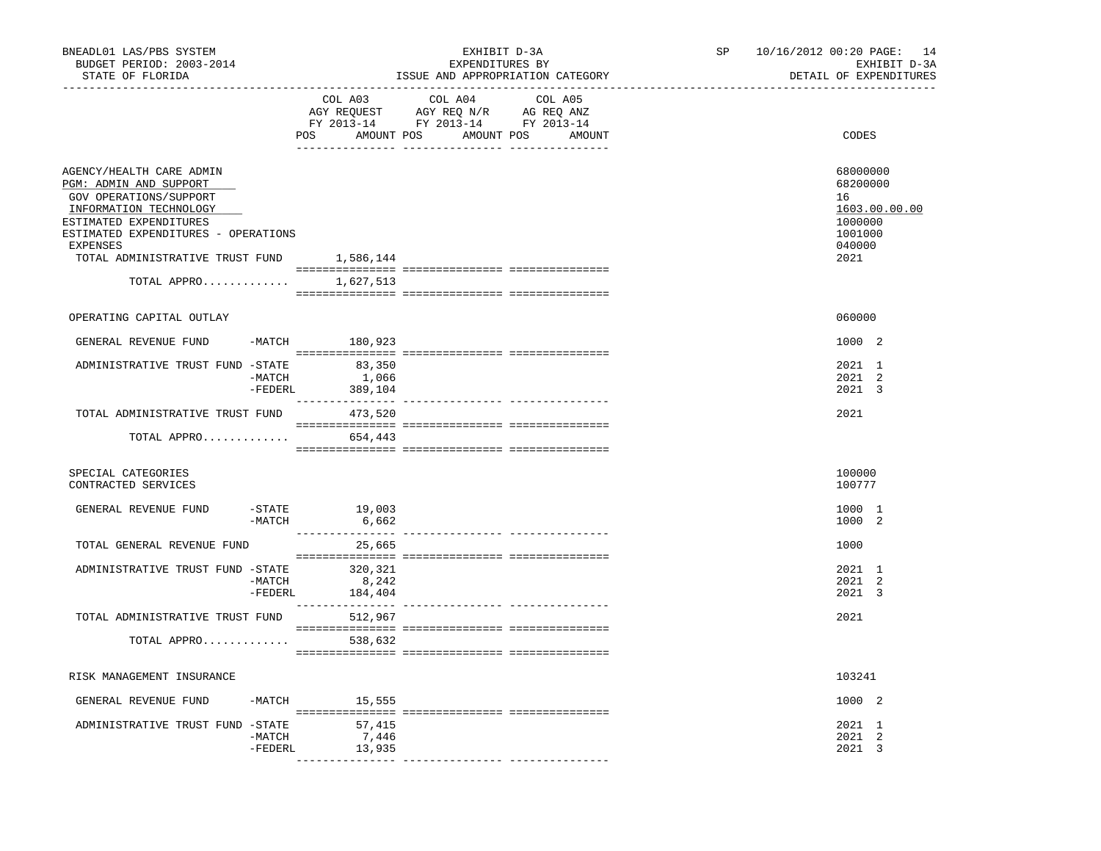| BNEADL01 LAS/PBS SYSTEM<br>BUDGET PERIOD: 2003-2014<br>STATE OF FLORIDA                                                                                                                                                                         |                                          | EXHIBIT D-3A<br>EXPENDITURES BY<br>ISSUE AND APPROPRIATION CATEGORY                                                                                                                                                                                                                                          | SP | 10/16/2012 00:20 PAGE: 14<br>EXHIBIT D-3A<br>DETAIL OF EXPENDITURES                 |
|-------------------------------------------------------------------------------------------------------------------------------------------------------------------------------------------------------------------------------------------------|------------------------------------------|--------------------------------------------------------------------------------------------------------------------------------------------------------------------------------------------------------------------------------------------------------------------------------------------------------------|----|-------------------------------------------------------------------------------------|
| __________________________________                                                                                                                                                                                                              | COL A03                                  | COL A04<br>COL A05<br>$\begin{tabular}{lllllll} \bf AGY \;\; RegUEST\hspace{1cm}AGY \;\; REG \;\; N/R\hspace{1cm}AG \;\; REG \;\; ANZ \\ \hline \texttt{FY} \;\; 2013\text{--}14 & \texttt{FY} \;\; 2013\text{--}14 & \texttt{FY} \;\; 2013\text{--}14 \\ \end{tabular}$<br>POS AMOUNT POS AMOUNT POS AMOUNT |    | CODES                                                                               |
| AGENCY/HEALTH CARE ADMIN<br>PGM: ADMIN AND SUPPORT<br>GOV OPERATIONS/SUPPORT<br>INFORMATION TECHNOLOGY<br>ESTIMATED EXPENDITURES<br>ESTIMATED EXPENDITURES - OPERATIONS<br>EXPENSES<br>TOTAL ADMINISTRATIVE TRUST FUND 1,586,144<br>TOTAL APPRO | 1,627,513                                |                                                                                                                                                                                                                                                                                                              |    | 68000000<br>68200000<br>16<br>1603.00.00.00<br>1000000<br>1001000<br>040000<br>2021 |
|                                                                                                                                                                                                                                                 |                                          |                                                                                                                                                                                                                                                                                                              |    |                                                                                     |
| OPERATING CAPITAL OUTLAY                                                                                                                                                                                                                        |                                          |                                                                                                                                                                                                                                                                                                              |    | 060000                                                                              |
| GENERAL REVENUE FUND                                                                                                                                                                                                                            | -MATCH 180,923                           |                                                                                                                                                                                                                                                                                                              |    | 1000 2                                                                              |
| ADMINISTRATIVE TRUST FUND -STATE 83,350                                                                                                                                                                                                         | 1,066<br>$-MATCH$<br>$-$ FEDERL 389,104  |                                                                                                                                                                                                                                                                                                              |    | 2021 1<br>2021 2<br>2021 3                                                          |
| TOTAL ADMINISTRATIVE TRUST FUND                                                                                                                                                                                                                 | 473,520                                  |                                                                                                                                                                                                                                                                                                              |    | 2021                                                                                |
| TOTAL APPRO                                                                                                                                                                                                                                     | 654,443                                  |                                                                                                                                                                                                                                                                                                              |    |                                                                                     |
| SPECIAL CATEGORIES<br>CONTRACTED SERVICES                                                                                                                                                                                                       |                                          |                                                                                                                                                                                                                                                                                                              |    | 100000<br>100777                                                                    |
| GENERAL REVENUE FUND                                                                                                                                                                                                                            | $-$ STATE<br>19,003<br>$-MATCH$<br>6,662 |                                                                                                                                                                                                                                                                                                              |    | 1000 1<br>1000 2                                                                    |
| TOTAL GENERAL REVENUE FUND                                                                                                                                                                                                                      | 25,665                                   |                                                                                                                                                                                                                                                                                                              |    | 1000                                                                                |
| ADMINISTRATIVE TRUST FUND -STATE 320,321<br>-MATCH                                                                                                                                                                                              | 8,242<br>$-FEDERL$<br>184,404            |                                                                                                                                                                                                                                                                                                              |    | 2021 1<br>2021 2<br>2021 3                                                          |
| TOTAL ADMINISTRATIVE TRUST FUND                                                                                                                                                                                                                 | 512,967                                  |                                                                                                                                                                                                                                                                                                              |    | 2021                                                                                |
| TOTAL APPRO                                                                                                                                                                                                                                     | 538,632                                  |                                                                                                                                                                                                                                                                                                              |    |                                                                                     |
| RISK MANAGEMENT INSURANCE                                                                                                                                                                                                                       |                                          |                                                                                                                                                                                                                                                                                                              |    | 103241                                                                              |
| GENERAL REVENUE FUND                                                                                                                                                                                                                            | $-MATCH$                                 |                                                                                                                                                                                                                                                                                                              |    | 1000 2                                                                              |
| ADMINISTRATIVE TRUST FUND -STATE<br>$-MATCH$                                                                                                                                                                                                    | 15,555<br>57,415<br>7,446                |                                                                                                                                                                                                                                                                                                              |    | 2021 1<br>2021 2                                                                    |
|                                                                                                                                                                                                                                                 | 13,935<br>$-FEDERL$                      |                                                                                                                                                                                                                                                                                                              |    | 2021 3                                                                              |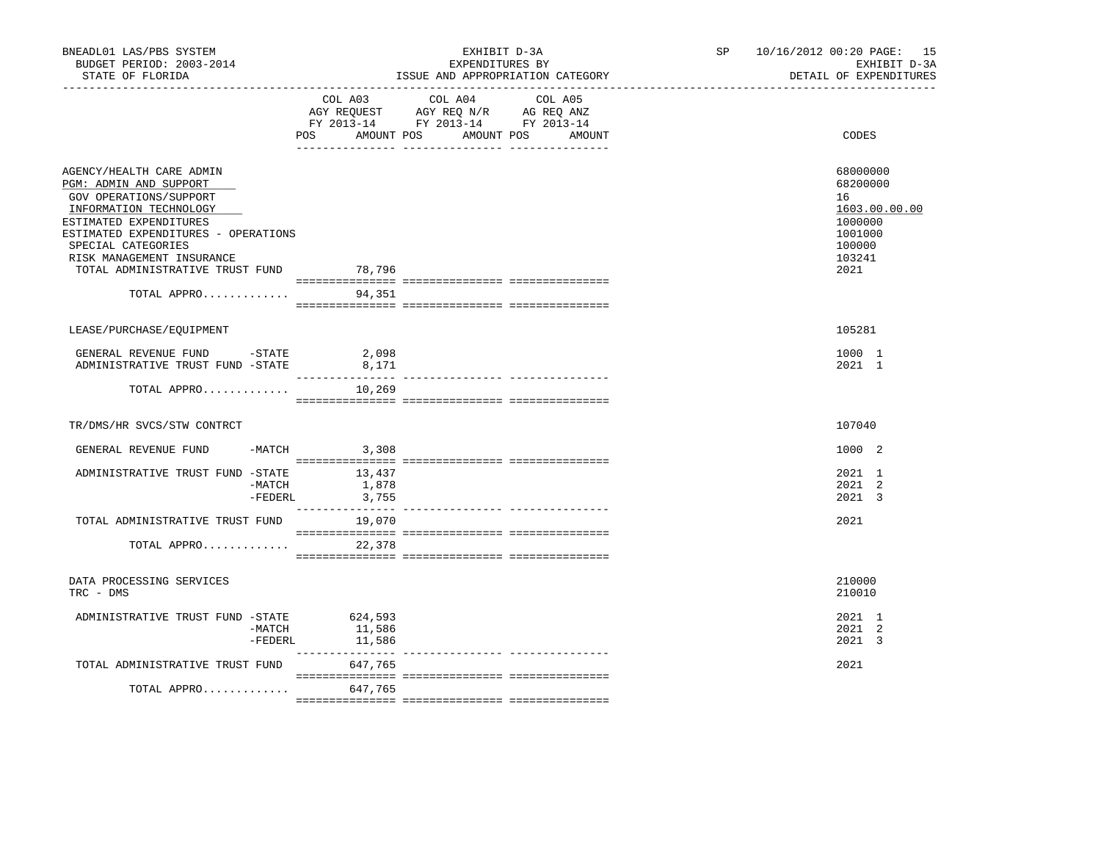| BNEADL01 LAS/PBS SYSTEM<br>BUDGET PERIOD: 2003-2014<br>STATE OF FLORIDA                                                                                                                                                                                                             |                             | EXHIBIT D-3A<br>EXPENDITURES BY<br>ISSUE AND APPROPRIATION CATEGORY                                                                                                                                                                                                                   | SP 10/16/2012 00:20 PAGE: 15<br>EXHIBIT D-3A<br>DETAIL OF EXPENDITURES                        |
|-------------------------------------------------------------------------------------------------------------------------------------------------------------------------------------------------------------------------------------------------------------------------------------|-----------------------------|---------------------------------------------------------------------------------------------------------------------------------------------------------------------------------------------------------------------------------------------------------------------------------------|-----------------------------------------------------------------------------------------------|
|                                                                                                                                                                                                                                                                                     | POS                         | COL A03 COL A04 COL A05<br>$\begin{tabular}{lllllll} \bf AGY \,\, REGUEST \,\, & \,\, AGY \,\, REQ \,\, N/R \,\, & \,\, AG \,\, REQ \,\, ANZ \,\, \\ \bf FY \,\, 2013-14 \,\, & \,\, FY \,\, 2013-14 \,\, & \,\, FY \,\, 2013-14 \end{tabular}$<br>AMOUNT POS<br>AMOUNT POS<br>AMOUNT | CODES                                                                                         |
| AGENCY/HEALTH CARE ADMIN<br>PGM: ADMIN AND SUPPORT<br>GOV OPERATIONS/SUPPORT<br>INFORMATION TECHNOLOGY<br>ESTIMATED EXPENDITURES<br>ESTIMATED EXPENDITURES - OPERATIONS<br>SPECIAL CATEGORIES<br>RISK MANAGEMENT INSURANCE<br>TOTAL ADMINISTRATIVE TRUST FUND 78,796<br>TOTAL APPRO | 94,351                      |                                                                                                                                                                                                                                                                                       | 68000000<br>68200000<br>16<br>1603.00.00.00<br>1000000<br>1001000<br>100000<br>103241<br>2021 |
| LEASE/PURCHASE/EQUIPMENT                                                                                                                                                                                                                                                            |                             |                                                                                                                                                                                                                                                                                       | 105281                                                                                        |
| GENERAL REVENUE FUND - STATE<br>ADMINISTRATIVE TRUST FUND -STATE                                                                                                                                                                                                                    | 2,098<br>8,171              |                                                                                                                                                                                                                                                                                       | 1000 1<br>2021 1                                                                              |
| TOTAL APPRO                                                                                                                                                                                                                                                                         | 10,269                      |                                                                                                                                                                                                                                                                                       |                                                                                               |
| TR/DMS/HR SVCS/STW CONTRCT                                                                                                                                                                                                                                                          |                             |                                                                                                                                                                                                                                                                                       | 107040                                                                                        |
| GENERAL REVENUE FUND                                                                                                                                                                                                                                                                | $-MATCH$ 3,308              |                                                                                                                                                                                                                                                                                       | 1000 2                                                                                        |
| ADMINISTRATIVE TRUST FUND -STATE 13,437<br>-MATCH                                                                                                                                                                                                                                   | 1,878<br>3,755<br>$-FEDERL$ |                                                                                                                                                                                                                                                                                       | 2021 1<br>2021 2<br>2021 3                                                                    |
| TOTAL ADMINISTRATIVE TRUST FUND                                                                                                                                                                                                                                                     | 19,070                      |                                                                                                                                                                                                                                                                                       | 2021                                                                                          |
| TOTAL APPRO                                                                                                                                                                                                                                                                         | 22,378                      |                                                                                                                                                                                                                                                                                       |                                                                                               |
| DATA PROCESSING SERVICES<br>TRC - DMS                                                                                                                                                                                                                                               |                             |                                                                                                                                                                                                                                                                                       | 210000<br>210010                                                                              |
| ADMINISTRATIVE TRUST FUND -STATE 624,593<br>-MATCH<br>$-$ FEDERL                                                                                                                                                                                                                    | 11,586<br>11,586            |                                                                                                                                                                                                                                                                                       | 2021 1<br>2021 2<br>2021 3                                                                    |
| TOTAL ADMINISTRATIVE TRUST FUND                                                                                                                                                                                                                                                     | 647,765                     |                                                                                                                                                                                                                                                                                       | 2021                                                                                          |
| TOTAL APPRO $647,765$                                                                                                                                                                                                                                                               |                             |                                                                                                                                                                                                                                                                                       |                                                                                               |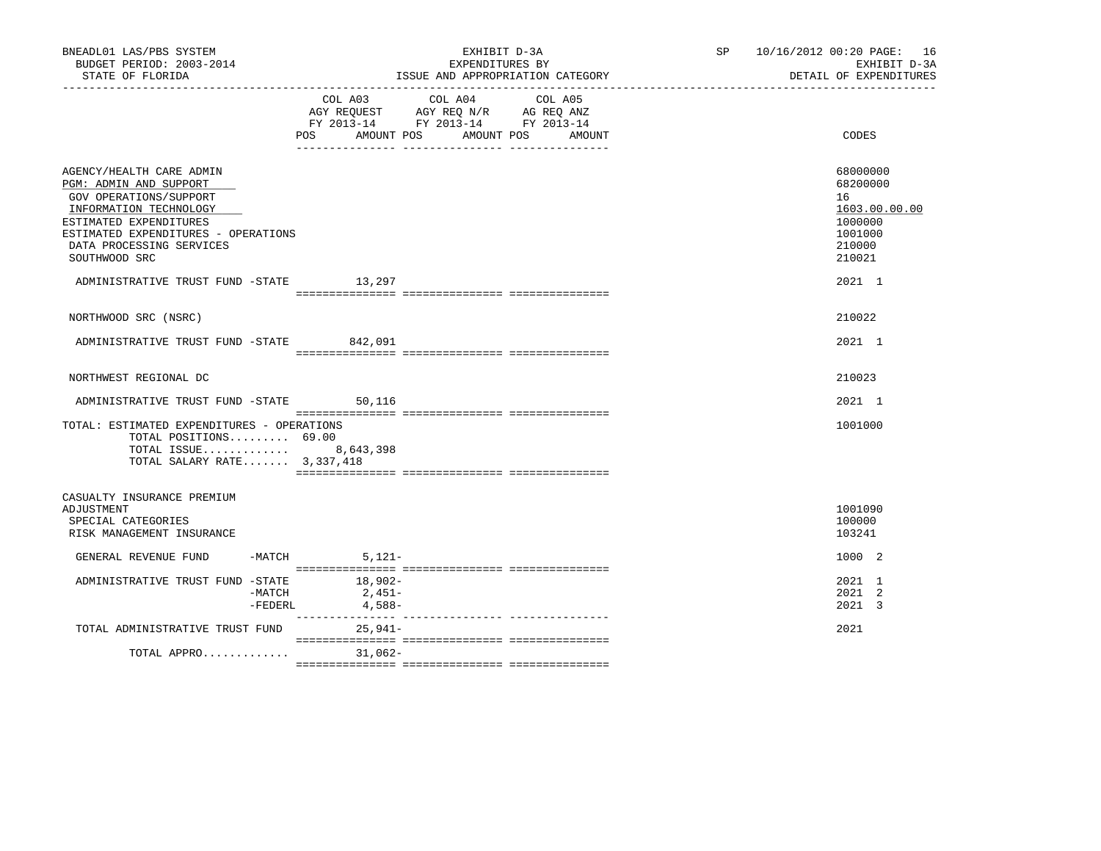| BNEADL01 LAS/PBS SYSTEM<br>BUDGET PERIOD: 2003-2014<br>STATE OF FLORIDA                                                                                                                                              | EXHIBIT D-3A<br>EXPENDITURES BY<br>ISSUE AND APPROPRIATION CATEGORY                                                            |        | SP 10/16/2012 00:20 PAGE: 16<br>EXHIBIT D-3A<br>DETAIL OF EXPENDITURES                |
|----------------------------------------------------------------------------------------------------------------------------------------------------------------------------------------------------------------------|--------------------------------------------------------------------------------------------------------------------------------|--------|---------------------------------------------------------------------------------------|
|                                                                                                                                                                                                                      | COL A03 COL A04 COL A05<br>AGY REQUEST AGY REQ N/R AG REQ ANZ<br>FY 2013-14 FY 2013-14 FY 2013-14<br>POS AMOUNT POS AMOUNT POS | AMOUNT | CODES                                                                                 |
| AGENCY/HEALTH CARE ADMIN<br>PGM: ADMIN AND SUPPORT<br>GOV OPERATIONS/SUPPORT<br>INFORMATION TECHNOLOGY<br>ESTIMATED EXPENDITURES<br>ESTIMATED EXPENDITURES - OPERATIONS<br>DATA PROCESSING SERVICES<br>SOUTHWOOD SRC |                                                                                                                                |        | 68000000<br>68200000<br>16<br>1603.00.00.00<br>1000000<br>1001000<br>210000<br>210021 |
| ADMINISTRATIVE TRUST FUND -STATE 13,297                                                                                                                                                                              |                                                                                                                                |        | 2021 1                                                                                |
| NORTHWOOD SRC (NSRC)                                                                                                                                                                                                 |                                                                                                                                |        | 210022                                                                                |
| ADMINISTRATIVE TRUST FUND -STATE 842,091                                                                                                                                                                             |                                                                                                                                |        | 2021 1                                                                                |
| NORTHWEST REGIONAL DC                                                                                                                                                                                                |                                                                                                                                |        | 210023                                                                                |
| ADMINISTRATIVE TRUST FUND -STATE 50,116                                                                                                                                                                              |                                                                                                                                |        | $2021$ 1                                                                              |
| TOTAL: ESTIMATED EXPENDITURES - OPERATIONS<br>TOTAL POSITIONS 69.00<br>TOTAL ISSUE 8,643,398<br>TOTAL SALARY RATE 3,337,418                                                                                          |                                                                                                                                |        | 1001000                                                                               |
| CASUALTY INSURANCE PREMIUM<br>ADJUSTMENT<br>SPECIAL CATEGORIES<br>RISK MANAGEMENT INSURANCE                                                                                                                          |                                                                                                                                |        | 1001090<br>100000<br>103241                                                           |
| GENERAL REVENUE FUND                                                                                                                                                                                                 | $-MATCH$ 5, 121-                                                                                                               |        | 1000 2                                                                                |
| ADMINISTRATIVE TRUST FUND -STATE<br>-MATCH<br>$-FEDERL$                                                                                                                                                              | 18,902-<br>$2.451-$<br>4,588-                                                                                                  |        | 2021 1<br>$2021$ 2<br>2021 3                                                          |
| TOTAL ADMINISTRATIVE TRUST FUND                                                                                                                                                                                      | $25.941-$                                                                                                                      |        | 2021                                                                                  |
| TOTAL APPRO                                                                                                                                                                                                          | $31.062 -$                                                                                                                     |        |                                                                                       |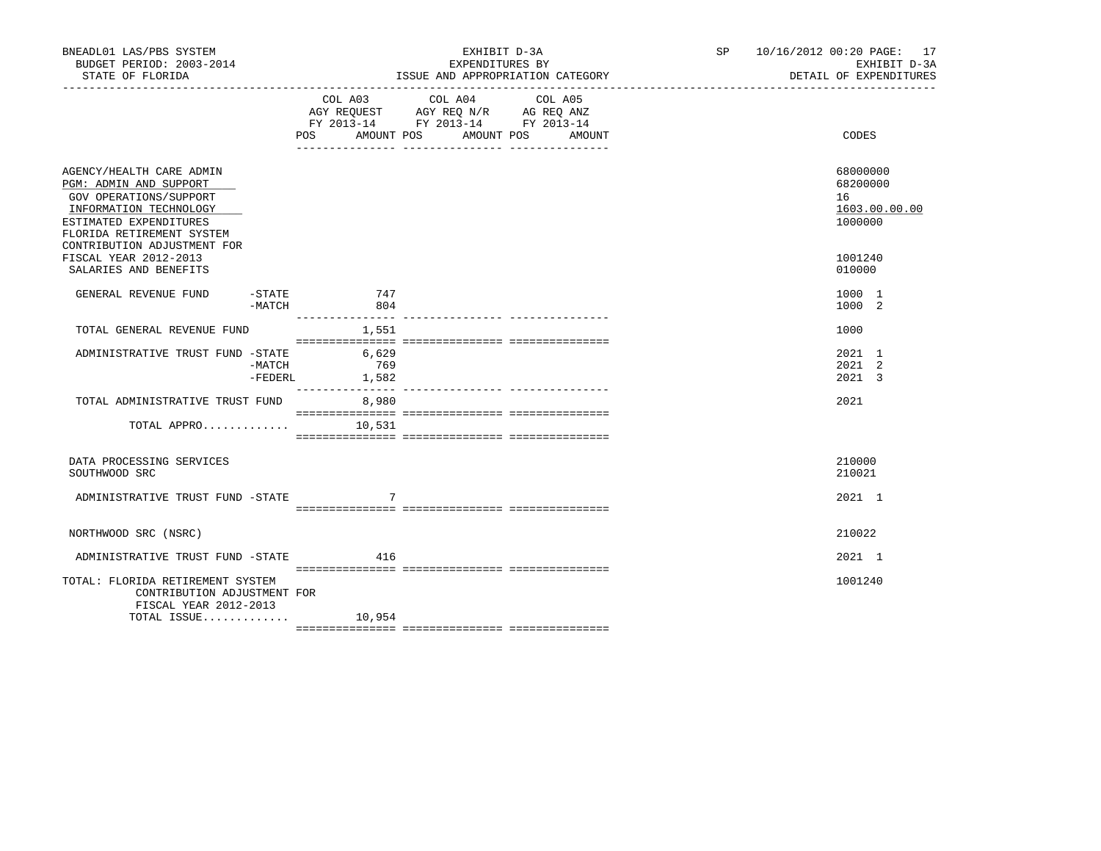| BNEADL01 LAS/PBS SYSTEM<br>BUDGET PERIOD: 2003-2014<br>STATE OF FLORIDA                                                                                                                      |                   |                       | EXHIBIT D-3A<br>EXPENDITURES BY<br>ISSUE AND APPROPRIATION CATEGORY                                                                 | SP 10/16/2012 00:20 PAGE: 17<br>EXHIBIT D-3A<br>DETAIL OF EXPENDITURES |
|----------------------------------------------------------------------------------------------------------------------------------------------------------------------------------------------|-------------------|-----------------------|-------------------------------------------------------------------------------------------------------------------------------------|------------------------------------------------------------------------|
|                                                                                                                                                                                              |                   | COL A03               | COL A04<br>COL A05<br>AGY REQUEST AGY REQ N/R AG REQ ANZ<br>FY 2013-14 FY 2013-14 FY 2013-14<br>POS AMOUNT POS AMOUNT POS<br>AMOUNT | CODES                                                                  |
| AGENCY/HEALTH CARE ADMIN<br>PGM: ADMIN AND SUPPORT<br>GOV OPERATIONS/SUPPORT<br>INFORMATION TECHNOLOGY<br>ESTIMATED EXPENDITURES<br>FLORIDA RETIREMENT SYSTEM<br>CONTRIBUTION ADJUSTMENT FOR |                   |                       |                                                                                                                                     | 68000000<br>68200000<br>16<br>1603.00.00.00<br>1000000                 |
| FISCAL YEAR 2012-2013<br>SALARIES AND BENEFITS                                                                                                                                               |                   |                       |                                                                                                                                     | 1001240<br>010000                                                      |
| GENERAL REVENUE FUND                                                                                                                                                                         | $-MATCH$          | $-$ STATE 747<br>804  |                                                                                                                                     | 1000 1<br>1000 2                                                       |
| TOTAL GENERAL REVENUE FUND                                                                                                                                                                   |                   | 1,551                 |                                                                                                                                     | 1000                                                                   |
| ADMINISTRATIVE TRUST FUND -STATE                                                                                                                                                             | -MATCH<br>-FEDERL | 6,629<br>769<br>1,582 |                                                                                                                                     | 2021 1<br>2021 2<br>2021 3                                             |
| TOTAL ADMINISTRATIVE TRUST FUND 8,980                                                                                                                                                        |                   |                       |                                                                                                                                     | 2021                                                                   |
| TOTAL APPRO                                                                                                                                                                                  |                   | 10,531                |                                                                                                                                     |                                                                        |
| DATA PROCESSING SERVICES<br>SOUTHWOOD SRC                                                                                                                                                    |                   |                       |                                                                                                                                     | 210000<br>210021                                                       |
| ADMINISTRATIVE TRUST FUND -STATE                                                                                                                                                             |                   |                       |                                                                                                                                     | 2021 1                                                                 |
| NORTHWOOD SRC (NSRC)                                                                                                                                                                         |                   |                       |                                                                                                                                     | 210022                                                                 |
| ADMINISTRATIVE TRUST FUND -STATE                                                                                                                                                             |                   | 416                   |                                                                                                                                     | 2021 1                                                                 |
| TOTAL: FLORIDA RETIREMENT SYSTEM<br>CONTRIBUTION ADJUSTMENT FOR<br>FISCAL YEAR 2012-2013                                                                                                     |                   |                       |                                                                                                                                     | 1001240                                                                |
| TOTAL ISSUE $10,954$                                                                                                                                                                         |                   |                       |                                                                                                                                     |                                                                        |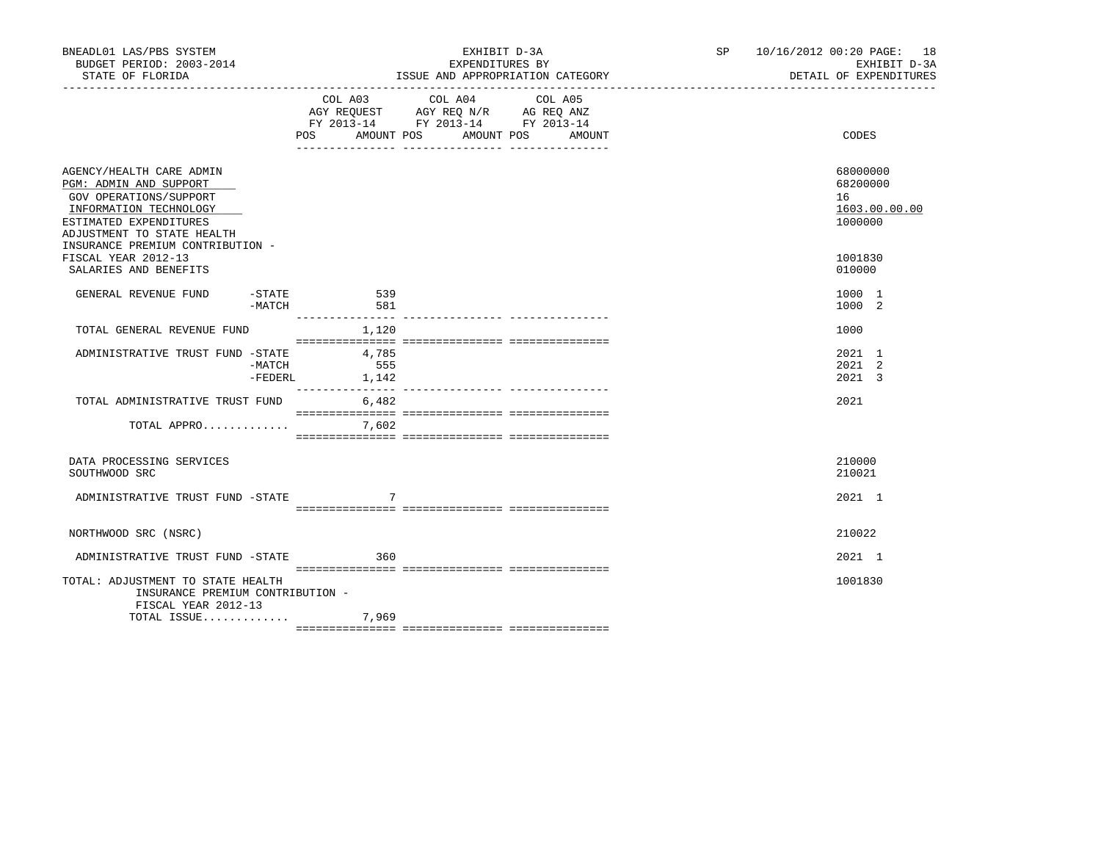| BNEADL01 LAS/PBS SYSTEM<br>BUDGET PERIOD: 2003-2014<br>STATE OF FLORIDA                                                                                                                            |          |                               |                                                                                                                | EXHIBIT D-3A<br>EXPENDITURES BY<br>ISSUE AND APPROPRIATION CATEGORY | SP 10/16/2012 00:20 PAGE: 18<br>EXHIBIT D-3A<br>DETAIL OF EXPENDITURES |
|----------------------------------------------------------------------------------------------------------------------------------------------------------------------------------------------------|----------|-------------------------------|----------------------------------------------------------------------------------------------------------------|---------------------------------------------------------------------|------------------------------------------------------------------------|
|                                                                                                                                                                                                    |          | COL A03                       | COL A04<br>AGY REQUEST AGY REQ N/R AG REQ ANZ<br>FY 2013-14 FY 2013-14 FY 2013-14<br>POS AMOUNT POS AMOUNT POS | COL A05<br>AMOUNT                                                   | CODES                                                                  |
| AGENCY/HEALTH CARE ADMIN<br>PGM: ADMIN AND SUPPORT<br>GOV OPERATIONS/SUPPORT<br>INFORMATION TECHNOLOGY<br>ESTIMATED EXPENDITURES<br>ADJUSTMENT TO STATE HEALTH<br>INSURANCE PREMIUM CONTRIBUTION - |          |                               |                                                                                                                |                                                                     | 68000000<br>68200000<br>16<br>1603.00.00.00<br>1000000                 |
| FISCAL YEAR 2012-13<br>SALARIES AND BENEFITS                                                                                                                                                       |          |                               |                                                                                                                |                                                                     | 1001830<br>010000                                                      |
| GENERAL REVENUE FUND                                                                                                                                                                               | $-MATCH$ | $-STATE$ 539<br>581           |                                                                                                                |                                                                     | 1000 1<br>1000 2                                                       |
| TOTAL GENERAL REVENUE FUND                                                                                                                                                                         |          | 1,120                         |                                                                                                                |                                                                     | 1000                                                                   |
| ADMINISTRATIVE TRUST FUND -STATE                                                                                                                                                                   | -MATCH   | 4,785<br>555<br>-FEDERL 1,142 |                                                                                                                |                                                                     | 2021 1<br>2021 2<br>2021 3                                             |
| TOTAL ADMINISTRATIVE TRUST FUND 6,482                                                                                                                                                              |          |                               |                                                                                                                |                                                                     | 2021                                                                   |
| TOTAL APPRO                                                                                                                                                                                        |          | 7,602                         |                                                                                                                |                                                                     |                                                                        |
| DATA PROCESSING SERVICES<br>SOUTHWOOD SRC                                                                                                                                                          |          |                               |                                                                                                                |                                                                     | 210000<br>210021                                                       |
| ADMINISTRATIVE TRUST FUND -STATE                                                                                                                                                                   |          |                               |                                                                                                                |                                                                     | 2021 1                                                                 |
| NORTHWOOD SRC (NSRC)                                                                                                                                                                               |          |                               |                                                                                                                |                                                                     | 210022                                                                 |
| ADMINISTRATIVE TRUST FUND -STATE                                                                                                                                                                   |          | 360                           |                                                                                                                |                                                                     | 2021 1                                                                 |
| TOTAL: ADJUSTMENT TO STATE HEALTH<br>INSURANCE PREMIUM CONTRIBUTION -<br>FISCAL YEAR 2012-13                                                                                                       |          |                               |                                                                                                                |                                                                     | 1001830                                                                |
| TOTAL ISSUE                                                                                                                                                                                        |          | 7,969                         |                                                                                                                |                                                                     |                                                                        |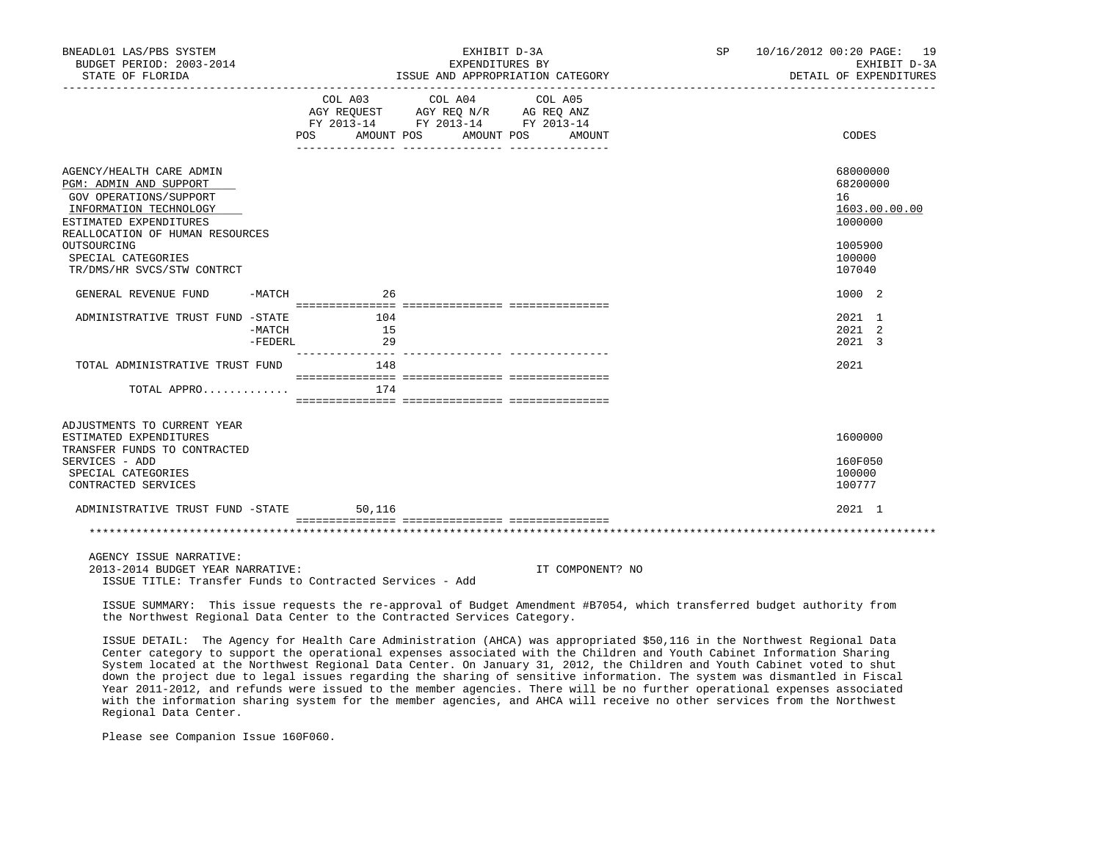| BNEADL01 LAS/PBS SYSTEM<br>BUDGET PERIOD: 2003-2014<br>STATE OF FLORIDA                                                                                                                                                                |                 | EXHIBIT D-3A<br>EXPENDITURES BY<br>ISSUE AND APPROPRIATION CATEGORY<br>__________________________________                 | SP | 10/16/2012 00:20 PAGE: 19<br>EXHIBIT D-3A<br>DETAIL OF EXPENDITURES                   |
|----------------------------------------------------------------------------------------------------------------------------------------------------------------------------------------------------------------------------------------|-----------------|---------------------------------------------------------------------------------------------------------------------------|----|---------------------------------------------------------------------------------------|
|                                                                                                                                                                                                                                        | POS AMOUNT POS  | COL A03 COL A04<br>COL A05<br>AGY REQUEST AGY REQ N/R AG REQ ANZ<br>FY 2013-14 FY 2013-14 FY 2013-14<br>AMOUNT POS AMOUNT |    | CODES                                                                                 |
| AGENCY/HEALTH CARE ADMIN<br>PGM: ADMIN AND SUPPORT<br>GOV OPERATIONS/SUPPORT<br>INFORMATION TECHNOLOGY<br>ESTIMATED EXPENDITURES<br>REALLOCATION OF HUMAN RESOURCES<br>OUTSOURCING<br>SPECIAL CATEGORIES<br>TR/DMS/HR SVCS/STW CONTRCT |                 |                                                                                                                           |    | 68000000<br>68200000<br>16<br>1603.00.00.00<br>1000000<br>1005900<br>100000<br>107040 |
| GENERAL REVENUE FUND<br>-MATCH                                                                                                                                                                                                         | 26              |                                                                                                                           |    | 1000 2                                                                                |
| ADMINISTRATIVE TRUST FUND -STATE<br>-MATCH<br>$-FEDERL$                                                                                                                                                                                | 104<br>15<br>29 |                                                                                                                           |    | 2021 1<br>2021 2<br>2021 3                                                            |
| TOTAL ADMINISTRATIVE TRUST FUND                                                                                                                                                                                                        | 148             |                                                                                                                           |    | 2021                                                                                  |
| TOTAL APPRO                                                                                                                                                                                                                            | 174             |                                                                                                                           |    |                                                                                       |
| ADJUSTMENTS TO CURRENT YEAR<br>ESTIMATED EXPENDITURES<br>TRANSFER FUNDS TO CONTRACTED                                                                                                                                                  |                 |                                                                                                                           |    | 1600000                                                                               |
| SERVICES - ADD<br>SPECIAL CATEGORIES<br>CONTRACTED SERVICES                                                                                                                                                                            |                 |                                                                                                                           |    | 160F050<br>100000<br>100777                                                           |
| ADMINISTRATIVE TRUST FUND -STATE                                                                                                                                                                                                       | 50,116          |                                                                                                                           |    | 2021 1                                                                                |
|                                                                                                                                                                                                                                        |                 |                                                                                                                           |    |                                                                                       |

 AGENCY ISSUE NARRATIVE: 2013-2014 BUDGET YEAR NARRATIVE: IT COMPONENT? NO ISSUE TITLE: Transfer Funds to Contracted Services - Add

 ISSUE SUMMARY: This issue requests the re-approval of Budget Amendment #B7054, which transferred budget authority from the Northwest Regional Data Center to the Contracted Services Category.

 ISSUE DETAIL: The Agency for Health Care Administration (AHCA) was appropriated \$50,116 in the Northwest Regional Data Center category to support the operational expenses associated with the Children and Youth Cabinet Information Sharing System located at the Northwest Regional Data Center. On January 31, 2012, the Children and Youth Cabinet voted to shut down the project due to legal issues regarding the sharing of sensitive information. The system was dismantled in Fiscal Year 2011-2012, and refunds were issued to the member agencies. There will be no further operational expenses associated with the information sharing system for the member agencies, and AHCA will receive no other services from the Northwest Regional Data Center.

Please see Companion Issue 160F060.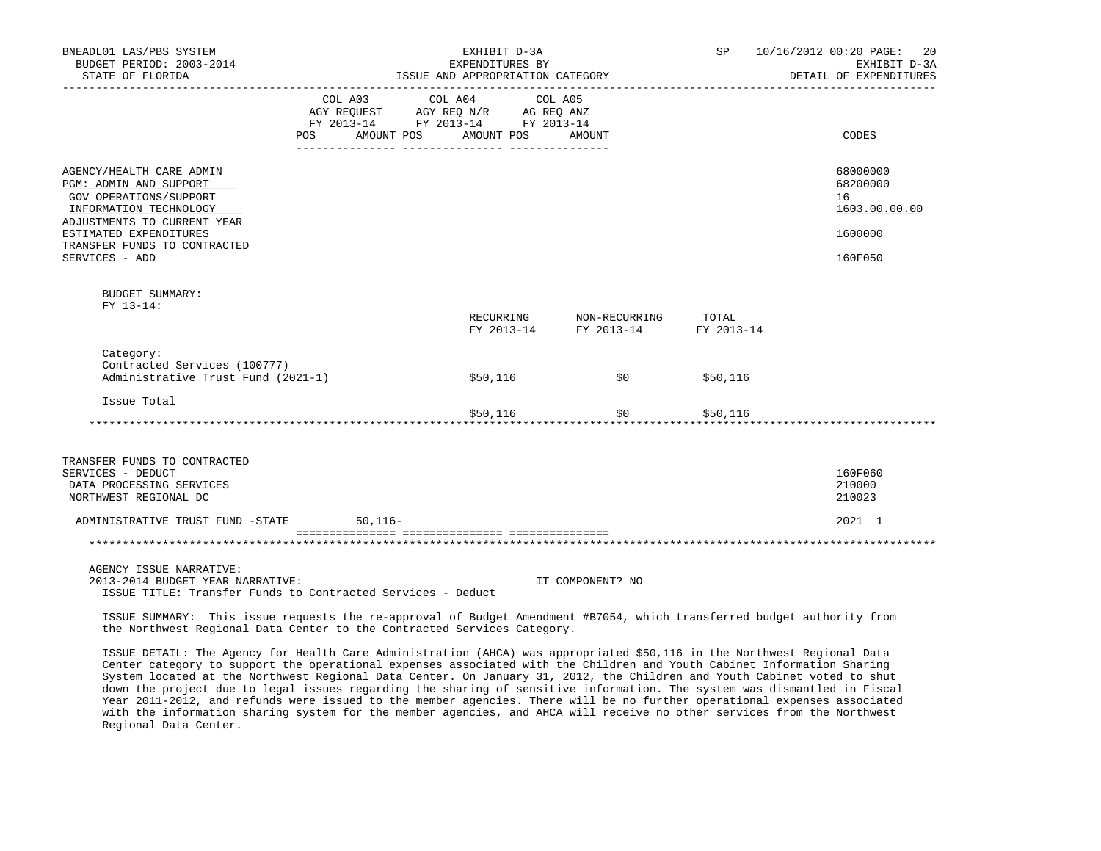| BNEADL01 LAS/PBS SYSTEM<br>BUDGET PERIOD: 2003-2014<br>STATE OF FLORIDA                                                                                                                                           |                   | EXHIBIT D-3A<br>EXPENDITURES BY<br>ISSUE AND APPROPRIATION CATEGORY                                                                                                                                                                                                                                                                 |                                              |              | SP 10/16/2012 00:20 PAGE:<br>-20<br>EXHIBIT D-3A<br>DETAIL OF EXPENDITURES |
|-------------------------------------------------------------------------------------------------------------------------------------------------------------------------------------------------------------------|-------------------|-------------------------------------------------------------------------------------------------------------------------------------------------------------------------------------------------------------------------------------------------------------------------------------------------------------------------------------|----------------------------------------------|--------------|----------------------------------------------------------------------------|
|                                                                                                                                                                                                                   | AMOUNT POS<br>POS | $\begin{tabular}{lllllllllll} &\multicolumn{4}{c}{\text{COL A03}} &\multicolumn{4}{c}{\text{COL A04}} &\multicolumn{4}{c}{\text{COL A05}} \\ \multicolumn{4}{c}{\text{AGY REQUEST}} &\multicolumn{4}{c}{\text{AGY REQ N/R}} &\multicolumn{4}{c}{\text{AG REQ ANZ}} \end{tabular}$<br>FY 2013-14 FY 2013-14 FY 2013-14<br>AMOUNT POS | AMOUNT                                       |              | CODES                                                                      |
| AGENCY/HEALTH CARE ADMIN<br>PGM: ADMIN AND SUPPORT<br>GOV OPERATIONS/SUPPORT<br>INFORMATION TECHNOLOGY<br>ADJUSTMENTS TO CURRENT YEAR<br>ESTIMATED EXPENDITURES<br>TRANSFER FUNDS TO CONTRACTED<br>SERVICES - ADD |                   |                                                                                                                                                                                                                                                                                                                                     |                                              |              | 68000000<br>68200000<br>16<br>1603.00.00.00<br>1600000<br>160F050          |
| <b>BUDGET SUMMARY:</b><br>FY 13-14:                                                                                                                                                                               |                   | RECURRING                                                                                                                                                                                                                                                                                                                           | NON-RECURRING TOTAL<br>FY 2013-14 FY 2013-14 | FY 2013-14   |                                                                            |
| Category:<br>Contracted Services (100777)<br>Administrative Trust Fund (2021-1)                                                                                                                                   |                   | \$50,116                                                                                                                                                                                                                                                                                                                            | \$0                                          | \$50,116     |                                                                            |
| Issue Total                                                                                                                                                                                                       |                   | \$50,116                                                                                                                                                                                                                                                                                                                            | *****************************                | \$0 \$50,116 |                                                                            |
| TRANSFER FUNDS TO CONTRACTED<br>SERVICES - DEDUCT<br>DATA PROCESSING SERVICES<br>NORTHWEST REGIONAL DC<br>ADMINISTRATIVE TRUST FUND -STATE                                                                        | $50, 116 -$       |                                                                                                                                                                                                                                                                                                                                     |                                              |              | 160F060<br>210000<br>210023<br>2021 1                                      |
|                                                                                                                                                                                                                   |                   |                                                                                                                                                                                                                                                                                                                                     |                                              |              |                                                                            |
| AGENCY ISSUE NARRATIVE:<br>2013-2014 BUDGET YEAR NARRATIVE:<br>ISSUE TITLE: Transfer Funds to Contracted Services - Deduct                                                                                        |                   |                                                                                                                                                                                                                                                                                                                                     | IT COMPONENT? NO                             |              |                                                                            |

 ISSUE SUMMARY: This issue requests the re-approval of Budget Amendment #B7054, which transferred budget authority from the Northwest Regional Data Center to the Contracted Services Category.

 ISSUE DETAIL: The Agency for Health Care Administration (AHCA) was appropriated \$50,116 in the Northwest Regional Data Center category to support the operational expenses associated with the Children and Youth Cabinet Information Sharing System located at the Northwest Regional Data Center. On January 31, 2012, the Children and Youth Cabinet voted to shut down the project due to legal issues regarding the sharing of sensitive information. The system was dismantled in Fiscal Year 2011-2012, and refunds were issued to the member agencies. There will be no further operational expenses associated with the information sharing system for the member agencies, and AHCA will receive no other services from the Northwest Regional Data Center.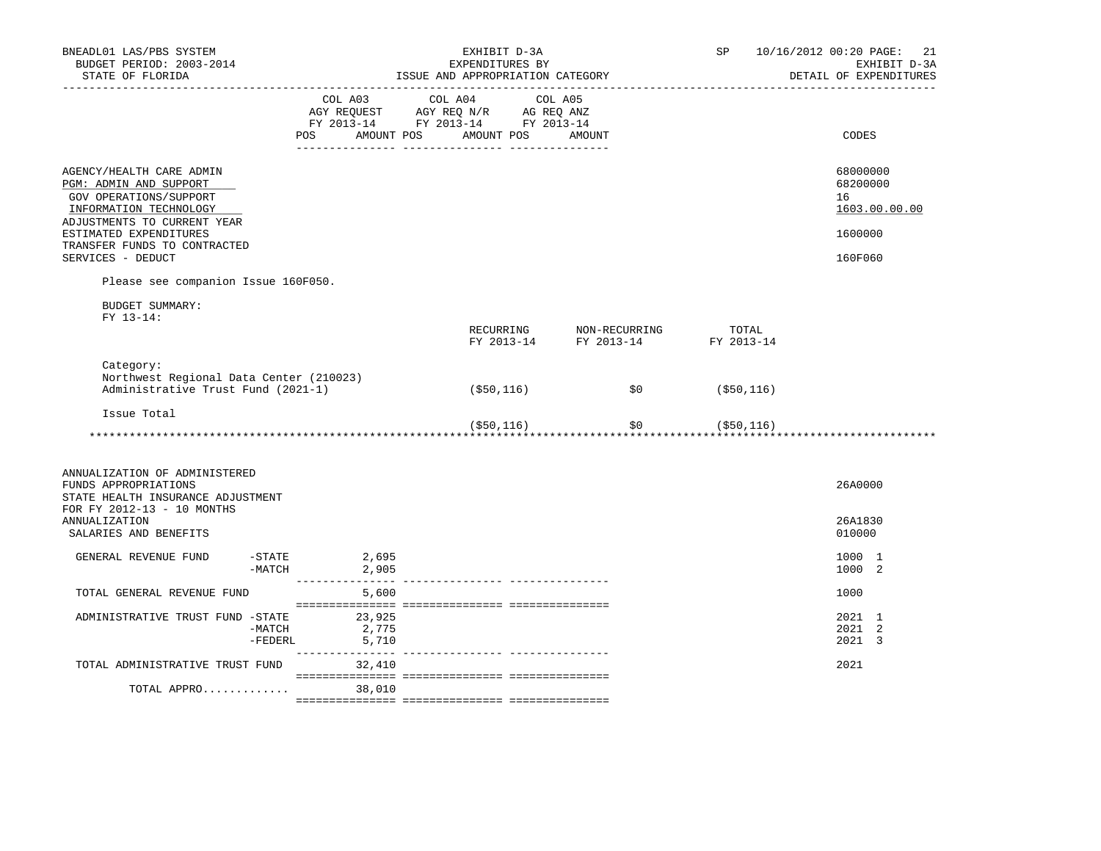|                                                                               | EXHIBIT D-3A |            | SP                                                                                                                                                                                                                              | 10/16/2012 00:20 PAGE: 21<br>EXHIBIT D-3A<br>DETAIL OF EXPENDITURES                                                                                              |
|-------------------------------------------------------------------------------|--------------|------------|---------------------------------------------------------------------------------------------------------------------------------------------------------------------------------------------------------------------------------|------------------------------------------------------------------------------------------------------------------------------------------------------------------|
| POS                                                                           |              | AMOUNT     |                                                                                                                                                                                                                                 | CODES                                                                                                                                                            |
|                                                                               |              |            |                                                                                                                                                                                                                                 | 68000000<br>68200000<br>16<br>1603.00.00.00                                                                                                                      |
|                                                                               |              |            |                                                                                                                                                                                                                                 | 1600000                                                                                                                                                          |
|                                                                               |              |            |                                                                                                                                                                                                                                 | 160F060                                                                                                                                                          |
| Please see companion Issue 160F050.                                           |              |            |                                                                                                                                                                                                                                 |                                                                                                                                                                  |
|                                                                               |              |            |                                                                                                                                                                                                                                 |                                                                                                                                                                  |
|                                                                               |              |            |                                                                                                                                                                                                                                 |                                                                                                                                                                  |
| Northwest Regional Data Center (210023)<br>Administrative Trust Fund (2021-1) | (\$50,116)   | SO         | ( \$50, 116)                                                                                                                                                                                                                    |                                                                                                                                                                  |
|                                                                               |              |            |                                                                                                                                                                                                                                 |                                                                                                                                                                  |
|                                                                               |              |            |                                                                                                                                                                                                                                 |                                                                                                                                                                  |
|                                                                               |              |            |                                                                                                                                                                                                                                 | 26A0000                                                                                                                                                          |
|                                                                               |              |            |                                                                                                                                                                                                                                 | 26A1830<br>010000                                                                                                                                                |
| $-STATE$ 2,695<br>$-MATCH$ 2,905                                              |              |            |                                                                                                                                                                                                                                 | 1000 1<br>1000 2                                                                                                                                                 |
| 5,600                                                                         |              |            |                                                                                                                                                                                                                                 | 1000                                                                                                                                                             |
| ADMINISTRATIVE TRUST FUND -STATE 23,925<br>$-MATCH$<br>2,775<br>-FEDERL 5,710 |              |            |                                                                                                                                                                                                                                 | 2021 1<br>2021 2<br>2021 3                                                                                                                                       |
| TOTAL ADMINISTRATIVE TRUST FUND 32,410                                        |              |            |                                                                                                                                                                                                                                 | 2021                                                                                                                                                             |
| TOTAL APPRO<br>38,010                                                         |              |            |                                                                                                                                                                                                                                 |                                                                                                                                                                  |
|                                                                               |              | AMOUNT POS | EXPENDITURES BY<br>ISSUE AND APPROPRIATION CATEGORY<br>$\begin{tabular}{lcccc} COL A03 & COL A04 & COL A05 \\ AGY REQUEST & AGY REQ N/R & AG REQ ANZ \\ FY & 2013-14 & FY & 2013-14 & FY & 2013-14 \end{tabular}$<br>AMOUNT POS | $\begin{tabular}{lllllllll} \bf RECURING & \bf NON-RECURRING & \tt TOTAL \\ \bf FY & \tt 2013-14 & \tt FY & \tt 2013-14 & \tt FY & \tt 2013-14 \\ \end{tabular}$ |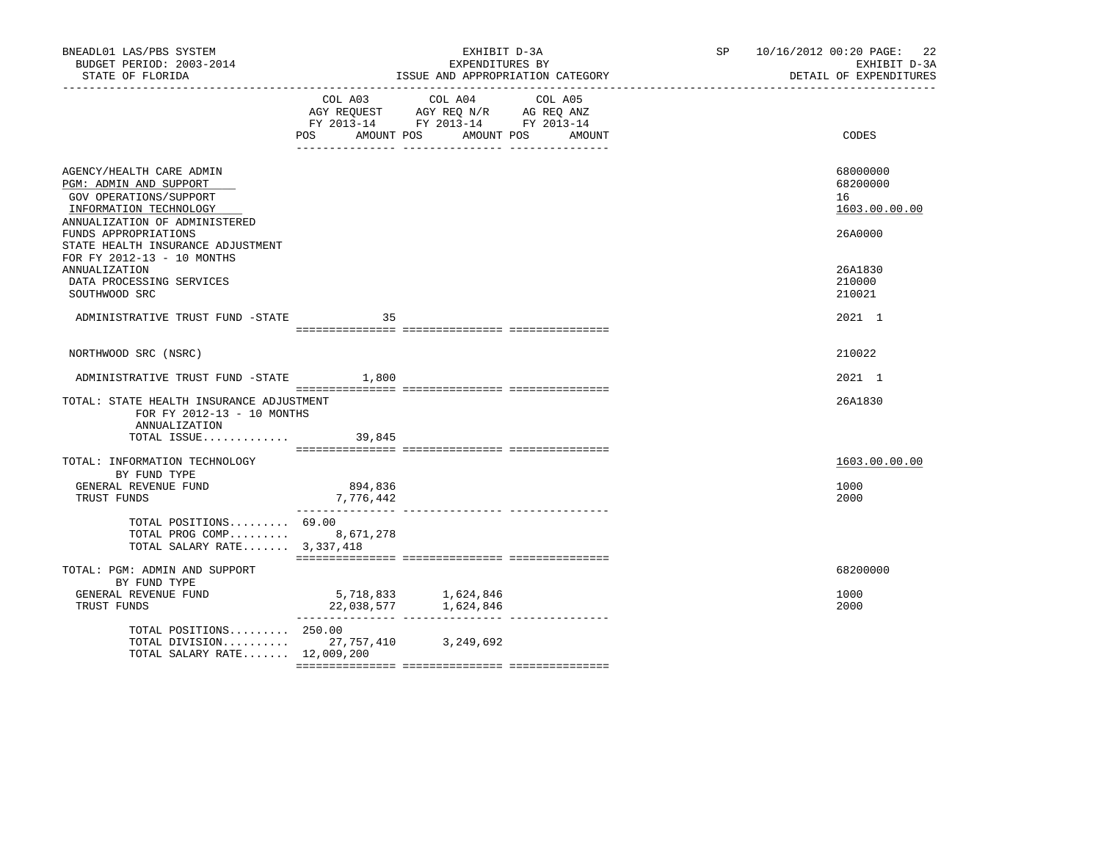| BNEADL01 LAS/PBS SYSTEM<br>BUDGET PERIOD: 2003-2014<br>STATE OF FLORIDA                                                                                                                              |                      | EXHIBIT D-3A<br>EXPENDITURES BY<br>ISSUE AND APPROPRIATION CATEGORY<br>___________________________________                   | SP 10/16/2012 00:20 PAGE: 22<br>EXHIBIT D-3A<br>DETAIL OF EXPENDITURES |
|------------------------------------------------------------------------------------------------------------------------------------------------------------------------------------------------------|----------------------|------------------------------------------------------------------------------------------------------------------------------|------------------------------------------------------------------------|
|                                                                                                                                                                                                      | POS<br>AMOUNT POS    | COL A03 COL A04<br>COL A05<br>AGY REQUEST AGY REQ N/R AG REQ ANZ<br>FY 2013-14 FY 2013-14 FY 2013-14<br>AMOUNT POS<br>AMOUNT | CODES                                                                  |
| AGENCY/HEALTH CARE ADMIN<br>PGM: ADMIN AND SUPPORT<br>GOV OPERATIONS/SUPPORT<br>INFORMATION TECHNOLOGY<br>ANNUALIZATION OF ADMINISTERED<br>FUNDS APPROPRIATIONS<br>STATE HEALTH INSURANCE ADJUSTMENT |                      |                                                                                                                              | 68000000<br>68200000<br>16<br>1603.00.00.00<br>26A0000                 |
| FOR FY 2012-13 - 10 MONTHS<br><b>ANNUALIZATION</b><br>DATA PROCESSING SERVICES<br>SOUTHWOOD SRC                                                                                                      |                      |                                                                                                                              | 26A1830<br>210000<br>210021                                            |
| ADMINISTRATIVE TRUST FUND -STATE                                                                                                                                                                     | 35                   |                                                                                                                              | 2021 1                                                                 |
| NORTHWOOD SRC (NSRC)                                                                                                                                                                                 |                      |                                                                                                                              | 210022                                                                 |
| ADMINISTRATIVE TRUST FUND -STATE 1,800                                                                                                                                                               |                      |                                                                                                                              | 2021 1                                                                 |
| TOTAL: STATE HEALTH INSURANCE ADJUSTMENT<br>FOR FY 2012-13 - 10 MONTHS<br>ANNUALIZATION<br>TOTAL ISSUE 39,845                                                                                        |                      |                                                                                                                              | 26A1830                                                                |
| TOTAL: INFORMATION TECHNOLOGY<br>BY FUND TYPE<br>GENERAL REVENUE FUND<br>TRUST FUNDS                                                                                                                 | 894,836<br>7,776,442 |                                                                                                                              | 1603.00.00.00<br>1000<br>2000                                          |
| TOTAL POSITIONS 69.00<br>TOTAL PROG COMP 8,671,278<br>TOTAL SALARY RATE 3,337,418                                                                                                                    |                      |                                                                                                                              |                                                                        |
| TOTAL: PGM: ADMIN AND SUPPORT<br>BY FUND TYPE<br>GENERAL REVENUE FUND<br>TRUST FUNDS                                                                                                                 |                      | 5,718,833 1,624,846                                                                                                          | 68200000<br>1000<br>2000                                               |
| TOTAL POSITIONS 250.00<br>TOTAL DIVISION 27, 757, 410 3, 249, 692<br>TOTAL SALARY RATE 12,009,200                                                                                                    |                      |                                                                                                                              |                                                                        |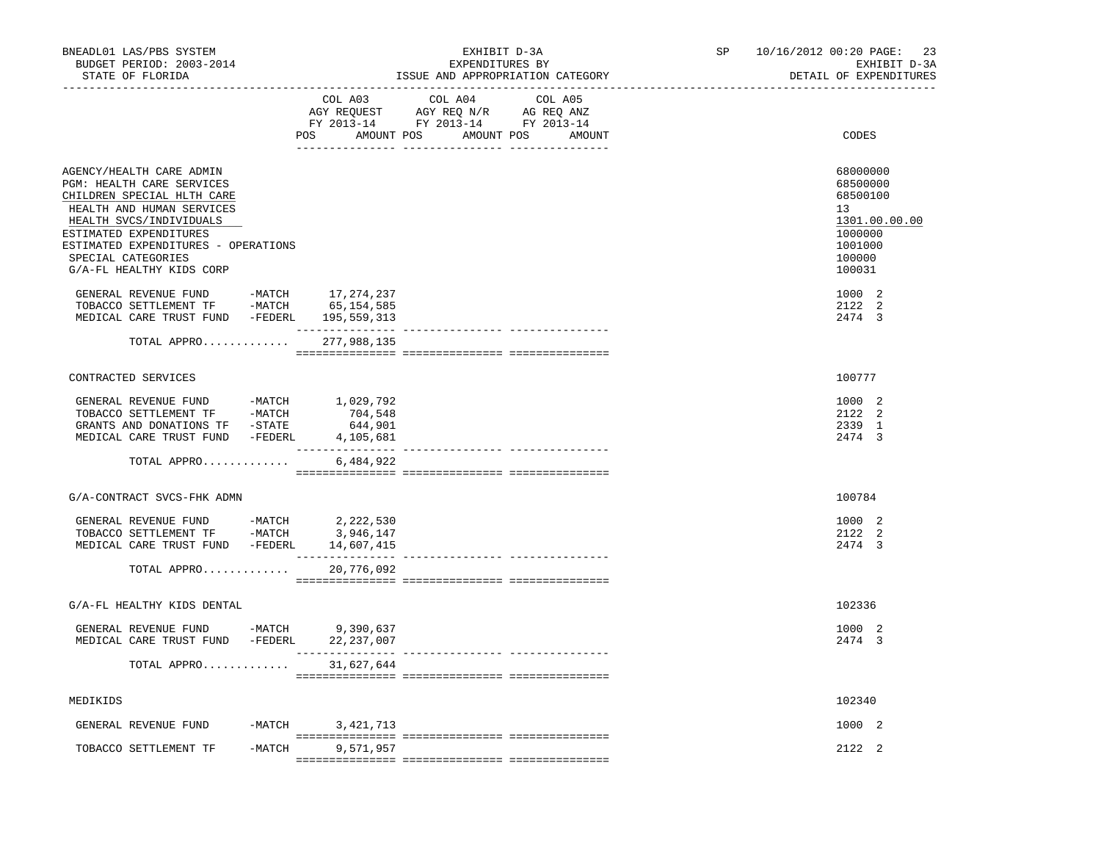| BNEADL01 LAS/PBS SYSTEM<br>BUDGET PERIOD: 2003-2014<br>STATE OF FLORIDA                                                                                                                                                                                                                                                                                                                            |          |                                   | EXHIBIT D-3A<br>EXPENDITURES BY<br>ISSUE AND APPROPRIATION CATEGORY                                                                                                                                                                                                |                   |  | SP 10/16/2012 00:20 PAGE: 23<br>EXHIBIT D-3A<br>DETAIL OF EXPENDITURES                                                          |
|----------------------------------------------------------------------------------------------------------------------------------------------------------------------------------------------------------------------------------------------------------------------------------------------------------------------------------------------------------------------------------------------------|----------|-----------------------------------|--------------------------------------------------------------------------------------------------------------------------------------------------------------------------------------------------------------------------------------------------------------------|-------------------|--|---------------------------------------------------------------------------------------------------------------------------------|
|                                                                                                                                                                                                                                                                                                                                                                                                    |          | COL A03                           | COL A04<br>$\begin{tabular}{lllllllll} \bf AGY \,\,\, REQUEST \,\,\, & \bf AGY \,\, REQ \,\, N/R & \,\, & \bf AG \,\, REQ \,\, ANZ \\ \bf FY \,\, 2013-14 & \,\, & \bf FY \,\, 2013-14 & \,\, & \bf FY \,\, 2013-14 \\ \end{tabular}$<br>POS AMOUNT POS AMOUNT POS | COL A05<br>AMOUNT |  | CODES                                                                                                                           |
| AGENCY/HEALTH CARE ADMIN<br>PGM: HEALTH CARE SERVICES<br>CHILDREN SPECIAL HLTH CARE<br>HEALTH AND HUMAN SERVICES<br>HEALTH SVCS/INDIVIDUALS<br>ESTIMATED EXPENDITURES<br>ESTIMATED EXPENDITURES - OPERATIONS<br>SPECIAL CATEGORIES<br>G/A-FL HEALTHY KIDS CORP<br>GENERAL REVENUE FUND -MATCH 17,274,237<br>TOBACCO SETTLEMENT TF -MATCH 65,154,585<br>MEDICAL CARE TRUST FUND -FEDERL 195,559,313 |          |                                   |                                                                                                                                                                                                                                                                    |                   |  | 68000000<br>68500000<br>68500100<br>13<br>1301.00.00.00<br>1000000<br>1001000<br>100000<br>100031<br>1000 2<br>2122 2<br>2474 3 |
| TOTAL APPRO 277,988,135                                                                                                                                                                                                                                                                                                                                                                            |          |                                   |                                                                                                                                                                                                                                                                    |                   |  |                                                                                                                                 |
| CONTRACTED SERVICES                                                                                                                                                                                                                                                                                                                                                                                |          |                                   |                                                                                                                                                                                                                                                                    |                   |  | 100777                                                                                                                          |
| GRANTS AND DONATIONS TF -STATE<br>MEDICAL CARE TRUST FUND -FEDERL<br>TOTAL APPRO                                                                                                                                                                                                                                                                                                                   |          | 644,901<br>4,105,681<br>6,484,922 |                                                                                                                                                                                                                                                                    |                   |  | 1000 2<br>2122 2<br>2339 1<br>2474 3                                                                                            |
| G/A-CONTRACT SVCS-FHK ADMN                                                                                                                                                                                                                                                                                                                                                                         |          |                                   |                                                                                                                                                                                                                                                                    |                   |  | 100784                                                                                                                          |
| GENERAL REVENUE FUND -MATCH $2,222,530$<br>TOBACCO SETTLEMENT TF -MATCH $3,946,147$<br>MEDICAL CARE TRUST FUND -FEDERL 14,607,415                                                                                                                                                                                                                                                                  |          |                                   |                                                                                                                                                                                                                                                                    |                   |  | 1000 2<br>2122 2<br>2474 3                                                                                                      |
| TOTAL APPRO                                                                                                                                                                                                                                                                                                                                                                                        |          | 20,776,092                        |                                                                                                                                                                                                                                                                    |                   |  |                                                                                                                                 |
| G/A-FL HEALTHY KIDS DENTAL                                                                                                                                                                                                                                                                                                                                                                         |          |                                   |                                                                                                                                                                                                                                                                    |                   |  | 102336                                                                                                                          |
| GENERAL REVENUE FUND -MATCH 9,390,637<br>MEDICAL CARE TRUST FUND -FEDERL 22,237,007                                                                                                                                                                                                                                                                                                                |          | _______________                   |                                                                                                                                                                                                                                                                    |                   |  | 1000 2<br>2474 3                                                                                                                |
| TOTAL APPRO                                                                                                                                                                                                                                                                                                                                                                                        |          | 31,627,644                        |                                                                                                                                                                                                                                                                    |                   |  |                                                                                                                                 |
| MEDIKIDS                                                                                                                                                                                                                                                                                                                                                                                           |          |                                   |                                                                                                                                                                                                                                                                    |                   |  | 102340                                                                                                                          |
| GENERAL REVENUE FUND                                                                                                                                                                                                                                                                                                                                                                               | $-MATCH$ | 3,421,713                         |                                                                                                                                                                                                                                                                    |                   |  | 1000 2                                                                                                                          |
| TOBACCO SETTLEMENT TF                                                                                                                                                                                                                                                                                                                                                                              | -MATCH   | 9,571,957                         |                                                                                                                                                                                                                                                                    |                   |  | 2122 2                                                                                                                          |
|                                                                                                                                                                                                                                                                                                                                                                                                    |          |                                   |                                                                                                                                                                                                                                                                    |                   |  |                                                                                                                                 |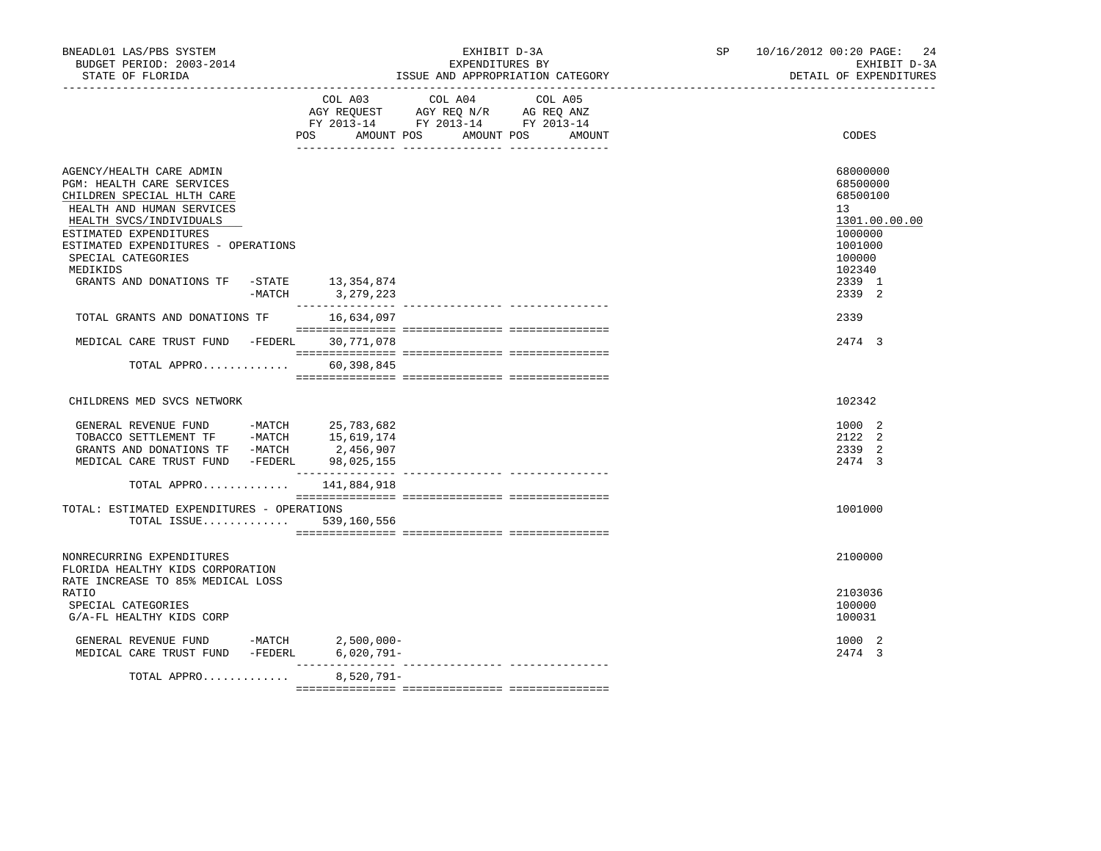| BNEADL01 LAS/PBS SYSTEM<br>BUDGET PERIOD: 2003-2014<br>STATE OF FLORIDA                                                                                                                                                                                                                                 | EXHIBIT D-3A<br>EXPENDITURES BY<br>ISSUE AND APPROPRIATION CATEGORY<br>________________________________                                         | SP <sub>2</sub><br>10/16/2012 00:20 PAGE:<br>24<br>EXHIBIT D-3A<br>DETAIL OF EXPENDITURES                             |
|---------------------------------------------------------------------------------------------------------------------------------------------------------------------------------------------------------------------------------------------------------------------------------------------------------|-------------------------------------------------------------------------------------------------------------------------------------------------|-----------------------------------------------------------------------------------------------------------------------|
|                                                                                                                                                                                                                                                                                                         | COL A03 COL A04 COL A05<br>AGY REQUEST AGY REQ N/R AG REQ ANZ<br>FY 2013-14 FY 2013-14 FY 2013-14<br>POS FOR<br>AMOUNT POS AMOUNT POS<br>AMOUNT | CODES                                                                                                                 |
| AGENCY/HEALTH CARE ADMIN<br>PGM: HEALTH CARE SERVICES<br>CHILDREN SPECIAL HLTH CARE<br>HEALTH AND HUMAN SERVICES<br>HEALTH SVCS/INDIVIDUALS<br>ESTIMATED EXPENDITURES<br>ESTIMATED EXPENDITURES - OPERATIONS<br>SPECIAL CATEGORIES<br>MEDIKIDS<br>GRANTS AND DONATIONS TF -STATE 13,354,874<br>$-MATCH$ | 3,279,223                                                                                                                                       | 68000000<br>68500000<br>68500100<br>13<br>1301.00.00.00<br>1000000<br>1001000<br>100000<br>102340<br>2339 1<br>2339 2 |
| TOTAL GRANTS AND DONATIONS TF                                                                                                                                                                                                                                                                           | 16,634,097                                                                                                                                      | 2339                                                                                                                  |
| MEDICAL CARE TRUST FUND -FEDERL 30,771,078                                                                                                                                                                                                                                                              |                                                                                                                                                 | 2474 3                                                                                                                |
| TOTAL APPRO                                                                                                                                                                                                                                                                                             | 60,398,845                                                                                                                                      |                                                                                                                       |
| CHILDRENS MED SVCS NETWORK                                                                                                                                                                                                                                                                              |                                                                                                                                                 | 102342                                                                                                                |
| ${\small \tt GENERAL \;\; REVENUE \;\; FUND \;\; \begin{tabular}{l} -MATCH \;\; \tt{25,783,682}} \\ -MATCH \;\; \tt{15,619,174} \\ \end{tabular}$<br>GRANTS AND DONATIONS TF -MATCH<br>MEDICAL CARE TRUST FUND -FEDERL 98,025,155<br>TOTAL APPRO                                                        | 2,456,907<br>141,884,918                                                                                                                        | 1000 2<br>2122 2<br>2339 2<br>2474 3                                                                                  |
|                                                                                                                                                                                                                                                                                                         |                                                                                                                                                 |                                                                                                                       |
| TOTAL: ESTIMATED EXPENDITURES - OPERATIONS<br>TOTAL ISSUE                                                                                                                                                                                                                                               | 539,160,556                                                                                                                                     | 1001000                                                                                                               |
| NONRECURRING EXPENDITURES<br>FLORIDA HEALTHY KIDS CORPORATION<br>RATE INCREASE TO 85% MEDICAL LOSS                                                                                                                                                                                                      |                                                                                                                                                 | 2100000                                                                                                               |
| RATIO<br>SPECIAL CATEGORIES<br>G/A-FL HEALTHY KIDS CORP                                                                                                                                                                                                                                                 |                                                                                                                                                 | 2103036<br>100000<br>100031                                                                                           |
| GENERAL REVENUE FUND<br>MEDICAL CARE TRUST FUND -FEDERL 6,020,791-                                                                                                                                                                                                                                      | $-MATCH$ 2,500,000-                                                                                                                             | 1000 2<br>2474 3                                                                                                      |
| TOTAL APPRO                                                                                                                                                                                                                                                                                             | 8,520,791-                                                                                                                                      |                                                                                                                       |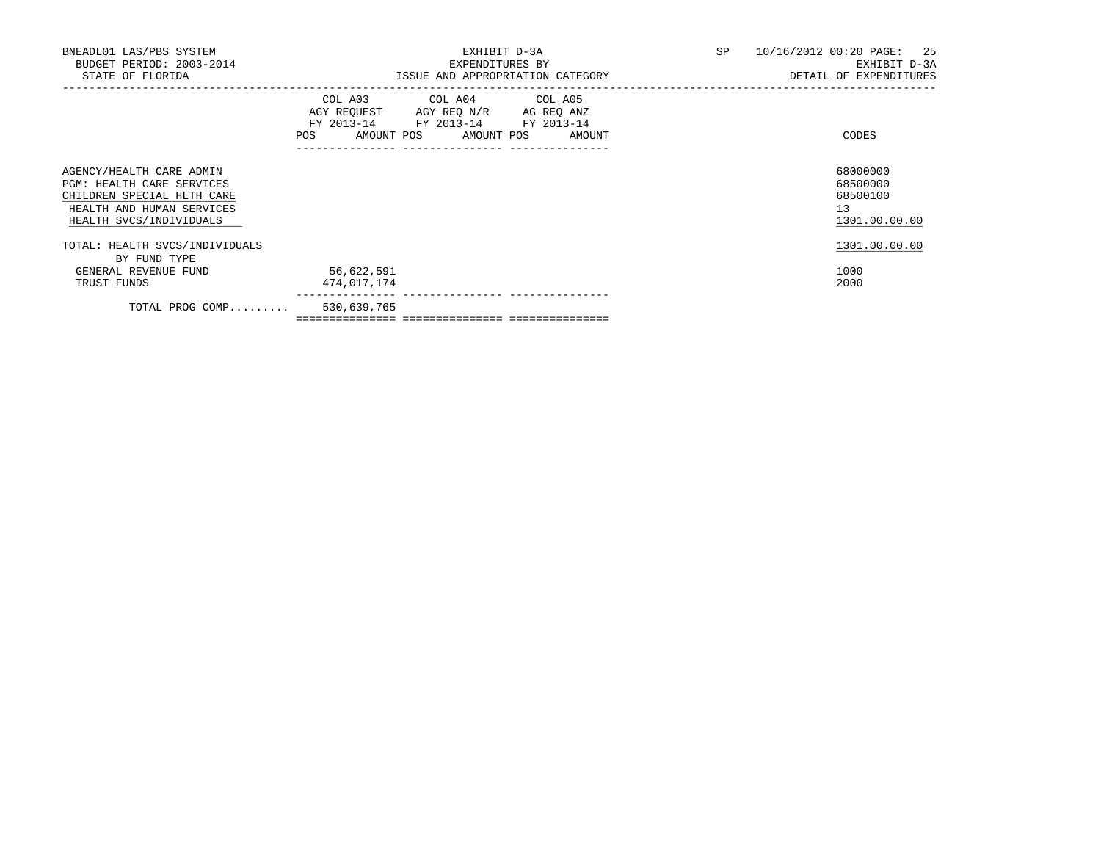| BNEADL01 LAS/PBS SYSTEM<br>BUDGET PERIOD: 2003-2014<br>STATE OF FLORIDA                                                                            | EXHIBIT D-3A<br>EXPENDITURES BY<br>ISSUE AND APPROPRIATION CATEGORY                                                                   | SP<br>10/16/2012 00:20 PAGE: 25<br>EXHIBIT D-3A<br>DETAIL OF EXPENDITURES |
|----------------------------------------------------------------------------------------------------------------------------------------------------|---------------------------------------------------------------------------------------------------------------------------------------|---------------------------------------------------------------------------|
|                                                                                                                                                    | COL A03 COL A04 COL A05<br>AGY REQUEST AGY REQ N/R AG REQ ANZ<br>FY 2013-14 FY 2013-14 FY 2013-14<br>POS AMOUNT POS AMOUNT POS AMOUNT | CODES                                                                     |
| AGENCY/HEALTH CARE ADMIN<br><b>PGM: HEALTH CARE SERVICES</b><br>CHILDREN SPECIAL HLTH CARE<br>HEALTH AND HUMAN SERVICES<br>HEALTH SVCS/INDIVIDUALS |                                                                                                                                       | 68000000<br>68500000<br>68500100<br>13<br>1301.00.00.00                   |
| TOTAL: HEALTH SVCS/INDIVIDUALS<br>BY FUND TYPE                                                                                                     |                                                                                                                                       | 1301.00.00.00                                                             |
| GENERAL REVENUE FUND<br>TRUST FUNDS                                                                                                                | 56,622,591<br>474,017,174                                                                                                             | 1000<br>2000                                                              |
| TOTAL PROG COMP 530,639,765                                                                                                                        |                                                                                                                                       |                                                                           |

=============== =============== ===============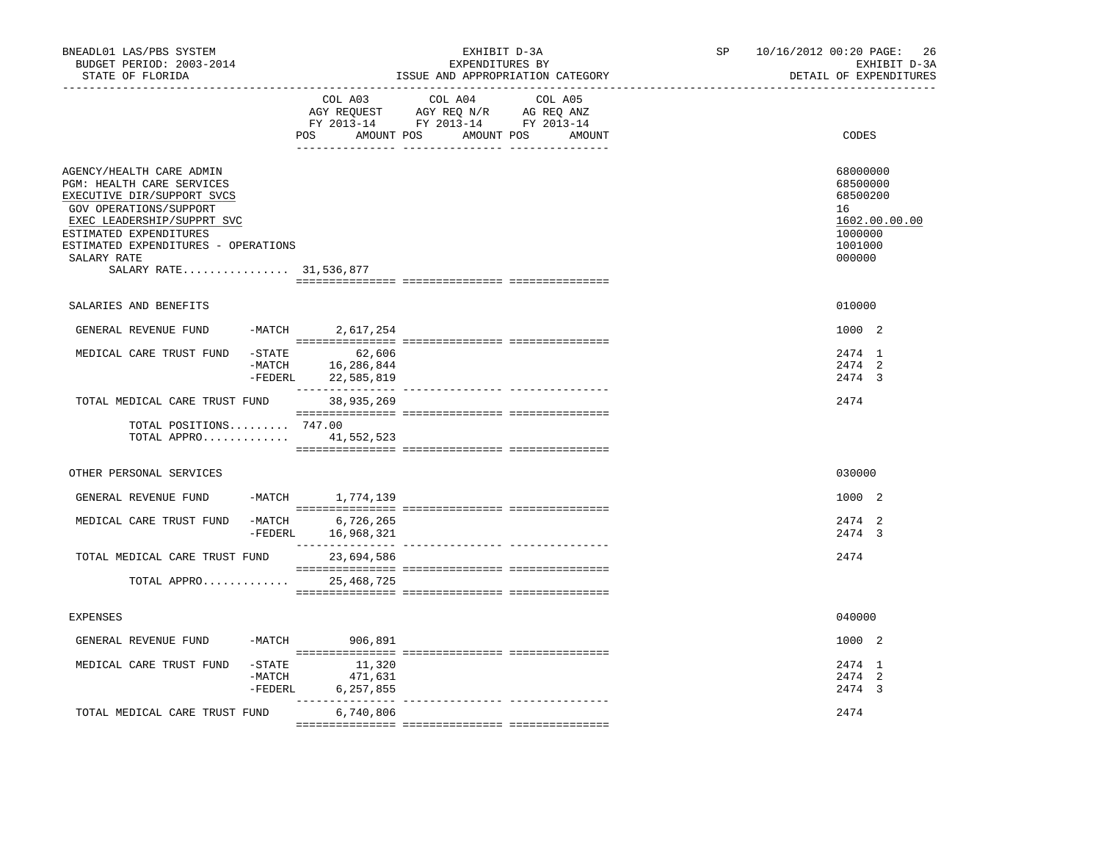| BNEADL01 LAS/PBS SYSTEM<br>BUDGET PERIOD: 2003-2014<br>STATE OF FLORIDA                                                                                                                                                                                      |                                                                       | EXHIBIT D-3A<br>EXPENDITURES BY<br>ISSUE AND APPROPRIATION CATEGORY | 10/16/2012 00:20 PAGE:<br>26<br>SP and the set of the set of the set of the set of the set of the set of the set of the set of the set of the set of the set of the set of the set of the set of the set of the set of the set of the set of the set of the se<br>EXHIBIT D-3A<br>DETAIL OF EXPENDITURES |
|--------------------------------------------------------------------------------------------------------------------------------------------------------------------------------------------------------------------------------------------------------------|-----------------------------------------------------------------------|---------------------------------------------------------------------|----------------------------------------------------------------------------------------------------------------------------------------------------------------------------------------------------------------------------------------------------------------------------------------------------------|
|                                                                                                                                                                                                                                                              | COL A03                                                               | COL A04<br>COL A05<br>POS AMOUNT POS AMOUNT POS AMOUNT              | CODES                                                                                                                                                                                                                                                                                                    |
| AGENCY/HEALTH CARE ADMIN<br><b>PGM: HEALTH CARE SERVICES</b><br>EXECUTIVE DIR/SUPPORT SVCS<br>GOV OPERATIONS/SUPPORT<br>EXEC LEADERSHIP/SUPPRT SVC<br>ESTIMATED EXPENDITURES<br>ESTIMATED EXPENDITURES - OPERATIONS<br>SALARY RATE<br>SALARY RATE 31,536,877 |                                                                       |                                                                     | 68000000<br>68500000<br>68500200<br>16<br>1602.00.00.00<br>1000000<br>1001000<br>000000                                                                                                                                                                                                                  |
| SALARIES AND BENEFITS                                                                                                                                                                                                                                        |                                                                       |                                                                     | 010000                                                                                                                                                                                                                                                                                                   |
| GENERAL REVENUE FUND                                                                                                                                                                                                                                         | -MATCH 2,617,254                                                      |                                                                     | 1000 2                                                                                                                                                                                                                                                                                                   |
| MEDICAL CARE TRUST FUND<br>$-STATE$                                                                                                                                                                                                                          | 62,606<br>-MATCH 16,286,844<br>-FEDERL 22,585,819<br>________________ | ______________________________________                              | 2474 1<br>2474 2<br>2474 3                                                                                                                                                                                                                                                                               |
| TOTAL MEDICAL CARE TRUST FUND                                                                                                                                                                                                                                | 38,935,269                                                            |                                                                     | 2474                                                                                                                                                                                                                                                                                                     |
| TOTAL POSITIONS 747.00<br>TOTAL APPRO 41,552,523                                                                                                                                                                                                             |                                                                       |                                                                     |                                                                                                                                                                                                                                                                                                          |
| OTHER PERSONAL SERVICES                                                                                                                                                                                                                                      |                                                                       |                                                                     | 030000                                                                                                                                                                                                                                                                                                   |
| GENERAL REVENUE FUND                                                                                                                                                                                                                                         | -MATCH 1,774,139                                                      |                                                                     | 1000 2                                                                                                                                                                                                                                                                                                   |
| MEDICAL CARE TRUST FUND<br>$-MATCH$<br>-FEDERL                                                                                                                                                                                                               | 6,726,265<br>16,968,321                                               |                                                                     | 2474 2<br>2474 3                                                                                                                                                                                                                                                                                         |
| TOTAL MEDICAL CARE TRUST FUND                                                                                                                                                                                                                                | 23,694,586                                                            |                                                                     | 2474                                                                                                                                                                                                                                                                                                     |
| TOTAL APPRO 25,468,725                                                                                                                                                                                                                                       |                                                                       |                                                                     |                                                                                                                                                                                                                                                                                                          |
| EXPENSES                                                                                                                                                                                                                                                     |                                                                       |                                                                     | 040000                                                                                                                                                                                                                                                                                                   |
| GENERAL REVENUE FUND                                                                                                                                                                                                                                         | -MATCH 906,891                                                        |                                                                     | 1000 2                                                                                                                                                                                                                                                                                                   |
| MEDICAL CARE TRUST FUND<br>$-$ STATE<br>-FEDERL                                                                                                                                                                                                              | 11,320<br>$-MATCH$ 471,631<br>6,257,855                               |                                                                     | 2474 1<br>2474 2<br>2474 3                                                                                                                                                                                                                                                                               |
| TOTAL MEDICAL CARE TRUST FUND                                                                                                                                                                                                                                | _______________<br>6,740,806                                          |                                                                     | 2474                                                                                                                                                                                                                                                                                                     |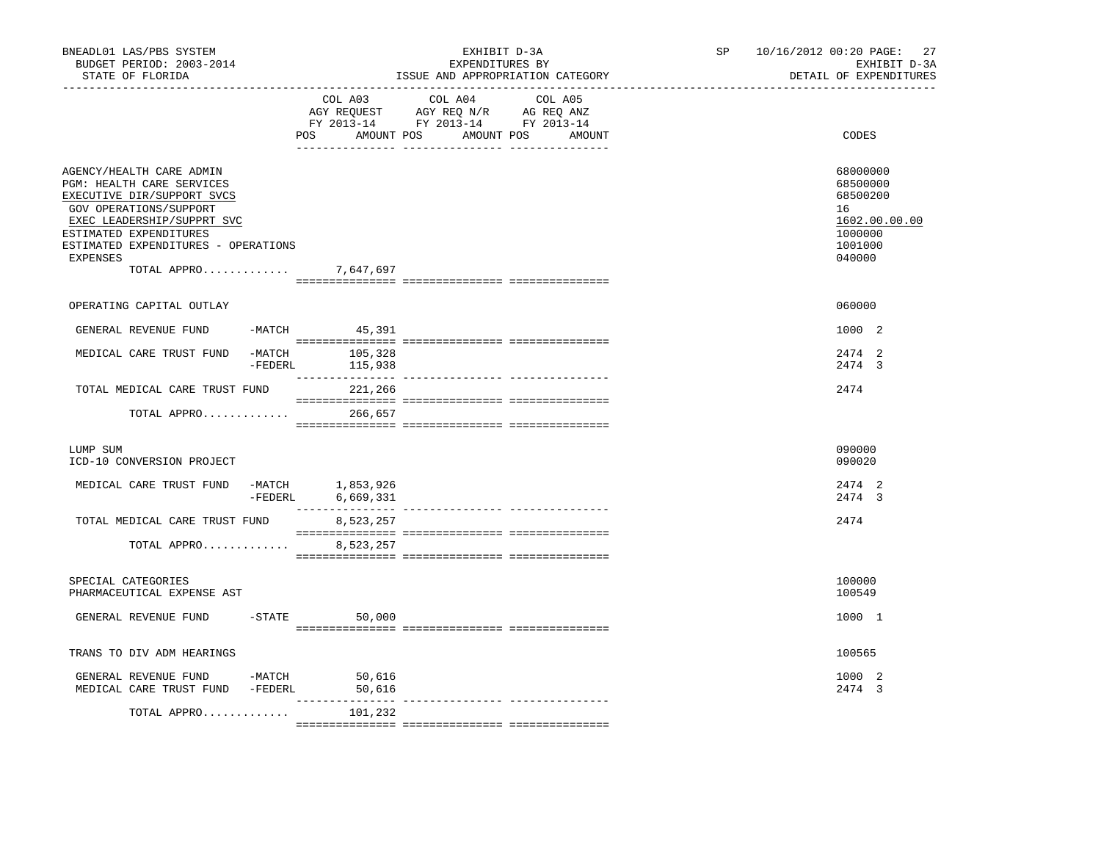| BNEADL01 LAS/PBS SYSTEM<br>BUDGET PERIOD: 2003-2014<br>STATE OF FLORIDA                                                                                                                                                                                  |          |                              | EXHIBIT D-3A<br>EXPENDITURES BY<br>ISSUE AND APPROPRIATION CATEGORY                                                                                                                                                                                                                                                                                                                                                                                                                                                                              | SP and the set of the set of the set of the set of the set of the set of the set of the set of the set of the set of the set of the set of the set of the set of the set of the set of the set of the set of the set of the se | 10/16/2012 00:20 PAGE:<br>27<br>EXHIBIT D-3A<br>DETAIL OF EXPENDITURES                  |
|----------------------------------------------------------------------------------------------------------------------------------------------------------------------------------------------------------------------------------------------------------|----------|------------------------------|--------------------------------------------------------------------------------------------------------------------------------------------------------------------------------------------------------------------------------------------------------------------------------------------------------------------------------------------------------------------------------------------------------------------------------------------------------------------------------------------------------------------------------------------------|--------------------------------------------------------------------------------------------------------------------------------------------------------------------------------------------------------------------------------|-----------------------------------------------------------------------------------------|
|                                                                                                                                                                                                                                                          |          |                              | COL A03 COL A04 COL A05<br>AGY REQUEST AGY REQ N/R AG REQ ANZ<br>FY 2013-14 FY 2013-14 FY 2013-14<br>POS AMOUNT POS AMOUNT POS AMOUNT                                                                                                                                                                                                                                                                                                                                                                                                            |                                                                                                                                                                                                                                | CODES                                                                                   |
| AGENCY/HEALTH CARE ADMIN<br>PGM: HEALTH CARE SERVICES<br>EXECUTIVE DIR/SUPPORT SVCS<br>GOV OPERATIONS/SUPPORT<br>EXEC LEADERSHIP/SUPPRT SVC<br>ESTIMATED EXPENDITURES<br>ESTIMATED EXPENDITURES - OPERATIONS<br><b>EXPENSES</b><br>TOTAL APPRO 7,647,697 |          |                              |                                                                                                                                                                                                                                                                                                                                                                                                                                                                                                                                                  |                                                                                                                                                                                                                                | 68000000<br>68500000<br>68500200<br>16<br>1602.00.00.00<br>1000000<br>1001000<br>040000 |
| OPERATING CAPITAL OUTLAY                                                                                                                                                                                                                                 |          |                              |                                                                                                                                                                                                                                                                                                                                                                                                                                                                                                                                                  |                                                                                                                                                                                                                                | 060000                                                                                  |
| GENERAL REVENUE FUND                                                                                                                                                                                                                                     |          | $-MATCH$ 45,391              |                                                                                                                                                                                                                                                                                                                                                                                                                                                                                                                                                  |                                                                                                                                                                                                                                | 1000 2                                                                                  |
| MEDICAL CARE TRUST FUND                                                                                                                                                                                                                                  | $-MATCH$ | 105,328<br>$-FEDERL$ 115,938 |                                                                                                                                                                                                                                                                                                                                                                                                                                                                                                                                                  |                                                                                                                                                                                                                                | 2474 2<br>2474 3                                                                        |
| TOTAL MEDICAL CARE TRUST FUND                                                                                                                                                                                                                            |          | 221,266                      |                                                                                                                                                                                                                                                                                                                                                                                                                                                                                                                                                  |                                                                                                                                                                                                                                | 2474                                                                                    |
| TOTAL APPRO                                                                                                                                                                                                                                              |          | 266,657                      | $\begin{minipage}{0.9\linewidth} \begin{minipage}{0.9\linewidth} \begin{minipage}{0.9\linewidth} \end{minipage} \begin{minipage}{0.9\linewidth} \begin{minipage}{0.9\linewidth} \end{minipage} \begin{minipage}{0.9\linewidth} \end{minipage} \begin{minipage}{0.9\linewidth} \begin{minipage}{0.9\linewidth} \end{minipage} \begin{minipage}{0.9\linewidth} \end{minipage} \begin{minipage}{0.9\linewidth} \end{minipage} \begin{minipage}{0.9\linewidth} \begin{minipage}{0.9\linewidth} \end{minipage} \begin{minipage}{0.9\linewidth} \end{$ |                                                                                                                                                                                                                                |                                                                                         |
| LUMP SUM<br>ICD-10 CONVERSION PROJECT                                                                                                                                                                                                                    |          |                              |                                                                                                                                                                                                                                                                                                                                                                                                                                                                                                                                                  |                                                                                                                                                                                                                                | 090000<br>090020                                                                        |
| MEDICAL CARE TRUST FUND -MATCH $1,853,926$<br>-FEDERL $6,669,331$                                                                                                                                                                                        |          |                              |                                                                                                                                                                                                                                                                                                                                                                                                                                                                                                                                                  |                                                                                                                                                                                                                                | 2474 2<br>2474 3                                                                        |
| TOTAL MEDICAL CARE TRUST FUND                                                                                                                                                                                                                            |          | 8,523,257                    |                                                                                                                                                                                                                                                                                                                                                                                                                                                                                                                                                  |                                                                                                                                                                                                                                | 2474                                                                                    |
| TOTAL APPRO                                                                                                                                                                                                                                              |          | 8,523,257                    |                                                                                                                                                                                                                                                                                                                                                                                                                                                                                                                                                  |                                                                                                                                                                                                                                |                                                                                         |
| SPECIAL CATEGORIES<br>PHARMACEUTICAL EXPENSE AST                                                                                                                                                                                                         |          |                              |                                                                                                                                                                                                                                                                                                                                                                                                                                                                                                                                                  |                                                                                                                                                                                                                                | 100000<br>100549                                                                        |
| GENERAL REVENUE FUND                                                                                                                                                                                                                                     |          | $-STATE$ 50,000              |                                                                                                                                                                                                                                                                                                                                                                                                                                                                                                                                                  |                                                                                                                                                                                                                                | 1000 1                                                                                  |
| TRANS TO DIV ADM HEARINGS                                                                                                                                                                                                                                |          |                              |                                                                                                                                                                                                                                                                                                                                                                                                                                                                                                                                                  |                                                                                                                                                                                                                                | 100565                                                                                  |
| GENERAL REVENUE FUND -MATCH<br>MEDICAL CARE TRUST FUND -FEDERL                                                                                                                                                                                           |          | 50,616<br>50,616             |                                                                                                                                                                                                                                                                                                                                                                                                                                                                                                                                                  |                                                                                                                                                                                                                                | 1000 2<br>2474 3                                                                        |
| TOTAL APPRO                                                                                                                                                                                                                                              |          | 101,232                      |                                                                                                                                                                                                                                                                                                                                                                                                                                                                                                                                                  |                                                                                                                                                                                                                                |                                                                                         |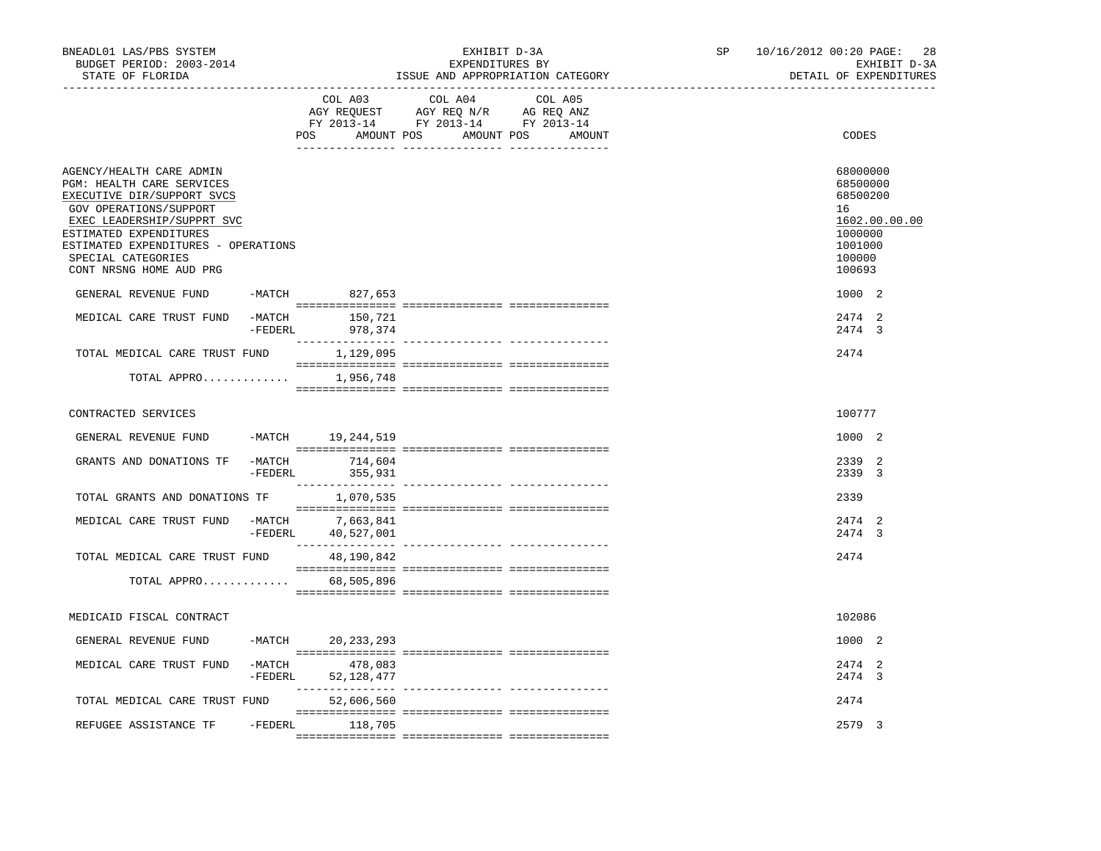| BNEADL01 LAS/PBS SYSTEM<br>BUDGET PERIOD: 2003-2014<br>STATE OF FLORIDA                                                                                                                                                                                       |                     |                                        | EXHIBIT D-3A<br>EXPENDITURES BY<br>ISSUE AND APPROPRIATION CATEGORY                                                                                                                                                                            |         | SP | 10/16/2012 00:20 PAGE:<br>28<br>EXHIBIT D-3A<br>DETAIL OF EXPENDITURES                            |
|---------------------------------------------------------------------------------------------------------------------------------------------------------------------------------------------------------------------------------------------------------------|---------------------|----------------------------------------|------------------------------------------------------------------------------------------------------------------------------------------------------------------------------------------------------------------------------------------------|---------|----|---------------------------------------------------------------------------------------------------|
|                                                                                                                                                                                                                                                               |                     | COL A03                                | COL A04<br>$\begin{tabular}{lllllll} \bf AGY \,\, REQUEST \,\, & \bf AGY \,\, REQ \,\, N/R & \bf AG \,\, REQ \,\, ANZ \\ \bf FY \,\, 2013-14 & \bf FY \,\, 2013-14 & \bf FY \,\, 2013-14 \\ \end{tabular}$<br>POS AMOUNT POS AMOUNT POS AMOUNT | COL A05 |    | CODES                                                                                             |
| AGENCY/HEALTH CARE ADMIN<br>PGM: HEALTH CARE SERVICES<br>EXECUTIVE DIR/SUPPORT SVCS<br>GOV OPERATIONS/SUPPORT<br>EXEC LEADERSHIP/SUPPRT SVC<br>ESTIMATED EXPENDITURES<br>ESTIMATED EXPENDITURES - OPERATIONS<br>SPECIAL CATEGORIES<br>CONT NRSNG HOME AUD PRG |                     |                                        |                                                                                                                                                                                                                                                |         |    | 68000000<br>68500000<br>68500200<br>16<br>1602.00.00.00<br>1000000<br>1001000<br>100000<br>100693 |
| GENERAL REVENUE FUND                                                                                                                                                                                                                                          |                     | -MATCH 827,653                         |                                                                                                                                                                                                                                                |         |    | 1000 2                                                                                            |
| MEDICAL CARE TRUST FUND                                                                                                                                                                                                                                       | -MATCH              | 150,721<br>-FEDERL 978,374             |                                                                                                                                                                                                                                                |         |    | 2474 2<br>2474 3                                                                                  |
| TOTAL MEDICAL CARE TRUST FUND                                                                                                                                                                                                                                 |                     | 1,129,095                              |                                                                                                                                                                                                                                                |         |    | 2474                                                                                              |
| TOTAL APPRO 1,956,748                                                                                                                                                                                                                                         |                     |                                        |                                                                                                                                                                                                                                                |         |    |                                                                                                   |
| CONTRACTED SERVICES                                                                                                                                                                                                                                           |                     |                                        |                                                                                                                                                                                                                                                |         |    | 100777                                                                                            |
| GENERAL REVENUE FUND                                                                                                                                                                                                                                          | $-MATCH$            | 19,244,519                             |                                                                                                                                                                                                                                                |         |    | 1000 2                                                                                            |
| GRANTS AND DONATIONS TF                                                                                                                                                                                                                                       | $-MATCH$<br>-FEDERL | 714,604<br>355,931                     |                                                                                                                                                                                                                                                |         |    | 2339 2<br>2339 3                                                                                  |
| TOTAL GRANTS AND DONATIONS TF                                                                                                                                                                                                                                 |                     | 1,070,535                              |                                                                                                                                                                                                                                                |         |    | 2339                                                                                              |
| MEDICAL CARE TRUST FUND                                                                                                                                                                                                                                       |                     | -MATCH 7,663,841<br>-FEDERL 40,527,001 |                                                                                                                                                                                                                                                |         |    | 2474<br>2<br>2474 3                                                                               |
| TOTAL MEDICAL CARE TRUST FUND                                                                                                                                                                                                                                 |                     | 48,190,842                             |                                                                                                                                                                                                                                                |         |    | 2474                                                                                              |
| TOTAL APPRO 68,505,896                                                                                                                                                                                                                                        |                     |                                        |                                                                                                                                                                                                                                                |         |    |                                                                                                   |
| MEDICAID FISCAL CONTRACT                                                                                                                                                                                                                                      |                     |                                        |                                                                                                                                                                                                                                                |         |    | 102086                                                                                            |
| GENERAL REVENUE FUND                                                                                                                                                                                                                                          |                     | -MATCH 20,233,293                      |                                                                                                                                                                                                                                                |         |    | 1000 2                                                                                            |
| MEDICAL CARE TRUST FUND                                                                                                                                                                                                                                       | $-MATCH$            | 478,083<br>-FEDERL 52,128,477          |                                                                                                                                                                                                                                                |         |    | 2474 2<br>2474 3                                                                                  |
| TOTAL MEDICAL CARE TRUST FUND                                                                                                                                                                                                                                 |                     | 52,606,560                             |                                                                                                                                                                                                                                                |         |    | 2474                                                                                              |
| REFUGEE ASSISTANCE TF                                                                                                                                                                                                                                         |                     | -FEDERL 118,705                        |                                                                                                                                                                                                                                                |         |    | 2579 3                                                                                            |
|                                                                                                                                                                                                                                                               |                     |                                        |                                                                                                                                                                                                                                                |         |    |                                                                                                   |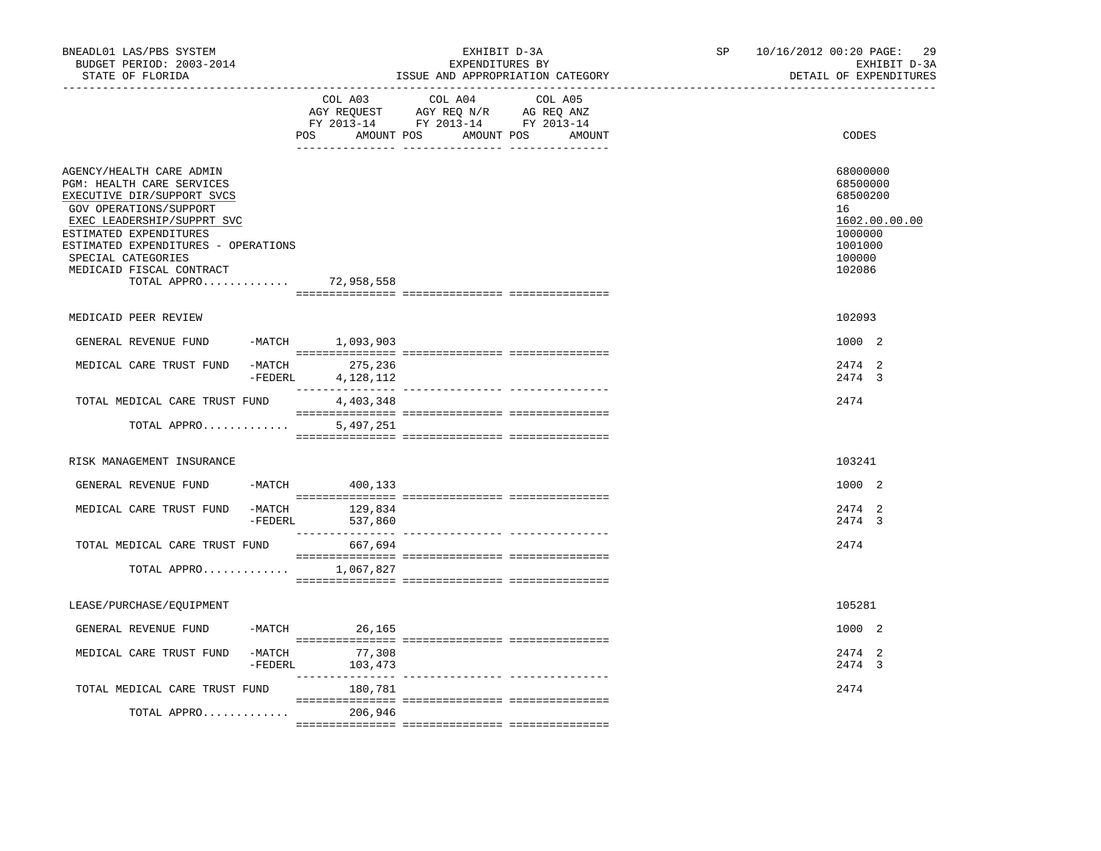| BNEADL01 LAS/PBS SYSTEM<br>BUDGET PERIOD: 2003-2014<br>STATE OF FLORIDA                                                                                                                                                                                                       |                     |                                      | EXHIBIT D-3A<br>EXPENDITURES BY<br>ISSUE AND APPROPRIATION CATEGORY                                                                                                                                                                                               | SP<br>__________________________________ | 10/16/2012 00:20 PAGE:<br>-29<br>EXHIBIT D-3A<br>DETAIL OF EXPENDITURES |                                                                                                   |
|-------------------------------------------------------------------------------------------------------------------------------------------------------------------------------------------------------------------------------------------------------------------------------|---------------------|--------------------------------------|-------------------------------------------------------------------------------------------------------------------------------------------------------------------------------------------------------------------------------------------------------------------|------------------------------------------|-------------------------------------------------------------------------|---------------------------------------------------------------------------------------------------|
|                                                                                                                                                                                                                                                                               |                     | COL A03                              | COL A04<br>$\begin{tabular}{lllllllll} \bf{AGY} & \bf{REQUEST} & \bf{AGY} & \bf{REQ} & \bf{N/R} & \bf{AG} & \bf{REQ} & \bf{ANZ} \\ \bf{FY} & \bf{2013-14} & \bf{FY} & \bf{2013-14} & \bf{FY} & \bf{2013-14} \\ \end{tabular}$<br>POS AMOUNT POS AMOUNT POS AMOUNT | COL A05                                  |                                                                         | CODES                                                                                             |
| AGENCY/HEALTH CARE ADMIN<br>PGM: HEALTH CARE SERVICES<br>EXECUTIVE DIR/SUPPORT SVCS<br>GOV OPERATIONS/SUPPORT<br>EXEC LEADERSHIP/SUPPRT SVC<br>ESTIMATED EXPENDITURES<br>ESTIMATED EXPENDITURES - OPERATIONS<br>SPECIAL CATEGORIES<br>MEDICAID FISCAL CONTRACT<br>TOTAL APPRO |                     | 72,958,558                           |                                                                                                                                                                                                                                                                   |                                          |                                                                         | 68000000<br>68500000<br>68500200<br>16<br>1602.00.00.00<br>1000000<br>1001000<br>100000<br>102086 |
| MEDICAID PEER REVIEW                                                                                                                                                                                                                                                          |                     |                                      |                                                                                                                                                                                                                                                                   |                                          |                                                                         | 102093                                                                                            |
| GENERAL REVENUE FUND                                                                                                                                                                                                                                                          |                     | -MATCH 1,093,903                     |                                                                                                                                                                                                                                                                   |                                          |                                                                         | 1000 2                                                                                            |
| MEDICAL CARE TRUST FUND                                                                                                                                                                                                                                                       | $-FEDERL$           | -MATCH 275,236<br>4,128,112          |                                                                                                                                                                                                                                                                   |                                          |                                                                         | 2474 2<br>2474 3                                                                                  |
| TOTAL MEDICAL CARE TRUST FUND                                                                                                                                                                                                                                                 |                     | 4,403,348                            |                                                                                                                                                                                                                                                                   |                                          |                                                                         | 2474                                                                                              |
| TOTAL APPRO                                                                                                                                                                                                                                                                   |                     | 5,497,251                            |                                                                                                                                                                                                                                                                   |                                          |                                                                         |                                                                                                   |
| RISK MANAGEMENT INSURANCE                                                                                                                                                                                                                                                     |                     |                                      |                                                                                                                                                                                                                                                                   |                                          |                                                                         | 103241                                                                                            |
| GENERAL REVENUE FUND                                                                                                                                                                                                                                                          |                     | -MATCH 400,133                       |                                                                                                                                                                                                                                                                   |                                          |                                                                         | 1000 2                                                                                            |
| MEDICAL CARE TRUST FUND                                                                                                                                                                                                                                                       | $-MATCH$<br>-FEDERL | 129,834<br>537,860                   |                                                                                                                                                                                                                                                                   |                                          |                                                                         | 2474 2<br>2474 3                                                                                  |
| TOTAL MEDICAL CARE TRUST FUND                                                                                                                                                                                                                                                 |                     | 667,694                              |                                                                                                                                                                                                                                                                   |                                          |                                                                         | 2474                                                                                              |
| TOTAL APPRO                                                                                                                                                                                                                                                                   |                     | 1,067,827                            |                                                                                                                                                                                                                                                                   |                                          |                                                                         |                                                                                                   |
| LEASE/PURCHASE/EQUIPMENT                                                                                                                                                                                                                                                      |                     |                                      |                                                                                                                                                                                                                                                                   |                                          |                                                                         | 105281                                                                                            |
| GENERAL REVENUE FUND                                                                                                                                                                                                                                                          |                     | $-MATCH$ 26,165                      |                                                                                                                                                                                                                                                                   |                                          |                                                                         | 1000 2                                                                                            |
| MEDICAL CARE TRUST FUND                                                                                                                                                                                                                                                       |                     | $-MATCH$ 77,308<br>$-FEDERL$ 103,473 |                                                                                                                                                                                                                                                                   |                                          |                                                                         | 2474 2<br>2474 3                                                                                  |
| TOTAL MEDICAL CARE TRUST FUND                                                                                                                                                                                                                                                 |                     | 180,781                              |                                                                                                                                                                                                                                                                   |                                          |                                                                         | 2474                                                                                              |
| TOTAL APPRO                                                                                                                                                                                                                                                                   |                     | 206,946                              |                                                                                                                                                                                                                                                                   |                                          |                                                                         |                                                                                                   |
|                                                                                                                                                                                                                                                                               |                     |                                      |                                                                                                                                                                                                                                                                   |                                          |                                                                         |                                                                                                   |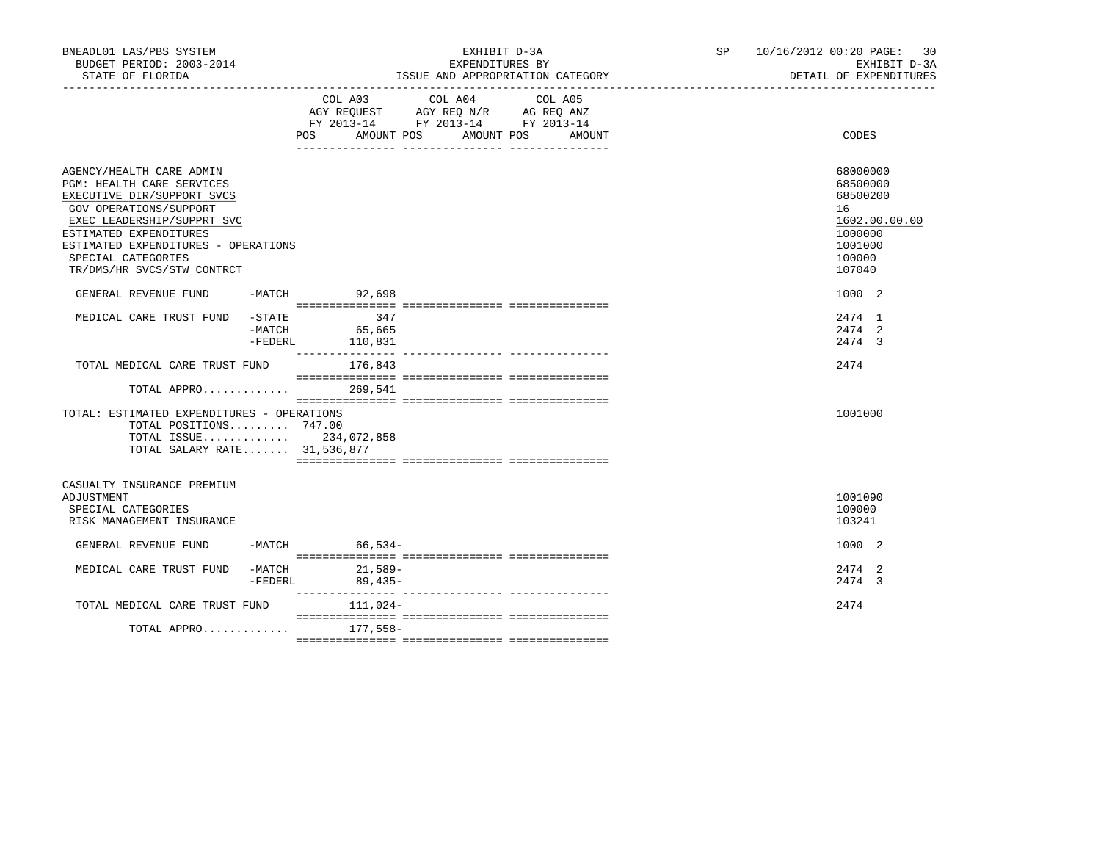| BNEADL01 LAS/PBS SYSTEM<br>BUDGET PERIOD: 2003-2014<br>STATE OF FLORIDA                                                                                                                                                                                                 |                                  | EXPENDITURES BY                                                                           | EXHIBIT D-3A<br>ISSUE AND APPROPRIATION CATEGORY | SP and the set of the set of the set of the set of the set of the set of the set of the set of the set of the set of the set of the set of the set of the set of the set of the set of the set of the set of the set of the se | 10/16/2012 00:20 PAGE: 30<br>EXHIBIT D-3A<br>DETAIL OF EXPENDITURES |                                                                                                   |
|-------------------------------------------------------------------------------------------------------------------------------------------------------------------------------------------------------------------------------------------------------------------------|----------------------------------|-------------------------------------------------------------------------------------------|--------------------------------------------------|--------------------------------------------------------------------------------------------------------------------------------------------------------------------------------------------------------------------------------|---------------------------------------------------------------------|---------------------------------------------------------------------------------------------------|
|                                                                                                                                                                                                                                                                         |                                  | COL A03 COL A04<br>AGY REQUEST AGY REQ N/R AG REQ ANZ<br>FY 2013-14 FY 2013-14 FY 2013-14 | COL A05<br>POS AMOUNT POS AMOUNT POS AMOUNT      |                                                                                                                                                                                                                                | CODES                                                               |                                                                                                   |
| AGENCY/HEALTH CARE ADMIN<br><b>PGM: HEALTH CARE SERVICES</b><br>EXECUTIVE DIR/SUPPORT SVCS<br>GOV OPERATIONS/SUPPORT<br>EXEC LEADERSHIP/SUPPRT SVC<br>ESTIMATED EXPENDITURES<br>ESTIMATED EXPENDITURES - OPERATIONS<br>SPECIAL CATEGORIES<br>TR/DMS/HR SVCS/STW CONTRCT |                                  |                                                                                           |                                                  |                                                                                                                                                                                                                                |                                                                     | 68000000<br>68500000<br>68500200<br>16<br>1602.00.00.00<br>1000000<br>1001000<br>100000<br>107040 |
| GENERAL REVENUE FUND -MATCH 92,698                                                                                                                                                                                                                                      |                                  |                                                                                           |                                                  |                                                                                                                                                                                                                                |                                                                     | 1000 2                                                                                            |
| MEDICAL CARE TRUST FUND                                                                                                                                                                                                                                                 | $-$ STATE<br>$-MATCH$<br>-FEDERL | 347<br>$547$<br>$65,665$<br>110,831                                                       |                                                  |                                                                                                                                                                                                                                |                                                                     | 2474 1<br>2474 2<br>2474 3                                                                        |
| TOTAL MEDICAL CARE TRUST FUND                                                                                                                                                                                                                                           |                                  | 176,843                                                                                   |                                                  |                                                                                                                                                                                                                                |                                                                     | 2474                                                                                              |
| TOTAL APPRO<br>TOTAL: ESTIMATED EXPENDITURES - OPERATIONS<br>TOTAL POSITIONS 747.00<br>TOTAL ISSUE 234,072,858<br>TOTAL SALARY RATE 31,536,877                                                                                                                          |                                  | 269,541                                                                                   |                                                  |                                                                                                                                                                                                                                |                                                                     | 1001000                                                                                           |
|                                                                                                                                                                                                                                                                         |                                  |                                                                                           |                                                  |                                                                                                                                                                                                                                |                                                                     |                                                                                                   |
| CASUALTY INSURANCE PREMIUM<br>ADJUSTMENT<br>SPECIAL CATEGORIES<br>RISK MANAGEMENT INSURANCE                                                                                                                                                                             |                                  |                                                                                           |                                                  |                                                                                                                                                                                                                                |                                                                     | 1001090<br>100000<br>103241                                                                       |
| GENERAL REVENUE FUND                                                                                                                                                                                                                                                    |                                  | $-MATCH$ 66.534-                                                                          |                                                  |                                                                                                                                                                                                                                |                                                                     | 1000 2                                                                                            |
| MEDICAL CARE TRUST FUND -MATCH 21,589-                                                                                                                                                                                                                                  | -FEDERL                          | $89,435-$                                                                                 |                                                  |                                                                                                                                                                                                                                |                                                                     | 2474 2<br>2474 3                                                                                  |
| TOTAL MEDICAL CARE TRUST FUND                                                                                                                                                                                                                                           |                                  | 111,024-                                                                                  |                                                  |                                                                                                                                                                                                                                |                                                                     | 2474                                                                                              |
| TOTAL APPRO                                                                                                                                                                                                                                                             |                                  | 177,558–                                                                                  |                                                  |                                                                                                                                                                                                                                |                                                                     |                                                                                                   |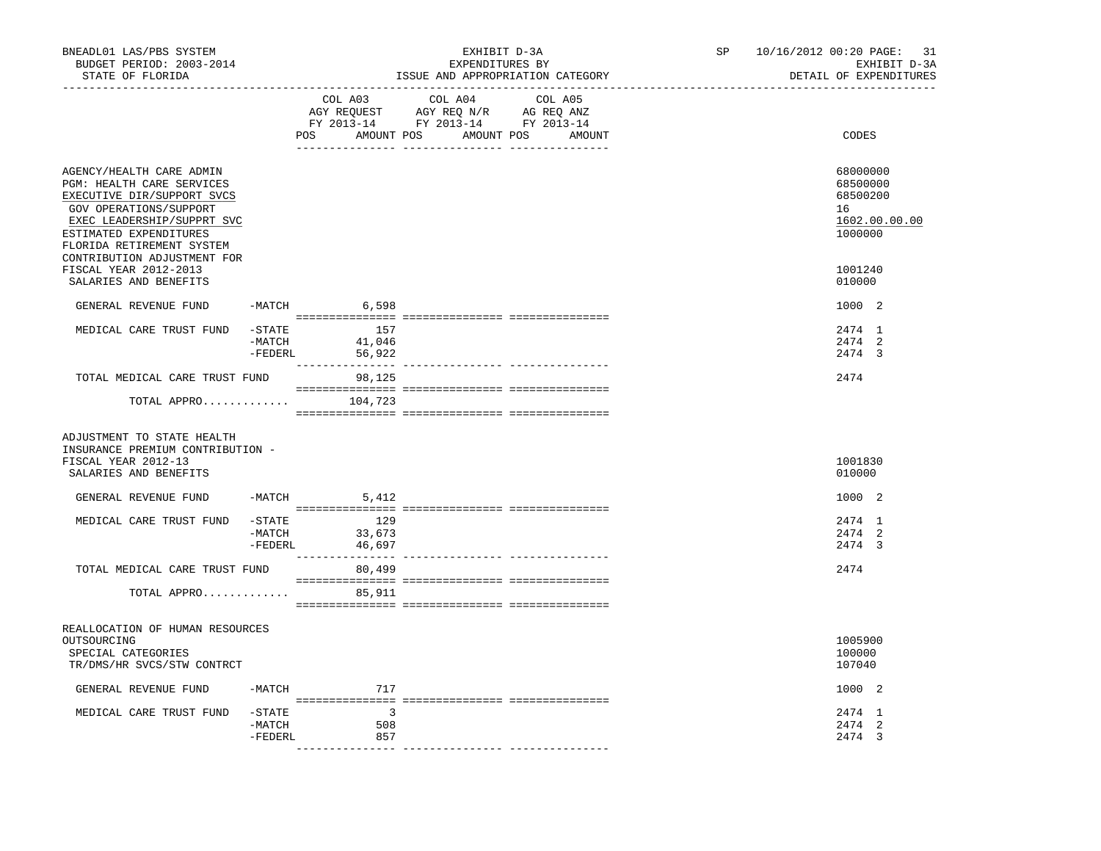| BNEADL01 LAS/PBS SYSTEM<br>BUDGET PERIOD: 2003-2014<br>STATE OF FLORIDA                                                                                                                                                           |                                |                                | EXHIBIT D-3A<br>EXPENDITURES BY                                                                                                                                                                                                                 | ISSUE AND APPROPRIATION CATEGORY            | SP and the set of the set of the set of the set of the set of the set of the set of the set of the set of the set of the set of the set of the set of the set of the set of the set of the set of the set of the set of the se<br>-------------------------------- | 10/16/2012 00:20 PAGE: 31<br>EXHIBIT D-3A<br>DETAIL OF EXPENDITURES |
|-----------------------------------------------------------------------------------------------------------------------------------------------------------------------------------------------------------------------------------|--------------------------------|--------------------------------|-------------------------------------------------------------------------------------------------------------------------------------------------------------------------------------------------------------------------------------------------|---------------------------------------------|--------------------------------------------------------------------------------------------------------------------------------------------------------------------------------------------------------------------------------------------------------------------|---------------------------------------------------------------------|
|                                                                                                                                                                                                                                   |                                | COL A03                        | COL A04<br>$\begin{tabular}{lllllll} \bf AGY \;\; RegUEST \hspace{1cm} AGY \;\; REG \;\; N/R \hspace{1cm} \bf AG \;\; REG \;\; ANZ \end{tabular}$ $\begin{tabular}{lllllllllll} \bf FY \;\; 2013-14 \hspace{1cm} FY \;\; 2013-14 \end{tabular}$ | COL A05<br>POS AMOUNT POS AMOUNT POS AMOUNT |                                                                                                                                                                                                                                                                    | CODES                                                               |
| AGENCY/HEALTH CARE ADMIN<br>PGM: HEALTH CARE SERVICES<br>EXECUTIVE DIR/SUPPORT SVCS<br>GOV OPERATIONS/SUPPORT<br>EXEC LEADERSHIP/SUPPRT SVC<br>ESTIMATED EXPENDITURES<br>FLORIDA RETIREMENT SYSTEM<br>CONTRIBUTION ADJUSTMENT FOR |                                |                                |                                                                                                                                                                                                                                                 |                                             |                                                                                                                                                                                                                                                                    | 68000000<br>68500000<br>68500200<br>16<br>1602.00.00.00<br>1000000  |
| FISCAL YEAR 2012-2013<br>SALARIES AND BENEFITS                                                                                                                                                                                    |                                |                                |                                                                                                                                                                                                                                                 |                                             |                                                                                                                                                                                                                                                                    | 1001240<br>010000                                                   |
| GENERAL REVENUE FUND                                                                                                                                                                                                              |                                | $-MATCH$ 6,598                 |                                                                                                                                                                                                                                                 |                                             |                                                                                                                                                                                                                                                                    | 1000 2                                                              |
| MEDICAL CARE TRUST FUND                                                                                                                                                                                                           | $-$ STATE<br>-MATCH<br>-FEDERL | 157<br>41,046<br>56,922        |                                                                                                                                                                                                                                                 |                                             |                                                                                                                                                                                                                                                                    | 2474 1<br>2474 2<br>2474 3                                          |
| TOTAL MEDICAL CARE TRUST FUND                                                                                                                                                                                                     |                                | _______________<br>98,125      |                                                                                                                                                                                                                                                 |                                             |                                                                                                                                                                                                                                                                    | 2474                                                                |
| TOTAL APPRO                                                                                                                                                                                                                       |                                | 104,723                        |                                                                                                                                                                                                                                                 |                                             |                                                                                                                                                                                                                                                                    |                                                                     |
| ADJUSTMENT TO STATE HEALTH<br>INSURANCE PREMIUM CONTRIBUTION -<br>FISCAL YEAR 2012-13<br>SALARIES AND BENEFITS                                                                                                                    |                                |                                |                                                                                                                                                                                                                                                 |                                             |                                                                                                                                                                                                                                                                    | 1001830<br>010000                                                   |
| GENERAL REVENUE FUND                                                                                                                                                                                                              | $-MATCH$                       | 5,412                          |                                                                                                                                                                                                                                                 |                                             |                                                                                                                                                                                                                                                                    | 1000 2                                                              |
| MEDICAL CARE TRUST FUND                                                                                                                                                                                                           | -MATCH<br>$-$ FEDERL           | -STATE 129<br>33,673<br>46,697 |                                                                                                                                                                                                                                                 |                                             |                                                                                                                                                                                                                                                                    | 2474 1<br>2474 2<br>2474 3                                          |
| TOTAL MEDICAL CARE TRUST FUND                                                                                                                                                                                                     |                                | 80,499                         |                                                                                                                                                                                                                                                 |                                             |                                                                                                                                                                                                                                                                    | 2474                                                                |
| TOTAL APPRO                                                                                                                                                                                                                       |                                | 85,911                         |                                                                                                                                                                                                                                                 |                                             |                                                                                                                                                                                                                                                                    |                                                                     |
| REALLOCATION OF HUMAN RESOURCES<br>OUTSOURCING<br>SPECIAL CATEGORIES<br>TR/DMS/HR SVCS/STW CONTRCT                                                                                                                                |                                |                                |                                                                                                                                                                                                                                                 |                                             |                                                                                                                                                                                                                                                                    | 1005900<br>100000<br>107040                                         |
| GENERAL REVENUE FUND                                                                                                                                                                                                              | -MATCH                         | 717                            |                                                                                                                                                                                                                                                 |                                             |                                                                                                                                                                                                                                                                    | 1000 2                                                              |
| MEDICAL CARE TRUST FUND                                                                                                                                                                                                           | $-$ STATE<br>-MATCH<br>-FEDERL | $\sim$ 3<br>508<br>857         |                                                                                                                                                                                                                                                 |                                             |                                                                                                                                                                                                                                                                    | 2474 1<br>2474 2<br>2474 3                                          |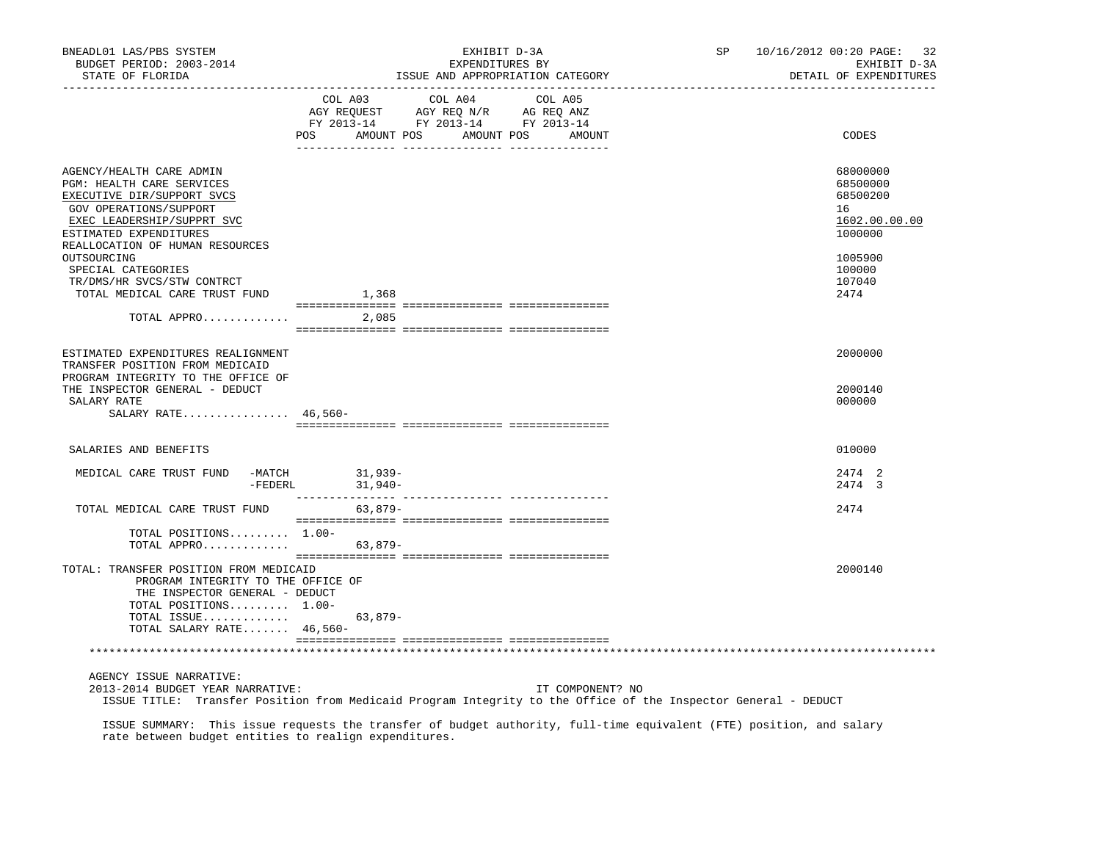| BNEADL01 LAS/PBS SYSTEM<br>BUDGET PERIOD: 2003-2014<br>STATE OF FLORIDA                                                                                               | EXHIBIT D-3A<br>EXPENDITURES BY<br>ISSUE AND APPROPRIATION CATEGORY                                                                         | 10/16/2012 00:20 PAGE: 32<br>SP <sub>2</sub><br>EXHIBIT D-3A<br>DETAIL OF EXPENDITURES |
|-----------------------------------------------------------------------------------------------------------------------------------------------------------------------|---------------------------------------------------------------------------------------------------------------------------------------------|----------------------------------------------------------------------------------------|
|                                                                                                                                                                       | COL A03 COL A04 COL A05<br>AGY REQUEST AGY REQ N/R AG REQ ANZ<br>FY 2013-14 FY 2013-14 FY 2013-14<br>AMOUNT POS AMOUNT POS<br>POS<br>AMOUNT | CODES                                                                                  |
|                                                                                                                                                                       |                                                                                                                                             |                                                                                        |
| AGENCY/HEALTH CARE ADMIN<br>PGM: HEALTH CARE SERVICES<br>EXECUTIVE DIR/SUPPORT SVCS<br>GOV OPERATIONS/SUPPORT<br>EXEC LEADERSHIP/SUPPRT SVC<br>ESTIMATED EXPENDITURES |                                                                                                                                             | 68000000<br>68500000<br>68500200<br>16<br>1602.00.00.00<br>1000000                     |
| REALLOCATION OF HUMAN RESOURCES<br>OUTSOURCING<br>SPECIAL CATEGORIES<br>TR/DMS/HR SVCS/STW CONTRCT<br>TOTAL MEDICAL CARE TRUST FUND                                   | 1,368                                                                                                                                       | 1005900<br>100000<br>107040<br>2474                                                    |
| TOTAL APPRO $\ldots \ldots \ldots$                                                                                                                                    |                                                                                                                                             |                                                                                        |
| ESTIMATED EXPENDITURES REALIGNMENT<br>TRANSFER POSITION FROM MEDICAID<br>PROGRAM INTEGRITY TO THE OFFICE OF<br>THE INSPECTOR GENERAL - DEDUCT                         |                                                                                                                                             | 2000000<br>2000140                                                                     |
| SALARY RATE<br>SALARY RATE 46,560-                                                                                                                                    |                                                                                                                                             | 000000                                                                                 |
| SALARIES AND BENEFITS                                                                                                                                                 |                                                                                                                                             | 010000                                                                                 |
| MEDICAL CARE TRUST FUND -MATCH 31,939-<br>-FEDERL                                                                                                                     | 31,940-                                                                                                                                     | 2474 2<br>2474 3                                                                       |
| TOTAL MEDICAL CARE TRUST FUND                                                                                                                                         | $63,879-$                                                                                                                                   | 2474                                                                                   |
| TOTAL POSITIONS $1.00-$<br>TOTAL APPRO                                                                                                                                | 63,879-                                                                                                                                     |                                                                                        |
| TOTAL: TRANSFER POSITION FROM MEDICAID<br>PROGRAM INTEGRITY TO THE OFFICE OF<br>THE INSPECTOR GENERAL - DEDUCT<br>TOTAL POSITIONS 1.00-                               |                                                                                                                                             | 2000140                                                                                |
| TOTAL ISSUE<br>TOTAL SALARY RATE 46,560-                                                                                                                              | $63,879-$                                                                                                                                   |                                                                                        |
|                                                                                                                                                                       |                                                                                                                                             |                                                                                        |
| AGENCY ISSUE NARRATIVE:<br>2013-2014 BUDGET YEAR NARRATIVE:                                                                                                           | IT COMPONENT? NO<br>ISSUE TITLE: Transfer Position from Medicaid Program Integrity to the Office of the Inspector General - DEDUCT          |                                                                                        |

 ISSUE SUMMARY: This issue requests the transfer of budget authority, full-time equivalent (FTE) position, and salary rate between budget entities to realign expenditures.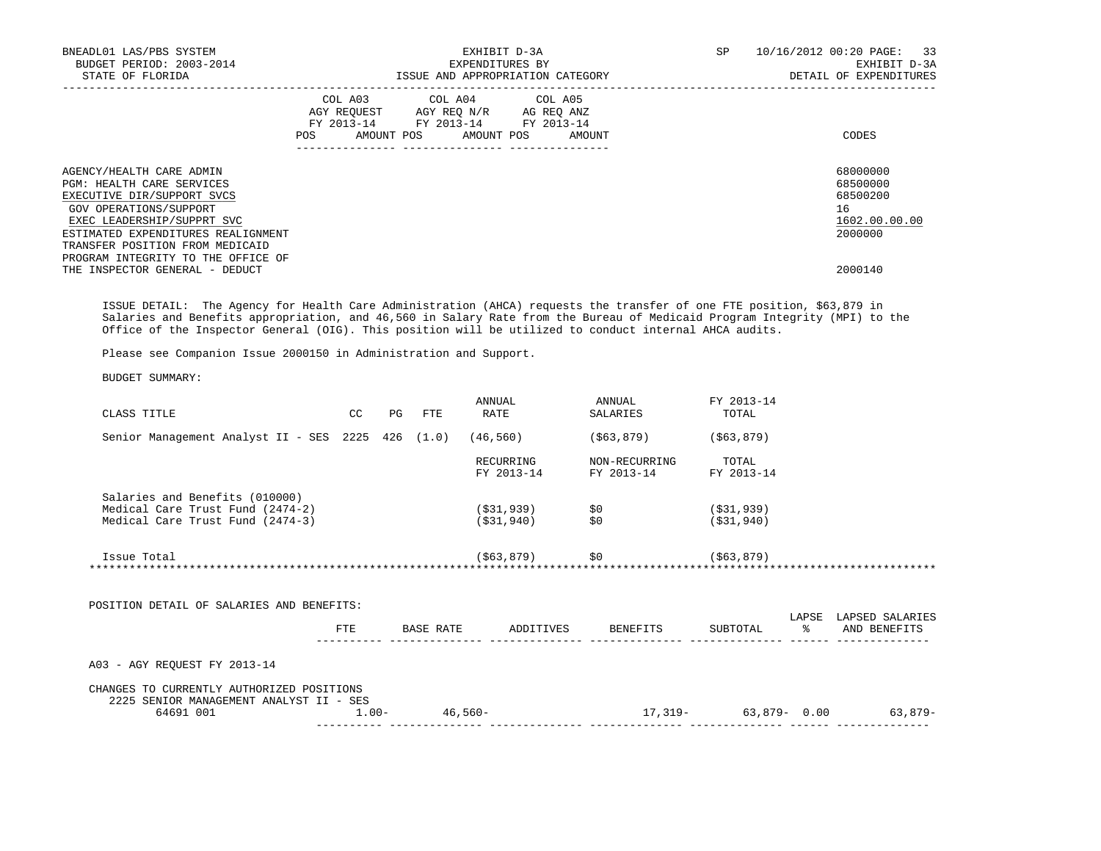| BNEADL01 LAS/PBS SYSTEM<br>BUDGET PERIOD: 2003-2014<br>STATE OF FLORIDA                                                                                                                                                                                           |         | EXHIBIT D-3A<br>EXPENDITURES BY                                                                                                   | ISSUE AND APPROPRIATION CATEGORY | SP | 10/16/2012 00:20 PAGE: 33<br>EXHIBIT D-3A<br>DETAIL OF EXPENDITURES |
|-------------------------------------------------------------------------------------------------------------------------------------------------------------------------------------------------------------------------------------------------------------------|---------|-----------------------------------------------------------------------------------------------------------------------------------|----------------------------------|----|---------------------------------------------------------------------|
|                                                                                                                                                                                                                                                                   | POS FOR | COL A03 COL A04 COL A05<br>AGY REQUEST AGY REO N/R AG REO ANZ<br>FY 2013-14 FY 2013-14 FY 2013-14<br>AMOUNT POS AMOUNT POS AMOUNT |                                  |    | CODES                                                               |
| AGENCY/HEALTH CARE ADMIN<br><b>PGM: HEALTH CARE SERVICES</b><br>EXECUTIVE DIR/SUPPORT SVCS<br>GOV OPERATIONS/SUPPORT<br>EXEC LEADERSHIP/SUPPRT SVC<br>ESTIMATED EXPENDITURES REALIGNMENT<br>TRANSFER POSITION FROM MEDICAID<br>PROGRAM INTEGRITY TO THE OFFICE OF |         |                                                                                                                                   |                                  |    | 68000000<br>68500000<br>68500200<br>16<br>1602.00.00.00<br>2000000  |
| THE INSPECTOR GENERAL - DEDUCT                                                                                                                                                                                                                                    |         |                                                                                                                                   |                                  |    | 2000140                                                             |

 ISSUE DETAIL: The Agency for Health Care Administration (AHCA) requests the transfer of one FTE position, \$63,879 in Salaries and Benefits appropriation, and 46,560 in Salary Rate from the Bureau of Medicaid Program Integrity (MPI) to the Office of the Inspector General (OIG). This position will be utilized to conduct internal AHCA audits.

Please see Companion Issue 2000150 in Administration and Support.

BUDGET SUMMARY:

| CLASS TITLE                                                                                            | CC. | PG | FTE       | ANNUAL<br>RATE               | ANNUAL<br>SALARIES          | FY 2013-14<br>TOTAL            |       |                 |
|--------------------------------------------------------------------------------------------------------|-----|----|-----------|------------------------------|-----------------------------|--------------------------------|-------|-----------------|
| Senior Management Analyst II - SES 2225 426 (1.0)                                                      |     |    |           | (46, 560)                    | ( \$63, 879)                | ( \$63, 879)                   |       |                 |
|                                                                                                        |     |    |           | RECURRING<br>FY 2013-14      | NON-RECURRING<br>FY 2013-14 | TOTAL<br>FY 2013-14            |       |                 |
| Salaries and Benefits (010000)<br>Medical Care Trust Fund (2474-2)<br>Medical Care Trust Fund (2474-3) |     |    |           | ( \$31, 939)<br>( \$31, 940) | \$0<br>\$0                  | $($ \$31,939)<br>$($ \$31,940) |       |                 |
| Issue Total                                                                                            |     |    |           | ( \$63, 879)                 | \$0                         | ( \$63, 879)                   |       |                 |
| POSITION DETAIL OF SALARIES AND BENEFITS:                                                              |     |    |           |                              |                             |                                | LAPSE | LAPSED SALARIES |
|                                                                                                        | FTE |    | BASE RATE | ADDITIVES                    | BENEFITS                    | SUBTOTAL                       | ፟፠    | AND BENEFITS    |

 CHANGES TO CURRENTLY AUTHORIZED POSITIONS 2225 SENIOR MANAGEMENT ANALYST II - SES

 64691 001 1.00- 46,560- 17,319- 63,879- 0.00 63,879- ---------- -------------- -------------- -------------- -------------- ------ --------------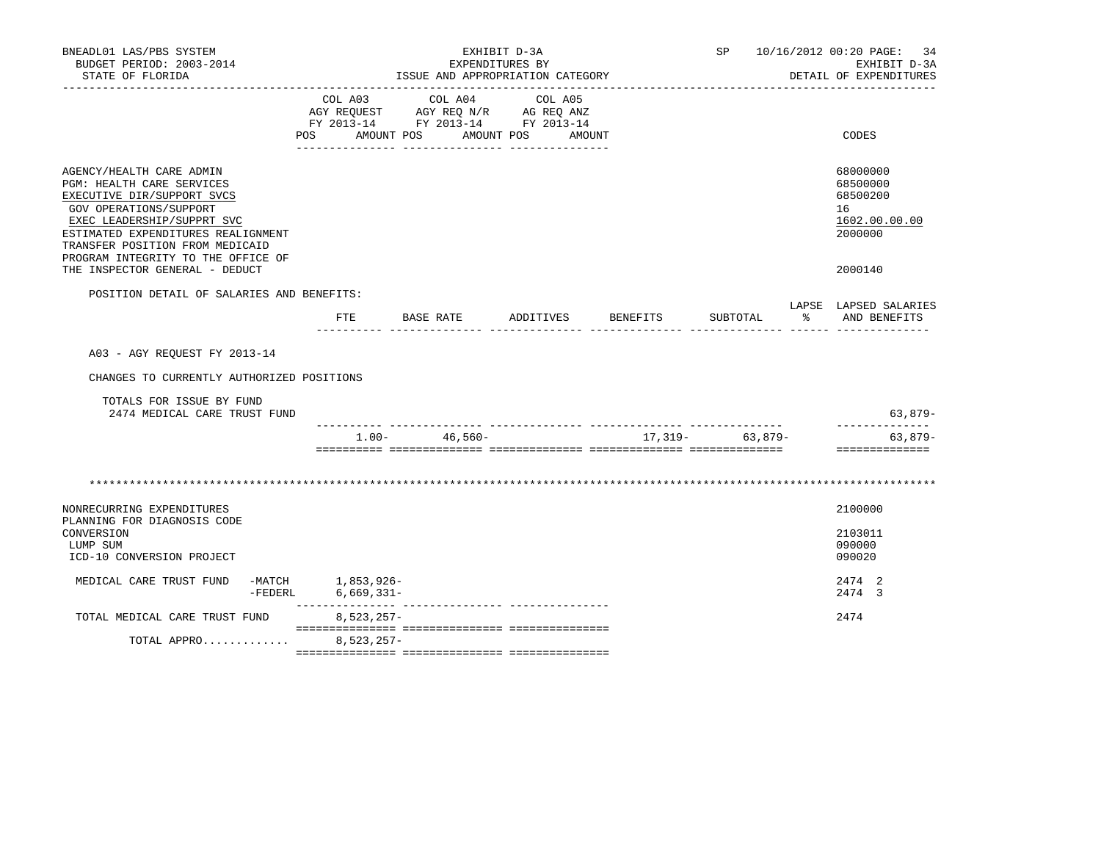| BNEADL01 LAS/PBS SYSTEM<br>BUDGET PERIOD: 2003-2014<br>STATE OF FLORIDA                                                                                                                                                                                    |                                                                                                                                                                                                               | ISSUE AND APPROPRIATION CATEGORY      | EXHIBIT D-3A<br>EXPENDITURES BY |                              |                    |                   |              | SP 10/16/2012 00:20 PAGE: 34<br>EXHIBIT D-3A<br>DETAIL OF EXPENDITURES |
|------------------------------------------------------------------------------------------------------------------------------------------------------------------------------------------------------------------------------------------------------------|---------------------------------------------------------------------------------------------------------------------------------------------------------------------------------------------------------------|---------------------------------------|---------------------------------|------------------------------|--------------------|-------------------|--------------|------------------------------------------------------------------------|
|                                                                                                                                                                                                                                                            | COL A03<br>$\begin{tabular}{lllllll} \bf AGY \,\, REQUEST \,\, &\bf AGY \,\, REQ \,\, N/R &\bf AG \,\, REQ \,\, ANZ \\ \bf FY \,\, 2013-14 &\bf FY \,\, 2013-14 &\bf FY \,\, 2013-14 \\ \end{tabular}$<br>POS | COL A04<br>AMOUNT POS<br>____________ |                                 | COL A05<br>AMOUNT POS AMOUNT |                    |                   |              | CODES                                                                  |
| AGENCY/HEALTH CARE ADMIN<br>PGM: HEALTH CARE SERVICES<br>EXECUTIVE DIR/SUPPORT SVCS<br>GOV OPERATIONS/SUPPORT<br>EXEC LEADERSHIP/SUPPRT SVC<br>ESTIMATED EXPENDITURES REALIGNMENT<br>TRANSFER POSITION FROM MEDICAID<br>PROGRAM INTEGRITY TO THE OFFICE OF |                                                                                                                                                                                                               |                                       |                                 |                              |                    |                   |              | 68000000<br>68500000<br>68500200<br>16<br>1602.00.00.00<br>2000000     |
| THE INSPECTOR GENERAL - DEDUCT                                                                                                                                                                                                                             |                                                                                                                                                                                                               |                                       |                                 |                              |                    |                   |              | 2000140                                                                |
| POSITION DETAIL OF SALARIES AND BENEFITS:                                                                                                                                                                                                                  | FTE                                                                                                                                                                                                           | BASE RATE                             |                                 |                              | ADDITIVES BENEFITS | SUBTOTAL          | $\mathbb{R}$ | LAPSE LAPSED SALARIES<br>AND BENEFITS                                  |
| A03 - AGY REOUEST FY 2013-14                                                                                                                                                                                                                               |                                                                                                                                                                                                               |                                       |                                 |                              |                    |                   |              |                                                                        |
|                                                                                                                                                                                                                                                            |                                                                                                                                                                                                               |                                       |                                 |                              |                    |                   |              |                                                                        |
| CHANGES TO CURRENTLY AUTHORIZED POSITIONS                                                                                                                                                                                                                  |                                                                                                                                                                                                               |                                       |                                 |                              |                    |                   |              |                                                                        |
| TOTALS FOR ISSUE BY FUND<br>2474 MEDICAL CARE TRUST FUND                                                                                                                                                                                                   |                                                                                                                                                                                                               |                                       |                                 |                              |                    |                   |              | 63,879-                                                                |
|                                                                                                                                                                                                                                                            |                                                                                                                                                                                                               | $1.00 - 46,560 -$                     |                                 |                              |                    | $17,319-$ 63,879- |              | _____________<br>$63,879-$<br>==============                           |
|                                                                                                                                                                                                                                                            |                                                                                                                                                                                                               |                                       |                                 |                              |                    |                   |              |                                                                        |
| NONRECURRING EXPENDITURES<br>PLANNING FOR DIAGNOSIS CODE                                                                                                                                                                                                   |                                                                                                                                                                                                               |                                       |                                 |                              |                    |                   |              | 2100000                                                                |
| CONVERSION<br>LUMP SUM<br>ICD-10 CONVERSION PROJECT                                                                                                                                                                                                        |                                                                                                                                                                                                               |                                       |                                 |                              |                    |                   |              | 2103011<br>090000<br>090020                                            |
| MEDICAL CARE TRUST FUND<br>$-$ FEDERL                                                                                                                                                                                                                      | -MATCH 1,853,926-<br>$6,669,331-$                                                                                                                                                                             |                                       |                                 |                              |                    |                   |              | 2474 2<br>2474 3                                                       |
| TOTAL MEDICAL CARE TRUST FUND                                                                                                                                                                                                                              | $8,523,257-$                                                                                                                                                                                                  |                                       |                                 |                              |                    |                   |              | 2474                                                                   |
| TOTAL APPRO                                                                                                                                                                                                                                                | $8,523,257-$                                                                                                                                                                                                  |                                       |                                 |                              |                    |                   |              |                                                                        |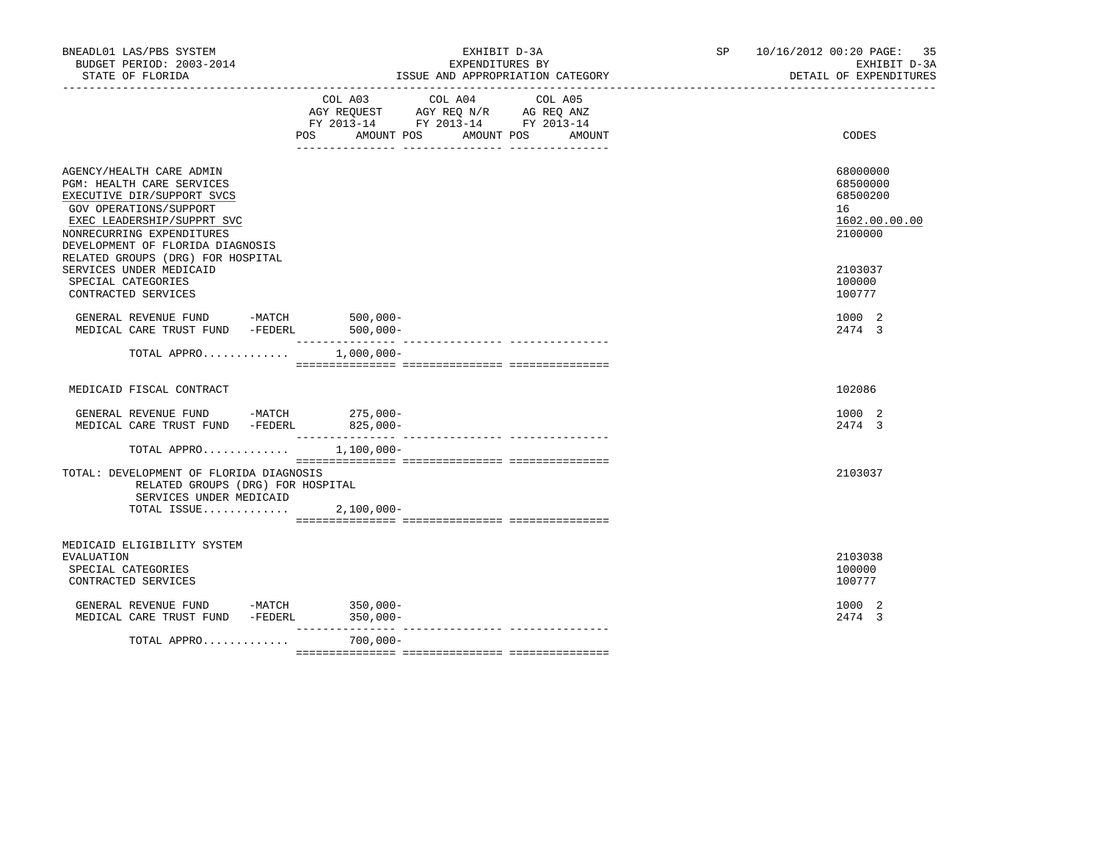| BNEADL01 LAS/PBS SYSTEM<br>BUDGET PERIOD: 2003-2014<br>STATE OF FLORIDA                                                                                                                                                                                                                                                                                                                                                                                           | EXHIBIT D-3A<br>EXPENDITURES BY<br>ISSUE AND APPROPRIATION CATEGORY                                                               |        | SP 10/16/2012 00:20 PAGE: 35<br>EXHIBIT D-3A<br>DETAIL OF EXPENDITURES |
|-------------------------------------------------------------------------------------------------------------------------------------------------------------------------------------------------------------------------------------------------------------------------------------------------------------------------------------------------------------------------------------------------------------------------------------------------------------------|-----------------------------------------------------------------------------------------------------------------------------------|--------|------------------------------------------------------------------------|
|                                                                                                                                                                                                                                                                                                                                                                                                                                                                   | COL A03 COL A04 COL A05<br>AGY REQUEST AGY REQ N/R AG REQ ANZ<br>FY 2013-14 FY 2013-14 FY 2013-14<br>AMOUNT POS AMOUNT POS<br>POS | AMOUNT | CODES                                                                  |
| AGENCY/HEALTH CARE ADMIN<br>PGM: HEALTH CARE SERVICES<br>EXECUTIVE DIR/SUPPORT SVCS<br>GOV OPERATIONS/SUPPORT<br>EXEC LEADERSHIP/SUPPRT SVC<br>NONRECURRING EXPENDITURES<br>DEVELOPMENT OF FLORIDA DIAGNOSIS<br>RELATED GROUPS (DRG) FOR HOSPITAL                                                                                                                                                                                                                 |                                                                                                                                   |        | 68000000<br>68500000<br>68500200<br>16<br>1602.00.00.00<br>2100000     |
| SERVICES UNDER MEDICAID<br>SPECIAL CATEGORIES<br>CONTRACTED SERVICES                                                                                                                                                                                                                                                                                                                                                                                              |                                                                                                                                   |        | 2103037<br>100000<br>100777                                            |
| GENERAL REVENUE FUND -MATCH $-$ 500,000-MEDICAL CARE TRUST FUND -FEDERL 500,000-                                                                                                                                                                                                                                                                                                                                                                                  |                                                                                                                                   |        | 1000 2<br>2474 3                                                       |
| TOTAL APPRO $1,000,000-$                                                                                                                                                                                                                                                                                                                                                                                                                                          |                                                                                                                                   |        |                                                                        |
| MEDICAID FISCAL CONTRACT                                                                                                                                                                                                                                                                                                                                                                                                                                          |                                                                                                                                   |        | 102086                                                                 |
| GENERAL REVENUE FUND -MATCH 275,000-<br>MEDICAL CARE TRUST FUND -FEDERL 825,000-                                                                                                                                                                                                                                                                                                                                                                                  |                                                                                                                                   |        | 1000 2<br>2474 3                                                       |
| TOTAL APPRO                                                                                                                                                                                                                                                                                                                                                                                                                                                       | $1,100,000 -$                                                                                                                     |        |                                                                        |
| TOTAL: DEVELOPMENT OF FLORIDA DIAGNOSIS<br>RELATED GROUPS (DRG) FOR HOSPITAL<br>SERVICES UNDER MEDICAID<br>TOTAL ISSUE                                                                                                                                                                                                                                                                                                                                            | $2,100,000 -$                                                                                                                     |        | 2103037                                                                |
| MEDICAID ELIGIBILITY SYSTEM<br><b>EVALUATION</b><br>SPECIAL CATEGORIES<br>CONTRACTED SERVICES                                                                                                                                                                                                                                                                                                                                                                     |                                                                                                                                   |        | 2103038<br>100000<br>100777                                            |
| $\begin{tabular}{lllllllll} \multicolumn{2}{c}{\textbf{GENERAL}} & \textbf{REVENUE} & \textbf{FUND} & & \multicolumn{2}{c}{\textbf{-MATCH}} & & 350,000-\\ \multicolumn{2}{c}{\textbf{MEDICAL CARE TRUST FUND}} & \multicolumn{2}{c}{\textbf{-FEDERL}} & & 350,000-\\ \multicolumn{2}{c}{\textbf{MEDICAL CARE TRUST FUND}} & \multicolumn{2}{c}{\textbf{-FEDERL}} & & 350,000-\\ \multicolumn{2}{c}{\textbf{MEDICAL CARE TRUST FUND}} & \multicolumn{2}{c}{\text$ |                                                                                                                                   |        | 1000 2<br>2474 3                                                       |
| TOTAL APPRO                                                                                                                                                                                                                                                                                                                                                                                                                                                       | $700,000 -$                                                                                                                       |        |                                                                        |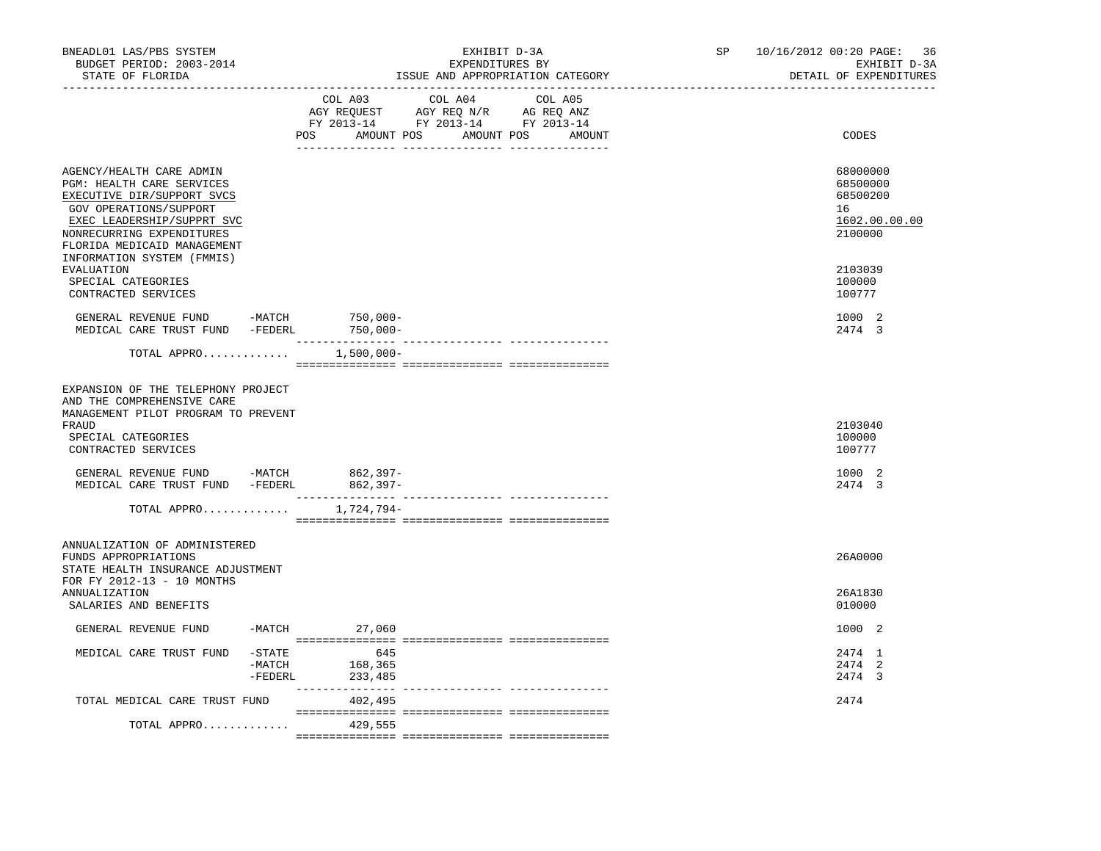| BNEADL01 LAS/PBS SYSTEM<br>BUDGET PERIOD: 2003-2014<br>STATE OF FLORIDA                                                                                                                                 | EXHIBIT D-3A<br>EXPENDITURES BY<br>ISSUE AND APPROPRIATION CATEGORY                                                                         | 10/16/2012 00:20 PAGE: 36<br>SP <sub>2</sub><br>EXHIBIT D-3A<br>DETAIL OF EXPENDITURES |
|---------------------------------------------------------------------------------------------------------------------------------------------------------------------------------------------------------|---------------------------------------------------------------------------------------------------------------------------------------------|----------------------------------------------------------------------------------------|
|                                                                                                                                                                                                         | COL A03<br>COL A04<br>COL A05<br>AGY REQUEST AGY REQ N/R AG REQ ANZ<br>FY 2013-14 FY 2013-14 FY 2013-14<br>POS AMOUNT POS AMOUNT POS AMOUNT | CODES                                                                                  |
| AGENCY/HEALTH CARE ADMIN<br>PGM: HEALTH CARE SERVICES<br>EXECUTIVE DIR/SUPPORT SVCS<br>GOV OPERATIONS/SUPPORT<br>EXEC LEADERSHIP/SUPPRT SVC<br>NONRECURRING EXPENDITURES<br>FLORIDA MEDICAID MANAGEMENT |                                                                                                                                             | 68000000<br>68500000<br>68500200<br>16<br>1602.00.00.00<br>2100000                     |
| INFORMATION SYSTEM (FMMIS)<br>EVALUATION<br>SPECIAL CATEGORIES<br>CONTRACTED SERVICES                                                                                                                   |                                                                                                                                             | 2103039<br>100000<br>100777                                                            |
| GENERAL REVENUE FUND -MATCH $750,000-$ MEDICAL CARE TRUST FUND -FEDERL $750,000-$                                                                                                                       |                                                                                                                                             | 1000 2<br>2474 3                                                                       |
| TOTAL APPRO 1,500,000-                                                                                                                                                                                  |                                                                                                                                             |                                                                                        |
| EXPANSION OF THE TELEPHONY PROJECT<br>AND THE COMPREHENSIVE CARE<br>MANAGEMENT PILOT PROGRAM TO PREVENT<br>FRAUD<br>SPECIAL CATEGORIES<br>CONTRACTED SERVICES                                           |                                                                                                                                             | 2103040<br>100000<br>100777                                                            |
| GENERAL REVENUE FUND -MATCH<br>MEDICAL CARE TRUST FUND -FEDERL 862,397-                                                                                                                                 | 862,397-                                                                                                                                    | 1000 2<br>2474 3                                                                       |
| TOTAL APPRO                                                                                                                                                                                             | 1,724,794-                                                                                                                                  |                                                                                        |
| ANNUALIZATION OF ADMINISTERED<br>FUNDS APPROPRIATIONS<br>STATE HEALTH INSURANCE ADJUSTMENT<br>FOR FY 2012-13 - 10 MONTHS                                                                                |                                                                                                                                             | 26A0000                                                                                |
| <b>ANNUALIZATION</b><br>SALARIES AND BENEFITS                                                                                                                                                           |                                                                                                                                             | 26A1830<br>010000                                                                      |
| GENERAL REVENUE FUND                                                                                                                                                                                    | $-MATCH$ 27,060                                                                                                                             | 1000 2                                                                                 |
| $-$ STATE<br>MEDICAL CARE TRUST FUND<br>-MATCH<br>-FEDERL                                                                                                                                               | 645<br>168,365<br>233,485                                                                                                                   | 2474 1<br>2474 2<br>2474 3                                                             |
| TOTAL MEDICAL CARE TRUST FUND                                                                                                                                                                           | 402,495                                                                                                                                     | 2474                                                                                   |
| TOTAL APPRO                                                                                                                                                                                             | 429,555                                                                                                                                     |                                                                                        |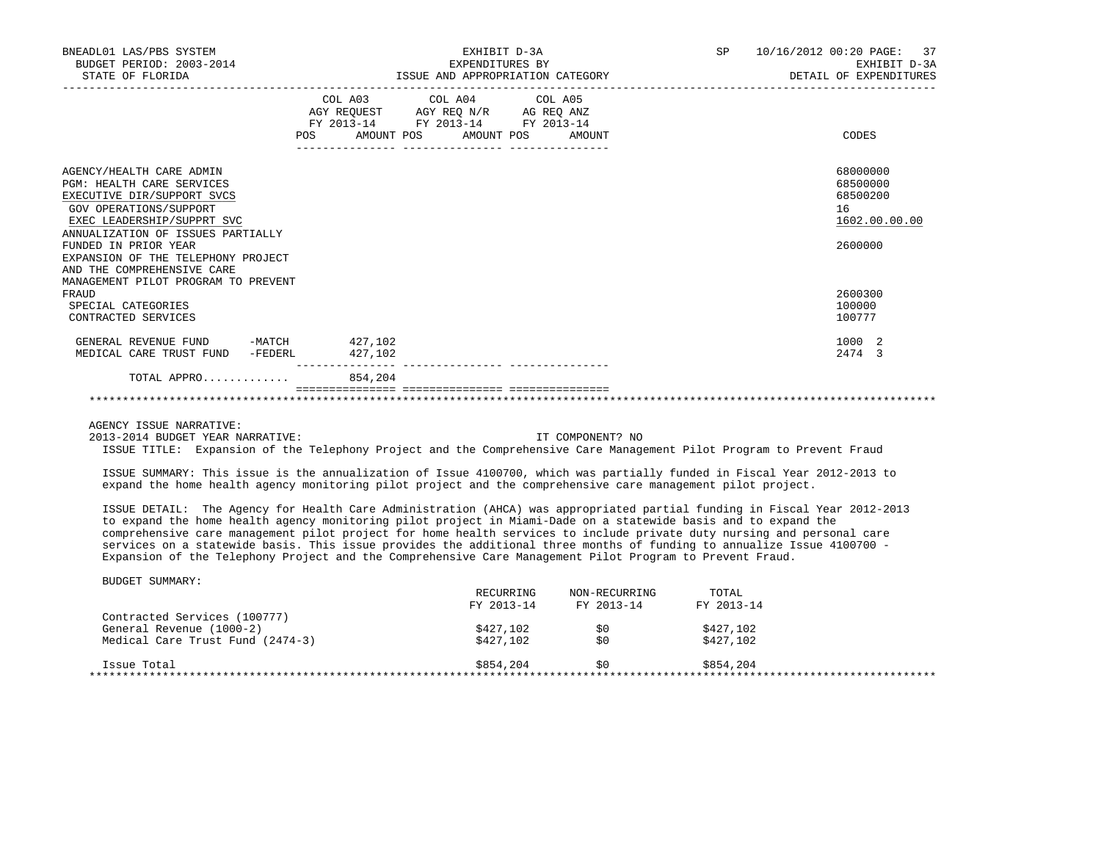| BNEADL01 LAS/PBS SYSTEM<br>BUDGET PERIOD: 2003-2014<br>STATE OF FLORIDA                                                                                                                                                                                                                                                    |                                                                                                                                                                                                                                                                                                 | EXHIBIT D-3A<br>EXPENDITURES BY<br>ISSUE AND APPROPRIATION CATEGORY | 10/16/2012 00:20 PAGE: 37<br>SP <sub>2</sub><br>EXHIBIT D-3A<br>DETAIL OF EXPENDITURES |                                                                    |  |
|----------------------------------------------------------------------------------------------------------------------------------------------------------------------------------------------------------------------------------------------------------------------------------------------------------------------------|-------------------------------------------------------------------------------------------------------------------------------------------------------------------------------------------------------------------------------------------------------------------------------------------------|---------------------------------------------------------------------|----------------------------------------------------------------------------------------|--------------------------------------------------------------------|--|
|                                                                                                                                                                                                                                                                                                                            | COL A03 COL A04 COL A05<br>$\begin{tabular}{lllllll} AGY & \texttt{REQUEST} & \texttt{AGY} & \texttt{REG} & \texttt{N/R} & \texttt{AG} & \texttt{REQ} & \texttt{ANZ} \end{tabular}$<br>FY 2013-14 FY 2013-14 FY 2013-14<br>POS AMOUNT POS AMOUNT POS AMOUNT<br>--------------- ---------------- |                                                                     |                                                                                        | CODES                                                              |  |
| AGENCY/HEALTH CARE ADMIN<br><b>PGM: HEALTH CARE SERVICES</b><br>EXECUTIVE DIR/SUPPORT SVCS<br>GOV OPERATIONS/SUPPORT<br>EXEC LEADERSHIP/SUPPRT SVC<br>ANNUALIZATION OF ISSUES PARTIALLY<br>FUNDED IN PRIOR YEAR<br>EXPANSION OF THE TELEPHONY PROJECT<br>AND THE COMPREHENSIVE CARE<br>MANAGEMENT PILOT PROGRAM TO PREVENT |                                                                                                                                                                                                                                                                                                 |                                                                     |                                                                                        | 68000000<br>68500000<br>68500200<br>16<br>1602.00.00.00<br>2600000 |  |
| FRAUD<br>SPECIAL CATEGORIES<br>CONTRACTED SERVICES                                                                                                                                                                                                                                                                         |                                                                                                                                                                                                                                                                                                 |                                                                     |                                                                                        | 2600300<br>100000<br>100777                                        |  |
| GENERAL REVENUE FUND -MATCH 427,102<br>MEDICAL CARE TRUST FUND<br>-FEDERL                                                                                                                                                                                                                                                  | 427,102                                                                                                                                                                                                                                                                                         |                                                                     |                                                                                        | 1000 2<br>2474 3                                                   |  |
| TOTAL APPRO                                                                                                                                                                                                                                                                                                                | 854,204                                                                                                                                                                                                                                                                                         |                                                                     |                                                                                        |                                                                    |  |

AGENCY ISSUE NARRATIVE:

2013-2014 BUDGET YEAR NARRATIVE: IT COMPONENT? NO

ISSUE TITLE: Expansion of the Telephony Project and the Comprehensive Care Management Pilot Program to Prevent Fraud

 ISSUE SUMMARY: This issue is the annualization of Issue 4100700, which was partially funded in Fiscal Year 2012-2013 to expand the home health agency monitoring pilot project and the comprehensive care management pilot project.

 ISSUE DETAIL: The Agency for Health Care Administration (AHCA) was appropriated partial funding in Fiscal Year 2012-2013 to expand the home health agency monitoring pilot project in Miami-Dade on a statewide basis and to expand the comprehensive care management pilot project for home health services to include private duty nursing and personal care services on a statewide basis. This issue provides the additional three months of funding to annualize Issue 4100700 - Expansion of the Telephony Project and the Comprehensive Care Management Pilot Program to Prevent Fraud.

|                                  | RECURRING  | NON-RECURRING | TOTAL      |
|----------------------------------|------------|---------------|------------|
|                                  | FY 2013-14 | FY 2013-14    | FY 2013-14 |
| Contracted Services (100777)     |            |               |            |
| General Revenue (1000-2)         | \$427,102  | S0            | \$427,102  |
| Medical Care Trust Fund (2474-3) | \$427,102  | \$0           | \$427,102  |
| Issue Total                      | \$854,204  | S0            | \$854,204  |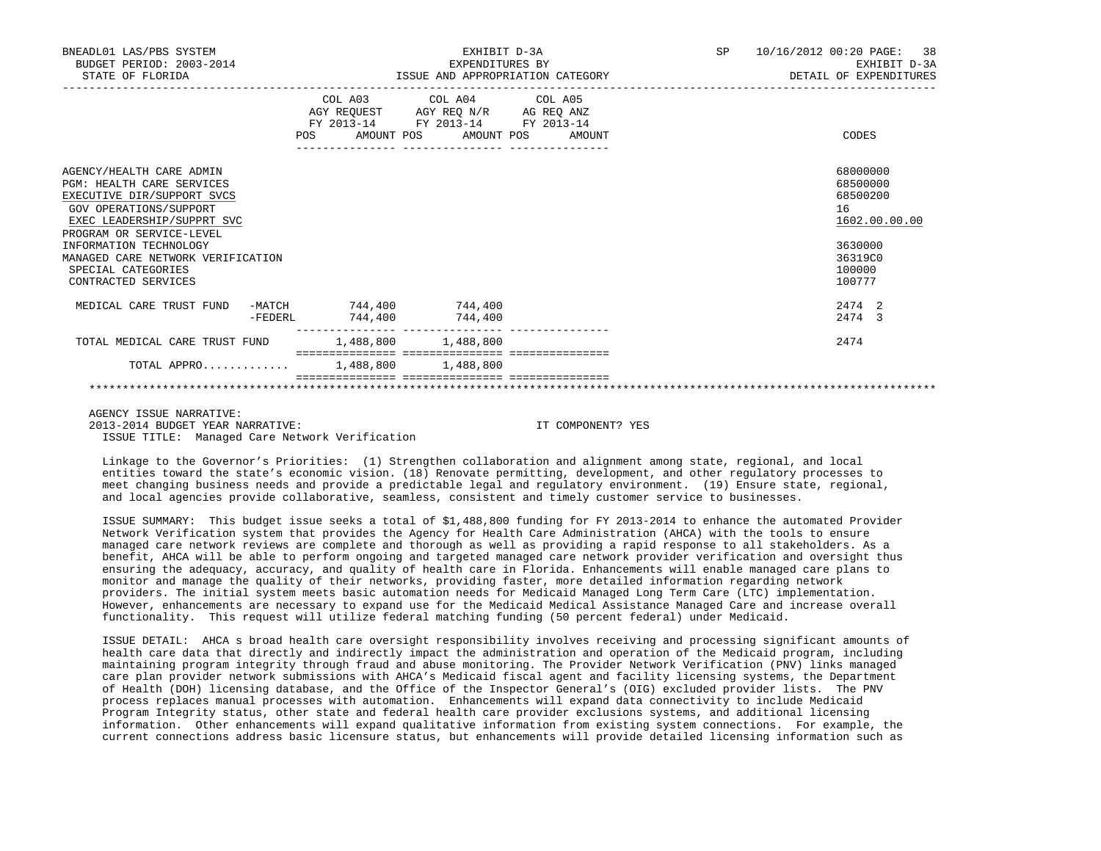| BNEADL01 LAS/PBS SYSTEM<br>BUDGET PERIOD: 2003-2014<br>STATE OF FLORIDA                                                                                                                                                                                                                           |                           | EXHIBIT D-3A<br>EXPENDITURES BY<br>ISSUE AND APPROPRIATION CATEGORY                                                               | SP 10/16/2012 00:20 PAGE: 38<br>EXHIBIT D-3A<br>DETAIL OF EXPENDITURES                            |
|---------------------------------------------------------------------------------------------------------------------------------------------------------------------------------------------------------------------------------------------------------------------------------------------------|---------------------------|-----------------------------------------------------------------------------------------------------------------------------------|---------------------------------------------------------------------------------------------------|
|                                                                                                                                                                                                                                                                                                   | POS                       | COL A03 COL A04 COL A05<br>AGY REQUEST AGY REQ N/R AG REQ ANZ<br>FY 2013-14 FY 2013-14 FY 2013-14<br>AMOUNT POS AMOUNT POS AMOUNT | CODES                                                                                             |
| AGENCY/HEALTH CARE ADMIN<br><b>PGM: HEALTH CARE SERVICES</b><br>EXECUTIVE DIR/SUPPORT SVCS<br><b>GOV OPERATIONS/SUPPORT</b><br>EXEC LEADERSHIP/SUPPRT SVC<br>PROGRAM OR SERVICE-LEVEL<br>INFORMATION TECHNOLOGY<br>MANAGED CARE NETWORK VERIFICATION<br>SPECIAL CATEGORIES<br>CONTRACTED SERVICES |                           |                                                                                                                                   | 68000000<br>68500000<br>68500200<br>16<br>1602.00.00.00<br>3630000<br>36319C0<br>100000<br>100777 |
| MEDICAL CARE TRUST FUND<br>-FEDERL                                                                                                                                                                                                                                                                | -MATCH 744,400<br>744,400 | 744,400<br>744,400                                                                                                                | 2.474 2<br>2474 3                                                                                 |
| TOTAL MEDICAL CARE TRUST FUND                                                                                                                                                                                                                                                                     | 1,488,800 1,488,800       |                                                                                                                                   | 2474                                                                                              |
| TOTAL APPRO 1,488,800 1,488,800                                                                                                                                                                                                                                                                   |                           |                                                                                                                                   |                                                                                                   |
|                                                                                                                                                                                                                                                                                                   |                           |                                                                                                                                   |                                                                                                   |

 AGENCY ISSUE NARRATIVE: 2013-2014 BUDGET YEAR NARRATIVE: IT COMPONENT? YES ISSUE TITLE: Managed Care Network Verification

 Linkage to the Governor's Priorities: (1) Strengthen collaboration and alignment among state, regional, and local entities toward the state's economic vision. (18) Renovate permitting, development, and other regulatory processes to meet changing business needs and provide a predictable legal and regulatory environment. (19) Ensure state, regional, and local agencies provide collaborative, seamless, consistent and timely customer service to businesses.

 ISSUE SUMMARY: This budget issue seeks a total of \$1,488,800 funding for FY 2013-2014 to enhance the automated Provider Network Verification system that provides the Agency for Health Care Administration (AHCA) with the tools to ensure managed care network reviews are complete and thorough as well as providing a rapid response to all stakeholders. As a benefit, AHCA will be able to perform ongoing and targeted managed care network provider verification and oversight thus ensuring the adequacy, accuracy, and quality of health care in Florida. Enhancements will enable managed care plans to monitor and manage the quality of their networks, providing faster, more detailed information regarding network providers. The initial system meets basic automation needs for Medicaid Managed Long Term Care (LTC) implementation. However, enhancements are necessary to expand use for the Medicaid Medical Assistance Managed Care and increase overall functionality. This request will utilize federal matching funding (50 percent federal) under Medicaid.

 ISSUE DETAIL: AHCA s broad health care oversight responsibility involves receiving and processing significant amounts of health care data that directly and indirectly impact the administration and operation of the Medicaid program, including maintaining program integrity through fraud and abuse monitoring. The Provider Network Verification (PNV) links managed care plan provider network submissions with AHCA's Medicaid fiscal agent and facility licensing systems, the Department of Health (DOH) licensing database, and the Office of the Inspector General's (OIG) excluded provider lists. The PNV process replaces manual processes with automation. Enhancements will expand data connectivity to include Medicaid Program Integrity status, other state and federal health care provider exclusions systems, and additional licensing information. Other enhancements will expand qualitative information from existing system connections. For example, the current connections address basic licensure status, but enhancements will provide detailed licensing information such as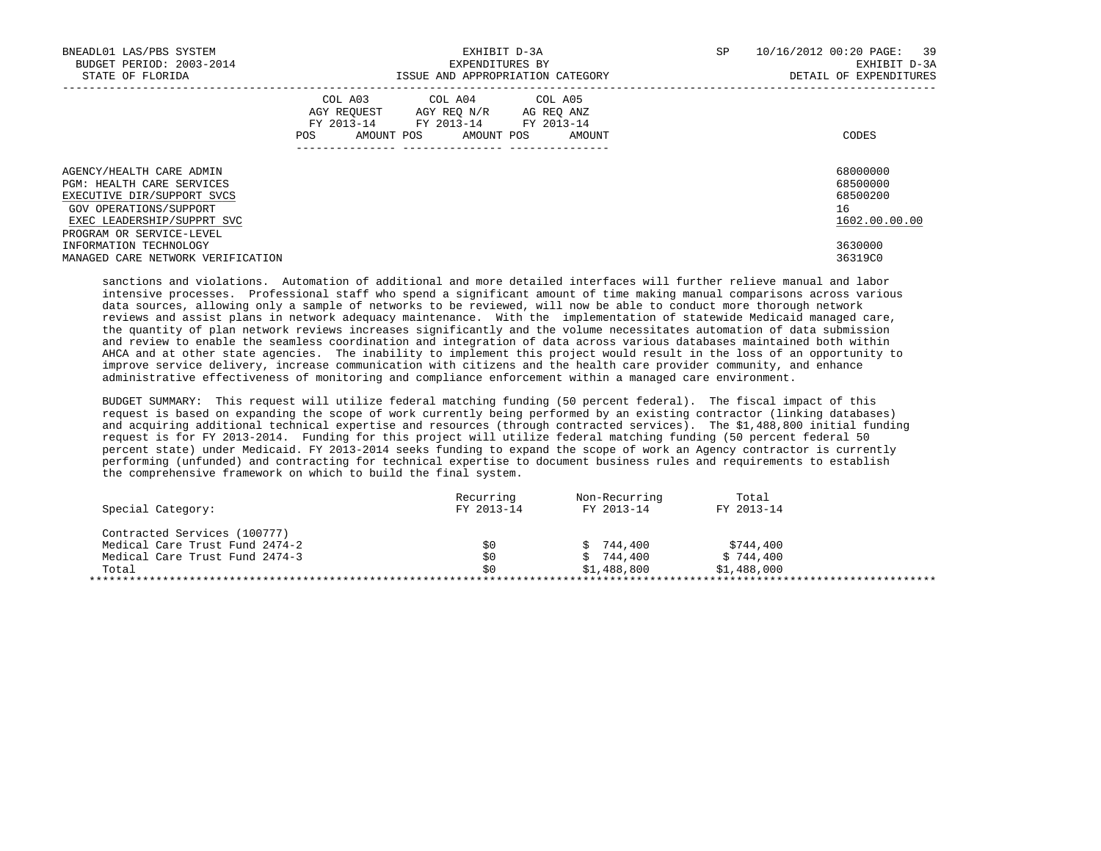| BNEADL01 LAS/PBS SYSTEM<br>BUDGET PERIOD: 2003-2014<br>STATE OF FLORIDA                    | EXHIBIT D-3A<br>EXPENDITURES BY<br>ISSUE AND APPROPRIATION CATEGORY                                                                                     | 10/16/2012 00:20 PAGE: 39<br>SP<br>EXHIBIT D-3A<br>DETAIL OF EXPENDITURES |
|--------------------------------------------------------------------------------------------|---------------------------------------------------------------------------------------------------------------------------------------------------------|---------------------------------------------------------------------------|
|                                                                                            | COL A03<br>COL A04 COL A05<br>AGY REOUEST<br>AGY REO N/R<br>AG REQ ANZ<br>FY 2013-14 FY 2013-14 FY 2013-14<br>AMOUNT POS<br>AMOUNT POS<br>POS<br>AMOUNT | CODES                                                                     |
| AGENCY/HEALTH CARE ADMIN<br><b>PGM: HEALTH CARE SERVICES</b><br>EXECUTIVE DIR/SUPPORT SVCS |                                                                                                                                                         | 68000000<br>68500000<br>68500200                                          |
| GOV OPERATIONS/SUPPORT<br>EXEC LEADERSHIP/SUPPRT SVC                                       |                                                                                                                                                         | 16<br>1602.00.00.00                                                       |
| PROGRAM OR SERVICE-LEVEL<br>INFORMATION TECHNOLOGY<br>MANAGED CARE NETWORK VERIFICATION    |                                                                                                                                                         | 3630000<br>36319C0                                                        |

 sanctions and violations. Automation of additional and more detailed interfaces will further relieve manual and labor intensive processes. Professional staff who spend a significant amount of time making manual comparisons across various data sources, allowing only a sample of networks to be reviewed, will now be able to conduct more thorough network reviews and assist plans in network adequacy maintenance. With the implementation of statewide Medicaid managed care, the quantity of plan network reviews increases significantly and the volume necessitates automation of data submission and review to enable the seamless coordination and integration of data across various databases maintained both within AHCA and at other state agencies. The inability to implement this project would result in the loss of an opportunity to improve service delivery, increase communication with citizens and the health care provider community, and enhance administrative effectiveness of monitoring and compliance enforcement within a managed care environment.

 BUDGET SUMMARY: This request will utilize federal matching funding (50 percent federal). The fiscal impact of this request is based on expanding the scope of work currently being performed by an existing contractor (linking databases) and acquiring additional technical expertise and resources (through contracted services). The \$1,488,800 initial funding request is for FY 2013-2014. Funding for this project will utilize federal matching funding (50 percent federal 50 percent state) under Medicaid. FY 2013-2014 seeks funding to expand the scope of work an Agency contractor is currently performing (unfunded) and contracting for technical expertise to document business rules and requirements to establish the comprehensive framework on which to build the final system.

|                                | Recurring  | Non-Recurring | Total       |
|--------------------------------|------------|---------------|-------------|
| Special Category:              | FY 2013-14 | FY 2013-14    | FY 2013-14  |
| Contracted Services (100777)   |            |               |             |
| Medical Care Trust Fund 2474-2 | \$0        | \$744.400     | \$744,400   |
| Medical Care Trust Fund 2474-3 | \$0        | \$744.400     | \$744,400   |
| Total                          | \$0        | \$1,488,800   | \$1,488,000 |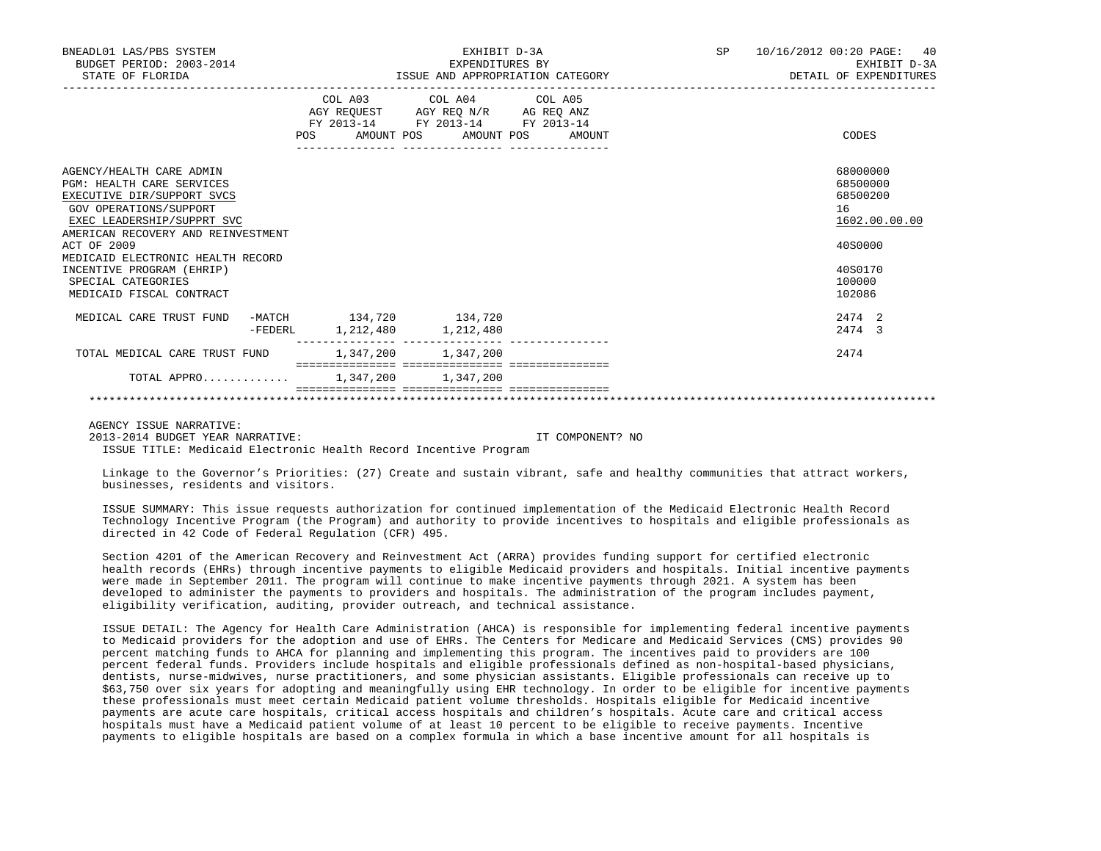| BNEADL01 LAS/PBS SYSTEM<br>BUDGET PERIOD: 2003-2014<br>STATE OF FLORIDA |  | EXHIBIT D-3A<br>EXPENDITURES BY | ISSUE AND APPROPRIATION CATEGORY                                       | SP<br>10/16/2012 00:20 PAGE:<br>EXHIBIT D-3A<br>DETAIL OF EXPENDITURES |  |                      |
|-------------------------------------------------------------------------|--|---------------------------------|------------------------------------------------------------------------|------------------------------------------------------------------------|--|----------------------|
|                                                                         |  |                                 | COL A03 COL A04 COL A05                                                |                                                                        |  |                      |
|                                                                         |  |                                 | AGY REQUEST AGY REQ N/R AG REQ ANZ<br>FY 2013-14 FY 2013-14 FY 2013-14 |                                                                        |  |                      |
|                                                                         |  |                                 | POS AMOUNT POS AMOUNT POS AMOUNT                                       |                                                                        |  | CODES                |
|                                                                         |  |                                 |                                                                        |                                                                        |  |                      |
| AGENCY/HEALTH CARE ADMIN<br><b>PGM: HEALTH CARE SERVICES</b>            |  |                                 |                                                                        |                                                                        |  | 68000000<br>68500000 |
| EXECUTIVE DIR/SUPPORT SVCS                                              |  |                                 |                                                                        |                                                                        |  | 68500200             |
| <b>GOV OPERATIONS/SUPPORT</b>                                           |  |                                 |                                                                        |                                                                        |  | 16                   |
| EXEC LEADERSHIP/SUPPRT SVC                                              |  |                                 |                                                                        |                                                                        |  | 1602.00.00.00        |
| AMERICAN RECOVERY AND REINVESTMENT                                      |  |                                 |                                                                        |                                                                        |  |                      |
| ACT OF 2009                                                             |  |                                 |                                                                        |                                                                        |  | 40S0000              |
| MEDICAID ELECTRONIC HEALTH RECORD                                       |  |                                 |                                                                        |                                                                        |  |                      |
| INCENTIVE PROGRAM (EHRIP)                                               |  |                                 |                                                                        |                                                                        |  | 40S0170              |
| SPECIAL CATEGORIES                                                      |  |                                 |                                                                        |                                                                        |  | 100000<br>102086     |
| MEDICAID FISCAL CONTRACT                                                |  |                                 |                                                                        |                                                                        |  |                      |
| MEDICAL CARE TRUST FUND                                                 |  | -MATCH 134,720 134,720          |                                                                        |                                                                        |  | 2474 2               |
|                                                                         |  | -FEDERL 1, 212, 480 1, 212, 480 |                                                                        |                                                                        |  | 2474 3               |
| TOTAL MEDICAL CARE TRUST FUND                                           |  | 1,347,200 1,347,200             |                                                                        |                                                                        |  | 2474                 |
| TOTAL APPRO 1.347.200 1.347.200                                         |  |                                 |                                                                        |                                                                        |  |                      |
|                                                                         |  |                                 |                                                                        |                                                                        |  |                      |

AGENCY ISSUE NARRATIVE:

2013-2014 BUDGET YEAR NARRATIVE: IT COMPONENT? NO

ISSUE TITLE: Medicaid Electronic Health Record Incentive Program

 Linkage to the Governor's Priorities: (27) Create and sustain vibrant, safe and healthy communities that attract workers, businesses, residents and visitors.

 ISSUE SUMMARY: This issue requests authorization for continued implementation of the Medicaid Electronic Health Record Technology Incentive Program (the Program) and authority to provide incentives to hospitals and eligible professionals as directed in 42 Code of Federal Regulation (CFR) 495.

 Section 4201 of the American Recovery and Reinvestment Act (ARRA) provides funding support for certified electronic health records (EHRs) through incentive payments to eligible Medicaid providers and hospitals. Initial incentive payments were made in September 2011. The program will continue to make incentive payments through 2021. A system has been developed to administer the payments to providers and hospitals. The administration of the program includes payment, eligibility verification, auditing, provider outreach, and technical assistance.

 ISSUE DETAIL: The Agency for Health Care Administration (AHCA) is responsible for implementing federal incentive payments to Medicaid providers for the adoption and use of EHRs. The Centers for Medicare and Medicaid Services (CMS) provides 90 percent matching funds to AHCA for planning and implementing this program. The incentives paid to providers are 100 percent federal funds. Providers include hospitals and eligible professionals defined as non-hospital-based physicians, dentists, nurse-midwives, nurse practitioners, and some physician assistants. Eligible professionals can receive up to \$63,750 over six years for adopting and meaningfully using EHR technology. In order to be eligible for incentive payments these professionals must meet certain Medicaid patient volume thresholds. Hospitals eligible for Medicaid incentive payments are acute care hospitals, critical access hospitals and children's hospitals. Acute care and critical access hospitals must have a Medicaid patient volume of at least 10 percent to be eligible to receive payments. Incentive payments to eligible hospitals are based on a complex formula in which a base incentive amount for all hospitals is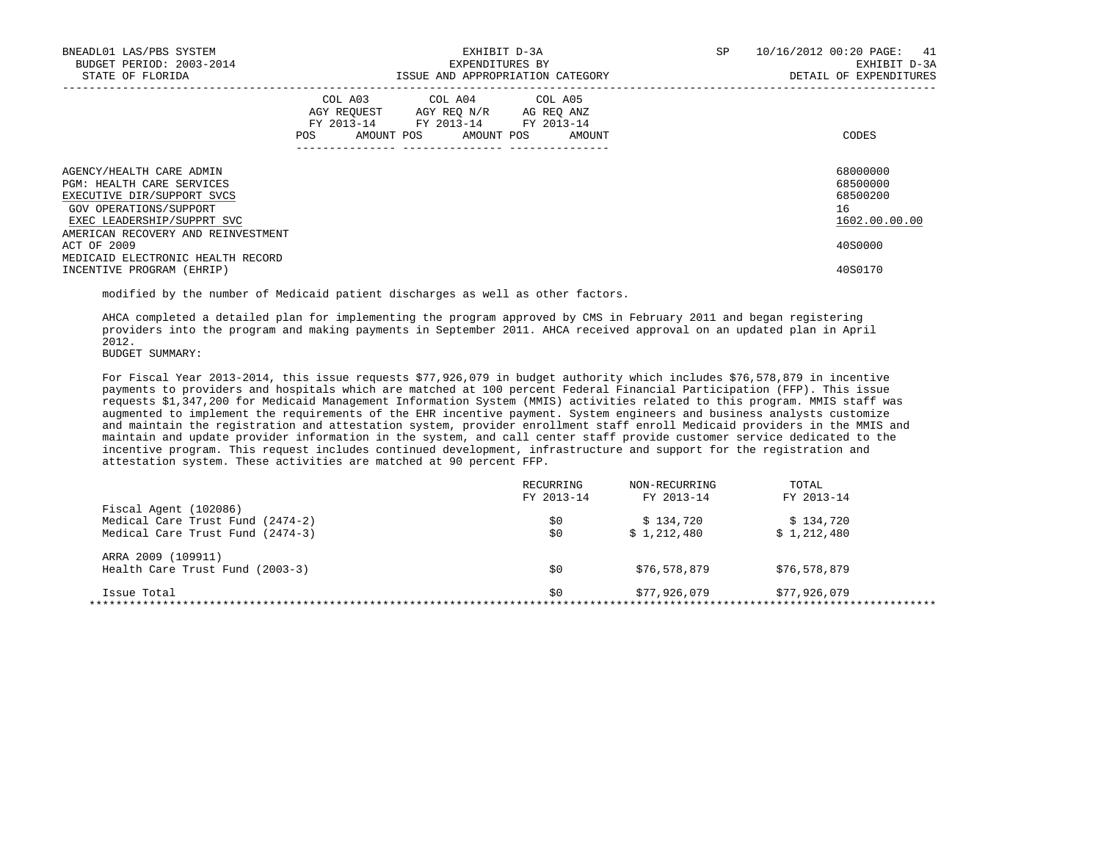| BNEADL01 LAS/PBS SYSTEM<br>BUDGET PERIOD: 2003-2014<br>STATE OF FLORIDA                                                                     |     | EXHIBIT D-3A<br>EXPENDITURES BY<br>ISSUE AND APPROPRIATION CATEGORY                                                               | SP | 10/16/2012 00:20 PAGE: 41<br>EXHIBIT D-3A<br>DETAIL OF EXPENDITURES |
|---------------------------------------------------------------------------------------------------------------------------------------------|-----|-----------------------------------------------------------------------------------------------------------------------------------|----|---------------------------------------------------------------------|
|                                                                                                                                             | POS | COL A03 COL A04 COL A05<br>AGY REQUEST AGY REO N/R AG REO ANZ<br>FY 2013-14 FY 2013-14 FY 2013-14<br>AMOUNT POS AMOUNT POS AMOUNT |    | CODES                                                               |
| AGENCY/HEALTH CARE ADMIN<br>PGM: HEALTH CARE SERVICES<br>EXECUTIVE DIR/SUPPORT SVCS<br>GOV OPERATIONS/SUPPORT<br>EXEC LEADERSHIP/SUPPRT SVC |     |                                                                                                                                   |    | 68000000<br>68500000<br>68500200<br>16<br>1602.00.00.00             |
| AMERICAN RECOVERY AND REINVESTMENT<br>ACT OF 2009<br>MEDICAID ELECTRONIC HEALTH RECORD<br>INCENTIVE PROGRAM (EHRIP)                         |     |                                                                                                                                   |    | 40S0000<br>40S0170                                                  |

modified by the number of Medicaid patient discharges as well as other factors.

 AHCA completed a detailed plan for implementing the program approved by CMS in February 2011 and began registering providers into the program and making payments in September 2011. AHCA received approval on an updated plan in April 2012.

BUDGET SUMMARY:

 For Fiscal Year 2013-2014, this issue requests \$77,926,079 in budget authority which includes \$76,578,879 in incentive payments to providers and hospitals which are matched at 100 percent Federal Financial Participation (FFP). This issue requests \$1,347,200 for Medicaid Management Information System (MMIS) activities related to this program. MMIS staff was augmented to implement the requirements of the EHR incentive payment. System engineers and business analysts customize and maintain the registration and attestation system, provider enrollment staff enroll Medicaid providers in the MMIS and maintain and update provider information in the system, and call center staff provide customer service dedicated to the incentive program. This request includes continued development, infrastructure and support for the registration and attestation system. These activities are matched at 90 percent FFP.

|                                  | RECURRING  | NON-RECURRING | <b>TOTAL</b> |
|----------------------------------|------------|---------------|--------------|
|                                  | FY 2013-14 | FY 2013-14    | FY 2013-14   |
| Fiscal Agent (102086)            |            |               |              |
| Medical Care Trust Fund (2474-2) | \$0        | \$134.720     | \$134.720    |
| Medical Care Trust Fund (2474-3) | \$0        | \$1,212,480   | \$1,212,480  |
| ARRA 2009 (109911)               |            |               |              |
| Health Care Trust Fund (2003-3)  | \$0        | \$76,578,879  | \$76,578,879 |
| Issue Total                      | \$0        | \$77,926,079  | \$77,926,079 |
|                                  |            |               |              |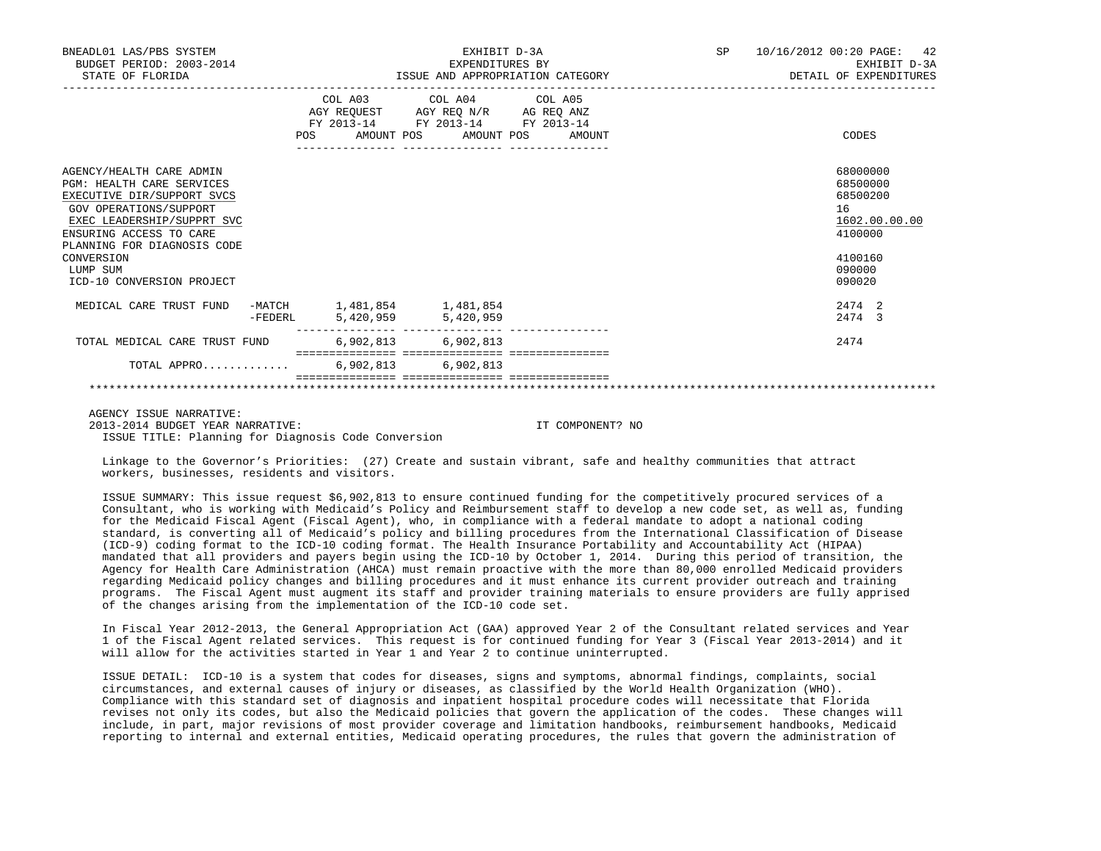| BNEADL01 LAS/PBS SYSTEM<br>BUDGET PERIOD: 2003-2014<br>STATE OF FLORIDA                                                                                                                                                                                                    |         |     |            | EXHIBIT D-3A<br>EXPENDITURES BY<br>ISSUE AND APPROPRIATION CATEGORY                               |                   | SP | 10/16/2012 00:20 PAGE: 42<br>EXHIBIT D-3A<br>DETAIL OF EXPENDITURES                               |
|----------------------------------------------------------------------------------------------------------------------------------------------------------------------------------------------------------------------------------------------------------------------------|---------|-----|------------|---------------------------------------------------------------------------------------------------|-------------------|----|---------------------------------------------------------------------------------------------------|
|                                                                                                                                                                                                                                                                            |         | POS | AMOUNT POS | COL A03 COL A04 COL A05<br>AGY REQUEST AGY REQ N/R AG REQ ANZ<br>FY 2013-14 FY 2013-14 FY 2013-14 | AMOUNT POS AMOUNT |    | CODES                                                                                             |
| AGENCY/HEALTH CARE ADMIN<br><b>PGM: HEALTH CARE SERVICES</b><br>EXECUTIVE DIR/SUPPORT SVCS<br><b>GOV OPERATIONS/SUPPORT</b><br>EXEC LEADERSHIP/SUPPRT SVC<br>ENSURING ACCESS TO CARE<br>PLANNING FOR DIAGNOSIS CODE<br>CONVERSION<br>LUMP SUM<br>ICD-10 CONVERSION PROJECT |         |     |            |                                                                                                   |                   |    | 68000000<br>68500000<br>68500200<br>16<br>1602.00.00.00<br>4100000<br>4100160<br>090000<br>090020 |
| MEDICAL CARE TRUST FUND                                                                                                                                                                                                                                                    | -FEDERL |     |            | -MATCH 1,481,854 1,481,854<br>5,420,959 5,420,959                                                 |                   |    | 2.474 2<br>2474 3                                                                                 |
| TOTAL MEDICAL CARE TRUST FUND                                                                                                                                                                                                                                              |         |     |            | 6,902,813 6,902,813                                                                               |                   |    | 2474                                                                                              |
| TOTAL APPRO 6,902,813 6,902,813                                                                                                                                                                                                                                            |         |     |            |                                                                                                   |                   |    |                                                                                                   |
|                                                                                                                                                                                                                                                                            |         |     |            |                                                                                                   |                   |    |                                                                                                   |

 AGENCY ISSUE NARRATIVE: 2013-2014 BUDGET YEAR NARRATIVE: IT COMPONENT? NO ISSUE TITLE: Planning for Diagnosis Code Conversion

 Linkage to the Governor's Priorities: (27) Create and sustain vibrant, safe and healthy communities that attract workers, businesses, residents and visitors.

 ISSUE SUMMARY: This issue request \$6,902,813 to ensure continued funding for the competitively procured services of a Consultant, who is working with Medicaid's Policy and Reimbursement staff to develop a new code set, as well as, funding for the Medicaid Fiscal Agent (Fiscal Agent), who, in compliance with a federal mandate to adopt a national coding standard, is converting all of Medicaid's policy and billing procedures from the International Classification of Disease (ICD-9) coding format to the ICD-10 coding format. The Health Insurance Portability and Accountability Act (HIPAA) mandated that all providers and payers begin using the ICD-10 by October 1, 2014. During this period of transition, the Agency for Health Care Administration (AHCA) must remain proactive with the more than 80,000 enrolled Medicaid providers regarding Medicaid policy changes and billing procedures and it must enhance its current provider outreach and training programs. The Fiscal Agent must augment its staff and provider training materials to ensure providers are fully apprised of the changes arising from the implementation of the ICD-10 code set.

 In Fiscal Year 2012-2013, the General Appropriation Act (GAA) approved Year 2 of the Consultant related services and Year 1 of the Fiscal Agent related services. This request is for continued funding for Year 3 (Fiscal Year 2013-2014) and it will allow for the activities started in Year 1 and Year 2 to continue uninterrupted.

 ISSUE DETAIL: ICD-10 is a system that codes for diseases, signs and symptoms, abnormal findings, complaints, social circumstances, and external causes of injury or diseases, as classified by the World Health Organization (WHO). Compliance with this standard set of diagnosis and inpatient hospital procedure codes will necessitate that Florida revises not only its codes, but also the Medicaid policies that govern the application of the codes. These changes will include, in part, major revisions of most provider coverage and limitation handbooks, reimbursement handbooks, Medicaid reporting to internal and external entities, Medicaid operating procedures, the rules that govern the administration of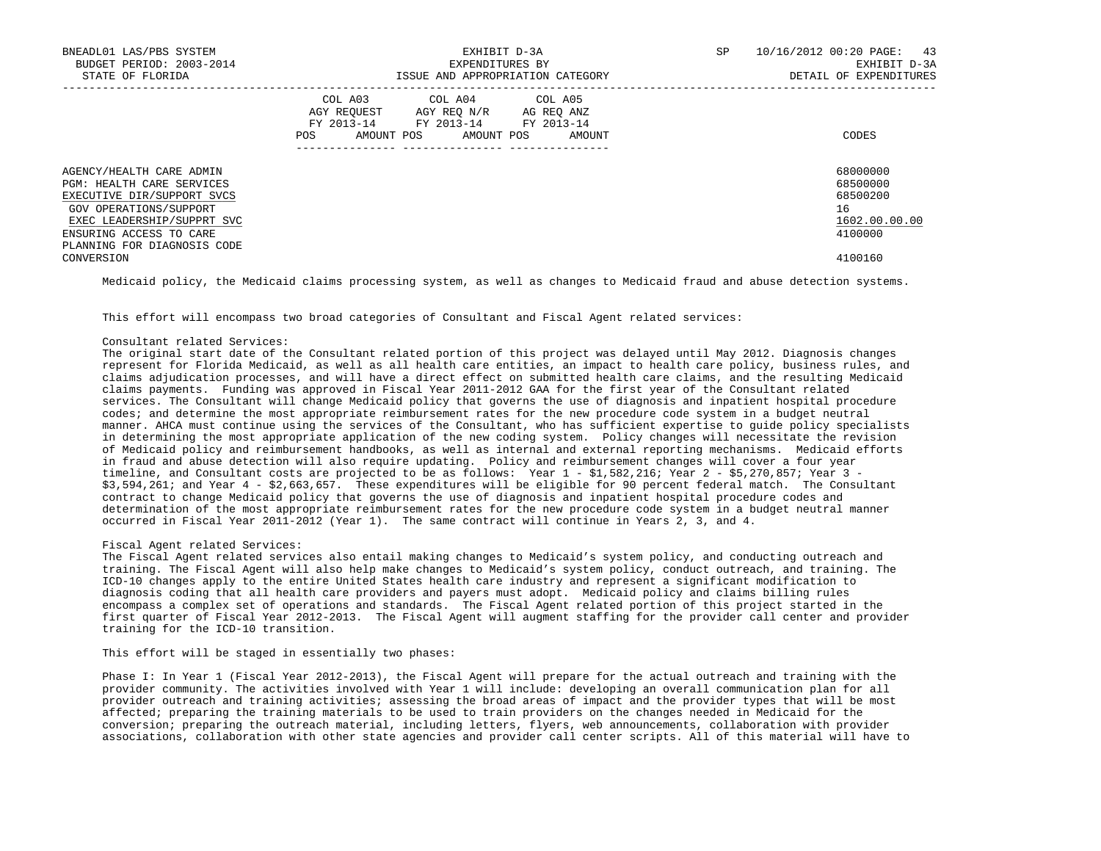| BNEADL01 LAS/PBS SYSTEM<br>BUDGET PERIOD: 2003-2014<br>STATE OF FLORIDA                                                                                                                               | EXHIBIT D-3A<br>EXPENDITURES BY<br>ISSUE AND APPROPRIATION CATEGORY                                                                         | 10/16/2012 00:20 PAGE: 43<br>SP<br>EXHIBIT D-3A<br>DETAIL OF EXPENDITURES |
|-------------------------------------------------------------------------------------------------------------------------------------------------------------------------------------------------------|---------------------------------------------------------------------------------------------------------------------------------------------|---------------------------------------------------------------------------|
|                                                                                                                                                                                                       | COL A03 COL A04 COL A05<br>AGY REOUEST AGY REO N/R AG REO ANZ<br>FY 2013-14 FY 2013-14 FY 2013-14<br>AMOUNT POS AMOUNT POS<br>POS<br>AMOUNT | CODES                                                                     |
| AGENCY/HEALTH CARE ADMIN<br>PGM: HEALTH CARE SERVICES<br>EXECUTIVE DIR/SUPPORT SVCS<br>GOV OPERATIONS/SUPPORT<br>EXEC LEADERSHIP/SUPPRT SVC<br>ENSURING ACCESS TO CARE<br>PLANNING FOR DIAGNOSIS CODE |                                                                                                                                             | 68000000<br>68500000<br>68500200<br>16<br>1602.00.00.00<br>4100000        |
| CONVERSION                                                                                                                                                                                            |                                                                                                                                             | 4100160                                                                   |

Medicaid policy, the Medicaid claims processing system, as well as changes to Medicaid fraud and abuse detection systems.

This effort will encompass two broad categories of Consultant and Fiscal Agent related services:

## Consultant related Services:

 The original start date of the Consultant related portion of this project was delayed until May 2012. Diagnosis changes represent for Florida Medicaid, as well as all health care entities, an impact to health care policy, business rules, and claims adjudication processes, and will have a direct effect on submitted health care claims, and the resulting Medicaid claims payments. Funding was approved in Fiscal Year 2011-2012 GAA for the first year of the Consultant related services. The Consultant will change Medicaid policy that governs the use of diagnosis and inpatient hospital procedure codes; and determine the most appropriate reimbursement rates for the new procedure code system in a budget neutral manner. AHCA must continue using the services of the Consultant, who has sufficient expertise to guide policy specialists in determining the most appropriate application of the new coding system. Policy changes will necessitate the revision of Medicaid policy and reimbursement handbooks, as well as internal and external reporting mechanisms. Medicaid efforts in fraud and abuse detection will also require updating. Policy and reimbursement changes will cover a four year timeline, and Consultant costs are projected to be as follows: Year 1 - \$1,582,216; Year 2 - \$5,270,857; Year 3 - \$3,594,261; and Year 4 - \$2,663,657. These expenditures will be eligible for 90 percent federal match. The Consultant contract to change Medicaid policy that governs the use of diagnosis and inpatient hospital procedure codes and determination of the most appropriate reimbursement rates for the new procedure code system in a budget neutral manner occurred in Fiscal Year 2011-2012 (Year 1). The same contract will continue in Years 2, 3, and 4.

## Fiscal Agent related Services:

 The Fiscal Agent related services also entail making changes to Medicaid's system policy, and conducting outreach and training. The Fiscal Agent will also help make changes to Medicaid's system policy, conduct outreach, and training. The ICD-10 changes apply to the entire United States health care industry and represent a significant modification to diagnosis coding that all health care providers and payers must adopt. Medicaid policy and claims billing rules encompass a complex set of operations and standards. The Fiscal Agent related portion of this project started in the first quarter of Fiscal Year 2012-2013. The Fiscal Agent will augment staffing for the provider call center and provider training for the ICD-10 transition.

## This effort will be staged in essentially two phases:

 Phase I: In Year 1 (Fiscal Year 2012-2013), the Fiscal Agent will prepare for the actual outreach and training with the provider community. The activities involved with Year 1 will include: developing an overall communication plan for all provider outreach and training activities; assessing the broad areas of impact and the provider types that will be most affected; preparing the training materials to be used to train providers on the changes needed in Medicaid for the conversion; preparing the outreach material, including letters, flyers, web announcements, collaboration with provider associations, collaboration with other state agencies and provider call center scripts. All of this material will have to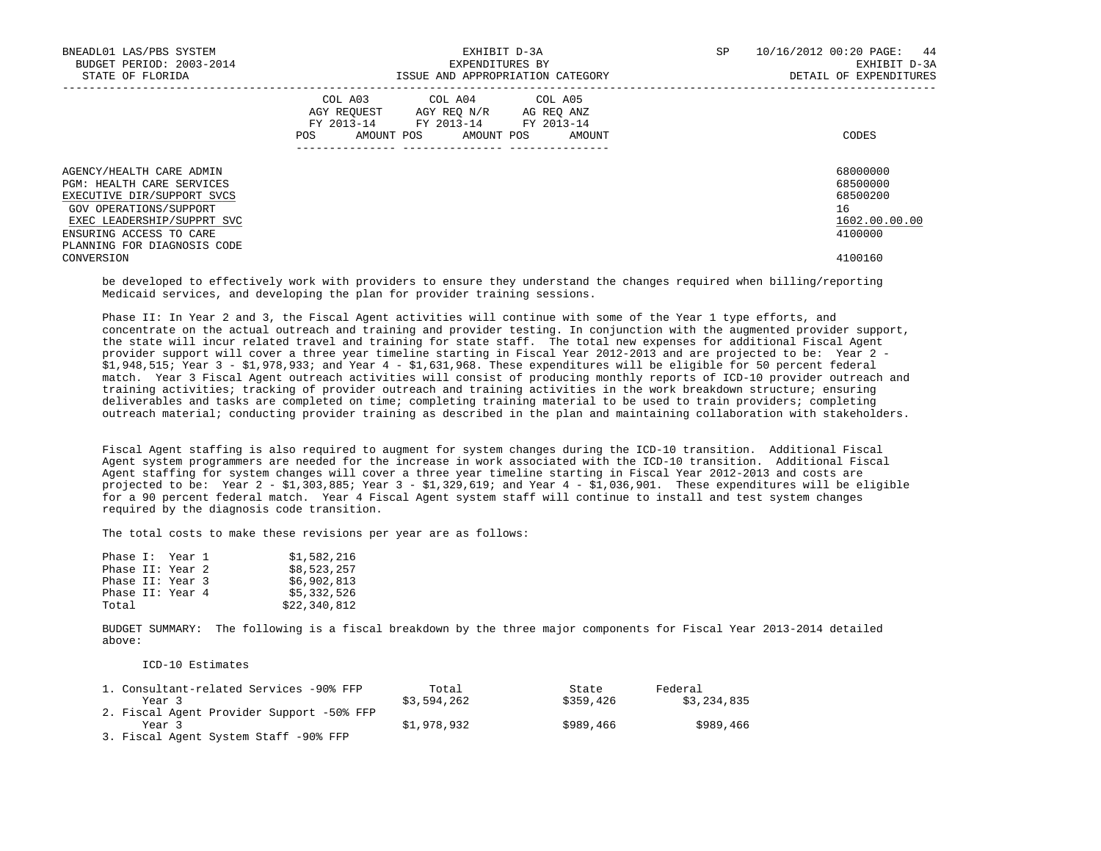| BNEADL01 LAS/PBS SYSTEM<br>BUDGET PERIOD: 2003-2014<br>STATE OF FLORIDA                                                                                                                                      | EXHIBIT D-3A<br>EXPENDITURES BY<br>ISSUE AND APPROPRIATION CATEGORY                                                                            | SP.<br>10/16/2012 00:20 PAGE:<br>44<br>EXHIBIT D-3A<br>DETAIL OF EXPENDITURES |
|--------------------------------------------------------------------------------------------------------------------------------------------------------------------------------------------------------------|------------------------------------------------------------------------------------------------------------------------------------------------|-------------------------------------------------------------------------------|
|                                                                                                                                                                                                              | COL A03 COL A04 COL A05<br>AGY REQUEST AGY REQ N/R AG REQ ANZ<br>FY 2013-14 FY 2013-14 FY 2013-14<br>AMOUNT POS<br>AMOUNT POS<br>POS<br>AMOUNT | CODES                                                                         |
| AGENCY/HEALTH CARE ADMIN<br><b>PGM: HEALTH CARE SERVICES</b><br>EXECUTIVE DIR/SUPPORT SVCS<br>GOV OPERATIONS/SUPPORT<br>EXEC LEADERSHIP/SUPPRT SVC<br>ENSURING ACCESS TO CARE<br>PLANNING FOR DIAGNOSIS CODE |                                                                                                                                                | 68000000<br>68500000<br>68500200<br>16<br>1602.00.00.00<br>4100000            |
| CONVERSION                                                                                                                                                                                                   |                                                                                                                                                | 4100160                                                                       |

 be developed to effectively work with providers to ensure they understand the changes required when billing/reporting Medicaid services, and developing the plan for provider training sessions.

 Phase II: In Year 2 and 3, the Fiscal Agent activities will continue with some of the Year 1 type efforts, and concentrate on the actual outreach and training and provider testing. In conjunction with the augmented provider support, the state will incur related travel and training for state staff. The total new expenses for additional Fiscal Agent provider support will cover a three year timeline starting in Fiscal Year 2012-2013 and are projected to be: Year 2 - \$1,948,515; Year 3 - \$1,978,933; and Year 4 - \$1,631,968. These expenditures will be eligible for 50 percent federal match. Year 3 Fiscal Agent outreach activities will consist of producing monthly reports of ICD-10 provider outreach and training activities; tracking of provider outreach and training activities in the work breakdown structure; ensuring deliverables and tasks are completed on time; completing training material to be used to train providers; completing outreach material; conducting provider training as described in the plan and maintaining collaboration with stakeholders.

 Fiscal Agent staffing is also required to augment for system changes during the ICD-10 transition. Additional Fiscal Agent system programmers are needed for the increase in work associated with the ICD-10 transition. Additional Fiscal Agent staffing for system changes will cover a three year timeline starting in Fiscal Year 2012-2013 and costs are projected to be: Year 2 - \$1,303,885; Year 3 - \$1,329,619; and Year 4 - \$1,036,901. These expenditures will be eligible for a 90 percent federal match. Year 4 Fiscal Agent system staff will continue to install and test system changes required by the diagnosis code transition.

The total costs to make these revisions per year are as follows:

| Phase I: Year 1  |  | \$1,582,216  |
|------------------|--|--------------|
| Phase II: Year 2 |  | \$8,523,257  |
| Phase II: Year 3 |  | \$6,902,813  |
| Phase II: Year 4 |  | \$5,332,526  |
| Total            |  | \$22,340,812 |

 BUDGET SUMMARY: The following is a fiscal breakdown by the three major components for Fiscal Year 2013-2014 detailed above:

ICD-10 Estimates

| 1. Consultant-related Services -90% FFP   | Total       | State     | Federal     |
|-------------------------------------------|-------------|-----------|-------------|
| Year 3                                    | \$3,594,262 | \$359,426 | \$3,234,835 |
| 2. Fiscal Agent Provider Support -50% FFP |             |           |             |
| Year 3                                    | \$1,978,932 | \$989,466 | \$989,466   |
| 3. Fiscal Agent System Staff -90% FFP     |             |           |             |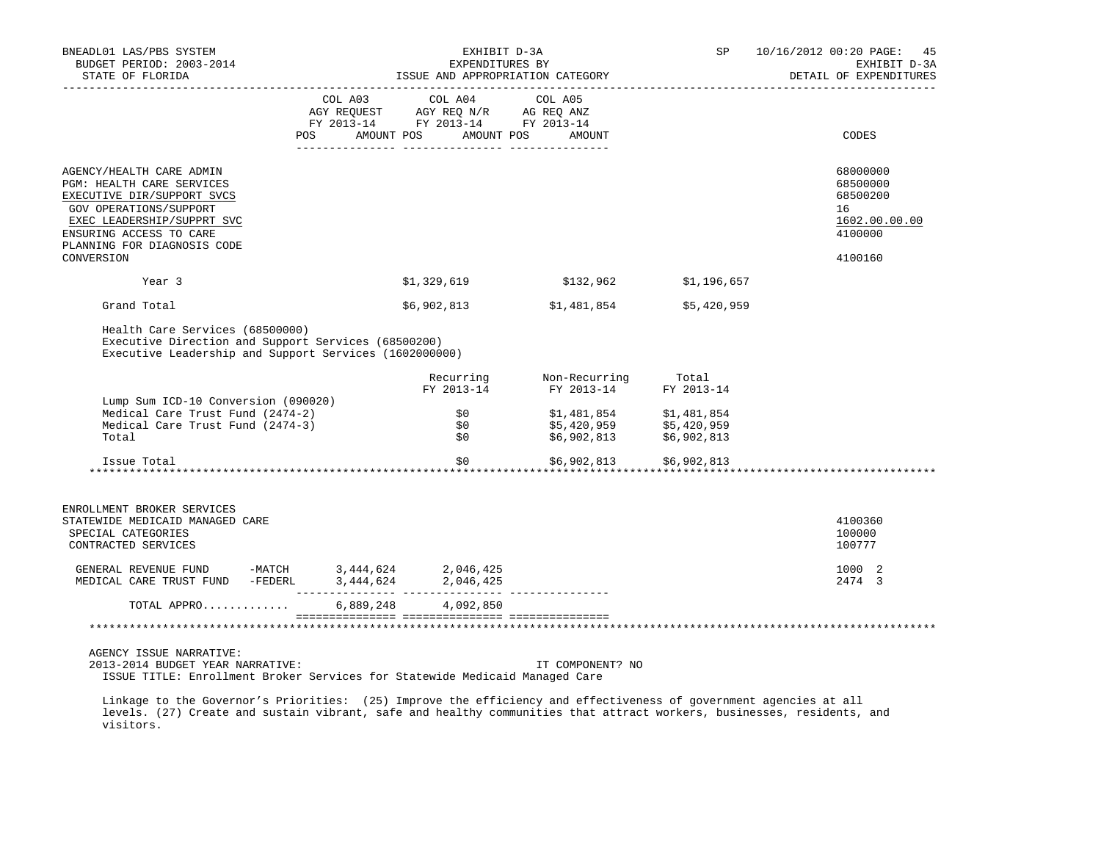| BNEADL01 LAS/PBS SYSTEM<br>BUDGET PERIOD: 2003-2014<br>STATE OF FLORIDA                                                                                                                                                                                         | EXHIBIT D-3A<br>EXPENDITURES BY                                                                                                                                                                | ISSUE AND APPROPRIATION CATEGORY                                                                  | SP          | 10/16/2012 00:20 PAGE: 45<br>EXHIBIT D-3A<br>DETAIL OF EXPENDITURES |
|-----------------------------------------------------------------------------------------------------------------------------------------------------------------------------------------------------------------------------------------------------------------|------------------------------------------------------------------------------------------------------------------------------------------------------------------------------------------------|---------------------------------------------------------------------------------------------------|-------------|---------------------------------------------------------------------|
|                                                                                                                                                                                                                                                                 | $\begin{tabular}{lcccc} COL A03 & COL A04 & COL A05 \\ AGY REQUEST & AGY REQ N/R & AG REQ ANZ \\ FY & 2013-14 & FY & 2013-14 & FY & 2013-14 \end{tabular}$<br>POS AMOUNT POS AMOUNT POS AMOUNT |                                                                                                   |             | CODES                                                               |
|                                                                                                                                                                                                                                                                 |                                                                                                                                                                                                |                                                                                                   |             |                                                                     |
| AGENCY/HEALTH CARE ADMIN<br>PGM: HEALTH CARE SERVICES<br>EXECUTIVE DIR/SUPPORT SVCS<br>GOV OPERATIONS/SUPPORT<br>EXEC LEADERSHIP/SUPPRT SVC<br>ENSURING ACCESS TO CARE<br>PLANNING FOR DIAGNOSIS CODE                                                           |                                                                                                                                                                                                |                                                                                                   |             | 68000000<br>68500000<br>68500200<br>16<br>1602.00.00.00<br>4100000  |
| CONVERSION                                                                                                                                                                                                                                                      |                                                                                                                                                                                                |                                                                                                   |             | 4100160                                                             |
| Year 3                                                                                                                                                                                                                                                          | \$1,329,619                                                                                                                                                                                    | \$132,962                                                                                         | \$1,196,657 |                                                                     |
| Grand Total                                                                                                                                                                                                                                                     | \$6,902,813                                                                                                                                                                                    | \$1,481,854                                                                                       | \$5,420,959 |                                                                     |
| Health Care Services (68500000)<br>Executive Direction and Support Services (68500200)<br>Executive Leadership and Support Services (1602000000)                                                                                                                |                                                                                                                                                                                                |                                                                                                   |             |                                                                     |
|                                                                                                                                                                                                                                                                 |                                                                                                                                                                                                | Recurring Mon-Recurring Total<br>FY 2013-14 FY 2013-14 FY 2013-14                                 |             |                                                                     |
| Lump Sum ICD-10 Conversion (090020)<br>Medical Care Trust Fund (2474-2)<br>Medical Care Trust Fund (2474-3)<br>Total                                                                                                                                            | FY 2013-14<br>\$0 D<br>\$0<br>\$0                                                                                                                                                              | $$1,481,854$ $$1,481,854$<br>\$5,420,959           \$5,420,959<br>\$6,902,813         \$6,902,813 |             |                                                                     |
| Issue Total                                                                                                                                                                                                                                                     | \$0                                                                                                                                                                                            | \$6,902,813 \$6,902,813<br>***********                                                            |             |                                                                     |
| ENROLLMENT BROKER SERVICES<br>STATEWIDE MEDICAID MANAGED CARE<br>SPECIAL CATEGORIES<br>CONTRACTED SERVICES                                                                                                                                                      |                                                                                                                                                                                                |                                                                                                   |             | *******************************<br>4100360<br>100000<br>100777      |
|                                                                                                                                                                                                                                                                 |                                                                                                                                                                                                |                                                                                                   |             | 1000 2<br>2474 3                                                    |
| TOTAL APPRO                                                                                                                                                                                                                                                     | 6,889,248 4,092,850                                                                                                                                                                            |                                                                                                   |             |                                                                     |
|                                                                                                                                                                                                                                                                 |                                                                                                                                                                                                |                                                                                                   |             |                                                                     |
| AGENCY ISSUE NARRATIVE:<br>2013-2014 BUDGET YEAR NARRATIVE:<br>ISSUE TITLE: Enrollment Broker Services for Statewide Medicaid Managed Care<br>Linkage to the Governor's Priorities: (25) Improve the efficiency and effectiveness of government agencies at all |                                                                                                                                                                                                | IT COMPONENT? NO                                                                                  |             |                                                                     |

 levels. (27) Create and sustain vibrant, safe and healthy communities that attract workers, businesses, residents, and visitors.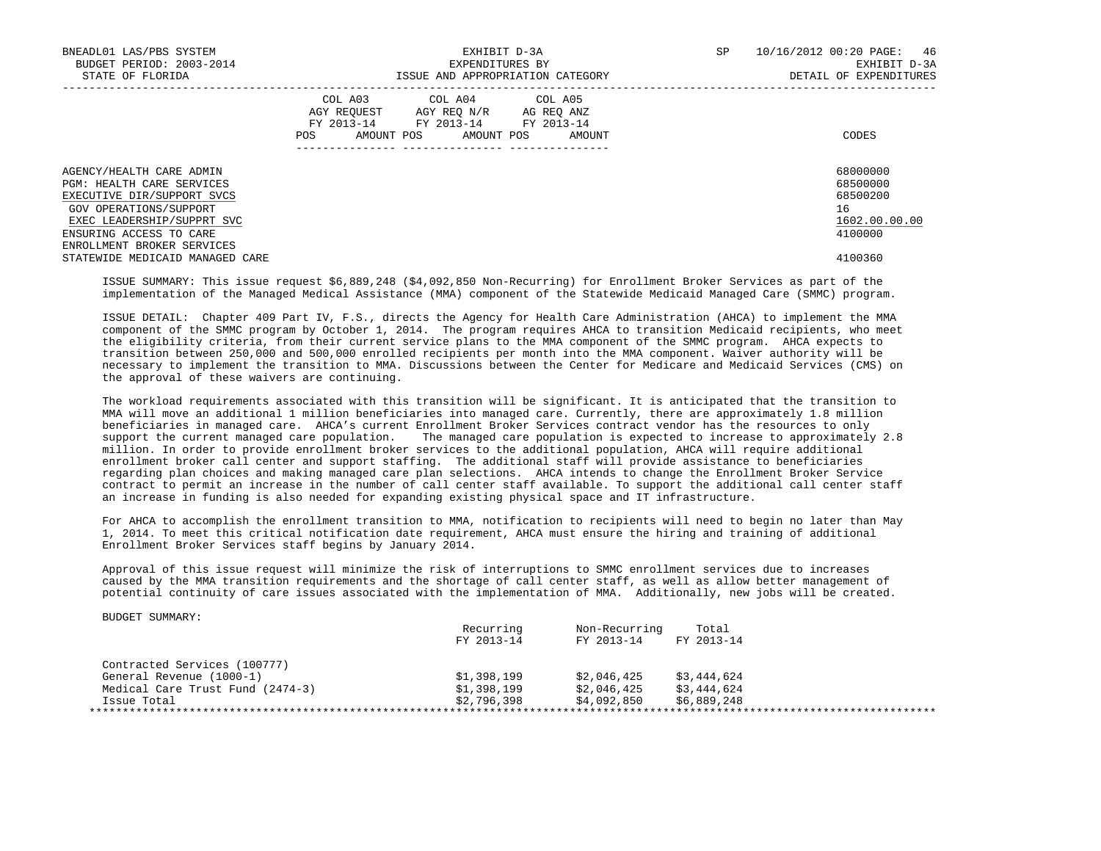| BNEADL01 LAS/PBS SYSTEM<br>BUDGET PERIOD: 2003-2014<br>STATE OF FLORIDA | EXHIBIT D-3A<br>EXPENDITURES BY<br>ISSUE AND APPROPRIATION CATEGORY                                                                         | 10/16/2012 00:20 PAGE:<br>46<br>SP<br>EXHIBIT D-3A<br>DETAIL OF EXPENDITURES |
|-------------------------------------------------------------------------|---------------------------------------------------------------------------------------------------------------------------------------------|------------------------------------------------------------------------------|
|                                                                         | COL A03 COL A04 COL A05<br>AGY REQUEST AGY REQ N/R AG REQ ANZ<br>FY 2013-14 FY 2013-14 FY 2013-14<br>AMOUNT POS AMOUNT POS<br>POS<br>AMOUNT | CODES                                                                        |
| AGENCY/HEALTH CARE ADMIN<br>PGM: HEALTH CARE SERVICES                   |                                                                                                                                             | 68000000<br>68500000                                                         |
| EXECUTIVE DIR/SUPPORT SVCS                                              |                                                                                                                                             | 68500200                                                                     |
| GOV OPERATIONS/SUPPORT                                                  |                                                                                                                                             | 16                                                                           |
| EXEC LEADERSHIP/SUPPRT SVC                                              |                                                                                                                                             | 1602.00.00.00                                                                |
| ENSURING ACCESS TO CARE                                                 |                                                                                                                                             | 4100000                                                                      |
| ENROLLMENT BROKER SERVICES                                              |                                                                                                                                             |                                                                              |
| STATEWIDE MEDICAID MANAGED CARE                                         |                                                                                                                                             | 4100360                                                                      |

 ISSUE SUMMARY: This issue request \$6,889,248 (\$4,092,850 Non-Recurring) for Enrollment Broker Services as part of the implementation of the Managed Medical Assistance (MMA) component of the Statewide Medicaid Managed Care (SMMC) program.

 ISSUE DETAIL: Chapter 409 Part IV, F.S., directs the Agency for Health Care Administration (AHCA) to implement the MMA component of the SMMC program by October 1, 2014. The program requires AHCA to transition Medicaid recipients, who meet the eligibility criteria, from their current service plans to the MMA component of the SMMC program. AHCA expects to transition between 250,000 and 500,000 enrolled recipients per month into the MMA component. Waiver authority will be necessary to implement the transition to MMA. Discussions between the Center for Medicare and Medicaid Services (CMS) on the approval of these waivers are continuing.

 The workload requirements associated with this transition will be significant. It is anticipated that the transition to MMA will move an additional 1 million beneficiaries into managed care. Currently, there are approximately 1.8 million beneficiaries in managed care. AHCA's current Enrollment Broker Services contract vendor has the resources to only support the current managed care population. The managed care population is expected to increase to approximately 2.8 million. In order to provide enrollment broker services to the additional population, AHCA will require additional enrollment broker call center and support staffing. The additional staff will provide assistance to beneficiaries regarding plan choices and making managed care plan selections. AHCA intends to change the Enrollment Broker Service contract to permit an increase in the number of call center staff available. To support the additional call center staff an increase in funding is also needed for expanding existing physical space and IT infrastructure.

 For AHCA to accomplish the enrollment transition to MMA, notification to recipients will need to begin no later than May 1, 2014. To meet this critical notification date requirement, AHCA must ensure the hiring and training of additional Enrollment Broker Services staff begins by January 2014.

 Approval of this issue request will minimize the risk of interruptions to SMMC enrollment services due to increases caused by the MMA transition requirements and the shortage of call center staff, as well as allow better management of potential continuity of care issues associated with the implementation of MMA. Additionally, new jobs will be created.

|                                  | Recurring   | Non-Recurring | Total       |
|----------------------------------|-------------|---------------|-------------|
|                                  | FY 2013-14  | FY 2013-14    | FY 2013-14  |
| Contracted Services (100777)     |             |               |             |
| General Revenue (1000-1)         | \$1,398,199 | \$2,046,425   | \$3,444,624 |
| Medical Care Trust Fund (2474-3) | \$1,398,199 | \$2,046,425   | \$3,444,624 |
| Issue Total                      | \$2,796,398 | \$4,092,850   | \$6,889,248 |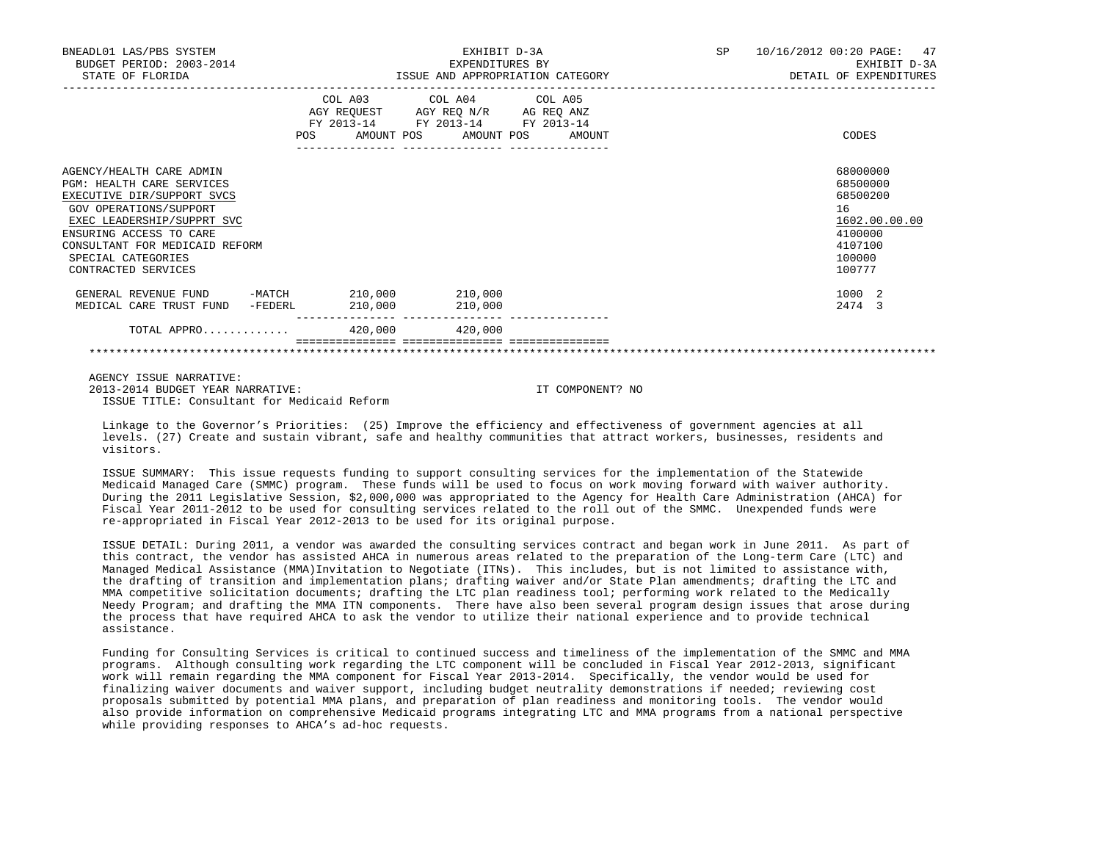| BNEADL01 LAS/PBS SYSTEM<br>BUDGET PERIOD: 2003-2014<br>STATE OF FLORIDA                                                                                                                                                                               |         | EXHIBIT D-3A<br>EXPENDITURES BY<br>ISSUE AND APPROPRIATION CATEGORY                                                               | SP 10/16/2012 00:20 PAGE: 47<br>EXHIBIT D-3A<br>DETAIL OF EXPENDITURES                            |
|-------------------------------------------------------------------------------------------------------------------------------------------------------------------------------------------------------------------------------------------------------|---------|-----------------------------------------------------------------------------------------------------------------------------------|---------------------------------------------------------------------------------------------------|
|                                                                                                                                                                                                                                                       | POS     | COL A03 COL A04 COL A05<br>AGY REQUEST AGY REQ N/R AG REQ ANZ<br>FY 2013-14 FY 2013-14 FY 2013-14<br>AMOUNT POS AMOUNT POS AMOUNT | CODES                                                                                             |
| AGENCY/HEALTH CARE ADMIN<br>PGM: HEALTH CARE SERVICES<br>EXECUTIVE DIR/SUPPORT SVCS<br>GOV OPERATIONS/SUPPORT<br>EXEC LEADERSHIP/SUPPRT SVC<br>ENSURING ACCESS TO CARE<br>CONSULTANT FOR MEDICAID REFORM<br>SPECIAL CATEGORIES<br>CONTRACTED SERVICES |         |                                                                                                                                   | 68000000<br>68500000<br>68500200<br>16<br>1602.00.00.00<br>4100000<br>4107100<br>100000<br>100777 |
| GENERAL REVENUE FUND -MATCH 210,000 210,000<br>MEDICAL CARE TRUST FUND<br>-FEDERL                                                                                                                                                                     | 210,000 | 210,000                                                                                                                           | 1000 2<br>2474 3                                                                                  |
| TOTAL APPRO $\ldots \ldots \ldots$                                                                                                                                                                                                                    |         |                                                                                                                                   |                                                                                                   |
|                                                                                                                                                                                                                                                       |         |                                                                                                                                   |                                                                                                   |

 AGENCY ISSUE NARRATIVE: 2013-2014 BUDGET YEAR NARRATIVE: IT COMPONENT? NO ISSUE TITLE: Consultant for Medicaid Reform

 Linkage to the Governor's Priorities: (25) Improve the efficiency and effectiveness of government agencies at all levels. (27) Create and sustain vibrant, safe and healthy communities that attract workers, businesses, residents and visitors.

 ISSUE SUMMARY: This issue requests funding to support consulting services for the implementation of the Statewide Medicaid Managed Care (SMMC) program. These funds will be used to focus on work moving forward with waiver authority. During the 2011 Legislative Session, \$2,000,000 was appropriated to the Agency for Health Care Administration (AHCA) for Fiscal Year 2011-2012 to be used for consulting services related to the roll out of the SMMC. Unexpended funds were re-appropriated in Fiscal Year 2012-2013 to be used for its original purpose.

 ISSUE DETAIL: During 2011, a vendor was awarded the consulting services contract and began work in June 2011. As part of this contract, the vendor has assisted AHCA in numerous areas related to the preparation of the Long-term Care (LTC) and Managed Medical Assistance (MMA)Invitation to Negotiate (ITNs). This includes, but is not limited to assistance with, the drafting of transition and implementation plans; drafting waiver and/or State Plan amendments; drafting the LTC and MMA competitive solicitation documents; drafting the LTC plan readiness tool; performing work related to the Medically Needy Program; and drafting the MMA ITN components. There have also been several program design issues that arose during the process that have required AHCA to ask the vendor to utilize their national experience and to provide technical assistance.

 Funding for Consulting Services is critical to continued success and timeliness of the implementation of the SMMC and MMA programs. Although consulting work regarding the LTC component will be concluded in Fiscal Year 2012-2013, significant work will remain regarding the MMA component for Fiscal Year 2013-2014. Specifically, the vendor would be used for finalizing waiver documents and waiver support, including budget neutrality demonstrations if needed; reviewing cost proposals submitted by potential MMA plans, and preparation of plan readiness and monitoring tools. The vendor would also provide information on comprehensive Medicaid programs integrating LTC and MMA programs from a national perspective while providing responses to AHCA's ad-hoc requests.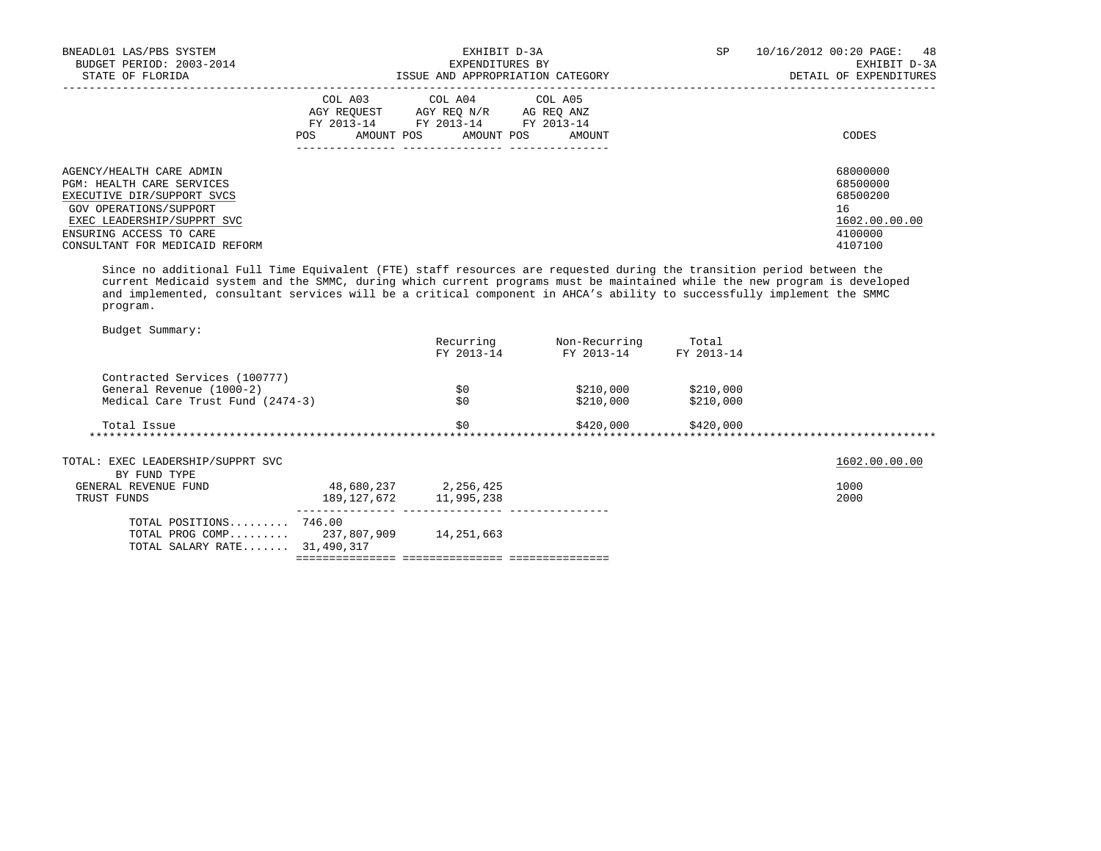| BNEADL01 LAS/PBS SYSTEM<br>BUDGET PERIOD: 2003-2014<br>STATE OF FLORIDA                                                                                                                                  | EXHIBIT D-3A<br>EXPENDITURES BY<br>ISSUE AND APPROPRIATION CATEGORY                                                                                     | SP<br>10/16/2012 00:20 PAGE: 48<br>EXHIBIT D-3A<br>DETAIL OF EXPENDITURES     |
|----------------------------------------------------------------------------------------------------------------------------------------------------------------------------------------------------------|---------------------------------------------------------------------------------------------------------------------------------------------------------|-------------------------------------------------------------------------------|
|                                                                                                                                                                                                          | COL A03<br>COL A04 COL A05<br>AGY REOUEST<br>AGY REO N/R<br>AG REO ANZ<br>FY 2013-14 FY 2013-14 FY 2013-14<br>AMOUNT POS<br>AMOUNT POS<br>POS<br>AMOUNT | CODES                                                                         |
| AGENCY/HEALTH CARE ADMIN<br>PGM: HEALTH CARE SERVICES<br>EXECUTIVE DIR/SUPPORT SVCS<br>GOV OPERATIONS/SUPPORT<br>EXEC LEADERSHIP/SUPPRT SVC<br>ENSURING ACCESS TO CARE<br>CONSULTANT FOR MEDICAID REFORM |                                                                                                                                                         | 68000000<br>68500000<br>68500200<br>16<br>1602.00.00.00<br>4100000<br>4107100 |

 Since no additional Full Time Equivalent (FTE) staff resources are requested during the transition period between the current Medicaid system and the SMMC, during which current programs must be maintained while the new program is developed and implemented, consultant services will be a critical component in AHCA's ability to successfully implement the SMMC program.

| Budget Summary:                   |                            |                      |               |            |               |
|-----------------------------------|----------------------------|----------------------|---------------|------------|---------------|
|                                   |                            | Recurring            | Non-Recurring | Total      |               |
|                                   |                            | FY 2013-14           | FY 2013-14    | FY 2013-14 |               |
| Contracted Services (100777)      |                            |                      |               |            |               |
| General Revenue (1000-2)          |                            | \$0                  | \$210,000     | \$210,000  |               |
| Medical Care Trust Fund (2474-3)  |                            | \$0                  | \$210,000     | \$210,000  |               |
| Total Issue                       |                            | \$0                  | \$420,000     | \$420,000  |               |
| ***********************           |                            |                      |               |            |               |
| TOTAL: EXEC LEADERSHIP/SUPPRT SVC |                            |                      |               |            | 1602.00.00.00 |
| BY FUND TYPE                      |                            |                      |               |            |               |
| GENERAL REVENUE FUND              |                            | 48,680,237 2,256,425 |               |            | 1000          |
| TRUST FUNDS                       | 189, 127, 672 11, 995, 238 |                      |               |            | 2000          |
| TOTAL POSITIONS $746.00$          |                            |                      |               |            |               |
| TOTAL PROG COMP 237,807,909       |                            | 14,251,663           |               |            |               |
| TOTAL SALARY RATE 31,490,317      |                            |                      |               |            |               |
|                                   |                            |                      |               |            |               |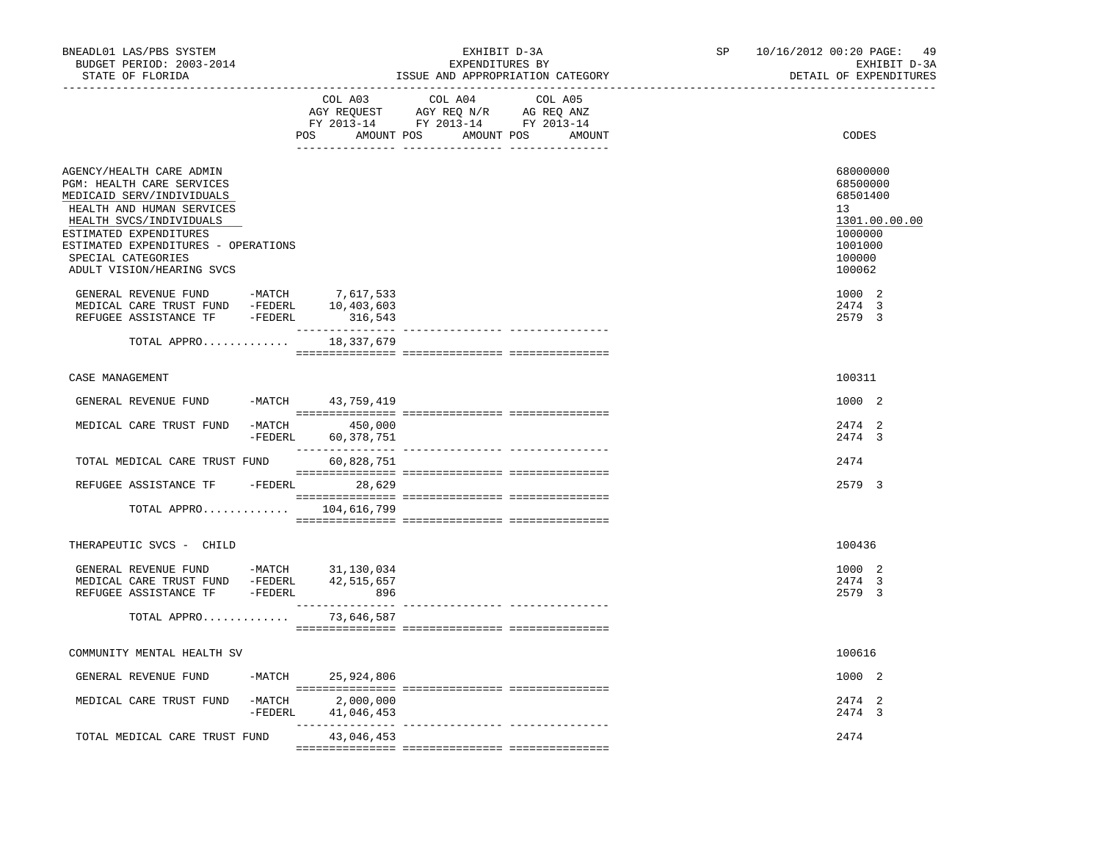| BNEADL01 LAS/PBS SYSTEM<br>BUDGET PERIOD: 2003-2014<br>STATE OF FLORIDA                                                                                                                                                                                                                     |                                          | EXHIBIT D-3A<br>EXPENDITURES BY                                                   | ISSUE AND APPROPRIATION CATEGORY | SP | 10/16/2012 00:20 PAGE: 49<br>EXHIBIT D-3A<br>DETAIL OF EXPENDITURES                               |
|---------------------------------------------------------------------------------------------------------------------------------------------------------------------------------------------------------------------------------------------------------------------------------------------|------------------------------------------|-----------------------------------------------------------------------------------|----------------------------------|----|---------------------------------------------------------------------------------------------------|
|                                                                                                                                                                                                                                                                                             | COL A03<br>POS AMOUNT POS                | COL A04<br>AGY REQUEST AGY REQ N/R AG REQ ANZ<br>FY 2013-14 FY 2013-14 FY 2013-14 | COL A05<br>AMOUNT POS<br>AMOUNT  |    | CODES                                                                                             |
| AGENCY/HEALTH CARE ADMIN<br>PGM: HEALTH CARE SERVICES<br>MEDICAID SERV/INDIVIDUALS<br>HEALTH AND HUMAN SERVICES<br>HEALTH SVCS/INDIVIDUALS<br>ESTIMATED EXPENDITURES<br>ESTIMATED EXPENDITURES - OPERATIONS<br>SPECIAL CATEGORIES<br>ADULT VISION/HEARING SVCS                              |                                          |                                                                                   |                                  |    | 68000000<br>68500000<br>68501400<br>13<br>1301.00.00.00<br>1000000<br>1001000<br>100000<br>100062 |
| $\begin{tabular}{lllllllllll} \multicolumn{4}{c}{\textbf{GENERAL}} &\textbf{REVENUE} & \textbf{FUND} & & -\textbf{MATCH} & & 7,617,533 \\ \multicolumn{4}{c}{\textbf{MEDICAL CARE TRUST FUND}} & -\textbf{FEDERL} & & 10,403,603 \\ \end{tabular}$<br>REFUGEE ASSISTANCE TF -FEDERL 316,543 |                                          |                                                                                   |                                  |    | 1000 2<br>2474 3<br>2579 3                                                                        |
| TOTAL APPRO                                                                                                                                                                                                                                                                                 | 18,337,679                               |                                                                                   |                                  |    |                                                                                                   |
| CASE MANAGEMENT                                                                                                                                                                                                                                                                             |                                          |                                                                                   |                                  |    | 100311                                                                                            |
| GENERAL REVENUE FUND                                                                                                                                                                                                                                                                        | -MATCH 43,759,419                        |                                                                                   |                                  |    | 1000 2                                                                                            |
| MEDICAL CARE TRUST FUND                                                                                                                                                                                                                                                                     | $-MATCH$ 450,000<br>-FEDERL 60,378,751   |                                                                                   |                                  |    | 2474 2<br>2474 3                                                                                  |
| TOTAL MEDICAL CARE TRUST FUND 60,828,751                                                                                                                                                                                                                                                    |                                          |                                                                                   |                                  |    | 2474                                                                                              |
| REFUGEE ASSISTANCE TF -FEDERL 28,629                                                                                                                                                                                                                                                        |                                          |                                                                                   |                                  |    | 2579 3                                                                                            |
| TOTAL APPRO $104,616,799$                                                                                                                                                                                                                                                                   |                                          |                                                                                   |                                  |    |                                                                                                   |
| THERAPEUTIC SVCS - CHILD                                                                                                                                                                                                                                                                    |                                          |                                                                                   |                                  |    | 100436                                                                                            |
| GENERAL REVENUE FUND -MATCH 31,130,034<br>MEDICAL CARE TRUST FUND -FEDERL 42,515,657<br>REFUGEE ASSISTANCE TF -FEDERL 896                                                                                                                                                                   |                                          |                                                                                   |                                  |    | 1000 2<br>2474 3<br>2579 3                                                                        |
| TOTAL APPRO                                                                                                                                                                                                                                                                                 | 73,646,587                               |                                                                                   |                                  |    |                                                                                                   |
| COMMUNITY MENTAL HEALTH SV                                                                                                                                                                                                                                                                  |                                          |                                                                                   |                                  |    | 100616                                                                                            |
| GENERAL REVENUE FUND                                                                                                                                                                                                                                                                        | -MATCH 25,924,806                        |                                                                                   |                                  |    | 1000 2                                                                                            |
| MEDICAL CARE TRUST FUND                                                                                                                                                                                                                                                                     | $-MATCH$ 2,000,000<br>-FEDERL 41,046,453 |                                                                                   |                                  |    | 2474 2<br>2474 3                                                                                  |
| TOTAL MEDICAL CARE TRUST FUND                                                                                                                                                                                                                                                               | 43,046,453                               |                                                                                   |                                  |    | 2474                                                                                              |
|                                                                                                                                                                                                                                                                                             |                                          |                                                                                   |                                  |    |                                                                                                   |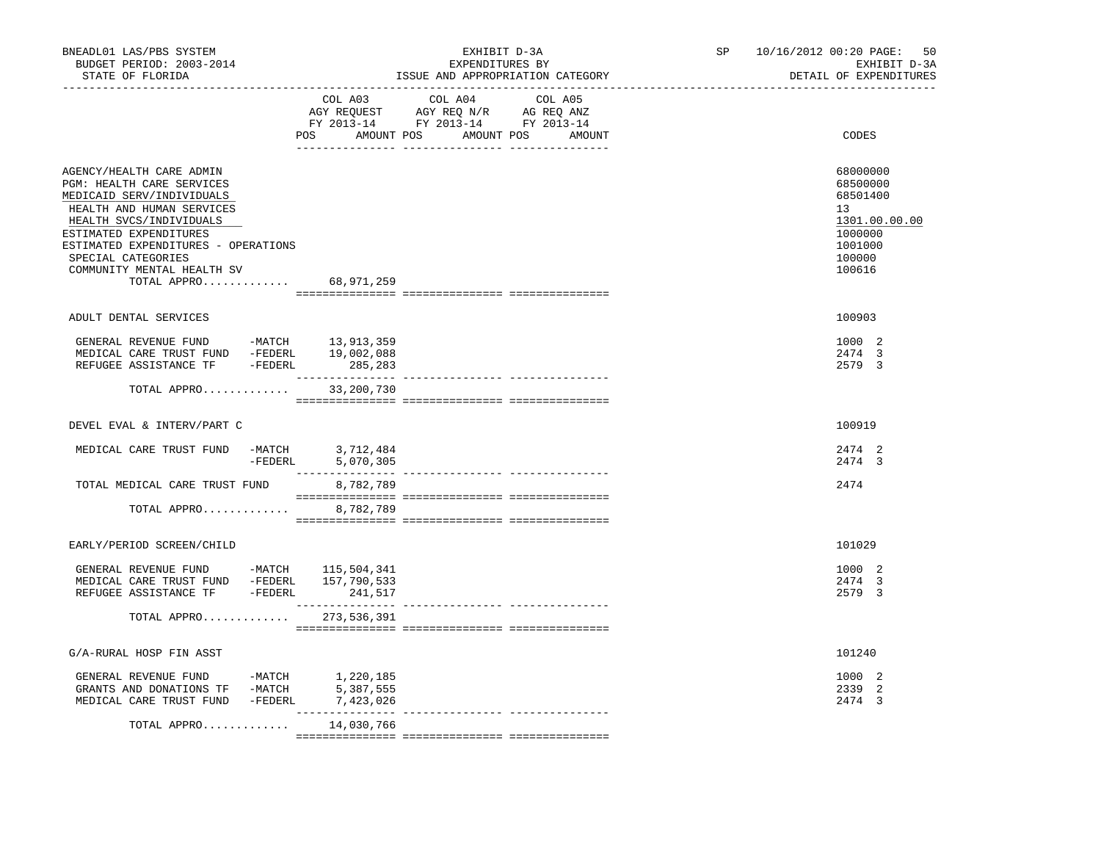| BNEADL01 LAS/PBS SYSTEM<br>BUDGET PERIOD: 2003-2014<br>STATE OF FLORIDA                                                                                                                                                                                                        | EXHIBIT D-3A<br>EXPENDITURES BY<br>ISSUE AND APPROPRIATION CATEGORY<br>--------------------------------                                     | SP<br>_______________________ | 10/16/2012 00:20 PAGE:<br>50<br>EXHIBIT D-3A<br>DETAIL OF EXPENDITURES                            |
|--------------------------------------------------------------------------------------------------------------------------------------------------------------------------------------------------------------------------------------------------------------------------------|---------------------------------------------------------------------------------------------------------------------------------------------|-------------------------------|---------------------------------------------------------------------------------------------------|
|                                                                                                                                                                                                                                                                                | COL A03<br>COL A04<br>COL A05<br>AGY REQUEST AGY REQ N/R AG REQ ANZ<br>FY 2013-14 FY 2013-14 FY 2013-14<br>POS AMOUNT POS AMOUNT POS AMOUNT |                               | CODES                                                                                             |
| AGENCY/HEALTH CARE ADMIN<br>PGM: HEALTH CARE SERVICES<br>MEDICAID SERV/INDIVIDUALS<br>HEALTH AND HUMAN SERVICES<br>HEALTH SVCS/INDIVIDUALS<br>ESTIMATED EXPENDITURES<br>ESTIMATED EXPENDITURES - OPERATIONS<br>SPECIAL CATEGORIES<br>COMMUNITY MENTAL HEALTH SV<br>TOTAL APPRO | 68,971,259                                                                                                                                  |                               | 68000000<br>68500000<br>68501400<br>13<br>1301.00.00.00<br>1000000<br>1001000<br>100000<br>100616 |
| ADULT DENTAL SERVICES                                                                                                                                                                                                                                                          |                                                                                                                                             |                               | 100903                                                                                            |
| GENERAL REVENUE FUND -MATCH 13,913,359<br>MEDICAL CARE TRUST FUND -FEDERL 19,002,088<br>REFUGEE ASSISTANCE TF -FEDERL 285,283                                                                                                                                                  | ________________                                                                                                                            |                               | 1000 2<br>2474 3<br>2579 3                                                                        |
| TOTAL APPRO                                                                                                                                                                                                                                                                    | --------------- ---------------<br>33,200,730                                                                                               |                               |                                                                                                   |
| DEVEL EVAL & INTERV/PART C                                                                                                                                                                                                                                                     |                                                                                                                                             |                               | 100919                                                                                            |
| MEDICAL CARE TRUST FUND -MATCH 3,712,484                                                                                                                                                                                                                                       | -FEDERL 5,070,305                                                                                                                           |                               | 2474 2<br>2474 3                                                                                  |
| TOTAL MEDICAL CARE TRUST FUND                                                                                                                                                                                                                                                  | 8,782,789                                                                                                                                   |                               | 2474                                                                                              |
| TOTAL APPRO                                                                                                                                                                                                                                                                    | 8,782,789                                                                                                                                   |                               |                                                                                                   |
| EARLY/PERIOD SCREEN/CHILD                                                                                                                                                                                                                                                      |                                                                                                                                             |                               | 101029                                                                                            |
| GENERAL REVENUE FUND -MATCH 115,504,341<br>MEDICAL CARE TRUST FUND -FEDERL 157,790,533<br>REFUGEE ASSISTANCE TF - FEDERL 241,517                                                                                                                                               |                                                                                                                                             |                               | 1000 2<br>2474 3<br>2579 3                                                                        |
| TOTAL APPRO 273,536,391                                                                                                                                                                                                                                                        |                                                                                                                                             |                               |                                                                                                   |
| G/A-RURAL HOSP FIN ASST                                                                                                                                                                                                                                                        |                                                                                                                                             |                               | 101240                                                                                            |
|                                                                                                                                                                                                                                                                                |                                                                                                                                             |                               | 1000 2<br>2339 2<br>2474 3                                                                        |
| TOTAL APPRO 14,030,766                                                                                                                                                                                                                                                         | ________________                                                                                                                            |                               |                                                                                                   |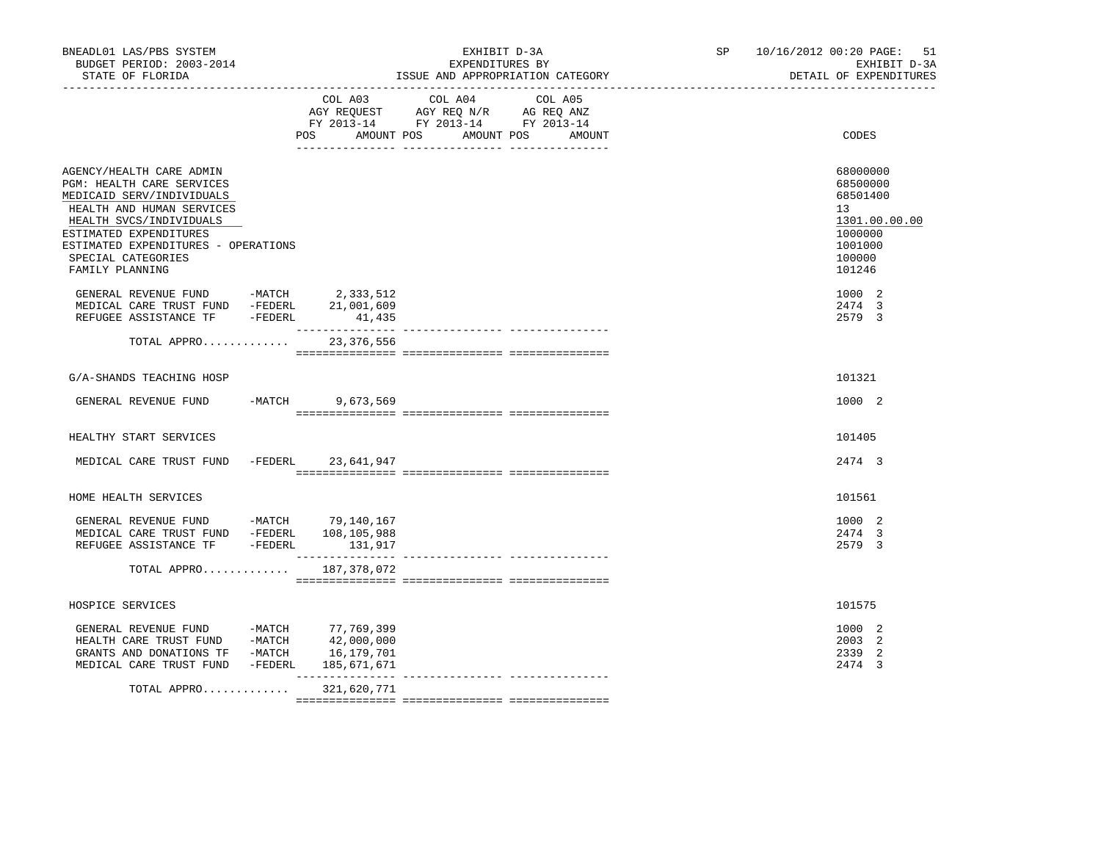| BNEADL01 LAS/PBS SYSTEM<br>BUDGET PERIOD: 2003-2014<br>STATE OF FLORIDA                                                                                                                                                                                                                                                                  |                     | EXHIBIT D-3A<br>EXPENDITURES BY                                                                                 | ISSUE AND APPROPRIATION CATEGORY | SP 10/16/2012 00:20 PAGE: 51<br>EXHIBIT D-3A<br>DETAIL OF EXPENDITURES                            |
|------------------------------------------------------------------------------------------------------------------------------------------------------------------------------------------------------------------------------------------------------------------------------------------------------------------------------------------|---------------------|-----------------------------------------------------------------------------------------------------------------|----------------------------------|---------------------------------------------------------------------------------------------------|
|                                                                                                                                                                                                                                                                                                                                          | POS<br>AMOUNT POS   | COL A03 COL A04 COL A05<br>AGY REQUEST AGY REQ N/R AG REQ ANZ<br>FY 2013-14 FY 2013-14 FY 2013-14<br>AMOUNT POS | <b>AMOUNT</b>                    | CODES                                                                                             |
| AGENCY/HEALTH CARE ADMIN<br>PGM: HEALTH CARE SERVICES<br>MEDICAID SERV/INDIVIDUALS<br>HEALTH AND HUMAN SERVICES<br>HEALTH SVCS/INDIVIDUALS<br>ESTIMATED EXPENDITURES<br>ESTIMATED EXPENDITURES - OPERATIONS<br>SPECIAL CATEGORIES<br>FAMILY PLANNING                                                                                     |                     |                                                                                                                 |                                  | 68000000<br>68500000<br>68501400<br>13<br>1301.00.00.00<br>1000000<br>1001000<br>100000<br>101246 |
| GENERAL REVENUE FUND -MATCH 2,333,512<br>MEDICAL CARE TRUST FUND -FEDERL 21,001,609<br>REFUGEE ASSISTANCE TF -FEDERL                                                                                                                                                                                                                     | 41,435              |                                                                                                                 |                                  | 1000 2<br>2474 3<br>2579 3                                                                        |
| TOTAL APPRO 23,376,556                                                                                                                                                                                                                                                                                                                   |                     |                                                                                                                 |                                  |                                                                                                   |
| G/A-SHANDS TEACHING HOSP                                                                                                                                                                                                                                                                                                                 |                     |                                                                                                                 |                                  | 101321                                                                                            |
| GENERAL REVENUE FUND -MATCH 9,673,569                                                                                                                                                                                                                                                                                                    |                     |                                                                                                                 |                                  | 1000 2                                                                                            |
| HEALTHY START SERVICES                                                                                                                                                                                                                                                                                                                   |                     |                                                                                                                 |                                  | 101405                                                                                            |
| MEDICAL CARE TRUST FUND -FEDERL 23,641,947                                                                                                                                                                                                                                                                                               |                     |                                                                                                                 |                                  | 2474 3                                                                                            |
| HOME HEALTH SERVICES                                                                                                                                                                                                                                                                                                                     |                     |                                                                                                                 |                                  | 101561                                                                                            |
| GENERAL REVENUE FUND -MATCH 79,140,167<br>MEDICAL CARE TRUST FUND -FEDERL 108,105,988<br>REFUGEE ASSISTANCE TF -FEDERL 131,917                                                                                                                                                                                                           |                     |                                                                                                                 |                                  | 1000 2<br>2474 3<br>2579 3                                                                        |
| TOTAL APPRO 187,378,072                                                                                                                                                                                                                                                                                                                  |                     |                                                                                                                 |                                  |                                                                                                   |
| HOSPICE SERVICES                                                                                                                                                                                                                                                                                                                         |                     |                                                                                                                 |                                  | 101575                                                                                            |
| $\begin{tabular}{lllllllll} \multicolumn{2}{c}{\textbf{GENERAL}} &\textbf{REVENUE} & \textbf{FUND} & & \textbf{-MATCH} & & \textbf{77,769,399} \\ \multicolumn{2}{c}{\textbf{HEALTH CARE TRUST FUND}} & & \textbf{-MATCH} & & \textbf{42,000,000} \end{tabular}$<br>GRANTS AND DONATIONS TF -MATCH 16,179,701<br>MEDICAL CARE TRUST FUND | -FEDERL 185,671,671 |                                                                                                                 |                                  | 1000 2<br>2003 2<br>2339<br>-2<br>2474 3                                                          |
| TOTAL APPRO                                                                                                                                                                                                                                                                                                                              | 321,620,771         |                                                                                                                 |                                  |                                                                                                   |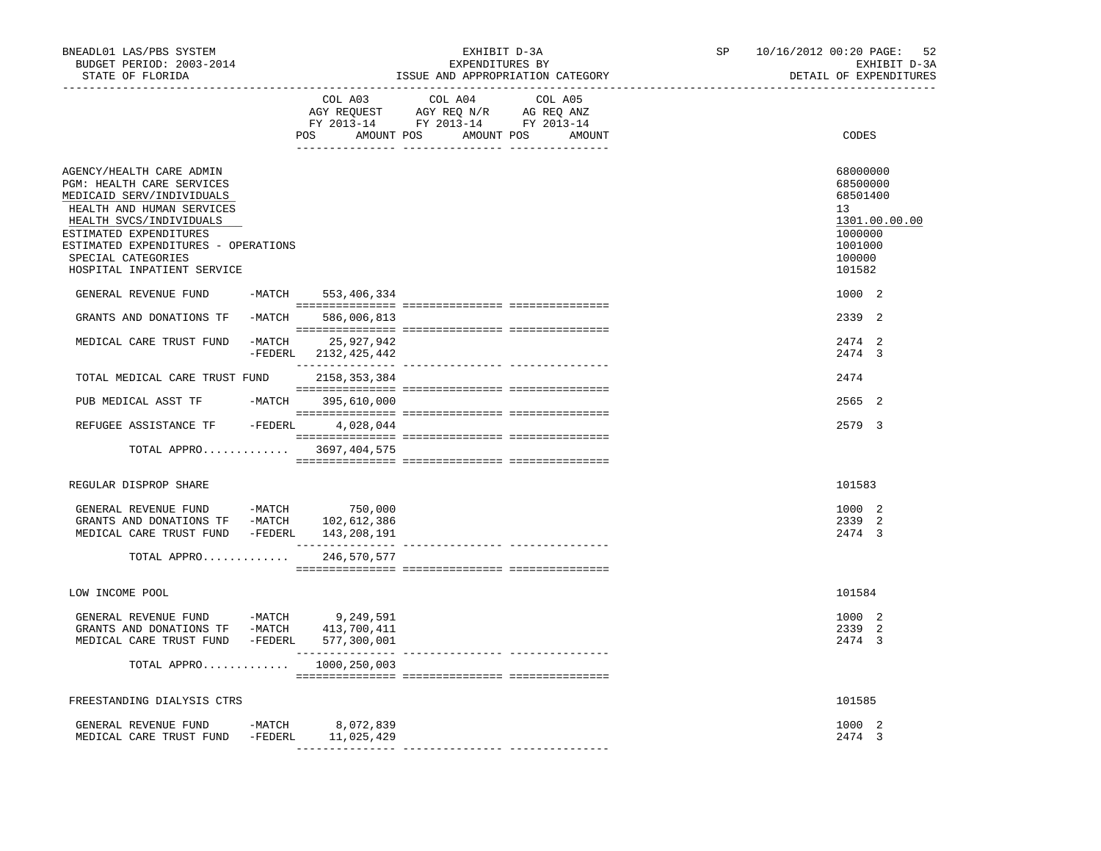| BNEADL01 LAS/PBS SYSTEM<br>BUDGET PERIOD: 2003-2014<br>STATE OF FLORIDA                                                                                                                                                                                         |        |                                      | EXPENDITURES BY                                                                                                                                                                                                                                                      | EXHIBIT D-3A<br>ISSUE AND APPROPRIATION CATEGORY | SP | 10/16/2012 00:20 PAGE:<br>-52<br>EXHIBIT D-3A<br>DETAIL OF EXPENDITURES                                        |
|-----------------------------------------------------------------------------------------------------------------------------------------------------------------------------------------------------------------------------------------------------------------|--------|--------------------------------------|----------------------------------------------------------------------------------------------------------------------------------------------------------------------------------------------------------------------------------------------------------------------|--------------------------------------------------|----|----------------------------------------------------------------------------------------------------------------|
|                                                                                                                                                                                                                                                                 |        |                                      | COL A03 COL A04<br>$\begin{tabular}{lllllll} \bf AGY \;\; RegUEST\hspace{1cm}AGY \;\; REG\;\; N/R\hspace{1cm}AG \;\; REG \;\; ANZ \\ \hline \texttt{FY} \;\; 2013\text{--}14 & \texttt{FY} \;\; 2013\text{--}14 & \texttt{FY} \;\; 2013\text{--}14 \\ \end{tabular}$ | COL A05<br>POS AMOUNT POS AMOUNT POS AMOUNT      |    | CODES                                                                                                          |
| AGENCY/HEALTH CARE ADMIN<br>PGM: HEALTH CARE SERVICES<br>MEDICAID SERV/INDIVIDUALS<br>HEALTH AND HUMAN SERVICES<br>HEALTH SVCS/INDIVIDUALS<br>ESTIMATED EXPENDITURES<br>ESTIMATED EXPENDITURES - OPERATIONS<br>SPECIAL CATEGORIES<br>HOSPITAL INPATIENT SERVICE |        |                                      |                                                                                                                                                                                                                                                                      |                                                  |    | 68000000<br>68500000<br>68501400<br>13 <sup>7</sup><br>1301.00.00.00<br>1000000<br>1001000<br>100000<br>101582 |
| GENERAL REVENUE FUND                                                                                                                                                                                                                                            |        | -MATCH 553,406,334                   |                                                                                                                                                                                                                                                                      |                                                  |    | 1000 2                                                                                                         |
| GRANTS AND DONATIONS TF                                                                                                                                                                                                                                         |        | -MATCH 586,006,813                   |                                                                                                                                                                                                                                                                      |                                                  |    | 2339 2                                                                                                         |
| MEDICAL CARE TRUST FUND                                                                                                                                                                                                                                         | -MATCH | 25,927,942<br>-FEDERL 2132, 425, 442 |                                                                                                                                                                                                                                                                      |                                                  |    | 2474 2<br>2474 3                                                                                               |
| TOTAL MEDICAL CARE TRUST FUND                                                                                                                                                                                                                                   |        | 2158,353,384                         |                                                                                                                                                                                                                                                                      |                                                  |    | 2474                                                                                                           |
| PUB MEDICAL ASST TF                                                                                                                                                                                                                                             |        | -MATCH 395,610,000                   |                                                                                                                                                                                                                                                                      |                                                  |    | 2565 2                                                                                                         |
| REFUGEE ASSISTANCE TF - FEDERL 4,028,044                                                                                                                                                                                                                        |        |                                      |                                                                                                                                                                                                                                                                      |                                                  |    | 2579 3                                                                                                         |
| TOTAL APPRO 3697,404,575                                                                                                                                                                                                                                        |        |                                      |                                                                                                                                                                                                                                                                      |                                                  |    |                                                                                                                |
| REGULAR DISPROP SHARE                                                                                                                                                                                                                                           |        |                                      |                                                                                                                                                                                                                                                                      |                                                  |    | 101583                                                                                                         |
| GENERAL REVENUE FUND -MATCH<br>GRANTS AND DONATIONS TF -MATCH 102,612,386<br>MEDICAL CARE TRUST FUND -FEDERL 143,208,191                                                                                                                                        |        | 750,000                              |                                                                                                                                                                                                                                                                      |                                                  |    | 1000 2<br>2339 2<br>2474 3                                                                                     |
| TOTAL APPRO                                                                                                                                                                                                                                                     |        | 246,570,577                          |                                                                                                                                                                                                                                                                      |                                                  |    |                                                                                                                |
| LOW INCOME POOL                                                                                                                                                                                                                                                 |        |                                      |                                                                                                                                                                                                                                                                      |                                                  |    | 101584                                                                                                         |
| GENERAL REVENUE FUND -MATCH 9,249,591<br>GRANTS AND DONATIONS TF -MATCH 413,700,411<br>MEDICAL CARE TRUST FUND -FEDERL 577,300,001                                                                                                                              |        |                                      |                                                                                                                                                                                                                                                                      |                                                  |    | 1000 2<br>2339 2<br>2474 3                                                                                     |
| TOTAL APPRO $1000, 250, 003$                                                                                                                                                                                                                                    |        |                                      |                                                                                                                                                                                                                                                                      |                                                  |    |                                                                                                                |
| FREESTANDING DIALYSIS CTRS                                                                                                                                                                                                                                      |        |                                      |                                                                                                                                                                                                                                                                      |                                                  |    | 101585                                                                                                         |
| GENERAL REVENUE FUND<br>MEDICAL CARE TRUST FUND -FEDERL                                                                                                                                                                                                         |        | -MATCH 8,072,839<br>11,025,429       |                                                                                                                                                                                                                                                                      |                                                  |    | 1000 2<br>2474 3                                                                                               |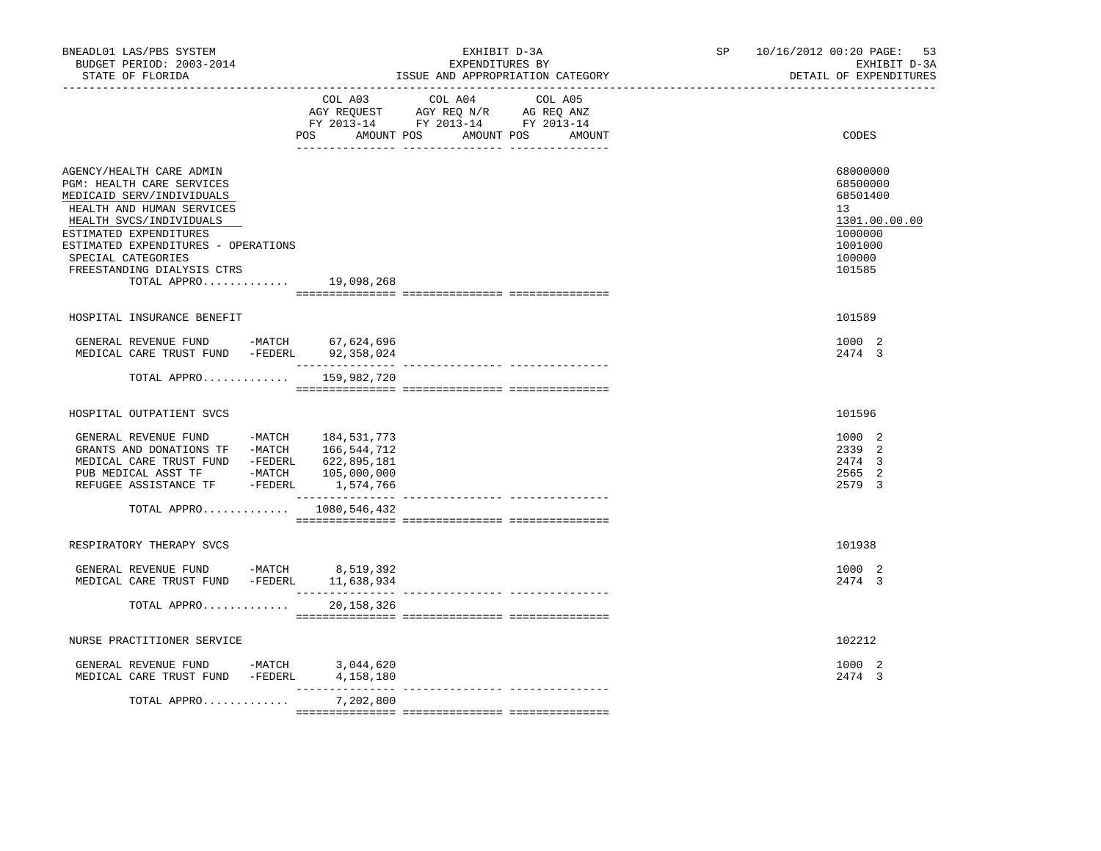| COL A03 COL A04 COL A05<br>AGY REQUEST AGY REQ N/R AG REQ ANZ                                                                                                                                                                                                                                |                                                                                                   |
|----------------------------------------------------------------------------------------------------------------------------------------------------------------------------------------------------------------------------------------------------------------------------------------------|---------------------------------------------------------------------------------------------------|
| FY 2013-14 FY 2013-14 FY 2013-14<br>POS AMOUNT POS AMOUNT POS AMOUNT                                                                                                                                                                                                                         | CODES                                                                                             |
| AGENCY/HEALTH CARE ADMIN<br>PGM: HEALTH CARE SERVICES<br>MEDICAID SERV/INDIVIDUALS<br>HEALTH AND HUMAN SERVICES<br>HEALTH SVCS/INDIVIDUALS<br>ESTIMATED EXPENDITURES<br>ESTIMATED EXPENDITURES - OPERATIONS<br>SPECIAL CATEGORIES<br>FREESTANDING DIALYSIS CTRS<br>TOTAL APPRO<br>19,098,268 | 68000000<br>68500000<br>68501400<br>13<br>1301.00.00.00<br>1000000<br>1001000<br>100000<br>101585 |
| HOSPITAL INSURANCE BENEFIT                                                                                                                                                                                                                                                                   | 101589                                                                                            |
| GENERAL REVENUE FUND -MATCH 67,624,696<br>MEDICAL CARE TRUST FUND -FEDERL 92,358,024                                                                                                                                                                                                         | 1000 2<br>2474 3                                                                                  |
| TOTAL APPRO $159,982,720$                                                                                                                                                                                                                                                                    |                                                                                                   |
| HOSPITAL OUTPATIENT SVCS                                                                                                                                                                                                                                                                     | 101596                                                                                            |
| GENERAL REVENUE FUND -MATCH 184,531,773<br>GRANTS AND DONATIONS TF -MATCH 166,544,712<br>MEDICAL CARE TRUST FUND -FEDERL 622,895,181<br>TOTAL APPRO $1080, 546, 432$                                                                                                                         | 1000 2<br>2339 2<br>2474 3<br>2565 2<br>2579 3                                                    |
|                                                                                                                                                                                                                                                                                              |                                                                                                   |
| RESPIRATORY THERAPY SVCS                                                                                                                                                                                                                                                                     | 101938                                                                                            |
| GENERAL REVENUE FUND -MATCH 8,519,392<br>MEDICAL CARE TRUST FUND -FEDERL 11,638,934                                                                                                                                                                                                          | 1000 2<br>2474 3                                                                                  |
| TOTAL APPRO 20,158,326                                                                                                                                                                                                                                                                       |                                                                                                   |
| NURSE PRACTITIONER SERVICE                                                                                                                                                                                                                                                                   | 102212                                                                                            |
| GENERAL REVENUE FUND -MATCH<br>3,044,620<br>MEDICAL CARE TRUST FUND -FEDERL 4,158,180                                                                                                                                                                                                        | 1000 2<br>2474 3                                                                                  |
| --------------- --------------<br>TOTAL APPRO<br>7,202,800                                                                                                                                                                                                                                   |                                                                                                   |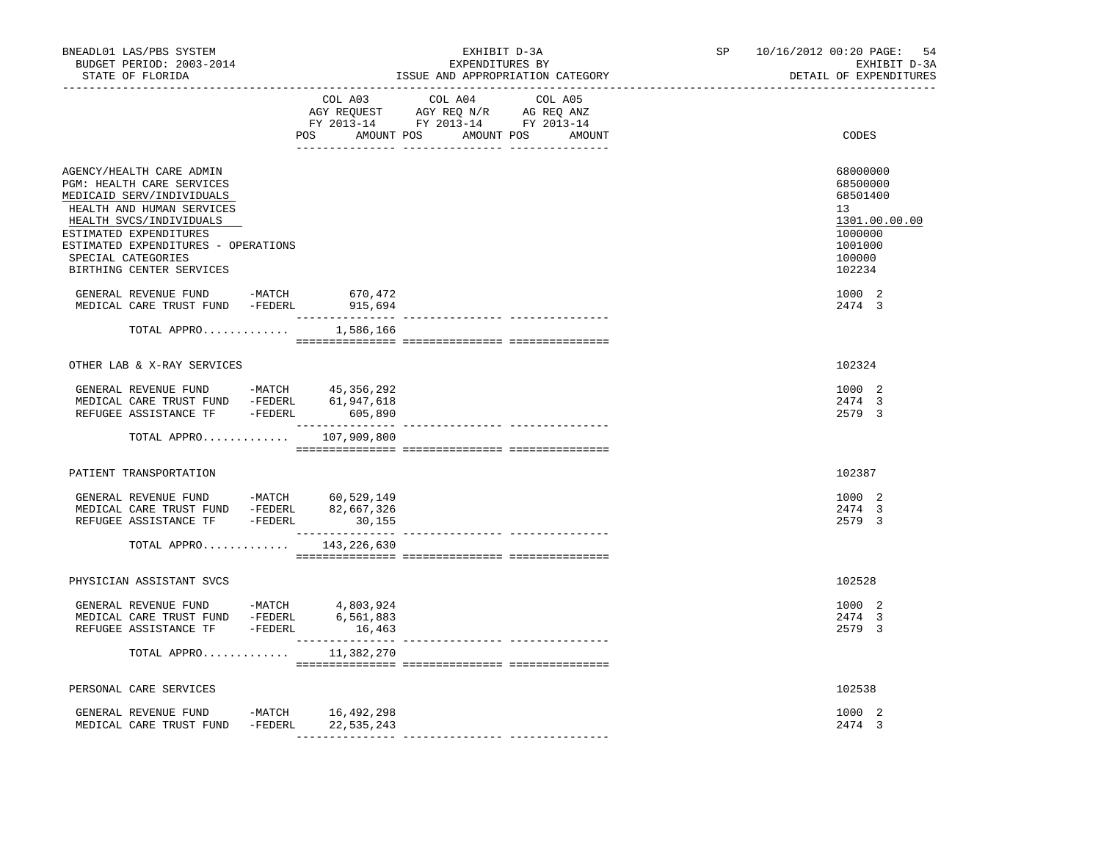| COL A03<br>COL A04<br>COL A05<br>AGY REQUEST AGY REQ N/R AG REQ ANZ<br>FY 2013-14 FY 2013-14 FY 2013-14<br>POS AMOUNT POS AMOUNT POS AMOUNT<br>AGENCY/HEALTH CARE ADMIN                                                                                                                                                                                                                                                                                        | CODES<br>68000000<br>68500000<br>68501400                                   |
|----------------------------------------------------------------------------------------------------------------------------------------------------------------------------------------------------------------------------------------------------------------------------------------------------------------------------------------------------------------------------------------------------------------------------------------------------------------|-----------------------------------------------------------------------------|
|                                                                                                                                                                                                                                                                                                                                                                                                                                                                |                                                                             |
| PGM: HEALTH CARE SERVICES<br>MEDICAID SERV/INDIVIDUALS<br>HEALTH AND HUMAN SERVICES<br>13<br>HEALTH SVCS/INDIVIDUALS<br>ESTIMATED EXPENDITURES<br>ESTIMATED EXPENDITURES - OPERATIONS<br>SPECIAL CATEGORIES<br>BIRTHING CENTER SERVICES<br>GENERAL REVENUE FUND -MATCH 670,472<br>MEDICAL CARE TRUST FUND -FEDERL<br>915,694                                                                                                                                   | 1301.00.00.00<br>1000000<br>1001000<br>100000<br>102234<br>1000 2<br>2474 3 |
| TOTAL APPRO $1,586,166$                                                                                                                                                                                                                                                                                                                                                                                                                                        |                                                                             |
| OTHER LAB & X-RAY SERVICES                                                                                                                                                                                                                                                                                                                                                                                                                                     | 102324                                                                      |
| GENERAL REVENUE FUND -MATCH 45,356,292<br>MEDICAL CARE TRUST FUND -FEDERL 61,947,618<br>REFUGEE ASSISTANCE TF -FEDERL 605,890                                                                                                                                                                                                                                                                                                                                  | 1000 2<br>2474 3<br>2579 3                                                  |
| TOTAL APPRO $107,909,800$                                                                                                                                                                                                                                                                                                                                                                                                                                      |                                                                             |
| PATIENT TRANSPORTATION                                                                                                                                                                                                                                                                                                                                                                                                                                         | 102387                                                                      |
| GENERAL REVENUE FUND -MATCH 60,529,149<br>MEDICAL CARE TRUST FUND -FEDERL 82,667,326<br>REFUGEE ASSISTANCE TF -FEDERL 30,155                                                                                                                                                                                                                                                                                                                                   | 1000 2<br>2474 3<br>2579 3                                                  |
| TOTAL APPRO 143,226,630<br>$\begin{minipage}{0.03\textwidth} \begin{tabular}{l} \textbf{1} & \textbf{2} & \textbf{3} & \textbf{5} & \textbf{5} & \textbf{6} & \textbf{6} & \textbf{7} & \textbf{8} & \textbf{8} & \textbf{9} & \textbf{9} & \textbf{9} & \textbf{9} & \textbf{9} & \textbf{9} & \textbf{9} & \textbf{9} & \textbf{9} & \textbf{9} & \textbf{9} & \textbf{9} & \textbf{9} & \textbf{9} & \textbf{9} & \textbf{9} & \textbf{9} & \textbf{9} & \$ |                                                                             |
| PHYSICIAN ASSISTANT SVCS                                                                                                                                                                                                                                                                                                                                                                                                                                       | 102528                                                                      |
| GENERAL REVENUE FUND -MATCH 4,803,924<br>MEDICAL CARE TRUST FUND -FEDERL<br>6,561,883<br>REFUGEE ASSISTANCE TF -FEDERL<br>16,463                                                                                                                                                                                                                                                                                                                               | 1000 2<br>2474 3<br>2579 3                                                  |
| TOTAL APPRO<br>11,382,270                                                                                                                                                                                                                                                                                                                                                                                                                                      |                                                                             |
| PERSONAL CARE SERVICES                                                                                                                                                                                                                                                                                                                                                                                                                                         | 102538                                                                      |
| GENERAL REVENUE FUND -MATCH 16,492,298<br>MEDICAL CARE TRUST FUND -FEDERL 22,535,243                                                                                                                                                                                                                                                                                                                                                                           | 1000 2<br>2474 3                                                            |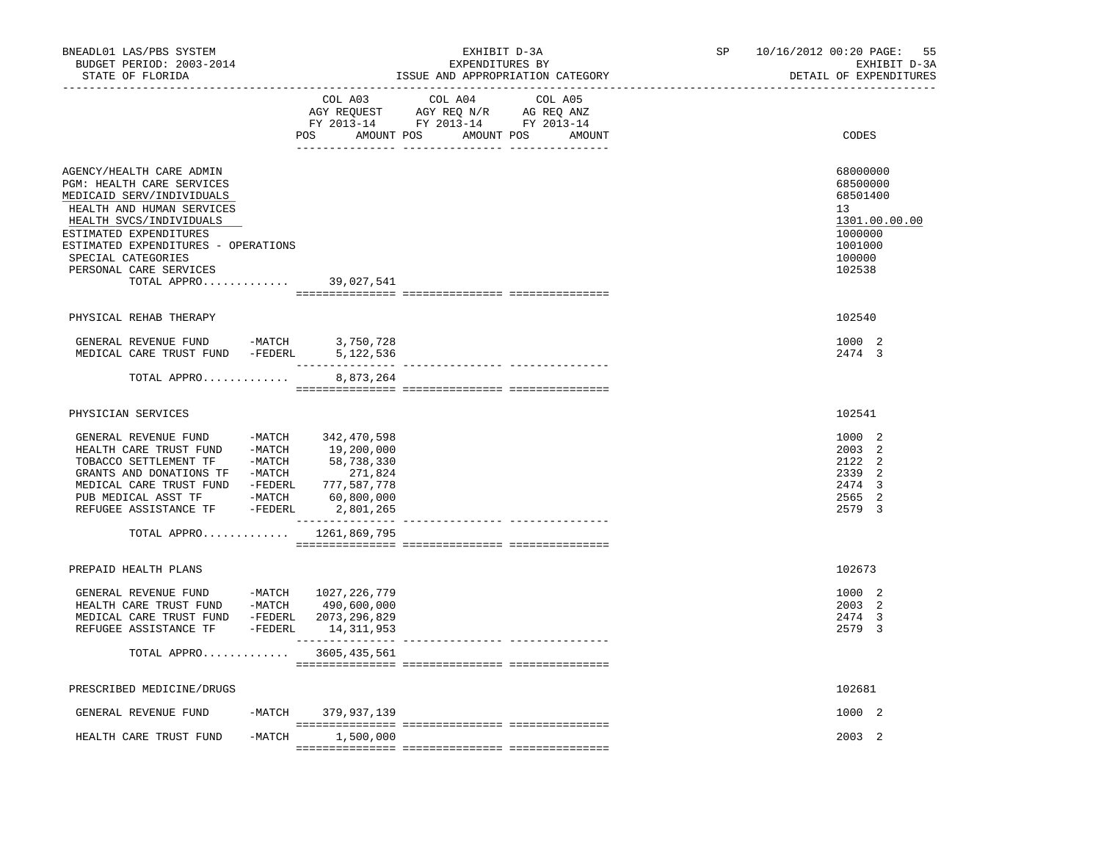| BNEADL01 LAS/PBS SYSTEM<br>BUDGET PERIOD: 2003-2014<br>STATE OF FLORIDA                                                                                                                                                                                                               |          |                                  | EXHIBIT D-3A<br>EXPENDITURES BY<br>ISSUE AND APPROPRIATION CATEGORY                                                                                                                                                                       | SP                                          | 10/16/2012 00:20 PAGE:<br>55<br>EXHIBIT D-3A<br>DETAIL OF EXPENDITURES |                                                                                                   |
|---------------------------------------------------------------------------------------------------------------------------------------------------------------------------------------------------------------------------------------------------------------------------------------|----------|----------------------------------|-------------------------------------------------------------------------------------------------------------------------------------------------------------------------------------------------------------------------------------------|---------------------------------------------|------------------------------------------------------------------------|---------------------------------------------------------------------------------------------------|
|                                                                                                                                                                                                                                                                                       |          | COL A03                          | COL A04<br>$\begin{tabular}{lllllllll} \bf AGY \;\; RegUEST \hspace{1cm} AGY \;\; REG \;\; N/R \hspace{1cm} \bf AG \;\; REG \;\; ANZ \;\; \\ \bf FY \;\; 2013-14 \hspace{1cm} FY \;\; 2013-14 \hspace{1cm} FY \;\; 2013-14 \end{tabular}$ | COL A05<br>POS AMOUNT POS AMOUNT POS AMOUNT |                                                                        | CODES                                                                                             |
| AGENCY/HEALTH CARE ADMIN<br>PGM: HEALTH CARE SERVICES<br>MEDICAID SERV/INDIVIDUALS<br>HEALTH AND HUMAN SERVICES<br>HEALTH SVCS/INDIVIDUALS<br>ESTIMATED EXPENDITURES<br>ESTIMATED EXPENDITURES - OPERATIONS<br>SPECIAL CATEGORIES<br>PERSONAL CARE SERVICES<br>TOTAL APPRO 39,027,541 |          |                                  |                                                                                                                                                                                                                                           |                                             |                                                                        | 68000000<br>68500000<br>68501400<br>13<br>1301.00.00.00<br>1000000<br>1001000<br>100000<br>102538 |
|                                                                                                                                                                                                                                                                                       |          |                                  |                                                                                                                                                                                                                                           |                                             |                                                                        |                                                                                                   |
| PHYSICAL REHAB THERAPY<br>GENERAL REVENUE FUND -MATCH 3,750,728<br>MEDICAL CARE TRUST FUND -FEDERL<br>TOTAL APPRO                                                                                                                                                                     |          | 5,122,536<br>8,873,264           |                                                                                                                                                                                                                                           |                                             |                                                                        | 102540<br>1000 2<br>2474 3                                                                        |
|                                                                                                                                                                                                                                                                                       |          |                                  |                                                                                                                                                                                                                                           |                                             |                                                                        |                                                                                                   |
| PHYSICIAN SERVICES                                                                                                                                                                                                                                                                    |          |                                  |                                                                                                                                                                                                                                           |                                             |                                                                        | 102541                                                                                            |
| GENERAL REVENUE FUND -MATCH 342,470,598<br>HEALTH CARE TRUST FUND -MATCH 19,200,000<br>PUB MEDICAL ASST TF -MATCH 60,800,000<br>REFUGEE ASSISTANCE TF - FEDERL 2,801,265                                                                                                              |          | 777,587,778<br>_________________ |                                                                                                                                                                                                                                           |                                             |                                                                        | 1000 2<br>2003 2<br>2122<br>-2<br>2339 2<br>2474<br>$\overline{3}$<br>2565 2<br>2579 3            |
| TOTAL APPRO 1261,869,795                                                                                                                                                                                                                                                              |          |                                  |                                                                                                                                                                                                                                           | ---------------- ----------------           |                                                                        |                                                                                                   |
| PREPAID HEALTH PLANS                                                                                                                                                                                                                                                                  |          |                                  |                                                                                                                                                                                                                                           |                                             |                                                                        | 102673                                                                                            |
| GENERAL REVENUE FUND -MATCH 1027, 226, 779<br>HEALTH CARE TRUST FUND -MATCH 490,600,000<br>MEDICAL CARE TRUST FUND -FEDERL 2073,296,829<br>REFUGEE ASSISTANCE TF -FEDERL 14,311,953                                                                                                   |          |                                  |                                                                                                                                                                                                                                           |                                             |                                                                        | 1000 2<br>2003 2<br>2474 3<br>2579 3                                                              |
| TOTAL APPRO 3605,435,561                                                                                                                                                                                                                                                              |          |                                  |                                                                                                                                                                                                                                           |                                             |                                                                        |                                                                                                   |
| PRESCRIBED MEDICINE/DRUGS                                                                                                                                                                                                                                                             |          |                                  |                                                                                                                                                                                                                                           |                                             |                                                                        | 102681                                                                                            |
| GENERAL REVENUE FUND                                                                                                                                                                                                                                                                  |          | -MATCH 379,937,139               |                                                                                                                                                                                                                                           |                                             |                                                                        | 1000 2                                                                                            |
| HEALTH CARE TRUST FUND                                                                                                                                                                                                                                                                | $-MATCH$ | 1,500,000                        |                                                                                                                                                                                                                                           |                                             |                                                                        | 2003 2                                                                                            |
|                                                                                                                                                                                                                                                                                       |          |                                  |                                                                                                                                                                                                                                           |                                             |                                                                        |                                                                                                   |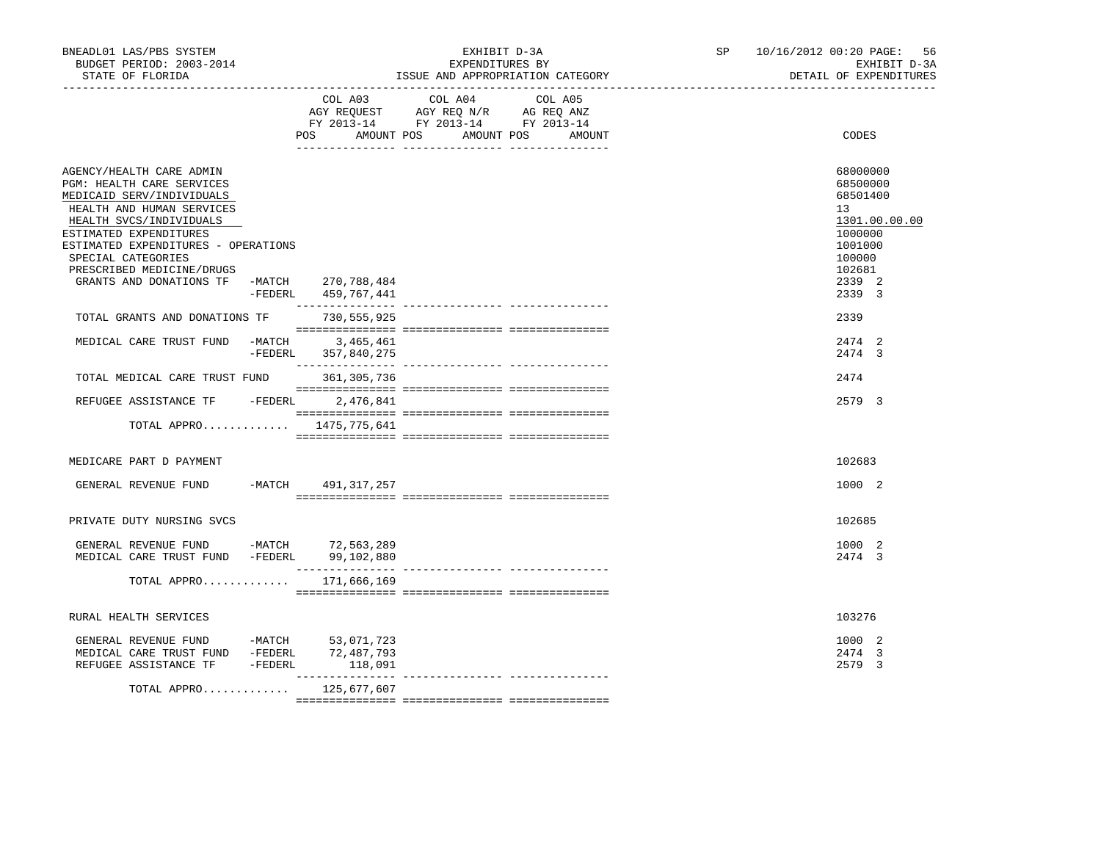| BNEADL01 LAS/PBS SYSTEM<br>BUDGET PERIOD: 2003-2014<br>STATE OF FLORIDA                                                                                                                                                                                        |                     | EXHIBIT D-3A<br>EXPENDITURES BY<br>ISSUE AND APPROPRIATION CATEGORY                                                                  | SP <sub>2</sub> | 10/16/2012 00:20 PAGE:<br>56<br>EXHIBIT D-3A<br>DETAIL OF EXPENDITURES                            |
|----------------------------------------------------------------------------------------------------------------------------------------------------------------------------------------------------------------------------------------------------------------|---------------------|--------------------------------------------------------------------------------------------------------------------------------------|-----------------|---------------------------------------------------------------------------------------------------|
|                                                                                                                                                                                                                                                                | POS                 | COL A03 COL A04<br>COL A05<br>AGY REQUEST AGY REQ N/R AG REQ ANZ<br>FY 2013-14 FY 2013-14 FY 2013-14<br>AMOUNT POS AMOUNT POS AMOUNT |                 | CODES                                                                                             |
| AGENCY/HEALTH CARE ADMIN<br>PGM: HEALTH CARE SERVICES<br>MEDICAID SERV/INDIVIDUALS<br>HEALTH AND HUMAN SERVICES<br>HEALTH SVCS/INDIVIDUALS<br>ESTIMATED EXPENDITURES<br>ESTIMATED EXPENDITURES - OPERATIONS<br>SPECIAL CATEGORIES<br>PRESCRIBED MEDICINE/DRUGS |                     |                                                                                                                                      |                 | 68000000<br>68500000<br>68501400<br>13<br>1301.00.00.00<br>1000000<br>1001000<br>100000<br>102681 |
| GRANTS AND DONATIONS TF -MATCH 270,788,484                                                                                                                                                                                                                     | -FEDERL 459,767,441 |                                                                                                                                      |                 | 2339 2<br>2339 3                                                                                  |
| TOTAL GRANTS AND DONATIONS TF                                                                                                                                                                                                                                  | 730,555,925         |                                                                                                                                      |                 | 2339                                                                                              |
| MEDICAL CARE TRUST FUND -MATCH 3,465,461                                                                                                                                                                                                                       | -FEDERL 357,840,275 |                                                                                                                                      |                 | 2474 2<br>2474 3                                                                                  |
| TOTAL MEDICAL CARE TRUST FUND                                                                                                                                                                                                                                  | 361,305,736         |                                                                                                                                      |                 | 2474                                                                                              |
| REFUGEE ASSISTANCE TF -FEDERL 2,476,841                                                                                                                                                                                                                        |                     |                                                                                                                                      |                 | 2579 3                                                                                            |
| TOTAL APPRO 1475, 775, 641                                                                                                                                                                                                                                     |                     |                                                                                                                                      |                 |                                                                                                   |
| MEDICARE PART D PAYMENT                                                                                                                                                                                                                                        |                     |                                                                                                                                      |                 | 102683                                                                                            |
| GENERAL REVENUE FUND                                                                                                                                                                                                                                           | -MATCH 491,317,257  |                                                                                                                                      |                 | 1000 2                                                                                            |
| PRIVATE DUTY NURSING SVCS                                                                                                                                                                                                                                      |                     |                                                                                                                                      |                 | 102685                                                                                            |
| GENERAL REVENUE FUND -MATCH 72,563,289<br>MEDICAL CARE TRUST FUND -FEDERL 99,102,880                                                                                                                                                                           |                     |                                                                                                                                      |                 | 1000 2<br>2474 3                                                                                  |
| TOTAL APPRO 171,666,169                                                                                                                                                                                                                                        |                     |                                                                                                                                      |                 |                                                                                                   |
| RURAL HEALTH SERVICES                                                                                                                                                                                                                                          |                     |                                                                                                                                      |                 | 103276                                                                                            |
| GENERAL REVENUE FUND -MATCH 53,071,723<br>MEDICAL CARE TRUST FUND -FEDERL 72,487,793<br>REFUGEE ASSISTANCE TF -FEDERL                                                                                                                                          | 118,091             |                                                                                                                                      |                 | 1000 2<br>2474 3<br>2579 3                                                                        |
| TOTAL APPRO 125,677,607                                                                                                                                                                                                                                        |                     |                                                                                                                                      |                 |                                                                                                   |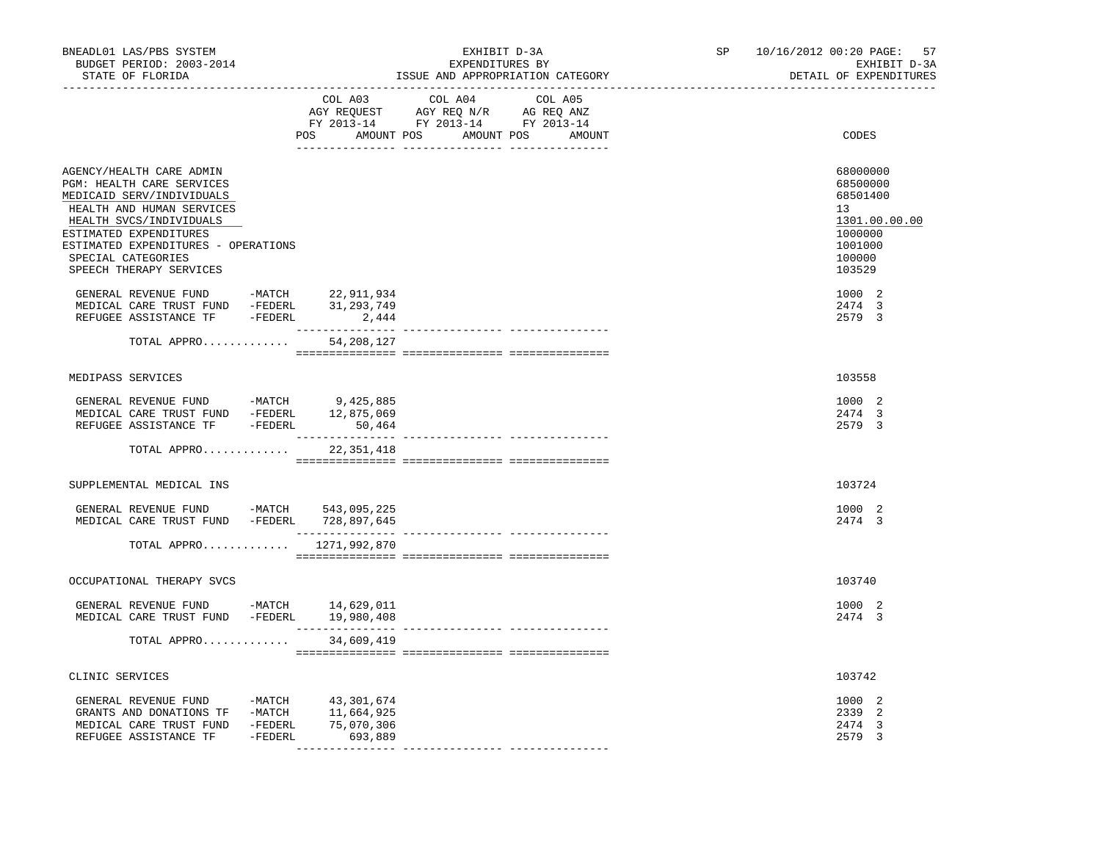| BNEADL01 LAS/PBS SYSTEM<br>BUDGET PERIOD: 2003-2014<br>STATE OF FLORIDA                                                                                                                                                                                                                                                                              | ________________________________    | EXHIBIT D-3A<br>EXPENDITURES BY<br>ISSUE AND APPROPRIATION CATEGORY               | SP <sub>2</sub>                                                           | 10/16/2012 00:20 PAGE: 57<br>EXHIBIT D-3A<br>DETAIL OF EXPENDITURES |                                                                                                                       |
|------------------------------------------------------------------------------------------------------------------------------------------------------------------------------------------------------------------------------------------------------------------------------------------------------------------------------------------------------|-------------------------------------|-----------------------------------------------------------------------------------|---------------------------------------------------------------------------|---------------------------------------------------------------------|-----------------------------------------------------------------------------------------------------------------------|
|                                                                                                                                                                                                                                                                                                                                                      | COL A03<br>---------------- ------- | COL A04<br>AGY REQUEST AGY REQ N/R AG REQ ANZ<br>FY 2013-14 FY 2013-14 FY 2013-14 | COL A05<br>POS AMOUNT POS AMOUNT POS AMOUNT<br>__________________________ |                                                                     | CODES                                                                                                                 |
| AGENCY/HEALTH CARE ADMIN<br>PGM: HEALTH CARE SERVICES<br>MEDICAID SERV/INDIVIDUALS<br>HEALTH AND HUMAN SERVICES<br>HEALTH SVCS/INDIVIDUALS<br>ESTIMATED EXPENDITURES<br>ESTIMATED EXPENDITURES - OPERATIONS<br>SPECIAL CATEGORIES<br>SPEECH THERAPY SERVICES<br>GENERAL REVENUE FUND -MATCH 22,911,934<br>MEDICAL CARE TRUST FUND -FEDERL 31,293,749 |                                     |                                                                                   |                                                                           |                                                                     | 68000000<br>68500000<br>68501400<br>13<br>1301.00.00.00<br>1000000<br>1001000<br>100000<br>103529<br>1000 2<br>2474 3 |
| REFUGEE ASSISTANCE TF - FEDERL 2,444<br>TOTAL APPRO                                                                                                                                                                                                                                                                                                  | 54,208,127                          |                                                                                   |                                                                           |                                                                     | 2579 3                                                                                                                |
|                                                                                                                                                                                                                                                                                                                                                      |                                     |                                                                                   |                                                                           |                                                                     |                                                                                                                       |
| MEDIPASS SERVICES                                                                                                                                                                                                                                                                                                                                    |                                     |                                                                                   |                                                                           |                                                                     | 103558                                                                                                                |
| GENERAL REVENUE FUND -MATCH 9,425,885<br>MEDICAL CARE TRUST FUND -FEDERL 12,875,069<br>REFUGEE ASSISTANCE TF -FEDERL 50,464                                                                                                                                                                                                                          | _________________                   | --------------- ---------------                                                   |                                                                           |                                                                     | 1000 2<br>2474 3<br>2579 3                                                                                            |
| TOTAL APPRO                                                                                                                                                                                                                                                                                                                                          | 22,351,418                          |                                                                                   |                                                                           |                                                                     |                                                                                                                       |
| SUPPLEMENTAL MEDICAL INS                                                                                                                                                                                                                                                                                                                             |                                     |                                                                                   |                                                                           |                                                                     | 103724                                                                                                                |
| GENERAL REVENUE FUND -MATCH 543,095,225<br>MEDICAL CARE TRUST FUND -FEDERL 728,897,645                                                                                                                                                                                                                                                               |                                     |                                                                                   |                                                                           |                                                                     | 1000 2<br>2474 3                                                                                                      |
| TOTAL APPRO 1271,992,870                                                                                                                                                                                                                                                                                                                             |                                     |                                                                                   |                                                                           |                                                                     |                                                                                                                       |
| OCCUPATIONAL THERAPY SVCS                                                                                                                                                                                                                                                                                                                            |                                     |                                                                                   |                                                                           |                                                                     | 103740                                                                                                                |
| GENERAL REVENUE FUND -MATCH 14,629,011<br>MEDICAL CARE TRUST FUND -FEDERL 19,980,408                                                                                                                                                                                                                                                                 |                                     |                                                                                   |                                                                           |                                                                     | 1000 2<br>2474 3                                                                                                      |
| TOTAL APPRO                                                                                                                                                                                                                                                                                                                                          | 34,609,419                          |                                                                                   |                                                                           |                                                                     |                                                                                                                       |
| CLINIC SERVICES                                                                                                                                                                                                                                                                                                                                      |                                     |                                                                                   |                                                                           |                                                                     | 103742                                                                                                                |
|                                                                                                                                                                                                                                                                                                                                                      |                                     |                                                                                   |                                                                           |                                                                     | 1000 2<br>2339 2<br>2474<br>$\overline{3}$<br>2579 3                                                                  |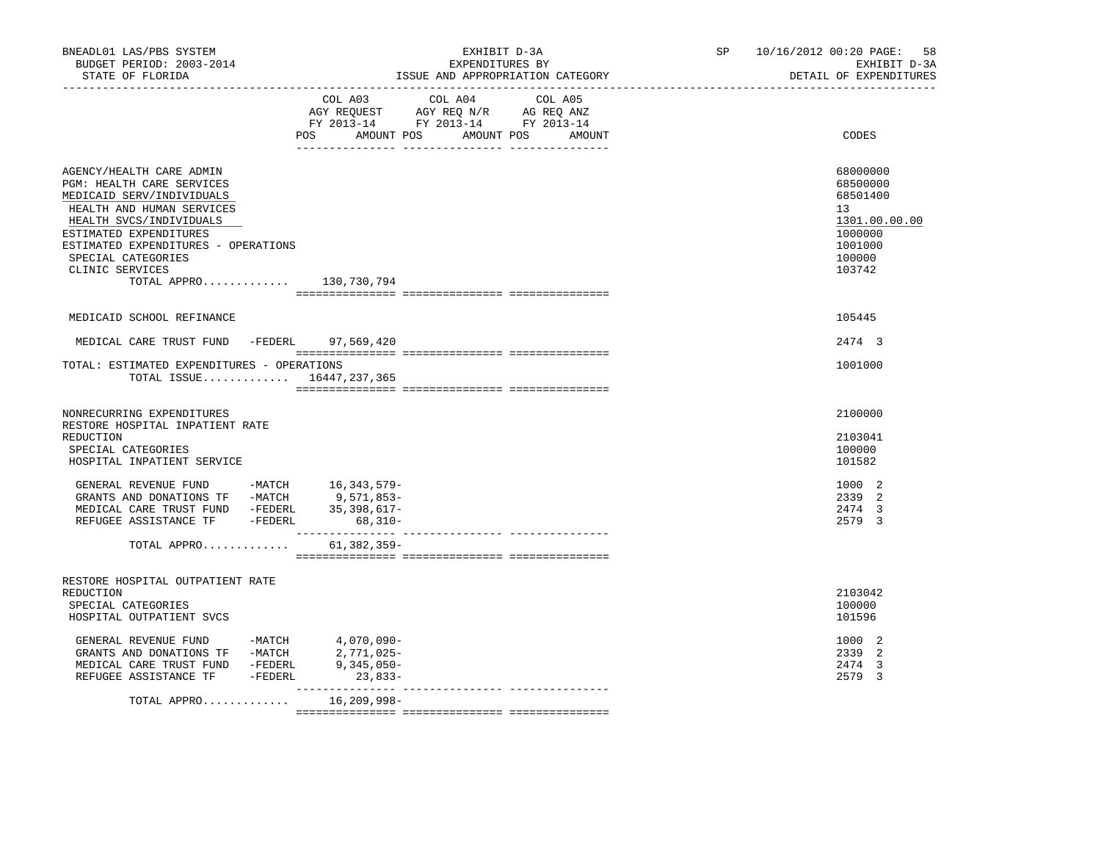| COL A03 COL A04 COL A05<br>AGY REQUEST AGY REQ N/R AG REQ ANZ<br>FY 2013-14 FY 2013-14 FY 2013-14<br>AMOUNT POS AMOUNT POS AMOUNT<br>CODES<br>POS<br>68000000<br>AGENCY/HEALTH CARE ADMIN<br>PGM: HEALTH CARE SERVICES<br>68500000<br>MEDICAID SERV/INDIVIDUALS<br>68501400<br>HEALTH AND HUMAN SERVICES<br>13<br>HEALTH SVCS/INDIVIDUALS<br>ESTIMATED EXPENDITURES<br>1000000<br>ESTIMATED EXPENDITURES - OPERATIONS<br>1001000<br>SPECIAL CATEGORIES<br>100000<br>CLINIC SERVICES<br>103742<br>TOTAL APPRO 130,730,794<br>MEDICAID SCHOOL REFINANCE<br>105445<br>MEDICAL CARE TRUST FUND -FEDERL 97,569,420<br>2474 3<br>TOTAL: ESTIMATED EXPENDITURES - OPERATIONS<br>1001000<br>TOTAL ISSUE $16447,237,365$<br>2100000<br>NONRECURRING EXPENDITURES<br>RESTORE HOSPITAL INPATIENT RATE<br>REDUCTION<br>2103041<br>100000<br>SPECIAL CATEGORIES<br>HOSPITAL INPATIENT SERVICE<br>101582<br>GENERAL REVENUE FUND -MATCH 16,343,579-<br>1000 2<br>GRANTS AND DONATIONS TF -MATCH 9,571,853-<br>MEDICAL CARE TRUST FUND -FEDERL 35,398,617-<br>2339 2<br>2474 3<br>REFUGEE ASSISTANCE TF -FEDERL<br>2579 3<br>68,310-<br>61,382,359-<br>TOTAL APPRO<br>RESTORE HOSPITAL OUTPATIENT RATE<br>2103042<br>REDUCTION<br>100000<br>SPECIAL CATEGORIES<br>101596<br>HOSPITAL OUTPATIENT SVCS<br>1000 2<br>$\begin{tabular}{lllllllll} \multicolumn{2}{llll} \textbf{GENERAL} & \textbf{REVENUE} & \textbf{FUND} & & -\textbf{MATCH} & & 4\, ,070\, ,090-\\ \textbf{GRANTS} & \textbf{AND} & \textbf{DOMATIONS} & \textbf{TF} & & -\textbf{MATCH} & & 2\, ,771\, ,025-\\ \end{tabular}$<br>2339 2<br>MEDICAL CARE TRUST FUND -FEDERL<br>$9,345,050-$<br>2474 3<br>REFUGEE ASSISTANCE TF -FEDERL<br>$23,833-$<br>2579 3<br>TOTAL APPRO | BNEADL01 LAS/PBS SYSTEM<br>BUDGET PERIOD: 2003-2014<br>STATE OF FLORIDA |             | EXHIBIT D-3A<br>EXPENDITURES BY<br>ISSUE AND APPROPRIATION CATEGORY | SP and the set of the set of the set of the set of the set of the set of the set of the set of the set of the set of the set of the set of the set of the set of the set of the set of the set of the set of the set of the se | 10/16/2012 00:20 PAGE:<br>58<br>EXHIBIT D-3A<br>DETAIL OF EXPENDITURES |
|-------------------------------------------------------------------------------------------------------------------------------------------------------------------------------------------------------------------------------------------------------------------------------------------------------------------------------------------------------------------------------------------------------------------------------------------------------------------------------------------------------------------------------------------------------------------------------------------------------------------------------------------------------------------------------------------------------------------------------------------------------------------------------------------------------------------------------------------------------------------------------------------------------------------------------------------------------------------------------------------------------------------------------------------------------------------------------------------------------------------------------------------------------------------------------------------------------------------------------------------------------------------------------------------------------------------------------------------------------------------------------------------------------------------------------------------------------------------------------------------------------------------------------------------------------------------------------------------------------------------------------------------------------------------------------------------------------------------------------|-------------------------------------------------------------------------|-------------|---------------------------------------------------------------------|--------------------------------------------------------------------------------------------------------------------------------------------------------------------------------------------------------------------------------|------------------------------------------------------------------------|
|                                                                                                                                                                                                                                                                                                                                                                                                                                                                                                                                                                                                                                                                                                                                                                                                                                                                                                                                                                                                                                                                                                                                                                                                                                                                                                                                                                                                                                                                                                                                                                                                                                                                                                                               |                                                                         |             |                                                                     |                                                                                                                                                                                                                                |                                                                        |
|                                                                                                                                                                                                                                                                                                                                                                                                                                                                                                                                                                                                                                                                                                                                                                                                                                                                                                                                                                                                                                                                                                                                                                                                                                                                                                                                                                                                                                                                                                                                                                                                                                                                                                                               |                                                                         |             |                                                                     |                                                                                                                                                                                                                                | 1301.00.00.00                                                          |
|                                                                                                                                                                                                                                                                                                                                                                                                                                                                                                                                                                                                                                                                                                                                                                                                                                                                                                                                                                                                                                                                                                                                                                                                                                                                                                                                                                                                                                                                                                                                                                                                                                                                                                                               |                                                                         |             |                                                                     |                                                                                                                                                                                                                                |                                                                        |
|                                                                                                                                                                                                                                                                                                                                                                                                                                                                                                                                                                                                                                                                                                                                                                                                                                                                                                                                                                                                                                                                                                                                                                                                                                                                                                                                                                                                                                                                                                                                                                                                                                                                                                                               |                                                                         |             |                                                                     |                                                                                                                                                                                                                                |                                                                        |
|                                                                                                                                                                                                                                                                                                                                                                                                                                                                                                                                                                                                                                                                                                                                                                                                                                                                                                                                                                                                                                                                                                                                                                                                                                                                                                                                                                                                                                                                                                                                                                                                                                                                                                                               |                                                                         |             |                                                                     |                                                                                                                                                                                                                                |                                                                        |
|                                                                                                                                                                                                                                                                                                                                                                                                                                                                                                                                                                                                                                                                                                                                                                                                                                                                                                                                                                                                                                                                                                                                                                                                                                                                                                                                                                                                                                                                                                                                                                                                                                                                                                                               |                                                                         |             |                                                                     |                                                                                                                                                                                                                                |                                                                        |
|                                                                                                                                                                                                                                                                                                                                                                                                                                                                                                                                                                                                                                                                                                                                                                                                                                                                                                                                                                                                                                                                                                                                                                                                                                                                                                                                                                                                                                                                                                                                                                                                                                                                                                                               |                                                                         |             |                                                                     |                                                                                                                                                                                                                                |                                                                        |
|                                                                                                                                                                                                                                                                                                                                                                                                                                                                                                                                                                                                                                                                                                                                                                                                                                                                                                                                                                                                                                                                                                                                                                                                                                                                                                                                                                                                                                                                                                                                                                                                                                                                                                                               |                                                                         |             |                                                                     |                                                                                                                                                                                                                                |                                                                        |
|                                                                                                                                                                                                                                                                                                                                                                                                                                                                                                                                                                                                                                                                                                                                                                                                                                                                                                                                                                                                                                                                                                                                                                                                                                                                                                                                                                                                                                                                                                                                                                                                                                                                                                                               |                                                                         |             |                                                                     |                                                                                                                                                                                                                                |                                                                        |
|                                                                                                                                                                                                                                                                                                                                                                                                                                                                                                                                                                                                                                                                                                                                                                                                                                                                                                                                                                                                                                                                                                                                                                                                                                                                                                                                                                                                                                                                                                                                                                                                                                                                                                                               |                                                                         |             |                                                                     |                                                                                                                                                                                                                                |                                                                        |
|                                                                                                                                                                                                                                                                                                                                                                                                                                                                                                                                                                                                                                                                                                                                                                                                                                                                                                                                                                                                                                                                                                                                                                                                                                                                                                                                                                                                                                                                                                                                                                                                                                                                                                                               |                                                                         | 16,209,998– |                                                                     |                                                                                                                                                                                                                                |                                                                        |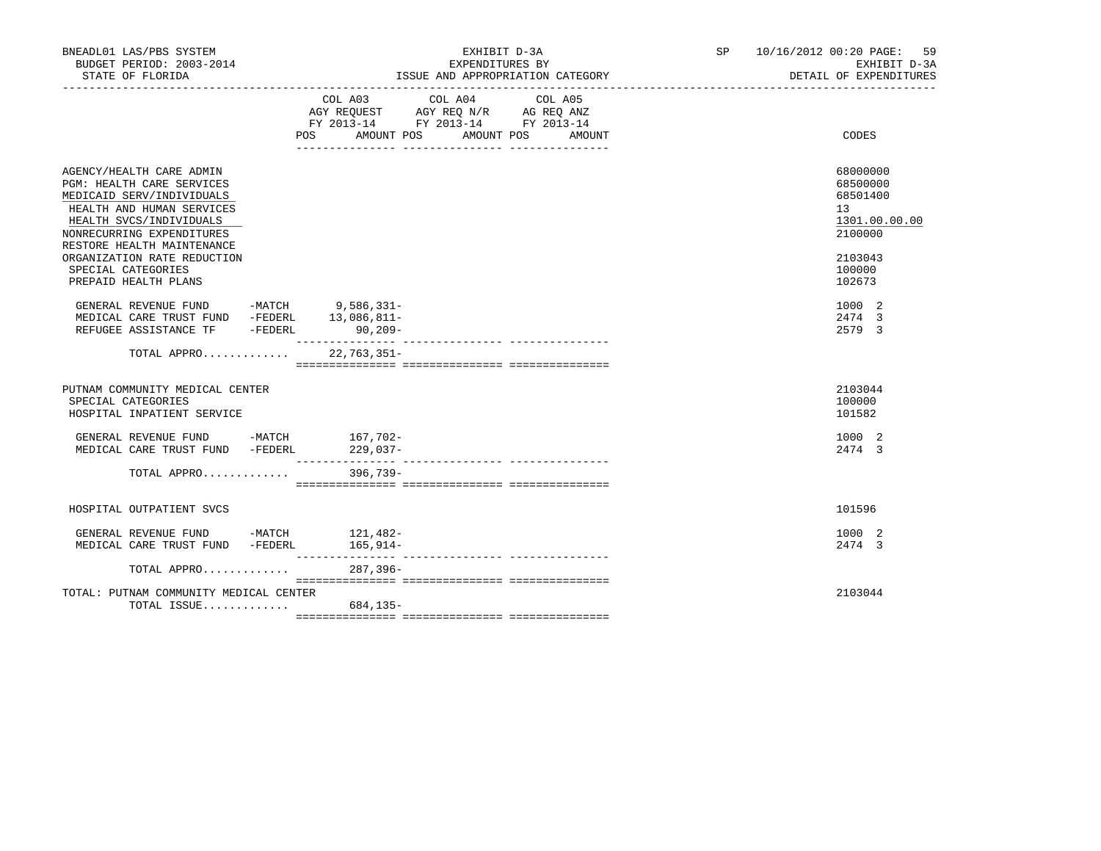| BNEADL01 LAS/PBS SYSTEM<br>BUDGET PERIOD: 2003-2014<br>STATE OF FLORIDA                                                                                                                                                                                    | EXHIBIT D-3A<br>EXPENDITURES BY<br>ISSUE AND APPROPRIATION CATEGORY                                                                      | SP 10/16/2012 00:20 PAGE: 59<br>EXHIBIT D-3A<br>DETAIL OF EXPENDITURES                  |
|------------------------------------------------------------------------------------------------------------------------------------------------------------------------------------------------------------------------------------------------------------|------------------------------------------------------------------------------------------------------------------------------------------|-----------------------------------------------------------------------------------------|
|                                                                                                                                                                                                                                                            | COL A03 COL A04<br>COL A05<br>AGY REQUEST AGY REQ N/R AG REQ ANZ<br>FY 2013-14 FY 2013-14 FY 2013-14<br>POS AMOUNT POS AMOUNT POS AMOUNT | CODES                                                                                   |
| AGENCY/HEALTH CARE ADMIN<br>PGM: HEALTH CARE SERVICES<br>MEDICAID SERV/INDIVIDUALS<br>HEALTH AND HUMAN SERVICES<br>HEALTH SVCS/INDIVIDUALS<br>NONRECURRING EXPENDITURES<br>RESTORE HEALTH MAINTENANCE<br>ORGANIZATION RATE REDUCTION<br>SPECIAL CATEGORIES |                                                                                                                                          | 68000000<br>68500000<br>68501400<br>13<br>1301.00.00.00<br>2100000<br>2103043<br>100000 |
| PREPAID HEALTH PLANS<br>GENERAL REVENUE FUND -MATCH 9,586,331-<br>MEDICAL CARE TRUST FUND -FEDERL 13,086,811-<br>REFUGEE ASSISTANCE TF -FEDERL                                                                                                             | $90,209-$                                                                                                                                | 102673<br>1000 2<br>2474 3<br>2579 3                                                    |
| TOTAL APPRO 22,763,351-                                                                                                                                                                                                                                    |                                                                                                                                          |                                                                                         |
| PUTNAM COMMUNITY MEDICAL CENTER<br>SPECIAL CATEGORIES<br>HOSPITAL INPATIENT SERVICE                                                                                                                                                                        |                                                                                                                                          | 2103044<br>100000<br>101582                                                             |
| GENERAL REVENUE FUND -MATCH 167,702-<br>MEDICAL CARE TRUST FUND -FEDERL 229,037-                                                                                                                                                                           |                                                                                                                                          | 1000 2<br>2474 3                                                                        |
| TOTAL APPRO 396,739-                                                                                                                                                                                                                                       |                                                                                                                                          |                                                                                         |
| HOSPITAL OUTPATIENT SVCS                                                                                                                                                                                                                                   |                                                                                                                                          | 101596                                                                                  |
| GENERAL REVENUE FUND -MATCH 121,482-<br>MEDICAL CARE TRUST FUND -FEDERL                                                                                                                                                                                    | 165,914–                                                                                                                                 | 1000 2<br>2474 3                                                                        |
| TOTAL APPRO                                                                                                                                                                                                                                                | $287, 396 -$                                                                                                                             |                                                                                         |
| TOTAL: PUTNAM COMMUNITY MEDICAL CENTER<br>TOTAL ISSUE $684,135-$                                                                                                                                                                                           |                                                                                                                                          | 2103044                                                                                 |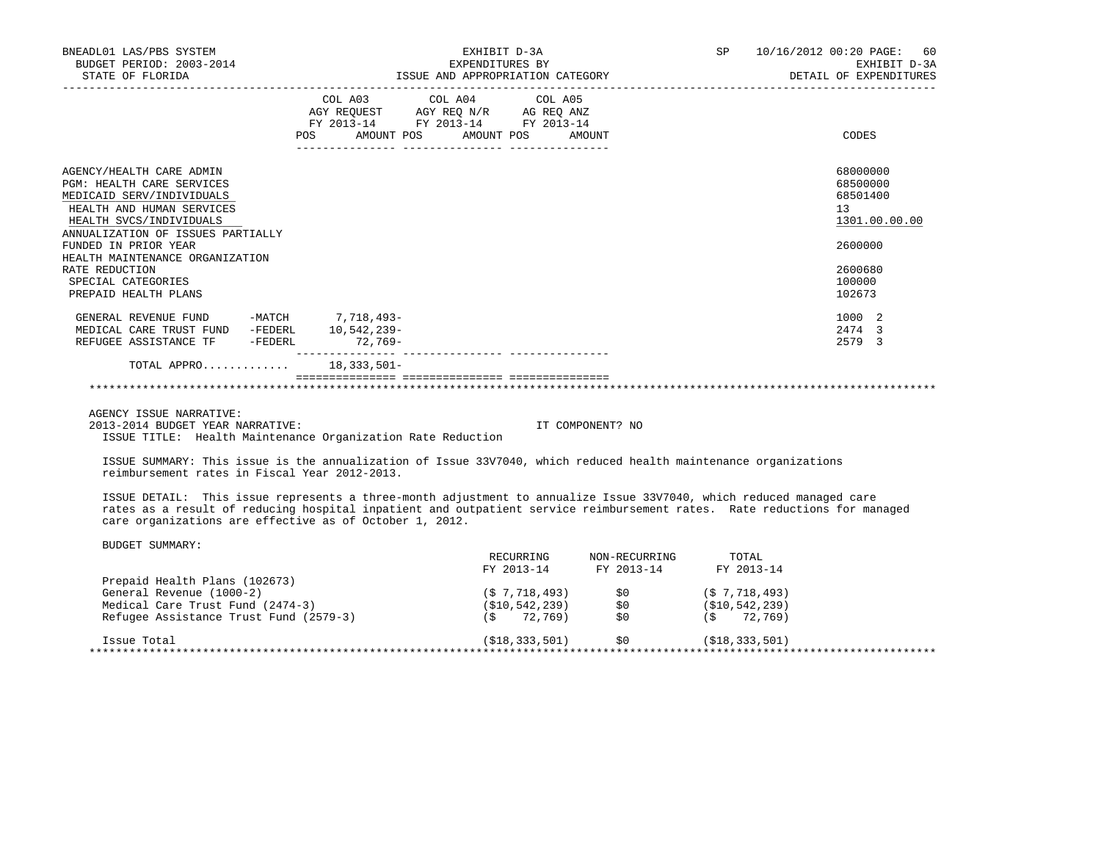| BNEADL01 LAS/PBS SYSTEM<br>BUDGET PERIOD: 2003-2014<br>STATE OF FLORIDA | EXHIBIT D-3A<br>EXPENDITURES BY<br>ISSUE AND APPROPRIATION CATEGORY                               | SP <sub>2</sub><br>10/16/2012 00:20 PAGE: 60<br>EXHIBIT D-3A<br>DETAIL OF EXPENDITURES |
|-------------------------------------------------------------------------|---------------------------------------------------------------------------------------------------|----------------------------------------------------------------------------------------|
|                                                                         | COL A03 COL A04 COL A05<br>AGY REQUEST AGY REQ N/R AG REQ ANZ<br>FY 2013-14 FY 2013-14 FY 2013-14 |                                                                                        |
|                                                                         | POS<br>AMOUNT POS AMOUNT POS AMOUNT<br>_____________________________________                      | CODES                                                                                  |
| AGENCY/HEALTH CARE ADMIN                                                |                                                                                                   | 68000000                                                                               |
| <b>PGM: HEALTH CARE SERVICES</b>                                        |                                                                                                   | 68500000                                                                               |
| MEDICAID SERV/INDIVIDUALS<br>HEALTH AND HUMAN SERVICES                  |                                                                                                   | 68501400<br>13                                                                         |
| HEALTH SVCS/INDIVIDUALS                                                 |                                                                                                   | 1301.00.00.00                                                                          |
| ANNUALIZATION OF ISSUES PARTIALLY                                       |                                                                                                   |                                                                                        |
| FUNDED IN PRIOR YEAR                                                    |                                                                                                   | 2600000                                                                                |
| HEALTH MAINTENANCE ORGANIZATION                                         |                                                                                                   |                                                                                        |
| RATE REDUCTION                                                          |                                                                                                   | 2600680                                                                                |
| SPECIAL CATEGORIES                                                      |                                                                                                   | 100000                                                                                 |
| PREPAID HEALTH PLANS                                                    |                                                                                                   | 102673                                                                                 |
| GENERAL REVENUE FUND -MATCH 7,718,493-                                  |                                                                                                   | 1000 2                                                                                 |
| MEDICAL CARE TRUST FUND<br>-FEDERL                                      | 10,542,239-                                                                                       | 2474 3                                                                                 |
| REFUGEE ASSISTANCE TF -FEDERL                                           | 72,769-                                                                                           | 2579 3                                                                                 |
| TOTAL APPRO 18,333,501-                                                 |                                                                                                   |                                                                                        |
|                                                                         |                                                                                                   |                                                                                        |

 AGENCY ISSUE NARRATIVE: 2013-2014 BUDGET YEAR NARRATIVE: IT COMPONENT? NO ISSUE TITLE: Health Maintenance Organization Rate Reduction

 ISSUE SUMMARY: This issue is the annualization of Issue 33V7040, which reduced health maintenance organizations reimbursement rates in Fiscal Year 2012-2013.

 ISSUE DETAIL: This issue represents a three-month adjustment to annualize Issue 33V7040, which reduced managed care rates as a result of reducing hospital inpatient and outpatient service reimbursement rates. Rate reductions for managed care organizations are effective as of October 1, 2012.

|                                        | RECURRING       | NON-RECURRING | TOTAL             |
|----------------------------------------|-----------------|---------------|-------------------|
|                                        | FY 2013-14      | FY 2013-14    | FY 2013-14        |
| Prepaid Health Plans (102673)          |                 |               |                   |
| General Revenue (1000-2)               | (S 7, 718, 493) | \$0           | (S 7, 718, 493)   |
| Medical Care Trust Fund (2474-3)       | (S10, 542, 239) | SO.           | ( \$10, 542, 239) |
| Refugee Assistance Trust Fund (2579-3) | 72,769)<br>`S   | \$0           | 72,769)<br>( S )  |
| Issue Total                            | (S18, 333, 501) | SO.           | ( \$18, 333, 501) |
|                                        |                 |               |                   |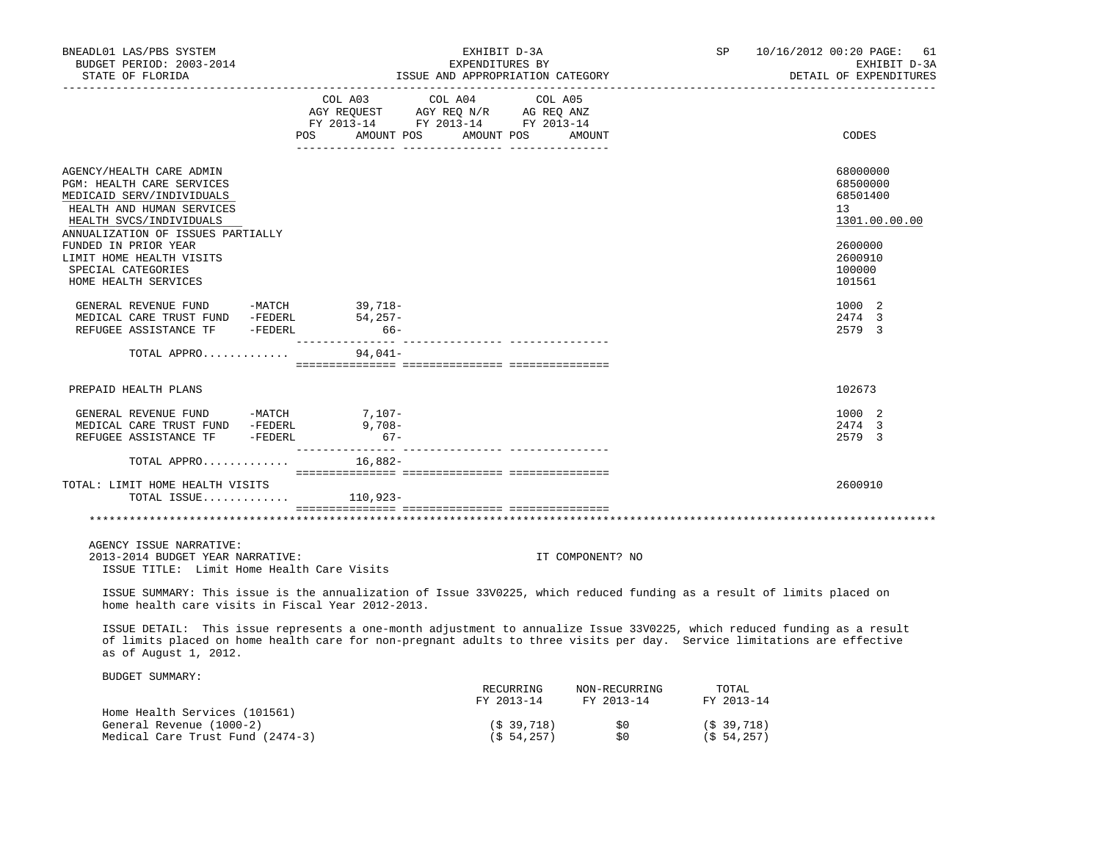| BNEADL01 LAS/PBS SYSTEM<br>BUDGET PERIOD: 2003-2014<br>STATE OF FLORIDA                                                                    |                    | EXHIBIT D-3A<br>EXPENDITURES BY<br>ISSUE AND APPROPRIATION CATEGORY                                                                                                                                                                                 | SP <sub>2</sub>     | 10/16/2012 00:20 PAGE:<br>61<br>EXHIBIT D-3A<br>DETAIL OF EXPENDITURES |
|--------------------------------------------------------------------------------------------------------------------------------------------|--------------------|-----------------------------------------------------------------------------------------------------------------------------------------------------------------------------------------------------------------------------------------------------|---------------------|------------------------------------------------------------------------|
|                                                                                                                                            | POS<br>AMOUNT POS  | COL A03 COL A04 COL A05<br>AGY REQUEST AGY REQ N/R AG REQ ANZ<br>FY 2013-14 FY 2013-14 FY 2013-14<br>AMOUNT POS<br>AMOUNT                                                                                                                           |                     | CODES                                                                  |
| AGENCY/HEALTH CARE ADMIN<br>PGM: HEALTH CARE SERVICES<br>MEDICAID SERV/INDIVIDUALS<br>HEALTH AND HUMAN SERVICES<br>HEALTH SVCS/INDIVIDUALS |                    |                                                                                                                                                                                                                                                     |                     | 68000000<br>68500000<br>68501400<br>13<br>1301.00.00.00                |
| ANNUALIZATION OF ISSUES PARTIALLY<br>FUNDED IN PRIOR YEAR<br>LIMIT HOME HEALTH VISITS<br>SPECIAL CATEGORIES<br>HOME HEALTH SERVICES        |                    |                                                                                                                                                                                                                                                     |                     | 2600000<br>2600910<br>100000<br>101561                                 |
| GENERAL REVENUE FUND -MATCH 39,718-<br>MEDICAL CARE TRUST FUND -FEDERL<br>REFUGEE ASSISTANCE TF -FEDERL                                    | 54,257-<br>$66-$   |                                                                                                                                                                                                                                                     |                     | 1000 2<br>2474 3<br>2579 3                                             |
| TOTAL APPRO                                                                                                                                | 94,041-            |                                                                                                                                                                                                                                                     |                     |                                                                        |
| PREPAID HEALTH PLANS                                                                                                                       |                    |                                                                                                                                                                                                                                                     |                     | 102673                                                                 |
| GENERAL REVENUE FUND -MATCH 7,107-<br>MEDICAL CARE TRUST FUND -FEDERL<br>REFUGEE ASSISTANCE TF -FEDERL                                     | $9,708-$<br>$67 -$ |                                                                                                                                                                                                                                                     |                     | 1000 2<br>2474 3<br>2579 3                                             |
| TOTAL APPRO                                                                                                                                | 16,882-            |                                                                                                                                                                                                                                                     |                     |                                                                        |
| TOTAL: LIMIT HOME HEALTH VISITS<br>TOTAL ISSUE $110,923-$                                                                                  |                    |                                                                                                                                                                                                                                                     |                     | 2600910                                                                |
|                                                                                                                                            |                    |                                                                                                                                                                                                                                                     |                     |                                                                        |
| AGENCY ISSUE NARRATIVE:<br>2013-2014 BUDGET YEAR NARRATIVE:<br>ISSUE TITLE: Limit Home Health Care Visits                                  |                    | IT COMPONENT? NO                                                                                                                                                                                                                                    |                     |                                                                        |
| home health care visits in Fiscal Year 2012-2013.                                                                                          |                    | ISSUE SUMMARY: This issue is the annualization of Issue 33V0225, which reduced funding as a result of limits placed on                                                                                                                              |                     |                                                                        |
| as of August 1, 2012.                                                                                                                      |                    | ISSUE DETAIL: This issue represents a one-month adjustment to annualize Issue 33V0225, which reduced funding as a result<br>of limits placed on home health care for non-pregnant adults to three visits per day. Service limitations are effective |                     |                                                                        |
| BUDGET SUMMARY:                                                                                                                            |                    | NON-RECURRING<br>RECURRING<br>FY 2013-14<br>FY 2013-14                                                                                                                                                                                              | TOTAL<br>FY 2013-14 |                                                                        |

|                                  | 11 2019 11            | . | 11 2019 11   |
|----------------------------------|-----------------------|---|--------------|
| Home Health Services (101561)    |                       |   |              |
| General Revenue (1000-2)         | (S <sub>39,718)</sub> |   | (5, 39, 718) |
| Medical Care Trust Fund (2474-3) | (S 54, 257)           |   | (S 54.257)   |
|                                  |                       |   |              |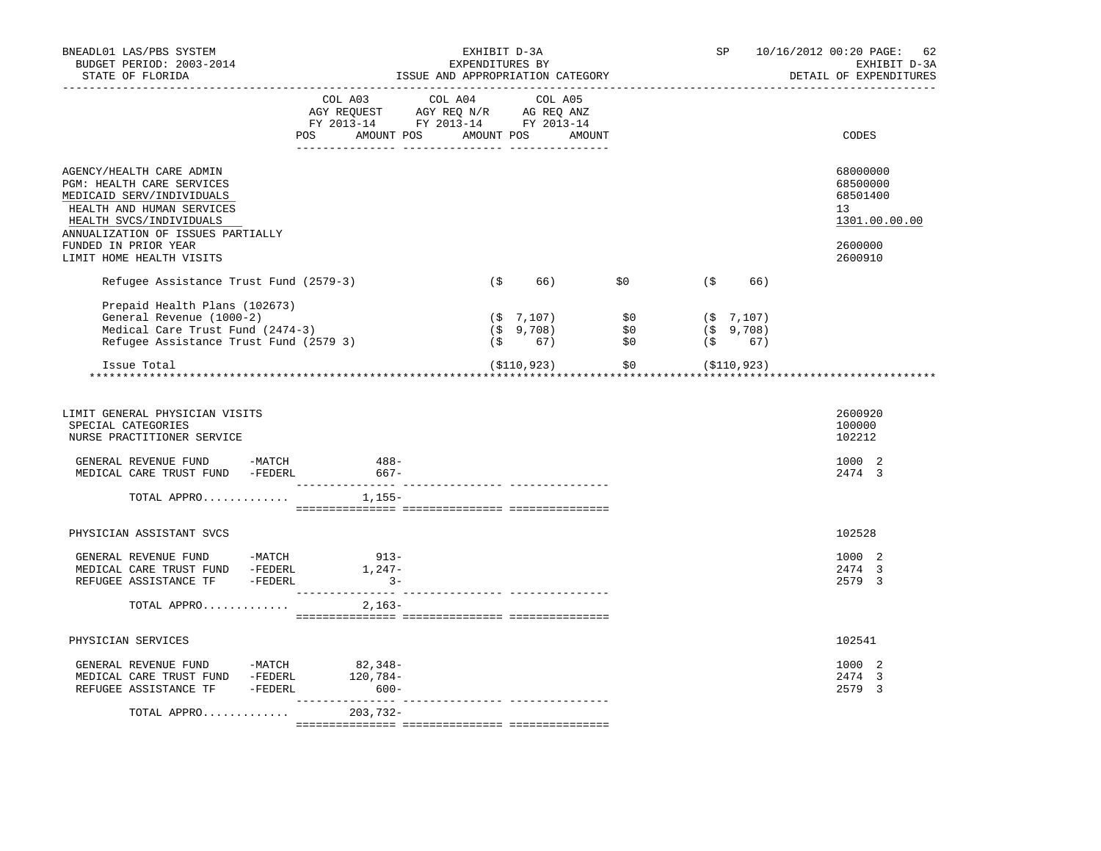| BNEADL01 LAS/PBS SYSTEM<br>BUDGET PERIOD: 2003-2014<br>STATE OF FLORIDA                                                                                                                                                             |                                  | ISSUE AND APPROPRIATION CATEGORY                                                                                                                           | EXHIBIT D-3A<br>EXPENDITURES BY |     |                                                                                                                                                                                                                                                                                                                    | SP  |     | 10/16/2012 00:20 PAGE: 62<br>EXHIBIT D-3A<br>DETAIL OF EXPENDITURES           |
|-------------------------------------------------------------------------------------------------------------------------------------------------------------------------------------------------------------------------------------|----------------------------------|------------------------------------------------------------------------------------------------------------------------------------------------------------|---------------------------------|-----|--------------------------------------------------------------------------------------------------------------------------------------------------------------------------------------------------------------------------------------------------------------------------------------------------------------------|-----|-----|-------------------------------------------------------------------------------|
|                                                                                                                                                                                                                                     | POS AMOUNT POS AMOUNT POS AMOUNT | $\begin{tabular}{lcccc} CDL A03 & CDL A04 & CDL A05 \\ AGY REQUEST & AGY REQ N/R & AG REQ ANZ \\ FY & 2013-14 & FY & 2013-14 & FY & 2013-14 \end{tabular}$ |                                 |     |                                                                                                                                                                                                                                                                                                                    |     |     | CODES                                                                         |
| AGENCY/HEALTH CARE ADMIN<br>PGM: HEALTH CARE SERVICES<br>MEDICAID SERV/INDIVIDUALS<br>HEALTH AND HUMAN SERVICES<br>HEALTH SVCS/INDIVIDUALS<br>ANNUALIZATION OF ISSUES PARTIALLY<br>FUNDED IN PRIOR YEAR<br>LIMIT HOME HEALTH VISITS |                                  |                                                                                                                                                            |                                 |     |                                                                                                                                                                                                                                                                                                                    |     |     | 68000000<br>68500000<br>68501400<br>13<br>1301.00.00.00<br>2600000<br>2600910 |
| Refugee Assistance Trust Fund (2579-3)                                                                                                                                                                                              |                                  |                                                                                                                                                            | (\$                             | 66) | \$0                                                                                                                                                                                                                                                                                                                | (\$ | 66) |                                                                               |
| Prepaid Health Plans (102673)<br>General Revenue (1000-2)<br>Medical Care Trust Fund (2474-3)<br>Refugee Assistance Trust Fund (2579 3)                                                                                             |                                  |                                                                                                                                                            |                                 |     | $\begin{array}{lllllllllllll} (\begin{array}{ccccc} \xi & 7\,, 107) \ 7\, & 7\,, 9\,, 708 \end{array}) & \begin{array}{llllll} \xi\,0 & \xi\,0 & \xi\,0 & 7\,, 107 \end{array} \\ (\begin{array}{ccccc} \xi & 9\,, 708 \end{array}) & \begin{array}{llllll} \xi\,0 & \xi\,0 & \xi\,0 & 67 \end{array} \end{array}$ |     |     |                                                                               |
| Issue Total                                                                                                                                                                                                                         |                                  |                                                                                                                                                            |                                 |     | $($ \$110,923) $\qquad$ \$0 $($ \$110,923)                                                                                                                                                                                                                                                                         |     |     |                                                                               |
| LIMIT GENERAL PHYSICIAN VISITS<br>SPECIAL CATEGORIES<br>NURSE PRACTITIONER SERVICE<br>GENERAL REVENUE FUND -MATCH 488-<br>MEDICAL CARE TRUST FUND -FEDERL                                                                           |                                  | $667-$                                                                                                                                                     |                                 |     |                                                                                                                                                                                                                                                                                                                    |     |     | 2600920<br>100000<br>102212<br>1000 2<br>2474 3                               |
| TOTAL APPRO                                                                                                                                                                                                                         | $1,155-$                         |                                                                                                                                                            |                                 |     |                                                                                                                                                                                                                                                                                                                    |     |     |                                                                               |
|                                                                                                                                                                                                                                     |                                  |                                                                                                                                                            |                                 |     |                                                                                                                                                                                                                                                                                                                    |     |     |                                                                               |
| PHYSICIAN ASSISTANT SVCS                                                                                                                                                                                                            |                                  |                                                                                                                                                            |                                 |     |                                                                                                                                                                                                                                                                                                                    |     |     | 102528                                                                        |
|                                                                                                                                                                                                                                     |                                  |                                                                                                                                                            |                                 |     |                                                                                                                                                                                                                                                                                                                    |     |     | 1000 2<br>2474 3<br>2579 3                                                    |
| TOTAL APPRO                                                                                                                                                                                                                         |                                  | 2,163-                                                                                                                                                     |                                 |     |                                                                                                                                                                                                                                                                                                                    |     |     |                                                                               |
| PHYSICIAN SERVICES                                                                                                                                                                                                                  |                                  |                                                                                                                                                            |                                 |     |                                                                                                                                                                                                                                                                                                                    |     |     | 102541                                                                        |
| GENERAL REVENUE FUND -MATCH                                                                                                                                                                                                         | $82,348-$                        |                                                                                                                                                            |                                 |     |                                                                                                                                                                                                                                                                                                                    |     |     | 1000 2                                                                        |
| MEDICAL CARE TRUST FUND -FEDERL<br>REFUGEE ASSISTANCE TF -FEDERL 600-                                                                                                                                                               | 120,784-                         |                                                                                                                                                            |                                 |     |                                                                                                                                                                                                                                                                                                                    |     |     | 2474 3<br>2579 3                                                              |
| TOTAL APPRO                                                                                                                                                                                                                         |                                  | 203,732-                                                                                                                                                   |                                 |     |                                                                                                                                                                                                                                                                                                                    |     |     |                                                                               |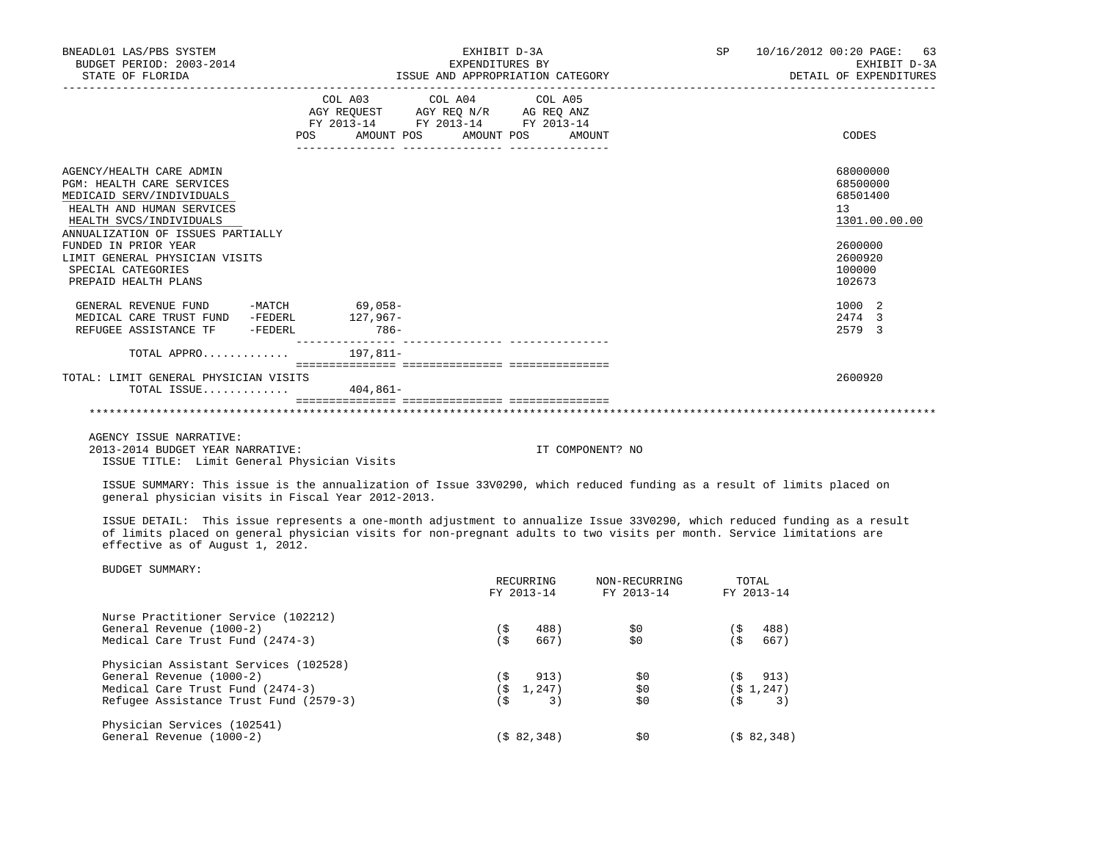| BNEADL01 LAS/PBS SYSTEM<br>BUDGET PERIOD: 2003-2014<br>STATE OF FLORIDA                                                                                                                                                                                                              |                                                                               | EXHIBIT D-3A<br>EXPENDITURES BY       |                         | ISSUE AND APPROPRIATION CATEGORY       | SP         |         | 10/16/2012 00:20 PAGE:<br>63<br>EXHIBIT D-3A<br>DETAIL OF EXPENDITURES |
|--------------------------------------------------------------------------------------------------------------------------------------------------------------------------------------------------------------------------------------------------------------------------------------|-------------------------------------------------------------------------------|---------------------------------------|-------------------------|----------------------------------------|------------|---------|------------------------------------------------------------------------|
|                                                                                                                                                                                                                                                                                      | AGY REQUEST AGY REQ N/R AG REQ ANZ<br>FY 2013-14 FY 2013-14 FY 2013-14<br>POS | COL A03 COL A04 COL A05<br>AMOUNT POS | AMOUNT POS              | AMOUNT                                 |            |         | CODES                                                                  |
| AGENCY/HEALTH CARE ADMIN<br>PGM: HEALTH CARE SERVICES<br>MEDICAID SERV/INDIVIDUALS<br>HEALTH AND HUMAN SERVICES<br>HEALTH SVCS/INDIVIDUALS                                                                                                                                           |                                                                               |                                       |                         |                                        |            |         | 68000000<br>68500000<br>68501400<br>13<br>1301.00.00.00                |
| ANNUALIZATION OF ISSUES PARTIALLY<br>FUNDED IN PRIOR YEAR<br>LIMIT GENERAL PHYSICIAN VISITS<br>SPECIAL CATEGORIES<br>PREPAID HEALTH PLANS                                                                                                                                            |                                                                               |                                       |                         |                                        |            |         | 2600000<br>2600920<br>100000<br>102673                                 |
| GENERAL REVENUE FUND -MATCH 69,058-<br>MEDICAL CARE TRUST FUND -FEDERL<br>REFUGEE ASSISTANCE TF -FEDERL 786-                                                                                                                                                                         | 127,967-                                                                      |                                       |                         |                                        |            |         | 1000 2<br>2474 3<br>2579 3                                             |
| TOTAL APPRO $197,811-$                                                                                                                                                                                                                                                               |                                                                               |                                       |                         |                                        |            |         |                                                                        |
| TOTAL: LIMIT GENERAL PHYSICIAN VISITS<br>TOTAL ISSUE $404,861-$                                                                                                                                                                                                                      |                                                                               |                                       |                         |                                        |            |         | 2600920                                                                |
|                                                                                                                                                                                                                                                                                      |                                                                               |                                       |                         |                                        |            |         |                                                                        |
| AGENCY ISSUE NARRATIVE:<br>2013-2014 BUDGET YEAR NARRATIVE:<br>ISSUE TITLE: Limit General Physician Visits                                                                                                                                                                           |                                                                               |                                       |                         | IT COMPONENT? NO                       |            |         |                                                                        |
| ISSUE SUMMARY: This issue is the annualization of Issue 33V0290, which reduced funding as a result of limits placed on<br>general physician visits in Fiscal Year 2012-2013.                                                                                                         |                                                                               |                                       |                         |                                        |            |         |                                                                        |
| ISSUE DETAIL: This issue represents a one-month adjustment to annualize Issue 33V0290, which reduced funding as a result<br>of limits placed on general physician visits for non-pregnant adults to two visits per month. Service limitations are<br>effective as of August 1, 2012. |                                                                               |                                       |                         |                                        |            |         |                                                                        |
| BUDGET SUMMARY:                                                                                                                                                                                                                                                                      |                                                                               |                                       | RECURRING<br>FY 2013-14 | NON-RECURRING<br>FY 2013-14 FY 2013-14 | TOTAL      |         |                                                                        |
| Nurse Practitioner Service (102212)<br>General Revenue (1000-2)<br>Medical Care Trust Fund (2474-3)                                                                                                                                                                                  |                                                                               | (\$<br>(\$                            | 488)<br>667)            | \$0<br>\$0                             | $($ \$488) | (S 667) |                                                                        |
| Physician Assistant Services (102528)<br>General Revenue (1000-2)                                                                                                                                                                                                                    |                                                                               | (\$                                   | 913)                    | \$0                                    | (\$        | 913)    |                                                                        |

 Medical Care Trust Fund (2474-3) (\$ 1,247) \$0 (\$ 1,247) Refugee Assistance Trust Fund (2579-3) (\$ 3) \$0 (\$ 3) Physician Services (102541)  $(\frac{1}{2}82,348)$   $\frac{1}{20}$  ( $\frac{1}{2}82,348$ )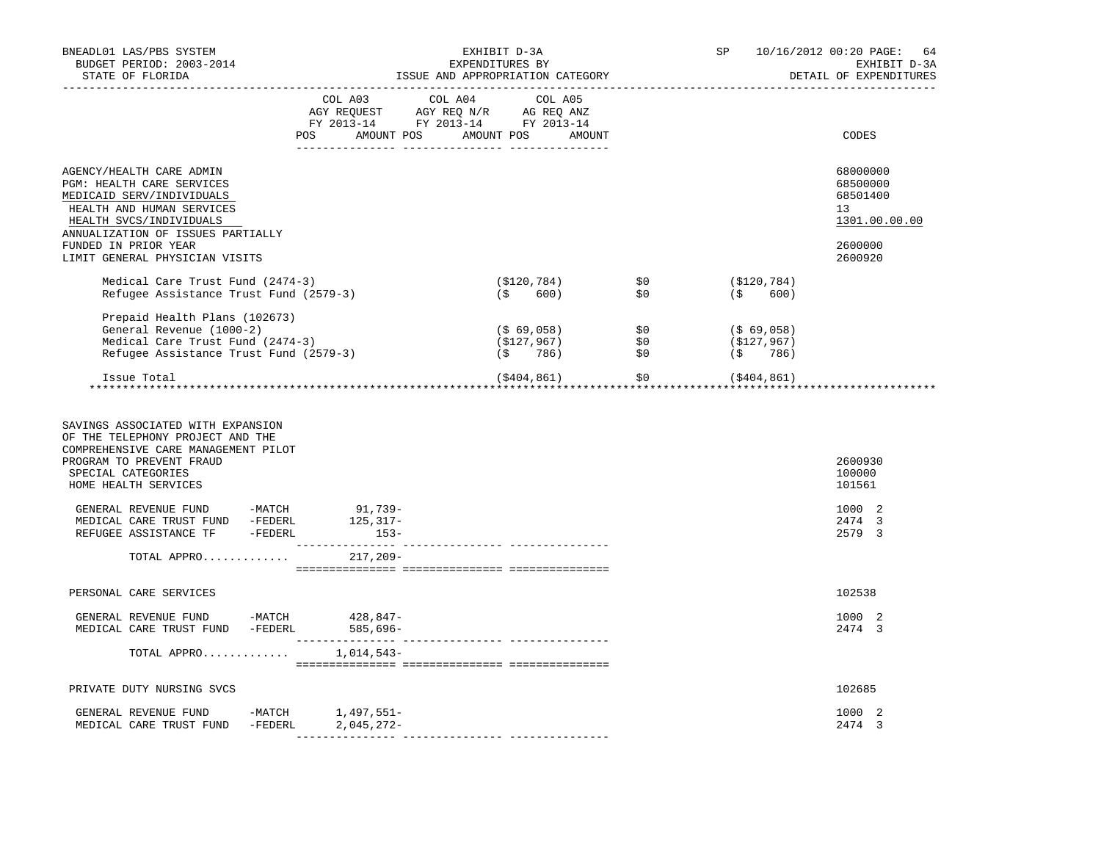| BNEADL01 LAS/PBS SYSTEM<br>BUDGET PERIOD: 2003-2014<br>STATE OF FLORIDA                                                                                                                |                                                                                                                                                                                                | EXHIBIT D-3A<br>EXPENDITURES BY<br>ISSUE AND APPROPRIATION CATEGORY |             |                    |                                                                                                   |            |                            | SP 10/16/2012 00:20 PAGE: 64<br>EXHIBIT D-3A<br>DETAIL OF EXPENDITURES |
|----------------------------------------------------------------------------------------------------------------------------------------------------------------------------------------|------------------------------------------------------------------------------------------------------------------------------------------------------------------------------------------------|---------------------------------------------------------------------|-------------|--------------------|---------------------------------------------------------------------------------------------------|------------|----------------------------|------------------------------------------------------------------------|
|                                                                                                                                                                                        | $\begin{tabular}{lcccc} COL A03 & COL A04 & COL A05 \\ AGY REQUEST & AGY REQ N/R & AG REQ ANZ \\ FY & 2013-14 & FY & 2013-14 & FY & 2013-14 \end{tabular}$<br>POS AMOUNT POS AMOUNT POS AMOUNT |                                                                     |             |                    |                                                                                                   |            |                            | CODES                                                                  |
| AGENCY/HEALTH CARE ADMIN<br>PGM: HEALTH CARE SERVICES<br>MEDICAID SERV/INDIVIDUALS<br>HEALTH AND HUMAN SERVICES<br>HEALTH SVCS/INDIVIDUALS<br>ANNUALIZATION OF ISSUES PARTIALLY        |                                                                                                                                                                                                |                                                                     |             |                    |                                                                                                   |            |                            | 68000000<br>68500000<br>68501400<br>13<br>1301.00.00.00                |
| FUNDED IN PRIOR YEAR<br>LIMIT GENERAL PHYSICIAN VISITS                                                                                                                                 |                                                                                                                                                                                                |                                                                     |             |                    |                                                                                                   |            |                            | 2600000<br>2600920                                                     |
| Medical Care Trust Fund (2474-3)<br>Refugee Assistance Trust Fund (2579-3)                                                                                                             |                                                                                                                                                                                                |                                                                     | $($ \$ 600) | $( $120, 784)$ \$0 | \$0                                                                                               |            | (\$120,784)<br>$($ \$ 600) |                                                                        |
| Prepaid Health Plans (102673)<br>General Revenue (1000-2)<br>Medical Care Trust Fund (2474-3)<br>Refugee Assistance Trust Fund (2579-3)                                                |                                                                                                                                                                                                |                                                                     |             |                    | (\$ 69,058)               \$0<br>(\$127,967)               \$0<br>(\$      786)               \$0 | (\$69,058) | (\$127,967)<br>(\$786)     |                                                                        |
| Issue Total                                                                                                                                                                            |                                                                                                                                                                                                |                                                                     | (\$404,861) |                    | $\mathcal{S}^0$                                                                                   |            | (\$404,861)                |                                                                        |
| SAVINGS ASSOCIATED WITH EXPANSION<br>OF THE TELEPHONY PROJECT AND THE<br>COMPREHENSIVE CARE MANAGEMENT PILOT<br>PROGRAM TO PREVENT FRAUD<br>SPECIAL CATEGORIES<br>HOME HEALTH SERVICES |                                                                                                                                                                                                |                                                                     |             |                    |                                                                                                   |            |                            | 2600930<br>100000<br>101561                                            |
| GENERAL REVENUE FUND -MATCH 91,739-                                                                                                                                                    |                                                                                                                                                                                                |                                                                     |             |                    |                                                                                                   |            |                            | 1000 2<br>2474 3<br>2579 3                                             |
| TOTAL APPRO                                                                                                                                                                            | 217,209-                                                                                                                                                                                       |                                                                     |             |                    |                                                                                                   |            |                            |                                                                        |
| PERSONAL CARE SERVICES                                                                                                                                                                 |                                                                                                                                                                                                |                                                                     |             |                    |                                                                                                   |            |                            | 102538                                                                 |
| GENERAL REVENUE FUND -MATCH $428,847$ -<br>MEDICAL CARE TRUST FUND -FEDERL                                                                                                             | 585,696-                                                                                                                                                                                       |                                                                     |             |                    |                                                                                                   |            |                            | 1000 2<br>2474 3                                                       |
| TOTAL APPRO $1,014,543-$                                                                                                                                                               |                                                                                                                                                                                                |                                                                     |             |                    |                                                                                                   |            |                            |                                                                        |
| PRIVATE DUTY NURSING SVCS                                                                                                                                                              |                                                                                                                                                                                                |                                                                     |             |                    |                                                                                                   |            |                            | 102685                                                                 |
| GENERAL REVENUE FUND -MATCH 1,497,551-<br>MEDICAL CARE TRUST FUND -FEDERL                                                                                                              | $2,045,272-$                                                                                                                                                                                   |                                                                     |             |                    |                                                                                                   |            |                            | 1000 2<br>2474 3                                                       |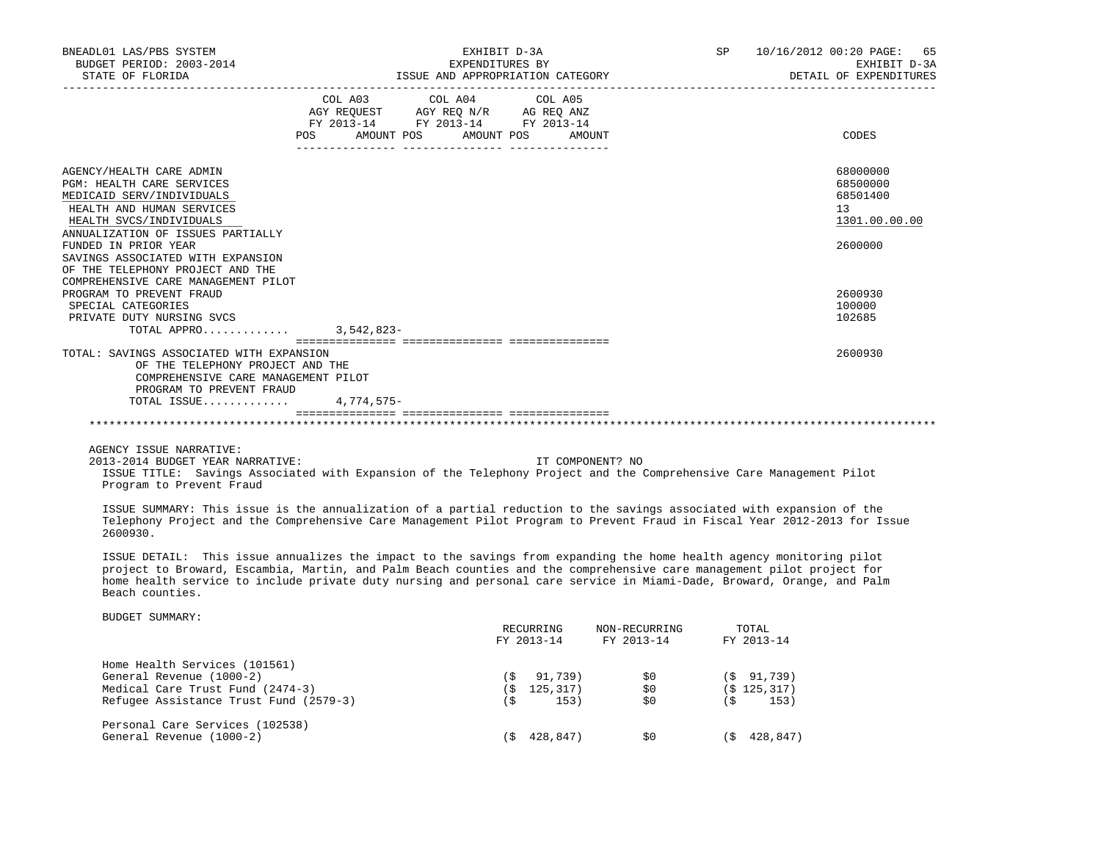| BNEADL01 LAS/PBS SYSTEM<br>BUDGET PERIOD: 2003-2014                                                                 |                                  | EXHIBIT D-3A<br>EXPENDITURES BY    |                                  | SP 10/16/2012 00:20 PAGE: 65<br>EXHIBIT D-3A |
|---------------------------------------------------------------------------------------------------------------------|----------------------------------|------------------------------------|----------------------------------|----------------------------------------------|
| STATE OF FLORIDA                                                                                                    |                                  |                                    | ISSUE AND APPROPRIATION CATEGORY | DETAIL OF EXPENDITURES                       |
|                                                                                                                     |                                  | COL A03 COL A04 COL A05            |                                  |                                              |
|                                                                                                                     |                                  | AGY REQUEST AGY REQ N/R AG REQ ANZ |                                  |                                              |
|                                                                                                                     |                                  | FY 2013-14 FY 2013-14 FY 2013-14   |                                  |                                              |
|                                                                                                                     | POS AMOUNT POS AMOUNT POS AMOUNT |                                    |                                  | CODES                                        |
| AGENCY/HEALTH CARE ADMIN                                                                                            |                                  |                                    |                                  | 68000000                                     |
| <b>PGM: HEALTH CARE SERVICES</b>                                                                                    |                                  |                                    |                                  | 68500000                                     |
| MEDICAID SERV/INDIVIDUALS                                                                                           |                                  |                                    |                                  | 68501400                                     |
| HEALTH AND HUMAN SERVICES                                                                                           |                                  |                                    |                                  | 13                                           |
| HEALTH SVCS/INDIVIDUALS                                                                                             |                                  |                                    |                                  | 1301.00.00.00                                |
| ANNUALIZATION OF ISSUES PARTIALLY                                                                                   |                                  |                                    |                                  |                                              |
| FUNDED IN PRIOR YEAR                                                                                                |                                  |                                    |                                  | 2600000                                      |
| SAVINGS ASSOCIATED WITH EXPANSION                                                                                   |                                  |                                    |                                  |                                              |
| OF THE TELEPHONY PROJECT AND THE                                                                                    |                                  |                                    |                                  |                                              |
| COMPREHENSIVE CARE MANAGEMENT PILOT                                                                                 |                                  |                                    |                                  |                                              |
| PROGRAM TO PREVENT FRAUD                                                                                            |                                  |                                    |                                  | 2600930                                      |
| SPECIAL CATEGORIES                                                                                                  |                                  |                                    |                                  | 100000                                       |
| PRIVATE DUTY NURSING SVCS                                                                                           |                                  |                                    |                                  | 102685                                       |
| TOTAL APPRO 3.542.823-                                                                                              |                                  |                                    |                                  |                                              |
|                                                                                                                     |                                  |                                    |                                  |                                              |
| TOTAL: SAVINGS ASSOCIATED WITH EXPANSION                                                                            |                                  |                                    |                                  | 2600930                                      |
| OF THE TELEPHONY PROJECT AND THE                                                                                    |                                  |                                    |                                  |                                              |
| COMPREHENSIVE CARE MANAGEMENT PILOT                                                                                 |                                  |                                    |                                  |                                              |
| PROGRAM TO PREVENT FRAUD                                                                                            |                                  |                                    |                                  |                                              |
| TOTAL ISSUE                                                                                                         | 4,774,575-                       |                                    |                                  |                                              |
|                                                                                                                     |                                  |                                    |                                  |                                              |
| AGENCY ISSUE NARRATIVE:                                                                                             |                                  |                                    |                                  |                                              |
| 2013-2014 BUDGET YEAR NARRATIVE:                                                                                    |                                  |                                    | IT COMPONENT? NO                 |                                              |
| ISSUE TITLE: Savings Associated with Expansion of the Telephony Project and the Comprehensive Care Management Pilot |                                  |                                    |                                  |                                              |

Program to Prevent Fraud

 ISSUE SUMMARY: This issue is the annualization of a partial reduction to the savings associated with expansion of the Telephony Project and the Comprehensive Care Management Pilot Program to Prevent Fraud in Fiscal Year 2012-2013 for Issue 2600930.

 ISSUE DETAIL: This issue annualizes the impact to the savings from expanding the home health agency monitoring pilot project to Broward, Escambia, Martin, and Palm Beach counties and the comprehensive care management pilot project for home health service to include private duty nursing and personal care service in Miami-Dade, Broward, Orange, and Palm Beach counties.

|                                        |       | RECURRING<br>FY 2013-14 | NON-RECURRING<br>FY 2013-14 |     | TOTAL<br>FY 2013-14 |
|----------------------------------------|-------|-------------------------|-----------------------------|-----|---------------------|
| Home Health Services (101561)          |       |                         |                             |     |                     |
| General Revenue (1000-2)               | ( S   | 91,739)                 | SO.                         |     | (S 91, 739)         |
| Medical Care Trust Fund (2474-3)       | ( S   | 125,317)                | \$0                         |     | (S 125, 317)        |
| Refugee Assistance Trust Fund (2579-3) |       | 153)                    | \$0                         | (\$ | 153)                |
| Personal Care Services (102538)        |       |                         |                             |     |                     |
| General Revenue (1000-2)               | ( S ) | 428,847)                | SO.                         | 6 S | 428,847)            |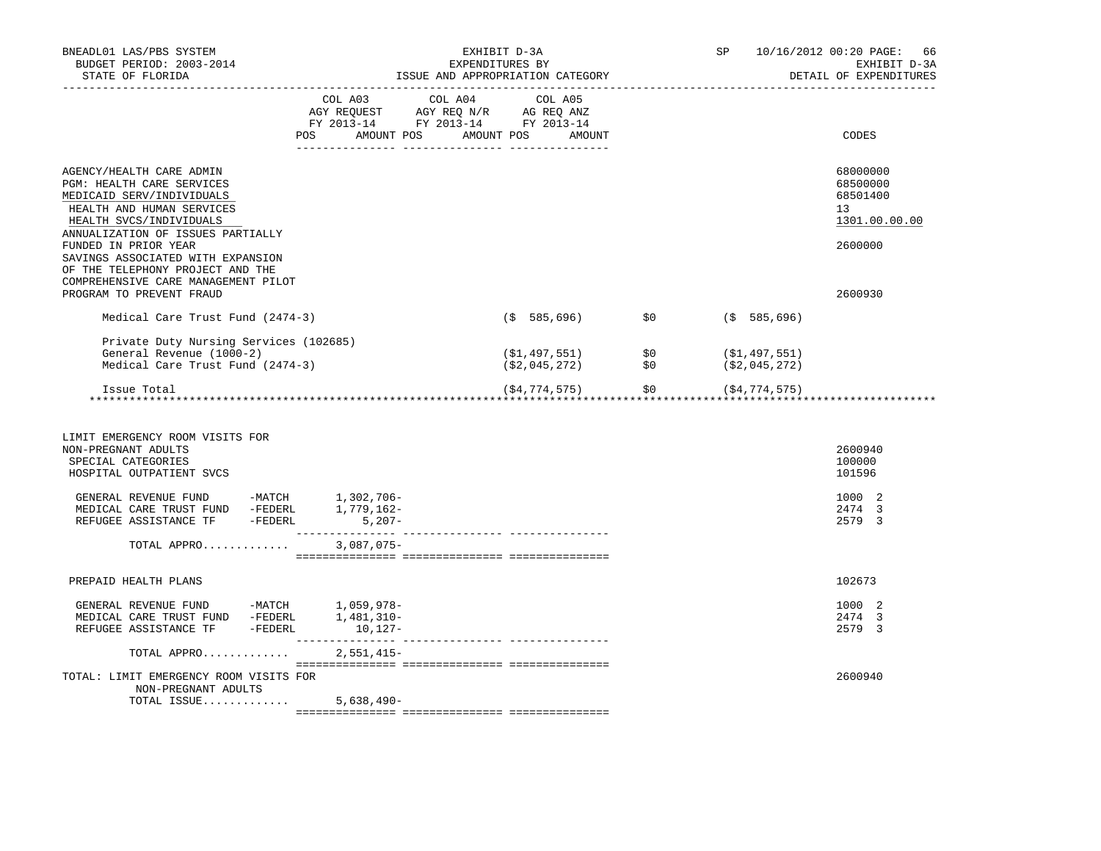| BNEADL01 LAS/PBS SYSTEM<br>BUDGET PERIOD: 2003-2014<br>STATE OF FLORIDA                                                                                                                                                                                                                                                                             |              | EXHIBIT D-3A<br>EXPENDITURES BY<br>ISSUE AND APPROPRIATION CATEGORY                                                                                                                            |                                                    |                                                                                        | SP |                                                      | 10/16/2012 00:20 PAGE: 66<br>EXHIBIT D-3A<br>DETAIL OF EXPENDITURES           |
|-----------------------------------------------------------------------------------------------------------------------------------------------------------------------------------------------------------------------------------------------------------------------------------------------------------------------------------------------------|--------------|------------------------------------------------------------------------------------------------------------------------------------------------------------------------------------------------|----------------------------------------------------|----------------------------------------------------------------------------------------|----|------------------------------------------------------|-------------------------------------------------------------------------------|
|                                                                                                                                                                                                                                                                                                                                                     |              | $\begin{tabular}{lcccc} COL A03 & COL A04 & COL A05 \\ AGY REQUEST & AGY REQ N/R & AG REQ ANZ \\ FY & 2013-14 & FY & 2013-14 & FY & 2013-14 \end{tabular}$<br>POS AMOUNT POS AMOUNT POS AMOUNT |                                                    |                                                                                        |    |                                                      | CODES                                                                         |
| AGENCY/HEALTH CARE ADMIN<br>PGM: HEALTH CARE SERVICES<br>MEDICAID SERV/INDIVIDUALS<br>HEALTH AND HUMAN SERVICES<br>HEALTH SVCS/INDIVIDUALS<br>ANNUALIZATION OF ISSUES PARTIALLY<br>FUNDED IN PRIOR YEAR<br>SAVINGS ASSOCIATED WITH EXPANSION<br>OF THE TELEPHONY PROJECT AND THE<br>COMPREHENSIVE CARE MANAGEMENT PILOT<br>PROGRAM TO PREVENT FRAUD |              |                                                                                                                                                                                                |                                                    |                                                                                        |    |                                                      | 68000000<br>68500000<br>68501400<br>13<br>1301.00.00.00<br>2600000<br>2600930 |
| Medical Care Trust Fund (2474-3)                                                                                                                                                                                                                                                                                                                    |              |                                                                                                                                                                                                | $(S 585, 696)$ \$0                                 |                                                                                        |    | (\$585,696)                                          |                                                                               |
| Private Duty Nursing Services (102685)<br>General Revenue (1000-2)<br>Medical Care Trust Fund (2474-3)<br>Issue Total                                                                                                                                                                                                                               |              |                                                                                                                                                                                                | (\$1,497,551)<br>(\$2,045,272)<br>( \$4, 774, 575) | $\begin{array}{c} 1 \ \text{S}^1 \ \text{S}^2 \ \text{S}^3 \ \text{S}^4 \ \end{array}$ |    | (\$1,497,551)<br>(\$2,045,272)<br>$$0$ (\$4,774,575) |                                                                               |
| LIMIT EMERGENCY ROOM VISITS FOR<br>NON-PREGNANT ADULTS<br>SPECIAL CATEGORIES<br>HOSPITAL OUTPATIENT SVCS                                                                                                                                                                                                                                            |              |                                                                                                                                                                                                |                                                    |                                                                                        |    |                                                      | 2600940<br>100000<br>101596                                                   |
|                                                                                                                                                                                                                                                                                                                                                     |              |                                                                                                                                                                                                |                                                    |                                                                                        |    |                                                      | 1000 2<br>2474 3<br>2579 3                                                    |
| TOTAL APPRO                                                                                                                                                                                                                                                                                                                                         | $3,087,075-$ |                                                                                                                                                                                                |                                                    |                                                                                        |    |                                                      |                                                                               |
| PREPAID HEALTH PLANS                                                                                                                                                                                                                                                                                                                                |              |                                                                                                                                                                                                |                                                    |                                                                                        |    |                                                      | 102673                                                                        |
| REFUGEE ASSISTANCE TF -FEDERL 10,127-                                                                                                                                                                                                                                                                                                               |              |                                                                                                                                                                                                |                                                    |                                                                                        |    |                                                      | 1000 2<br>2474 3<br>2579 3                                                    |
| TOTAL APPRO                                                                                                                                                                                                                                                                                                                                         | $2,551,415-$ |                                                                                                                                                                                                |                                                    |                                                                                        |    |                                                      |                                                                               |
| TOTAL: LIMIT EMERGENCY ROOM VISITS FOR<br>NON-PREGNANT ADULTS                                                                                                                                                                                                                                                                                       |              |                                                                                                                                                                                                |                                                    |                                                                                        |    |                                                      | 2600940                                                                       |
| TOTAL ISSUE                                                                                                                                                                                                                                                                                                                                         | $5,638,490-$ |                                                                                                                                                                                                |                                                    |                                                                                        |    |                                                      |                                                                               |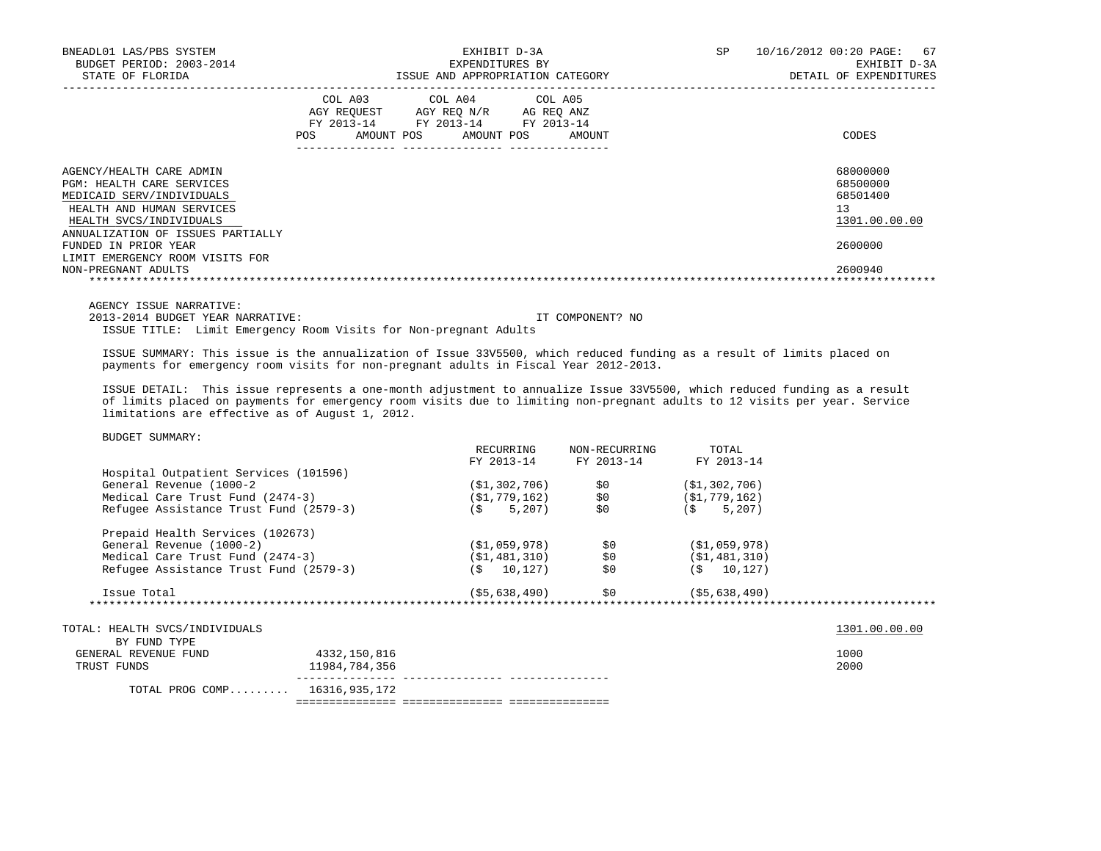| BNEADL01 LAS/PBS SYSTEM<br>BUDGET PERIOD: 2003-2014<br>STATE OF FLORIDA                                                                                                         | SP.<br>EXHIBIT D-3A<br>EXPENDITURES BY<br>ISSUE AND APPROPRIATION CATEGORY                                                                           | 10/16/2012 00:20 PAGE: 67<br>EXHIBIT D-3A<br>DETAIL OF EXPENDITURES |
|---------------------------------------------------------------------------------------------------------------------------------------------------------------------------------|------------------------------------------------------------------------------------------------------------------------------------------------------|---------------------------------------------------------------------|
|                                                                                                                                                                                 | COL A03 COL A04 COL A05<br>AGY REOUEST<br>AGY REO N/R<br>AG REQ ANZ<br>FY 2013-14 FY 2013-14 FY 2013-14<br>AMOUNT POS<br>AMOUNT POS<br>AMOUNT<br>POS | CODES                                                               |
| AGENCY/HEALTH CARE ADMIN<br>PGM: HEALTH CARE SERVICES<br>MEDICAID SERV/INDIVIDUALS<br>HEALTH AND HUMAN SERVICES<br>HEALTH SVCS/INDIVIDUALS<br>ANNUALIZATION OF ISSUES PARTIALLY |                                                                                                                                                      | 68000000<br>68500000<br>68501400<br>13<br>1301.00.00.00             |
| FUNDED IN PRIOR YEAR<br>LIMIT EMERGENCY ROOM VISITS FOR<br>NON-PREGNANT ADULTS                                                                                                  |                                                                                                                                                      | 2600000<br>2600940                                                  |

AGENCY ISSUE NARRATIVE:

2013-2014 BUDGET YEAR NARRATIVE: IT COMPONENT? NO

ISSUE TITLE: Limit Emergency Room Visits for Non-pregnant Adults

 ISSUE SUMMARY: This issue is the annualization of Issue 33V5500, which reduced funding as a result of limits placed on payments for emergency room visits for non-pregnant adults in Fiscal Year 2012-2013.

 ISSUE DETAIL: This issue represents a one-month adjustment to annualize Issue 33V5500, which reduced funding as a result of limits placed on payments for emergency room visits due to limiting non-pregnant adults to 12 visits per year. Service limitations are effective as of August 1, 2012.

| PODOBI DOMMANI.                        |               |                |                                    |                 |               |
|----------------------------------------|---------------|----------------|------------------------------------|-----------------|---------------|
|                                        |               | RECURRING      | NON-RECURRING                      | TOTAL           |               |
|                                        |               | FY 2013-14     | FY 2013-14                         | FY 2013-14      |               |
| Hospital Outpatient Services (101596)  |               |                |                                    |                 |               |
| General Revenue (1000-2                |               | (\$1,302,706)  | \$0                                | (\$1,302,706)   |               |
| Medical Care Trust Fund (2474-3)       |               | (\$1,779,162)  | \$0                                | (\$1,779,162)   |               |
| Refugee Assistance Trust Fund (2579-3) |               | $(S = 5, 207)$ | \$0                                | $(5 \t 5.207)$  |               |
| Prepaid Health Services (102673)       |               |                |                                    |                 |               |
| General Revenue (1000-2)               |               | (\$1,059,978)  | \$0                                | ( \$1,059,978 ) |               |
| Medical Care Trust Fund (2474-3)       |               | ( \$1,481,310) | \$0                                | (\$1,481,310)   |               |
| Refugee Assistance Trust Fund (2579-3) |               | $($ \$ 10,127) | \$0                                | $(S = 10, 127)$ |               |
|                                        |               |                |                                    |                 |               |
| Issue Total                            |               |                | $($ \$5,638,490) \$0 (\$5,638,490) |                 |               |
| ********************                   |               |                |                                    |                 |               |
| TOTAL: HEALTH SVCS/INDIVIDUALS         |               |                |                                    |                 | 1301.00.00.00 |
| BY FUND TYPE                           |               |                |                                    |                 |               |
| GENERAL REVENUE FUND                   | 4332,150,816  |                |                                    |                 | 1000          |
| TRUST FUNDS                            | 11984,784,356 |                |                                    |                 | 2000          |
| TOTAL PROG COMP 16316,935,172          |               |                |                                    |                 |               |
|                                        |               |                |                                    |                 |               |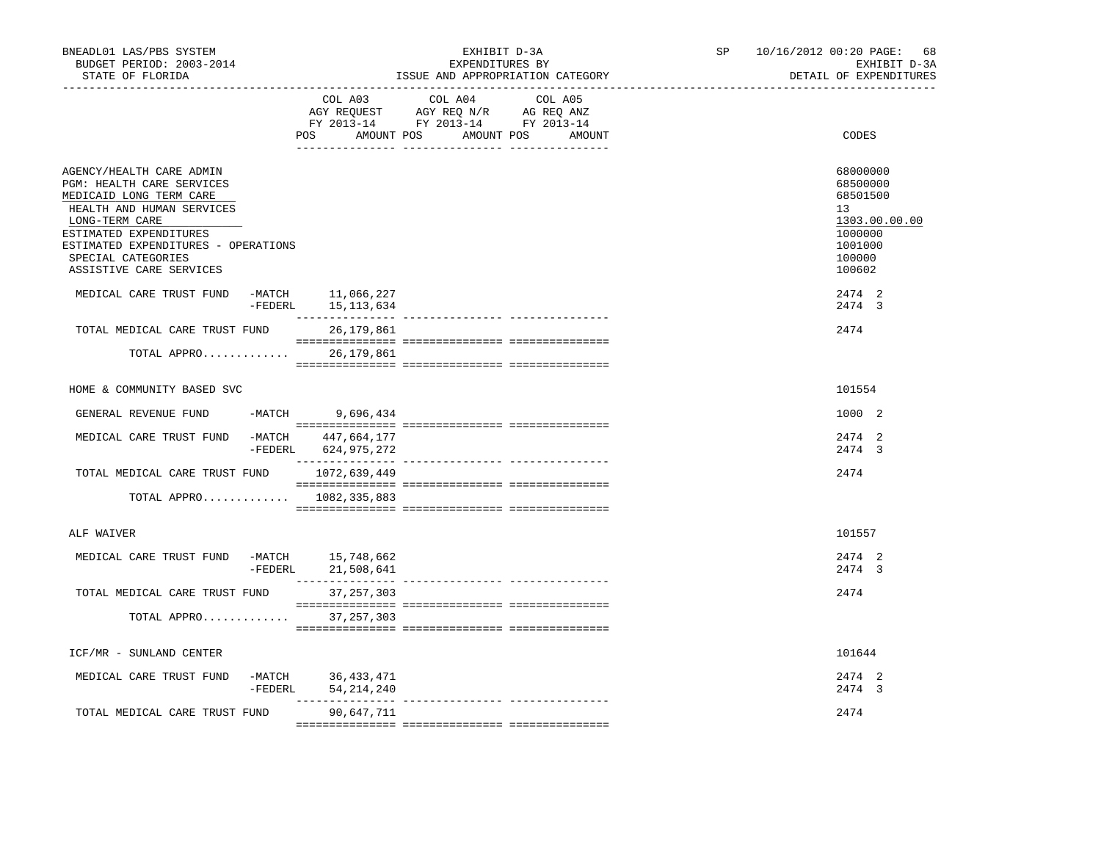| BNEADL01 LAS/PBS SYSTEM<br>BUDGET PERIOD: 2003-2014<br>STATE OF FLORIDA                                                                                                                                                                           |           |                                            | EXHIBIT D-3A<br>EXPENDITURES BY<br>ISSUE AND APPROPRIATION CATEGORY                                                                                                                                                                                                                                                                                                                                                                 | SP | 10/16/2012 00:20 PAGE:<br>68<br>EXHIBIT D-3A<br>DETAIL OF EXPENDITURES                            |
|---------------------------------------------------------------------------------------------------------------------------------------------------------------------------------------------------------------------------------------------------|-----------|--------------------------------------------|-------------------------------------------------------------------------------------------------------------------------------------------------------------------------------------------------------------------------------------------------------------------------------------------------------------------------------------------------------------------------------------------------------------------------------------|----|---------------------------------------------------------------------------------------------------|
|                                                                                                                                                                                                                                                   |           | COL A03                                    | COL A04<br>COL A05<br>$\begin{tabular}{lllllllll} \bf{AGY} & \bf{REQUEST} & \bf{AGY} & \bf{REQ} & \bf{N/R} & \bf{AG} & \bf{REQ} & \bf{ANZ} \\ \bf{FY} & \bf{2013-14} & \bf{FY} & \bf{2013-14} & \bf{FY} & \bf{2013-14} \\ \end{tabular}$<br>POS AMOUNT POS AMOUNT POS AMOUNT                                                                                                                                                        |    | CODES                                                                                             |
| AGENCY/HEALTH CARE ADMIN<br>PGM: HEALTH CARE SERVICES<br>MEDICAID LONG TERM CARE<br>HEALTH AND HUMAN SERVICES<br>LONG-TERM CARE<br>ESTIMATED EXPENDITURES<br>ESTIMATED EXPENDITURES - OPERATIONS<br>SPECIAL CATEGORIES<br>ASSISTIVE CARE SERVICES |           |                                            |                                                                                                                                                                                                                                                                                                                                                                                                                                     |    | 68000000<br>68500000<br>68501500<br>13<br>1303.00.00.00<br>1000000<br>1001000<br>100000<br>100602 |
| MEDICAL CARE TRUST FUND -MATCH 11,066,227                                                                                                                                                                                                         |           | -FEDERL 15, 113, 634                       |                                                                                                                                                                                                                                                                                                                                                                                                                                     |    | 2474 2<br>2474 3                                                                                  |
| TOTAL MEDICAL CARE TRUST FUND                                                                                                                                                                                                                     |           | 26,179,861                                 |                                                                                                                                                                                                                                                                                                                                                                                                                                     |    | 2474                                                                                              |
| TOTAL APPRO                                                                                                                                                                                                                                       |           | 26,179,861                                 |                                                                                                                                                                                                                                                                                                                                                                                                                                     |    |                                                                                                   |
| HOME & COMMUNITY BASED SVC                                                                                                                                                                                                                        |           |                                            |                                                                                                                                                                                                                                                                                                                                                                                                                                     |    | 101554                                                                                            |
| GENERAL REVENUE FUND                                                                                                                                                                                                                              | $-MATCH$  | 9,696,434                                  |                                                                                                                                                                                                                                                                                                                                                                                                                                     |    | 1000 2                                                                                            |
| MEDICAL CARE TRUST FUND                                                                                                                                                                                                                           |           | -MATCH 447,664,177<br>-FEDERL 624,975,272  |                                                                                                                                                                                                                                                                                                                                                                                                                                     |    | 2474 2<br>2474 3                                                                                  |
| TOTAL MEDICAL CARE TRUST FUND 1072,639,449                                                                                                                                                                                                        |           |                                            |                                                                                                                                                                                                                                                                                                                                                                                                                                     |    | 2474                                                                                              |
| TOTAL APPRO 1082,335,883                                                                                                                                                                                                                          |           |                                            | $\begin{minipage}{0.03\textwidth} \begin{tabular}{l} \textbf{1} & \textbf{2} & \textbf{3} & \textbf{5} & \textbf{5} & \textbf{6} & \textbf{6} & \textbf{7} & \textbf{8} & \textbf{9} & \textbf{9} & \textbf{9} & \textbf{1} & \textbf{9} & \textbf{1} & \textbf{1} & \textbf{1} & \textbf{1} & \textbf{1} & \textbf{1} & \textbf{1} & \textbf{1} & \textbf{1} & \textbf{1} & \textbf{1} & \textbf{1} & \textbf{1} & \textbf{1} & \$ |    |                                                                                                   |
| ALF WAIVER                                                                                                                                                                                                                                        |           |                                            |                                                                                                                                                                                                                                                                                                                                                                                                                                     |    | 101557                                                                                            |
| MEDICAL CARE TRUST FUND                                                                                                                                                                                                                           |           | -MATCH 15,748,662<br>$-$ FEDERL 21,508,641 |                                                                                                                                                                                                                                                                                                                                                                                                                                     |    | 2474 2<br>2474 3                                                                                  |
| TOTAL MEDICAL CARE TRUST FUND                                                                                                                                                                                                                     |           | 37, 257, 303                               |                                                                                                                                                                                                                                                                                                                                                                                                                                     |    | 2474                                                                                              |
| TOTAL APPRO                                                                                                                                                                                                                                       |           | 37,257,303                                 |                                                                                                                                                                                                                                                                                                                                                                                                                                     |    |                                                                                                   |
| ICF/MR - SUNLAND CENTER                                                                                                                                                                                                                           |           |                                            |                                                                                                                                                                                                                                                                                                                                                                                                                                     |    | 101644                                                                                            |
| MEDICAL CARE TRUST FUND                                                                                                                                                                                                                           | $-FEDERL$ | -MATCH 36,433,471<br>54, 214, 240          |                                                                                                                                                                                                                                                                                                                                                                                                                                     |    | 2474 2<br>2474 3                                                                                  |
| TOTAL MEDICAL CARE TRUST FUND                                                                                                                                                                                                                     |           | 90,647,711                                 |                                                                                                                                                                                                                                                                                                                                                                                                                                     |    | 2474                                                                                              |
|                                                                                                                                                                                                                                                   |           |                                            |                                                                                                                                                                                                                                                                                                                                                                                                                                     |    |                                                                                                   |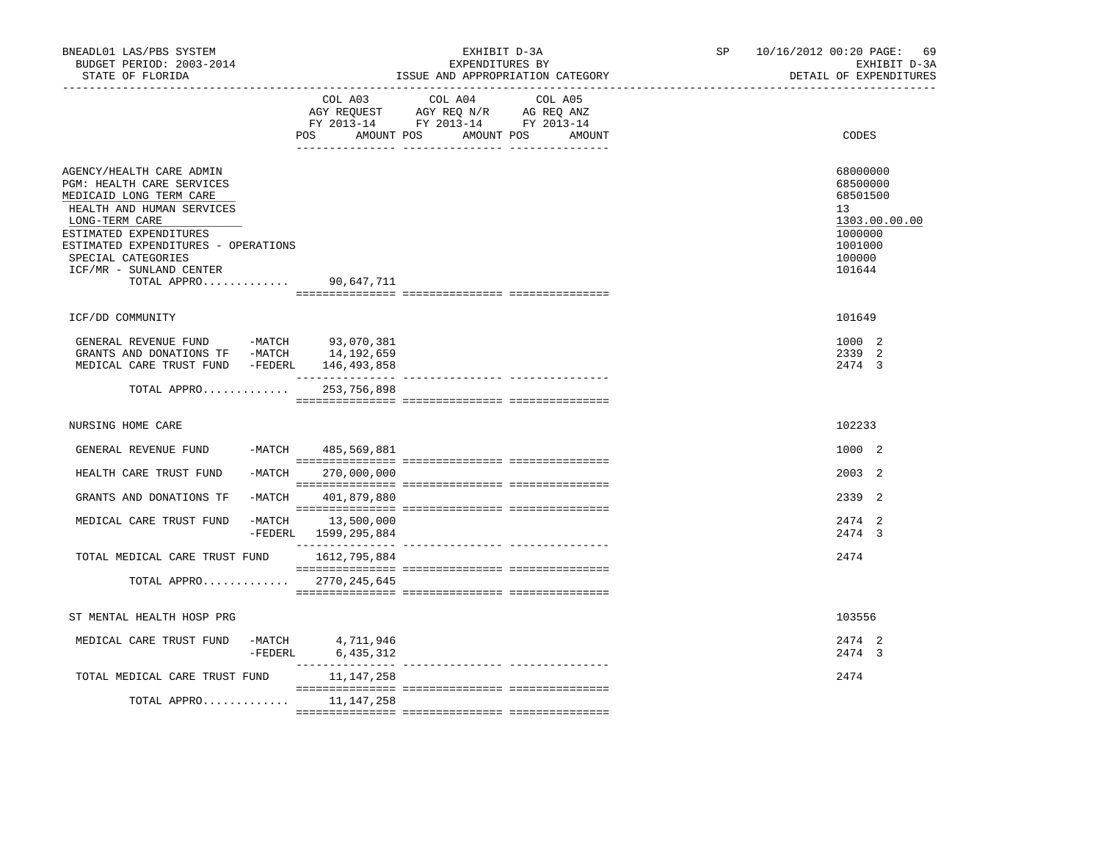| BNEADL01 LAS/PBS SYSTEM<br>BUDGET PERIOD: 2003-2014<br>STATE OF FLORIDA                                                                                                                                                                                                     |          |                                                                                                                          | ISSUE AND APPROPRIATION CATEGORY | EXHIBIT D-3A<br>EXPENDITURES BY |         |  | SP <sub>2</sub> | 10/16/2012 00:20 PAGE: 69<br>EXHIBIT D-3A<br>DETAIL OF EXPENDITURES                               |
|-----------------------------------------------------------------------------------------------------------------------------------------------------------------------------------------------------------------------------------------------------------------------------|----------|--------------------------------------------------------------------------------------------------------------------------|----------------------------------|---------------------------------|---------|--|-----------------|---------------------------------------------------------------------------------------------------|
|                                                                                                                                                                                                                                                                             |          | COL A03<br>AGY REQUEST AGY REQ N/R AG REQ ANZ<br>FY 2013-14 FY 2013-14 FY 2013-14<br>AMOUNT POS AMOUNT POS AMOUNT<br>POS | COL A04                          |                                 | COL A05 |  |                 | CODES                                                                                             |
| AGENCY/HEALTH CARE ADMIN<br>PGM: HEALTH CARE SERVICES<br>MEDICAID LONG TERM CARE<br>HEALTH AND HUMAN SERVICES<br>LONG-TERM CARE<br>ESTIMATED EXPENDITURES<br>ESTIMATED EXPENDITURES - OPERATIONS<br>SPECIAL CATEGORIES<br>ICF/MR - SUNLAND CENTER<br>TOTAL APPRO 90,647,711 |          |                                                                                                                          |                                  |                                 |         |  |                 | 68000000<br>68500000<br>68501500<br>13<br>1303.00.00.00<br>1000000<br>1001000<br>100000<br>101644 |
| ICF/DD COMMUNITY                                                                                                                                                                                                                                                            |          |                                                                                                                          |                                  |                                 |         |  |                 | 101649                                                                                            |
| GENERAL REVENUE FUND -MATCH 93,070,381<br>GRANTS AND DONATIONS TF -MATCH<br>MEDICAL CARE TRUST FUND -FEDERL 146,493,858                                                                                                                                                     |          | 14,192,659                                                                                                               |                                  |                                 |         |  |                 | 1000 2<br>2339 2<br>2474 3                                                                        |
| TOTAL APPRO                                                                                                                                                                                                                                                                 |          | 253,756,898                                                                                                              |                                  |                                 |         |  |                 |                                                                                                   |
| NURSING HOME CARE                                                                                                                                                                                                                                                           |          |                                                                                                                          |                                  |                                 |         |  |                 | 102233                                                                                            |
| GENERAL REVENUE FUND                                                                                                                                                                                                                                                        |          | -MATCH 485,569,881                                                                                                       |                                  |                                 |         |  |                 | 1000 2                                                                                            |
| HEALTH CARE TRUST FUND                                                                                                                                                                                                                                                      | $-MATCH$ | 270,000,000                                                                                                              |                                  |                                 |         |  |                 | 2003 2                                                                                            |
| GRANTS AND DONATIONS TF                                                                                                                                                                                                                                                     |          | -MATCH 401,879,880                                                                                                       |                                  |                                 |         |  |                 | 2339 2                                                                                            |
| MEDICAL CARE TRUST FUND                                                                                                                                                                                                                                                     |          | -MATCH 13,500,000<br>-FEDERL 1599, 295, 884                                                                              |                                  |                                 |         |  |                 | 2474 2<br>2474 3                                                                                  |
| TOTAL MEDICAL CARE TRUST FUND 1612, 795, 884                                                                                                                                                                                                                                |          |                                                                                                                          |                                  |                                 |         |  |                 | 2474                                                                                              |
| TOTAL APPRO $2770, 245, 645$                                                                                                                                                                                                                                                |          |                                                                                                                          |                                  |                                 |         |  |                 |                                                                                                   |
| ST MENTAL HEALTH HOSP PRG                                                                                                                                                                                                                                                   |          |                                                                                                                          |                                  |                                 |         |  |                 | 103556                                                                                            |
| MEDICAL CARE TRUST FUND                                                                                                                                                                                                                                                     |          | $-MATCH$ 4,711,946<br>-FEDERL 6,435,312                                                                                  |                                  |                                 |         |  |                 | 2474 2<br>2474 3                                                                                  |
| TOTAL MEDICAL CARE TRUST FUND                                                                                                                                                                                                                                               |          | 11,147,258                                                                                                               |                                  |                                 |         |  |                 | 2474                                                                                              |
| TOTAL APPRO $11,147,258$                                                                                                                                                                                                                                                    |          |                                                                                                                          |                                  |                                 |         |  |                 |                                                                                                   |
|                                                                                                                                                                                                                                                                             |          |                                                                                                                          |                                  |                                 |         |  |                 |                                                                                                   |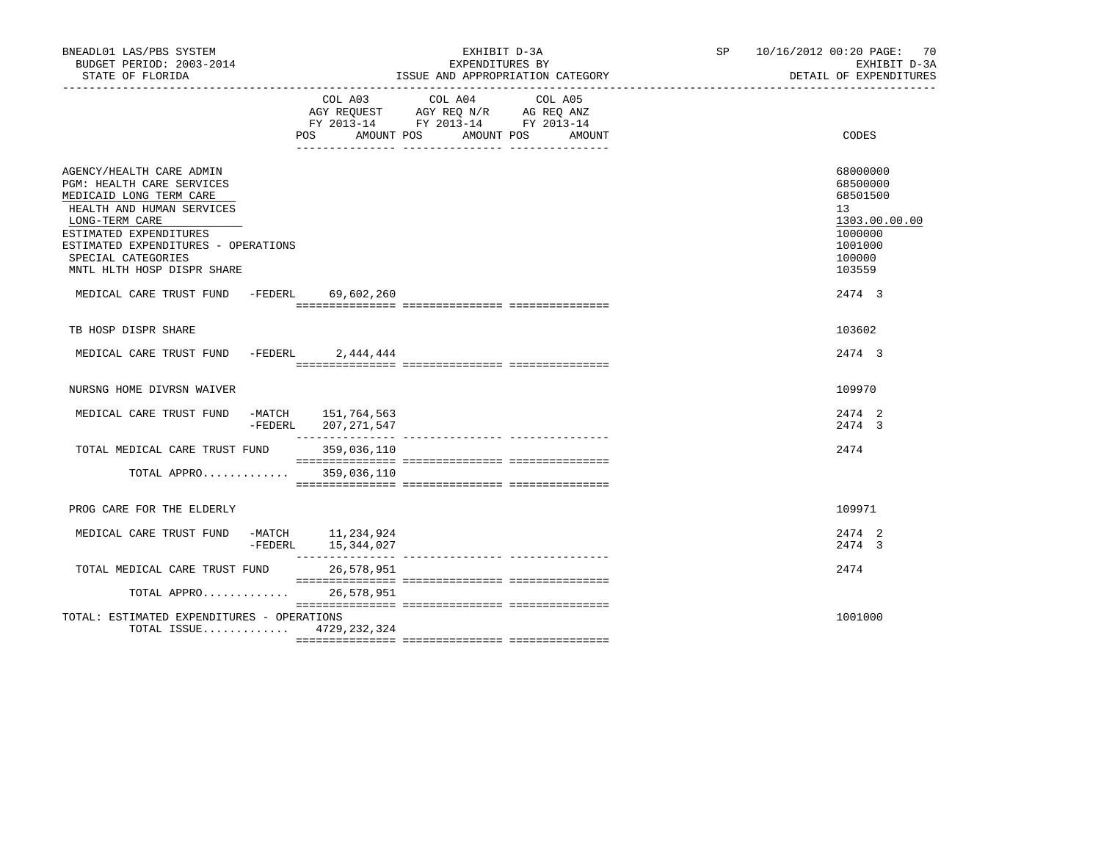| BNEADL01 LAS/PBS SYSTEM<br>BUDGET PERIOD: 2003-2014<br>STATE OF FLORIDA                                                                                                                                                                              |                                             | EXHIBIT D-3A<br>EXPENDITURES BY<br>ISSUE AND APPROPRIATION CATEGORY                                                                                                                                                                                                                          | SP 10/16/2012 00:20 PAGE: 70<br>EXHIBIT D-3A<br>DETAIL OF EXPENDITURES                            |
|------------------------------------------------------------------------------------------------------------------------------------------------------------------------------------------------------------------------------------------------------|---------------------------------------------|----------------------------------------------------------------------------------------------------------------------------------------------------------------------------------------------------------------------------------------------------------------------------------------------|---------------------------------------------------------------------------------------------------|
|                                                                                                                                                                                                                                                      | POS                                         | COL A03 COL A04 COL A05<br>$\begin{tabular}{lllllll} \bf AGY \;\; REQUEST \hspace{1cm} AGY \;\; REQ \;\; N/R \hspace{1cm} \bf AG \;\; REQ \;\; ANZ \\ \hline \tt FY \;\; 2013-14 \hspace{1cm} FY \;\; 2013-14 \hspace{1cm} FY \;\; 2013-14 \end{tabular}$<br>AMOUNT POS AMOUNT POS<br>AMOUNT | CODES                                                                                             |
| AGENCY/HEALTH CARE ADMIN<br>PGM: HEALTH CARE SERVICES<br>MEDICAID LONG TERM CARE<br>HEALTH AND HUMAN SERVICES<br>LONG-TERM CARE<br>ESTIMATED EXPENDITURES<br>ESTIMATED EXPENDITURES - OPERATIONS<br>SPECIAL CATEGORIES<br>MNTL HLTH HOSP DISPR SHARE |                                             |                                                                                                                                                                                                                                                                                              | 68000000<br>68500000<br>68501500<br>13<br>1303.00.00.00<br>1000000<br>1001000<br>100000<br>103559 |
| MEDICAL CARE TRUST FUND -FEDERL 69,602,260                                                                                                                                                                                                           |                                             |                                                                                                                                                                                                                                                                                              | 2474 3                                                                                            |
| TB HOSP DISPR SHARE                                                                                                                                                                                                                                  |                                             |                                                                                                                                                                                                                                                                                              | 103602                                                                                            |
| MEDICAL CARE TRUST FUND -FEDERL 2,444,444                                                                                                                                                                                                            |                                             |                                                                                                                                                                                                                                                                                              | 2474 3                                                                                            |
| NURSNG HOME DIVRSN WAIVER                                                                                                                                                                                                                            |                                             |                                                                                                                                                                                                                                                                                              | 109970                                                                                            |
| MEDICAL CARE TRUST FUND                                                                                                                                                                                                                              | -MATCH 151,764,563<br>-FEDERL 207, 271, 547 |                                                                                                                                                                                                                                                                                              | 2474 2<br>2474 3                                                                                  |
| TOTAL MEDICAL CARE TRUST FUND 359,036,110                                                                                                                                                                                                            |                                             |                                                                                                                                                                                                                                                                                              | 2474                                                                                              |
| TOTAL APPRO 359,036,110                                                                                                                                                                                                                              |                                             |                                                                                                                                                                                                                                                                                              |                                                                                                   |
| PROG CARE FOR THE ELDERLY                                                                                                                                                                                                                            |                                             |                                                                                                                                                                                                                                                                                              | 109971                                                                                            |
| MEDICAL CARE TRUST FUND                                                                                                                                                                                                                              | -MATCH 11,234,924<br>-FEDERL 15,344,027     |                                                                                                                                                                                                                                                                                              | 2474 2<br>2474 3                                                                                  |
| TOTAL MEDICAL CARE TRUST FUND                                                                                                                                                                                                                        | 26,578,951                                  |                                                                                                                                                                                                                                                                                              | 2474                                                                                              |
| TOTAL APPRO 26,578,951                                                                                                                                                                                                                               |                                             |                                                                                                                                                                                                                                                                                              |                                                                                                   |
| TOTAL: ESTIMATED EXPENDITURES - OPERATIONS<br>TOTAL ISSUE 4729, 232, 324                                                                                                                                                                             |                                             |                                                                                                                                                                                                                                                                                              | 1001000                                                                                           |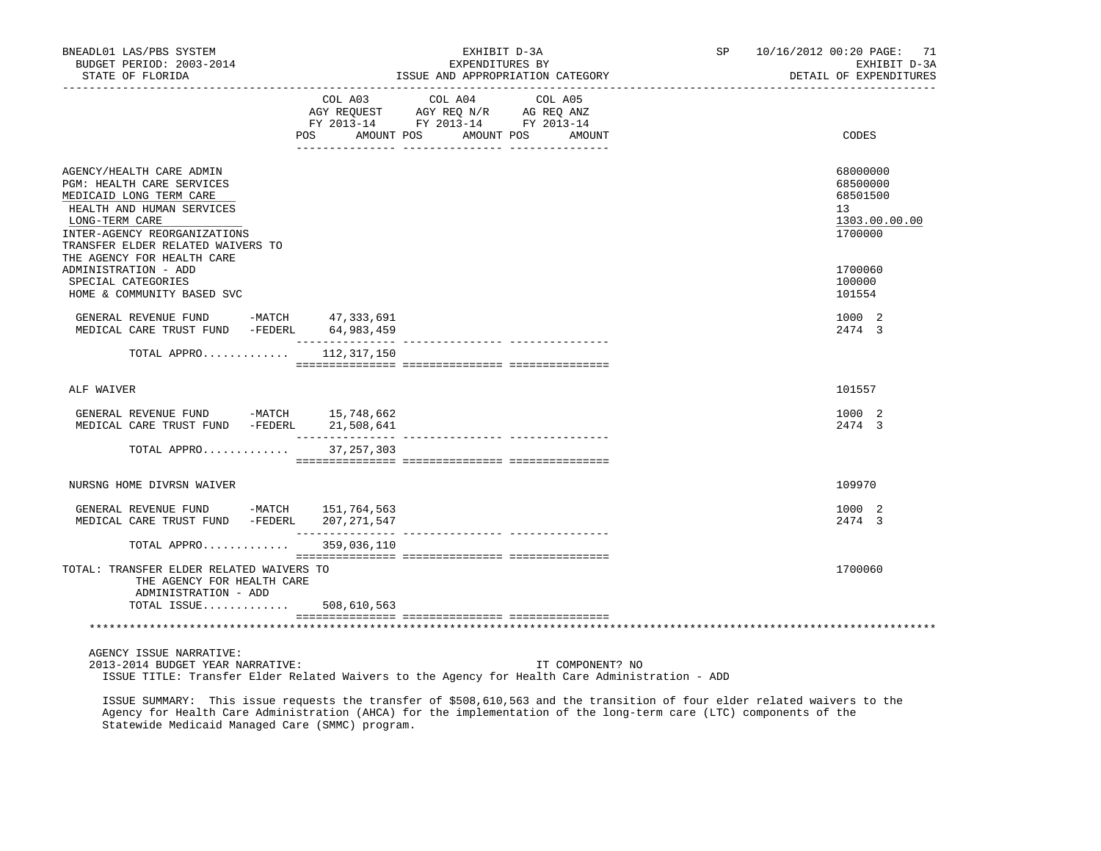| BNEADL01 LAS/PBS SYSTEM<br>BUDGET PERIOD: 2003-2014<br>STATE OF FLORIDA<br>-------------------<br>----------------                                                                                   |                   | EXHIBIT D-3A<br>EXPENDITURES BY                                                                         | ISSUE AND APPROPRIATION CATEGORY | SP <sub>2</sub> | 10/16/2012 00:20 PAGE: 71<br>EXHIBIT D-3A<br>DETAIL OF EXPENDITURES |
|------------------------------------------------------------------------------------------------------------------------------------------------------------------------------------------------------|-------------------|---------------------------------------------------------------------------------------------------------|----------------------------------|-----------------|---------------------------------------------------------------------|
|                                                                                                                                                                                                      | POS<br>AMOUNT POS | COL A03 COL A04<br>AGY REQUEST AGY REQ N/R AG REQ ANZ<br>FY 2013-14 FY 2013-14 FY 2013-14<br>AMOUNT POS | COL A05<br>AMOUNT                |                 | CODES                                                               |
| AGENCY/HEALTH CARE ADMIN<br>PGM: HEALTH CARE SERVICES<br>MEDICAID LONG TERM CARE<br>HEALTH AND HUMAN SERVICES<br>LONG-TERM CARE<br>INTER-AGENCY REORGANIZATIONS<br>TRANSFER ELDER RELATED WAIVERS TO |                   |                                                                                                         |                                  |                 | 68000000<br>68500000<br>68501500<br>13<br>1303.00.00.00<br>1700000  |
| THE AGENCY FOR HEALTH CARE<br>ADMINISTRATION - ADD<br>SPECIAL CATEGORIES<br>HOME & COMMUNITY BASED SVC                                                                                               |                   |                                                                                                         |                                  |                 | 1700060<br>100000<br>101554                                         |
| GENERAL REVENUE FUND -MATCH 47,333,691<br>MEDICAL CARE TRUST FUND -FEDERL 64,983,459                                                                                                                 |                   |                                                                                                         |                                  |                 | 1000 2<br>2474 3                                                    |
| TOTAL APPRO $112,317,150$                                                                                                                                                                            |                   |                                                                                                         |                                  |                 |                                                                     |
| ALF WAIVER                                                                                                                                                                                           |                   |                                                                                                         |                                  |                 | 101557                                                              |
| GENERAL REVENUE FUND -MATCH 15,748,662<br>MEDICAL CARE TRUST FUND -FEDERL 21,508,641                                                                                                                 | ___________       |                                                                                                         | _______________ _______________  |                 | 1000 2<br>2474 3                                                    |
| TOTAL APPRO                                                                                                                                                                                          | 37, 257, 303      |                                                                                                         |                                  |                 |                                                                     |
| NURSNG HOME DIVRSN WAIVER                                                                                                                                                                            |                   |                                                                                                         |                                  |                 | 109970                                                              |
| GENERAL REVENUE FUND -MATCH 151,764,563<br>MEDICAL CARE TRUST FUND -FEDERL                                                                                                                           | 207, 271, 547     |                                                                                                         |                                  |                 | 1000 2<br>2474 3                                                    |
| TOTAL APPRO                                                                                                                                                                                          | 359,036,110       |                                                                                                         |                                  |                 |                                                                     |
| TOTAL: TRANSFER ELDER RELATED WAIVERS TO<br>THE AGENCY FOR HEALTH CARE<br>ADMINISTRATION - ADD                                                                                                       |                   |                                                                                                         |                                  |                 | 1700060                                                             |
| TOTAL ISSUE 508,610,563                                                                                                                                                                              |                   |                                                                                                         |                                  |                 |                                                                     |
|                                                                                                                                                                                                      |                   |                                                                                                         |                                  |                 |                                                                     |
| AGENCY ISSUE NARRATIVE:<br>2013-2014 BUDGET YEAR NARRATIVE:<br>ISSUE TITLE: Transfer Elder Related Waivers to the Agency for Health Care Administration - ADD                                        |                   |                                                                                                         | IT COMPONENT? NO                 |                 |                                                                     |

 ISSUE SUMMARY: This issue requests the transfer of \$508,610,563 and the transition of four elder related waivers to the Agency for Health Care Administration (AHCA) for the implementation of the long-term care (LTC) components of the Statewide Medicaid Managed Care (SMMC) program.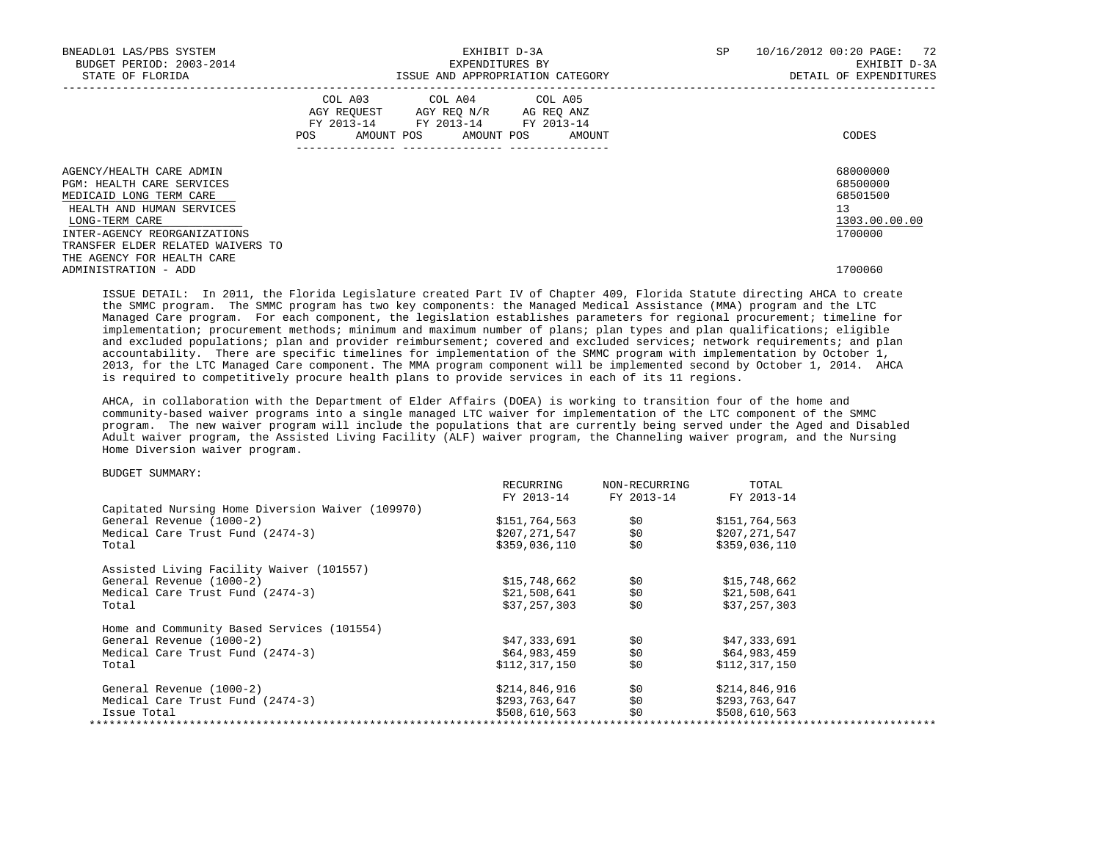| BNEADL01 LAS/PBS SYSTEM<br>BUDGET PERIOD: 2003-2014<br>STATE OF FLORIDA                                                                                         |     |                                                                                                                 | EXHIBIT D-3A<br>EXPENDITURES BY | ISSUE AND APPROPRIATION CATEGORY | SP | 72<br>10/16/2012 00:20 PAGE:<br>EXHIBIT D-3A<br>DETAIL OF EXPENDITURES |
|-----------------------------------------------------------------------------------------------------------------------------------------------------------------|-----|-----------------------------------------------------------------------------------------------------------------|---------------------------------|----------------------------------|----|------------------------------------------------------------------------|
|                                                                                                                                                                 | POS | COL A03 COL A04 COL A05<br>AGY REQUEST AGY REO N/R AG REO ANZ<br>FY 2013-14 FY 2013-14 FY 2013-14<br>AMOUNT POS | AMOUNT POS                      | AMOUNT                           |    | CODES                                                                  |
| AGENCY/HEALTH CARE ADMIN<br>PGM: HEALTH CARE SERVICES<br>MEDICAID LONG TERM CARE<br>HEALTH AND HUMAN SERVICES<br>LONG-TERM CARE<br>INTER-AGENCY REORGANIZATIONS |     |                                                                                                                 |                                 |                                  |    | 68000000<br>68500000<br>68501500<br>13<br>1303.00.00.00<br>1700000     |
| TRANSFER ELDER RELATED WAIVERS TO<br>THE AGENCY FOR HEALTH CARE<br>ADMINISTRATION - ADD                                                                         |     |                                                                                                                 |                                 |                                  |    | 1700060                                                                |

 ISSUE DETAIL: In 2011, the Florida Legislature created Part IV of Chapter 409, Florida Statute directing AHCA to create the SMMC program. The SMMC program has two key components: the Managed Medical Assistance (MMA) program and the LTC Managed Care program. For each component, the legislation establishes parameters for regional procurement; timeline for implementation; procurement methods; minimum and maximum number of plans; plan types and plan qualifications; eligible and excluded populations; plan and provider reimbursement; covered and excluded services; network requirements; and plan accountability. There are specific timelines for implementation of the SMMC program with implementation by October 1, 2013, for the LTC Managed Care component. The MMA program component will be implemented second by October 1, 2014. AHCA is required to competitively procure health plans to provide services in each of its 11 regions.

 AHCA, in collaboration with the Department of Elder Affairs (DOEA) is working to transition four of the home and community-based waiver programs into a single managed LTC waiver for implementation of the LTC component of the SMMC program. The new waiver program will include the populations that are currently being served under the Aged and Disabled Adult waiver program, the Assisted Living Facility (ALF) waiver program, the Channeling waiver program, and the Nursing Home Diversion waiver program.

| FY 2013-14<br>\$151,764,563<br>\$0<br>\$0<br>\$207,271,547<br>\$0<br>\$359,036,110<br>\$15,748,662<br>\$0<br>\$0<br>\$21,508,641<br>\$0<br>\$37,257,303 | FY 2013-14<br>FY 2013-14<br>\$151,764,563<br>\$207,271,547<br>\$359,036,110<br>\$15,748,662<br>\$21,508,641<br>\$37,257,303 |  |
|---------------------------------------------------------------------------------------------------------------------------------------------------------|-----------------------------------------------------------------------------------------------------------------------------|--|
|                                                                                                                                                         |                                                                                                                             |  |
|                                                                                                                                                         |                                                                                                                             |  |
|                                                                                                                                                         |                                                                                                                             |  |
|                                                                                                                                                         |                                                                                                                             |  |
|                                                                                                                                                         |                                                                                                                             |  |
|                                                                                                                                                         |                                                                                                                             |  |
|                                                                                                                                                         |                                                                                                                             |  |
|                                                                                                                                                         |                                                                                                                             |  |
|                                                                                                                                                         |                                                                                                                             |  |
|                                                                                                                                                         |                                                                                                                             |  |
| \$47,333,691<br>\$0                                                                                                                                     | \$47,333,691                                                                                                                |  |
| \$0<br>\$64,983,459                                                                                                                                     | \$64,983,459                                                                                                                |  |
| \$0<br>\$112,317,150                                                                                                                                    | \$112,317,150                                                                                                               |  |
| \$0                                                                                                                                                     | \$214,846,916                                                                                                               |  |
|                                                                                                                                                         | \$293,763,647                                                                                                               |  |
|                                                                                                                                                         |                                                                                                                             |  |
|                                                                                                                                                         | \$214,846,916<br>\$0<br>\$293,763,647                                                                                       |  |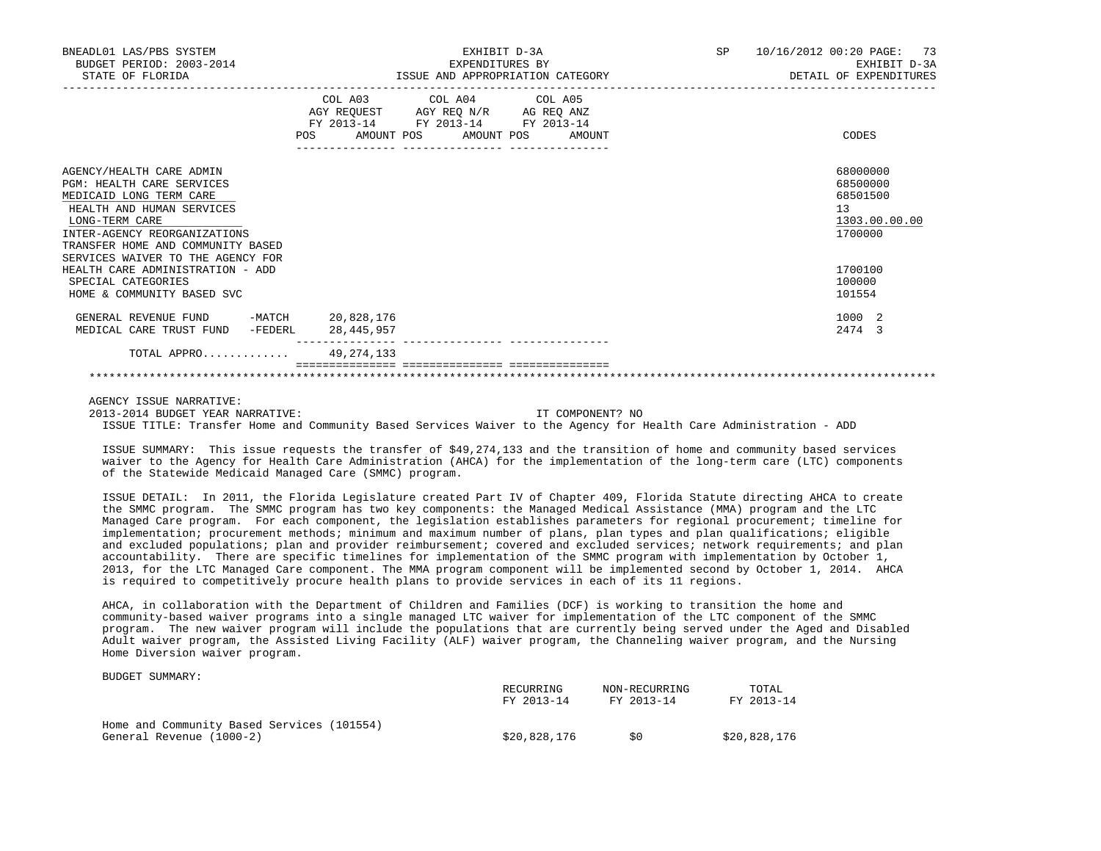| BNEADL01 LAS/PBS SYSTEM<br>BUDGET PERIOD: 2003-2014<br>STATE OF FLORIDA                                                                                                                                                                          | EXHIBIT D-3A<br>EXPENDITURES BY<br>ISSUE AND APPROPRIATION CATEGORY                                                                                |        | SP<br>10/16/2012 00:20 PAGE:<br>-73<br>EXHIBIT D-3A<br>DETAIL OF EXPENDITURES |  |  |
|--------------------------------------------------------------------------------------------------------------------------------------------------------------------------------------------------------------------------------------------------|----------------------------------------------------------------------------------------------------------------------------------------------------|--------|-------------------------------------------------------------------------------|--|--|
|                                                                                                                                                                                                                                                  | COL A03<br>COL A04 COL A05<br>AGY REQUEST AGY REQ $\texttt{N/R}$ AG REQ ANZ<br>FY 2013-14 FY 2013-14 FY 2013-14<br>AMOUNT POS<br>AMOUNT POS<br>POS | AMOUNT | CODES                                                                         |  |  |
| AGENCY/HEALTH CARE ADMIN<br><b>PGM: HEALTH CARE SERVICES</b><br>MEDICAID LONG TERM CARE<br>HEALTH AND HUMAN SERVICES<br>LONG-TERM CARE<br>INTER-AGENCY REORGANIZATIONS<br>TRANSFER HOME AND COMMUNITY BASED<br>SERVICES WAIVER TO THE AGENCY FOR |                                                                                                                                                    |        | 68000000<br>68500000<br>68501500<br>13<br>1303.00.00.00<br>1700000            |  |  |
| HEALTH CARE ADMINISTRATION - ADD<br>SPECIAL CATEGORIES<br>HOME & COMMUNITY BASED SVC                                                                                                                                                             |                                                                                                                                                    |        | 1700100<br>100000<br>101554                                                   |  |  |
| GENERAL REVENUE FUND<br>MEDICAL CARE TRUST FUND<br>-FEDERL                                                                                                                                                                                       | -MATCH 20,828,176<br>28,445,957                                                                                                                    |        | 1000 2<br>2474 3                                                              |  |  |
| TOTAL APPRO 49, 274, 133                                                                                                                                                                                                                         |                                                                                                                                                    |        |                                                                               |  |  |
|                                                                                                                                                                                                                                                  |                                                                                                                                                    |        |                                                                               |  |  |

AGENCY ISSUE NARRATIVE:

BUDGET SUMMARY:

 2013-2014 BUDGET YEAR NARRATIVE: IT COMPONENT? NO ISSUE TITLE: Transfer Home and Community Based Services Waiver to the Agency for Health Care Administration - ADD

 ISSUE SUMMARY: This issue requests the transfer of \$49,274,133 and the transition of home and community based services waiver to the Agency for Health Care Administration (AHCA) for the implementation of the long-term care (LTC) components of the Statewide Medicaid Managed Care (SMMC) program.

 ISSUE DETAIL: In 2011, the Florida Legislature created Part IV of Chapter 409, Florida Statute directing AHCA to create the SMMC program. The SMMC program has two key components: the Managed Medical Assistance (MMA) program and the LTC Managed Care program. For each component, the legislation establishes parameters for regional procurement; timeline for implementation; procurement methods; minimum and maximum number of plans, plan types and plan qualifications; eligible and excluded populations; plan and provider reimbursement; covered and excluded services; network requirements; and plan accountability. There are specific timelines for implementation of the SMMC program with implementation by October 1, 2013, for the LTC Managed Care component. The MMA program component will be implemented second by October 1, 2014. AHCA is required to competitively procure health plans to provide services in each of its 11 regions.

 AHCA, in collaboration with the Department of Children and Families (DCF) is working to transition the home and community-based waiver programs into a single managed LTC waiver for implementation of the LTC component of the SMMC program. The new waiver program will include the populations that are currently being served under the Aged and Disabled Adult waiver program, the Assisted Living Facility (ALF) waiver program, the Channeling waiver program, and the Nursing Home Diversion waiver program.

|                                            | RECURRING<br>FY 2013-14 | NON-RECURRING<br>FY 2013-14 | TOTAL<br>FY 2013-14 |
|--------------------------------------------|-------------------------|-----------------------------|---------------------|
| Home and Community Based Services (101554) |                         |                             |                     |
| General Revenue (1000-2)                   | \$20,828,176            | S0                          | \$20,828,176        |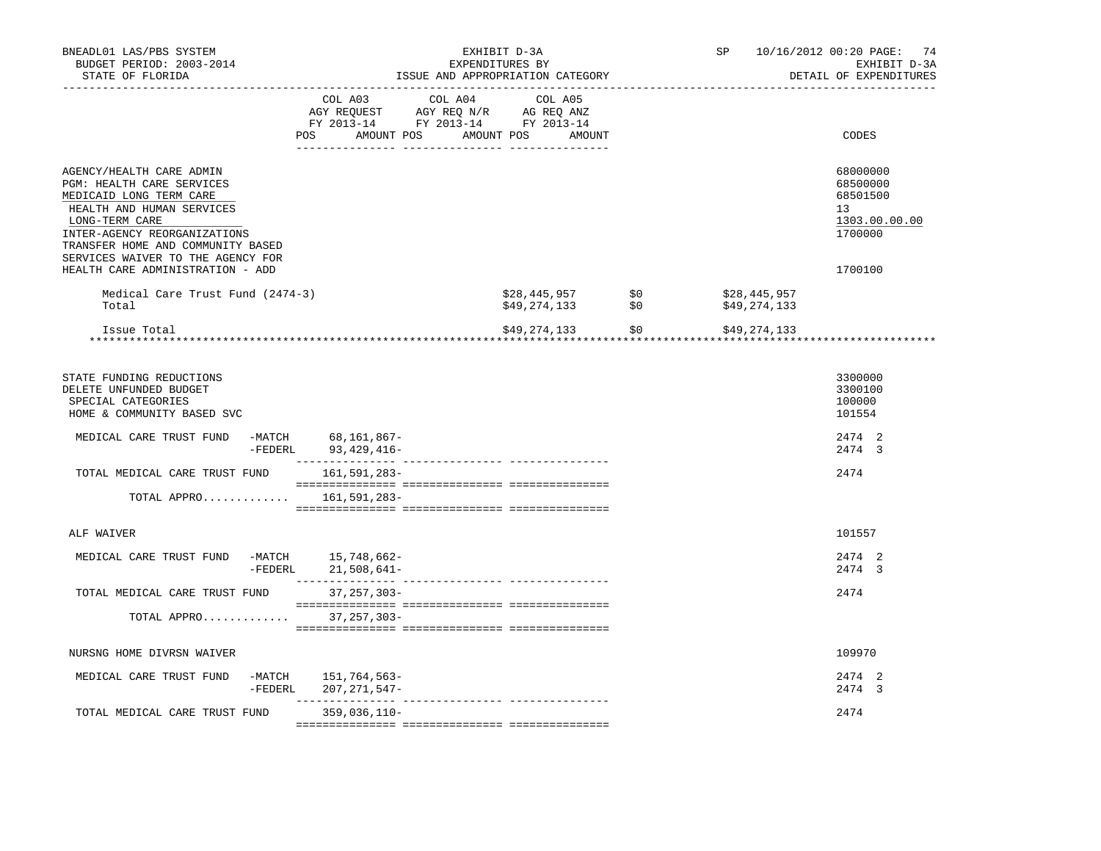| BNEADL01 LAS/PBS SYSTEM<br>BUDGET PERIOD: 2003-2014<br>STATE OF FLORIDA                                                                                                                                                                   |                                                                                                                                                                   |                       | EXHIBIT D-3A<br>EXPENDITURES BY<br>ISSUE AND APPROPRIATION CATEGORY |     | SP                           | 10/16/2012 00:20 PAGE: 74<br>EXHIBIT D-3A<br>DETAIL OF EXPENDITURES |
|-------------------------------------------------------------------------------------------------------------------------------------------------------------------------------------------------------------------------------------------|-------------------------------------------------------------------------------------------------------------------------------------------------------------------|-----------------------|---------------------------------------------------------------------|-----|------------------------------|---------------------------------------------------------------------|
|                                                                                                                                                                                                                                           | $\begin{tabular}{lcccc} CDL A03 & CDL A04 & CDL A05 \\ AGY REQUEST & AGY REQ N/R & AG REQ ANZ \\ FY & 2013-14 & FY & 2013-14 & FY & 2013-14 \end{tabular}$<br>POS | AMOUNT POS AMOUNT POS | AMOUNT                                                              |     |                              | CODES                                                               |
| AGENCY/HEALTH CARE ADMIN<br>PGM: HEALTH CARE SERVICES<br>MEDICAID LONG TERM CARE<br>HEALTH AND HUMAN SERVICES<br>LONG-TERM CARE<br>INTER-AGENCY REORGANIZATIONS<br>TRANSFER HOME AND COMMUNITY BASED<br>SERVICES WAIVER TO THE AGENCY FOR |                                                                                                                                                                   |                       |                                                                     |     |                              | 68000000<br>68500000<br>68501500<br>13<br>1303.00.00.00<br>1700000  |
| HEALTH CARE ADMINISTRATION - ADD                                                                                                                                                                                                          |                                                                                                                                                                   |                       |                                                                     |     |                              | 1700100                                                             |
| Medical Care Trust Fund (2474-3)<br>Total                                                                                                                                                                                                 |                                                                                                                                                                   |                       | \$28,445,957<br>$$49,274,133$ $$0$                                  | \$0 | \$28,445,957<br>\$49,274,133 |                                                                     |
| Issue Total                                                                                                                                                                                                                               |                                                                                                                                                                   |                       | \$49,274,133 \$0                                                    |     | \$49,274,133                 |                                                                     |
|                                                                                                                                                                                                                                           |                                                                                                                                                                   |                       |                                                                     |     |                              |                                                                     |
| STATE FUNDING REDUCTIONS<br>DELETE UNFUNDED BUDGET<br>SPECIAL CATEGORIES<br>HOME & COMMUNITY BASED SVC                                                                                                                                    |                                                                                                                                                                   |                       |                                                                     |     |                              | 3300000<br>3300100<br>100000<br>101554                              |
| MEDICAL CARE TRUST FUND                                                                                                                                                                                                                   | -MATCH 68,161,867-<br>-FEDERL 93, 429, 416-                                                                                                                       |                       |                                                                     |     |                              | 2474 2<br>2474 3                                                    |
| TOTAL MEDICAL CARE TRUST FUND                                                                                                                                                                                                             | 161,591,283-                                                                                                                                                      |                       |                                                                     |     |                              | 2474                                                                |
| TOTAL APPRO                                                                                                                                                                                                                               | 161,591,283–                                                                                                                                                      |                       |                                                                     |     |                              |                                                                     |
| ALF WAIVER                                                                                                                                                                                                                                |                                                                                                                                                                   |                       |                                                                     |     |                              | 101557                                                              |
|                                                                                                                                                                                                                                           |                                                                                                                                                                   |                       |                                                                     |     |                              |                                                                     |
| MEDICAL CARE TRUST FUND                                                                                                                                                                                                                   | -MATCH 15,748,662-<br>-FEDERL 21,508,641-                                                                                                                         |                       |                                                                     |     |                              | 2474 2<br>2474 3                                                    |
| TOTAL MEDICAL CARE TRUST FUND                                                                                                                                                                                                             | $37,257,303-$                                                                                                                                                     |                       |                                                                     |     |                              | 2474                                                                |
| TOTAL APPRO 37,257,303-                                                                                                                                                                                                                   |                                                                                                                                                                   |                       |                                                                     |     |                              |                                                                     |
| NURSNG HOME DIVRSN WAIVER                                                                                                                                                                                                                 |                                                                                                                                                                   |                       |                                                                     |     |                              | 109970                                                              |
| MEDICAL CARE TRUST FUND<br>-MATCH                                                                                                                                                                                                         | 151,764,563–<br>-FEDERL 207, 271, 547-                                                                                                                            |                       |                                                                     |     |                              | 2474 2<br>2474 3                                                    |
| TOTAL MEDICAL CARE TRUST FUND                                                                                                                                                                                                             | $359,036,110-$                                                                                                                                                    |                       |                                                                     |     |                              | 2474                                                                |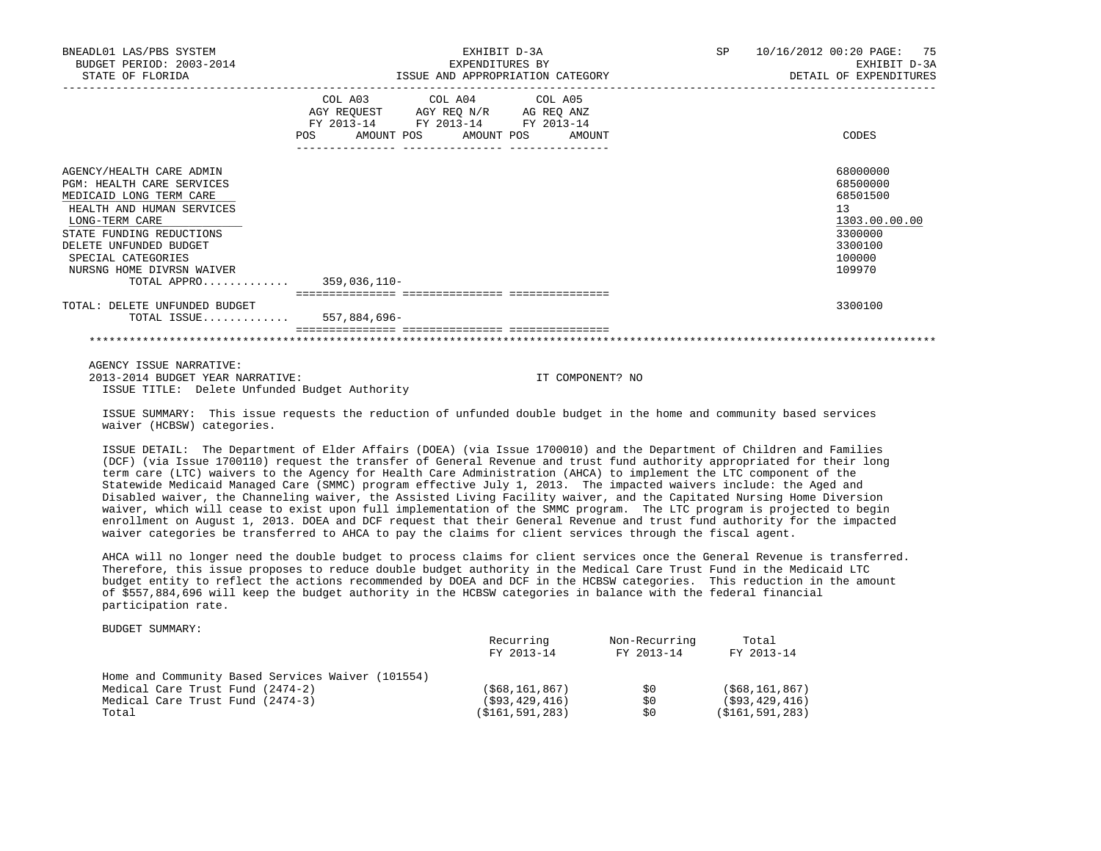| BNEADL01 LAS/PBS SYSTEM<br>BUDGET PERIOD: 2003-2014<br>STATE OF FLORIDA                                                                                                                                                                                              | EXHIBIT D-3A<br>EXPENDITURES BY<br>ISSUE AND APPROPRIATION CATEGORY                                                                      | 10/16/2012 00:20 PAGE: 75<br>SP<br>EXHIBIT D-3A<br>DETAIL OF EXPENDITURES                         |  |
|----------------------------------------------------------------------------------------------------------------------------------------------------------------------------------------------------------------------------------------------------------------------|------------------------------------------------------------------------------------------------------------------------------------------|---------------------------------------------------------------------------------------------------|--|
|                                                                                                                                                                                                                                                                      | COL A03 COL A04 COL A05<br>AGY REQUEST AGY REQ N/R AG REQ ANZ<br>FY 2013-14 FY 2013-14 FY 2013-14<br>POS<br>AMOUNT POS AMOUNT POS AMOUNT | CODES                                                                                             |  |
| AGENCY/HEALTH CARE ADMIN<br>PGM: HEALTH CARE SERVICES<br>MEDICAID LONG TERM CARE<br>HEALTH AND HUMAN SERVICES<br>LONG-TERM CARE<br>STATE FUNDING REDUCTIONS<br>DELETE UNFUNDED BUDGET<br>SPECIAL CATEGORIES<br>NURSNG HOME DIVRSN WAIVER<br>TOTAL APPRO 359,036,110- |                                                                                                                                          | 68000000<br>68500000<br>68501500<br>13<br>1303.00.00.00<br>3300000<br>3300100<br>100000<br>109970 |  |
| TOTAL: DELETE UNFUNDED BUDGET<br>TOTAL ISSUE 557,884,696-                                                                                                                                                                                                            |                                                                                                                                          | 3300100                                                                                           |  |
|                                                                                                                                                                                                                                                                      |                                                                                                                                          |                                                                                                   |  |

 AGENCY ISSUE NARRATIVE: 2013-2014 BUDGET YEAR NARRATIVE: IT COMPONENT? NO ISSUE TITLE: Delete Unfunded Budget Authority

 ISSUE SUMMARY: This issue requests the reduction of unfunded double budget in the home and community based services waiver (HCBSW) categories.

 ISSUE DETAIL: The Department of Elder Affairs (DOEA) (via Issue 1700010) and the Department of Children and Families (DCF) (via Issue 1700110) request the transfer of General Revenue and trust fund authority appropriated for their long term care (LTC) waivers to the Agency for Health Care Administration (AHCA) to implement the LTC component of the Statewide Medicaid Managed Care (SMMC) program effective July 1, 2013. The impacted waivers include: the Aged and Disabled waiver, the Channeling waiver, the Assisted Living Facility waiver, and the Capitated Nursing Home Diversion waiver, which will cease to exist upon full implementation of the SMMC program. The LTC program is projected to begin enrollment on August 1, 2013. DOEA and DCF request that their General Revenue and trust fund authority for the impacted waiver categories be transferred to AHCA to pay the claims for client services through the fiscal agent.

 AHCA will no longer need the double budget to process claims for client services once the General Revenue is transferred. Therefore, this issue proposes to reduce double budget authority in the Medical Care Trust Fund in the Medicaid LTC budget entity to reflect the actions recommended by DOEA and DCF in the HCBSW categories. This reduction in the amount of \$557,884,696 will keep the budget authority in the HCBSW categories in balance with the federal financial participation rate.

BUDGET SUMMARY:

|                                                   | Recurring<br>FY 2013-14 | Non-Recurring<br>FY 2013-14 | Total<br>FY 2013-14 |
|---------------------------------------------------|-------------------------|-----------------------------|---------------------|
| Home and Community Based Services Waiver (101554) |                         |                             |                     |
| Medical Care Trust Fund (2474-2)                  | ( \$68, 161, 867)       | SO.                         | (568, 161, 867)     |
| Medical Care Trust Fund (2474-3)                  | (593, 429, 416)         | \$0                         | ( \$93, 429, 416)   |
| Total                                             | (\$161,591,283)         | \$0                         | ( \$161, 591, 283)  |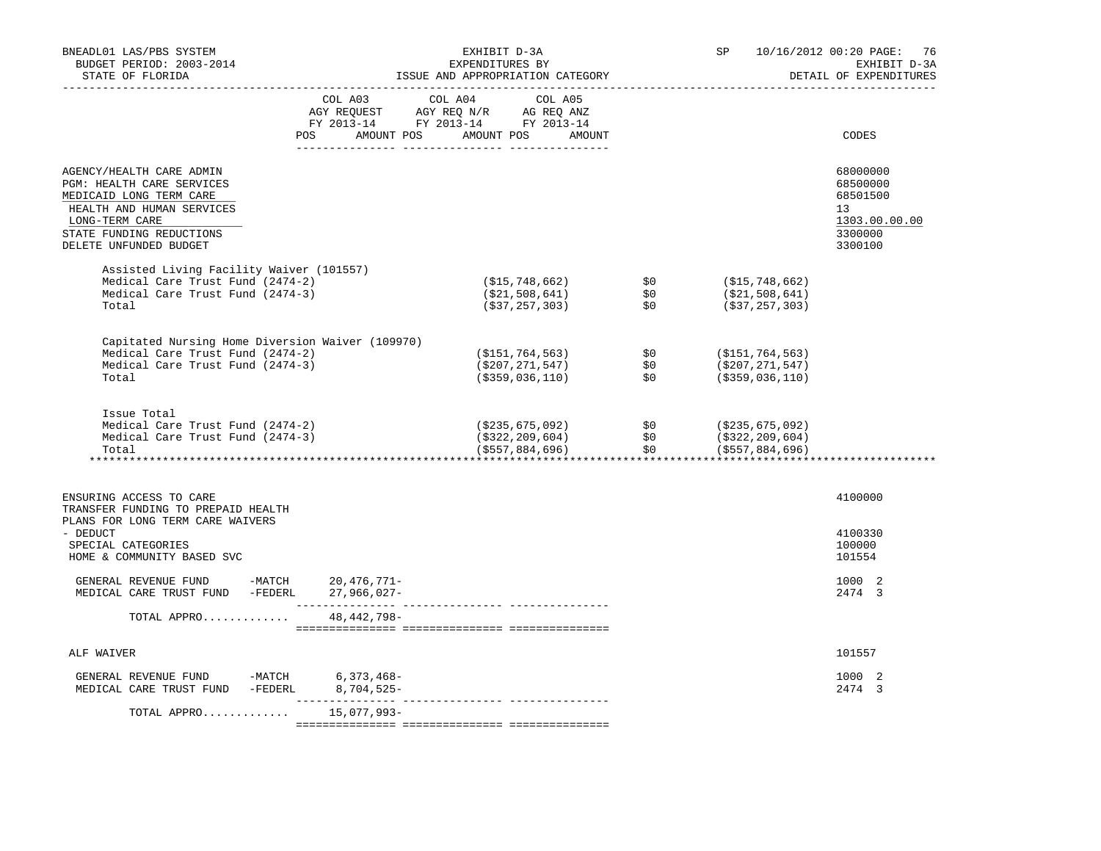| BNEADL01 LAS/PBS SYSTEM<br>BUDGET PERIOD: 2003-2014<br>STATE OF FLORIDA                                                                                                               |                                  | EXHIBIT D-3A<br>EXPENDITURES BY<br>ISSUE AND APPROPRIATION CATEGORY                                                                                        |                                                                                                                      |                   | 10/16/2012 00:20 PAGE: 76<br>SP<br>EXHIBIT D-3A<br>DETAIL OF EXPENDITURES |                                                                               |  |
|---------------------------------------------------------------------------------------------------------------------------------------------------------------------------------------|----------------------------------|------------------------------------------------------------------------------------------------------------------------------------------------------------|----------------------------------------------------------------------------------------------------------------------|-------------------|---------------------------------------------------------------------------|-------------------------------------------------------------------------------|--|
|                                                                                                                                                                                       | POS AMOUNT POS AMOUNT POS AMOUNT | $\begin{tabular}{lcccc} COL A03 & COL A04 & COL A05 \\ AGY REQUEST & AGY REQ N/R & AG REQ ANZ \\ FY & 2013-14 & FY & 2013-14 & FY & 2013-14 \end{tabular}$ |                                                                                                                      |                   |                                                                           | CODES                                                                         |  |
| AGENCY/HEALTH CARE ADMIN<br>PGM: HEALTH CARE SERVICES<br>MEDICAID LONG TERM CARE<br>HEALTH AND HUMAN SERVICES<br>LONG-TERM CARE<br>STATE FUNDING REDUCTIONS<br>DELETE UNFUNDED BUDGET |                                  |                                                                                                                                                            |                                                                                                                      |                   |                                                                           | 68000000<br>68500000<br>68501500<br>13<br>1303.00.00.00<br>3300000<br>3300100 |  |
| Assisted Living Facility Waiver (101557)<br>Medical Care Trust Fund (2474-2)<br>Medical Care Trust Fund (2474-3)<br>Total                                                             |                                  |                                                                                                                                                            | (\$15,748,662)<br>(\$21,508,641)<br>(*37,257,303)                                                                    | \$0<br>\$0<br>\$0 | (\$15,748,662)<br>(\$21,508,641)<br>(\$37,257,303)                        |                                                                               |  |
| Capitated Nursing Home Diversion Waiver (109970)<br>Medical Care Trust Fund (2474-2)<br>Medical Care Trust Fund (2474-3)<br>Total                                                     |                                  |                                                                                                                                                            | $( $151, 764, 563)$<br>$( $207, 271, 547)$<br>$( $359, 036, 110)$<br>\$0                                             |                   | (\$151,764,563)<br>(\$207,271,547)<br>$($ \$359,036,110)                  |                                                                               |  |
| Issue Total<br>Medical Care Trust Fund (2474-2)<br>Medical Care Trust Fund (2474-3)<br>Total                                                                                          |                                  |                                                                                                                                                            | (\$235,675,092)                    \$0<br>(\$322,209,604)                  \$0<br>(\$322,209,604)<br>(\$557,884,696) | \$0\$             | (\$235,675,092)<br>( \$322, 209, 604)<br>$($ \$557,884,696)               |                                                                               |  |
| ENSURING ACCESS TO CARE<br>TRANSFER FUNDING TO PREPAID HEALTH                                                                                                                         |                                  |                                                                                                                                                            |                                                                                                                      |                   |                                                                           | 4100000                                                                       |  |
| PLANS FOR LONG TERM CARE WAIVERS<br>- DEDUCT<br>SPECIAL CATEGORIES<br>HOME & COMMUNITY BASED SVC                                                                                      |                                  |                                                                                                                                                            |                                                                                                                      |                   |                                                                           | 4100330<br>100000<br>101554                                                   |  |
| GENERAL REVENUE FUND -MATCH 20,476,771-<br>MEDICAL CARE TRUST FUND -FEDERL 27,966,027-                                                                                                | _________________                |                                                                                                                                                            |                                                                                                                      |                   |                                                                           | 1000 2<br>2474 3                                                              |  |
| TOTAL APPRO                                                                                                                                                                           | 48,442,798-                      |                                                                                                                                                            |                                                                                                                      |                   |                                                                           |                                                                               |  |
| ALF WAIVER                                                                                                                                                                            |                                  |                                                                                                                                                            |                                                                                                                      |                   |                                                                           | 101557                                                                        |  |
| GENERAL REVENUE FUND -MATCH 6,373,468-<br>MEDICAL CARE TRUST FUND -FEDERL 8,704,525-                                                                                                  |                                  |                                                                                                                                                            |                                                                                                                      |                   |                                                                           | 1000 2<br>2474 3                                                              |  |
| TOTAL APPRO                                                                                                                                                                           | 15,077,993–                      |                                                                                                                                                            |                                                                                                                      |                   |                                                                           |                                                                               |  |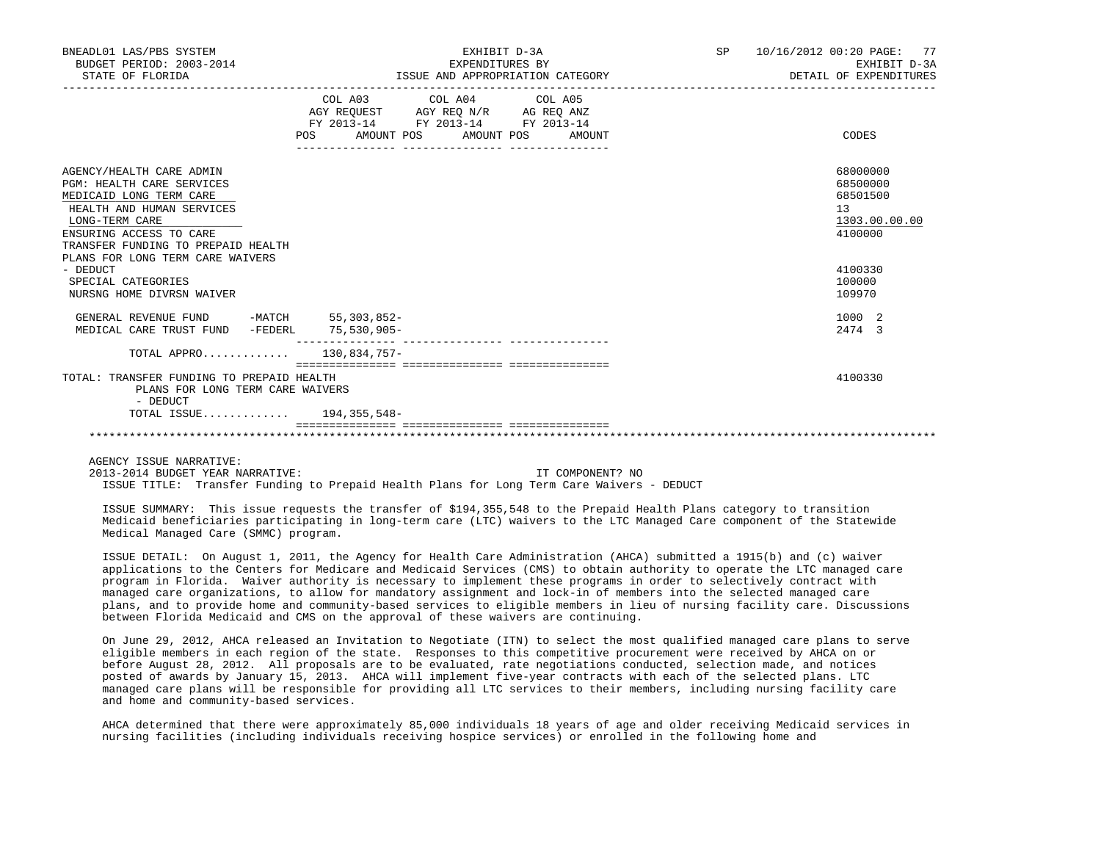| BNEADL01 LAS/PBS SYSTEM<br>BUDGET PERIOD: 2003-2014<br>STATE OF FLORIDA                                                                                                                                                                     | EXHIBIT D-3A<br>EXPENDITURES BY<br>ISSUE AND APPROPRIATION CATEGORY                                                                   | 10/16/2012 00:20 PAGE:<br>77<br>SP <sub>2</sub><br>EXHIBIT D-3A<br>DETAIL OF EXPENDITURES |
|---------------------------------------------------------------------------------------------------------------------------------------------------------------------------------------------------------------------------------------------|---------------------------------------------------------------------------------------------------------------------------------------|-------------------------------------------------------------------------------------------|
|                                                                                                                                                                                                                                             | COL A03 COL A04 COL A05<br>AGY REQUEST AGY REO N/R AG REO ANZ<br>FY 2013-14 FY 2013-14 FY 2013-14<br>POS AMOUNT POS AMOUNT POS AMOUNT | CODES                                                                                     |
| AGENCY/HEALTH CARE ADMIN<br><b>PGM: HEALTH CARE SERVICES</b><br>MEDICAID LONG TERM CARE<br>HEALTH AND HUMAN SERVICES<br>LONG-TERM CARE<br>ENSURING ACCESS TO CARE<br>TRANSFER FUNDING TO PREPAID HEALTH<br>PLANS FOR LONG TERM CARE WAIVERS |                                                                                                                                       | 68000000<br>68500000<br>68501500<br>13<br>1303.00.00.00<br>4100000                        |
| - DEDUCT<br>SPECIAL CATEGORIES<br>NURSNG HOME DIVRSN WAIVER                                                                                                                                                                                 |                                                                                                                                       | 4100330<br>100000<br>109970                                                               |
| GENERAL REVENUE FUND -MATCH 55,303,852-<br>MEDICAL CARE TRUST FUND -FEDERL 75,530,905-                                                                                                                                                      |                                                                                                                                       | 1000 2<br>2474 3                                                                          |
| TOTAL APPRO 130,834,757-                                                                                                                                                                                                                    |                                                                                                                                       |                                                                                           |
| TOTAL: TRANSFER FUNDING TO PREPAID HEALTH<br>PLANS FOR LONG TERM CARE WAIVERS<br>- DEDUCT                                                                                                                                                   |                                                                                                                                       | 4100330                                                                                   |
| TOTAL ISSUE 194,355,548-                                                                                                                                                                                                                    |                                                                                                                                       |                                                                                           |
|                                                                                                                                                                                                                                             |                                                                                                                                       |                                                                                           |

AGENCY ISSUE NARRATIVE:

 2013-2014 BUDGET YEAR NARRATIVE: IT COMPONENT? NO ISSUE TITLE: Transfer Funding to Prepaid Health Plans for Long Term Care Waivers - DEDUCT

 ISSUE SUMMARY: This issue requests the transfer of \$194,355,548 to the Prepaid Health Plans category to transition Medicaid beneficiaries participating in long-term care (LTC) waivers to the LTC Managed Care component of the Statewide Medical Managed Care (SMMC) program.

 ISSUE DETAIL: On August 1, 2011, the Agency for Health Care Administration (AHCA) submitted a 1915(b) and (c) waiver applications to the Centers for Medicare and Medicaid Services (CMS) to obtain authority to operate the LTC managed care program in Florida. Waiver authority is necessary to implement these programs in order to selectively contract with managed care organizations, to allow for mandatory assignment and lock-in of members into the selected managed care plans, and to provide home and community-based services to eligible members in lieu of nursing facility care. Discussions between Florida Medicaid and CMS on the approval of these waivers are continuing.

 On June 29, 2012, AHCA released an Invitation to Negotiate (ITN) to select the most qualified managed care plans to serve eligible members in each region of the state. Responses to this competitive procurement were received by AHCA on or before August 28, 2012. All proposals are to be evaluated, rate negotiations conducted, selection made, and notices posted of awards by January 15, 2013. AHCA will implement five-year contracts with each of the selected plans. LTC managed care plans will be responsible for providing all LTC services to their members, including nursing facility care and home and community-based services.

 AHCA determined that there were approximately 85,000 individuals 18 years of age and older receiving Medicaid services in nursing facilities (including individuals receiving hospice services) or enrolled in the following home and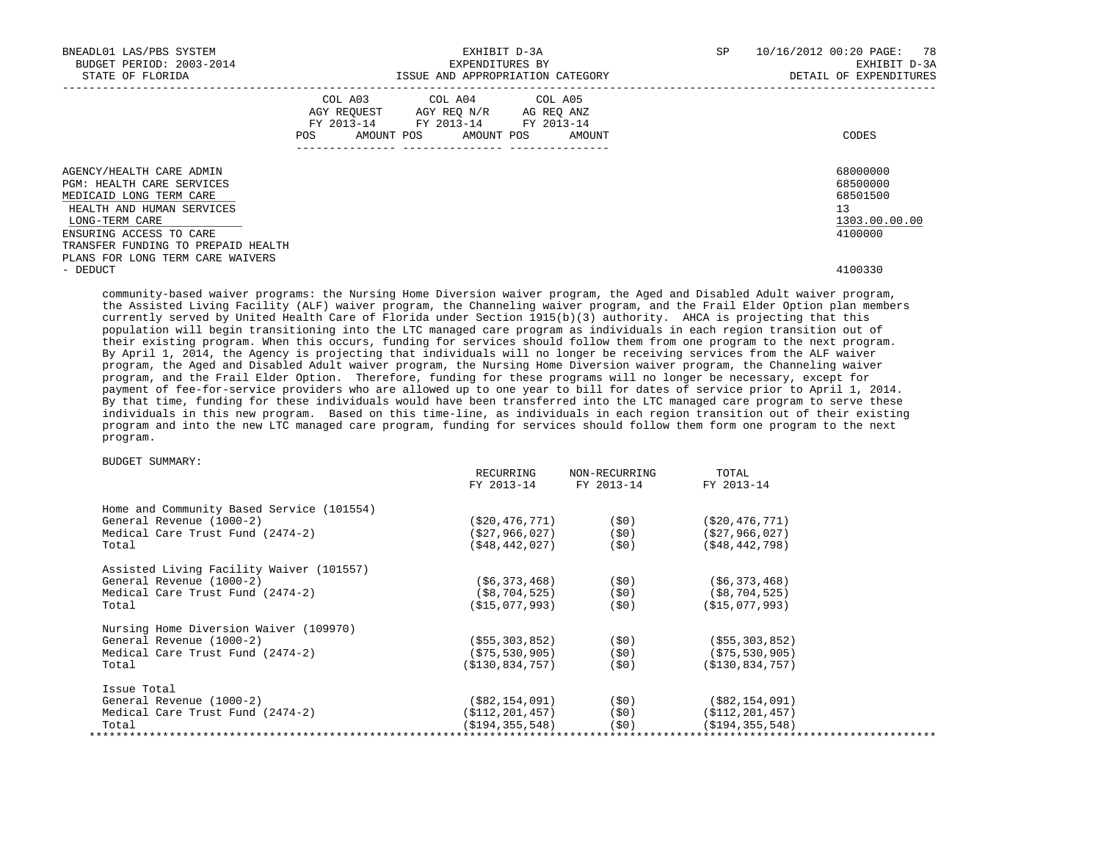| BNEADL01 LAS/PBS SYSTEM<br>BUDGET PERIOD: 2003-2014<br>STATE OF FLORIDA                                                                                                                                 |            | EXHIBIT D-3A<br>EXPENDITURES BY<br>ISSUE AND APPROPRIATION CATEGORY                                                        | SP     | 10/16/2012 00:20 PAGE: 78<br>EXHIBIT D-3A<br>DETAIL OF EXPENDITURES |                                                                    |
|---------------------------------------------------------------------------------------------------------------------------------------------------------------------------------------------------------|------------|----------------------------------------------------------------------------------------------------------------------------|--------|---------------------------------------------------------------------|--------------------------------------------------------------------|
|                                                                                                                                                                                                         | <b>POS</b> | COL A03 COL A04 COL A05<br>AGY REQUEST AGY REO N/R AG REO ANZ<br>FY 2013-14 FY 2013-14 FY 2013-14<br>AMOUNT POS AMOUNT POS | AMOUNT |                                                                     | CODES                                                              |
| AGENCY/HEALTH CARE ADMIN<br><b>PGM: HEALTH CARE SERVICES</b><br>MEDICAID LONG TERM CARE<br>HEALTH AND HUMAN SERVICES<br>LONG-TERM CARE<br>ENSURING ACCESS TO CARE<br>TRANSFER FUNDING TO PREPAID HEALTH |            |                                                                                                                            |        |                                                                     | 68000000<br>68500000<br>68501500<br>13<br>1303.00.00.00<br>4100000 |
| PLANS FOR LONG TERM CARE WAIVERS<br>- DEDUCT                                                                                                                                                            |            |                                                                                                                            |        |                                                                     | 4100330                                                            |

 community-based waiver programs: the Nursing Home Diversion waiver program, the Aged and Disabled Adult waiver program, the Assisted Living Facility (ALF) waiver program, the Channeling waiver program, and the Frail Elder Option plan members currently served by United Health Care of Florida under Section 1915(b)(3) authority. AHCA is projecting that this population will begin transitioning into the LTC managed care program as individuals in each region transition out of their existing program. When this occurs, funding for services should follow them from one program to the next program. By April 1, 2014, the Agency is projecting that individuals will no longer be receiving services from the ALF waiver program, the Aged and Disabled Adult waiver program, the Nursing Home Diversion waiver program, the Channeling waiver program, and the Frail Elder Option. Therefore, funding for these programs will no longer be necessary, except for payment of fee-for-service providers who are allowed up to one year to bill for dates of service prior to April 1, 2014. By that time, funding for these individuals would have been transferred into the LTC managed care program to serve these individuals in this new program. Based on this time-line, as individuals in each region transition out of their existing program and into the new LTC managed care program, funding for services should follow them form one program to the next program.

## BUDGET SUMMARY:

|                                           | RECURRING<br>FY 2013-14  | NON-RECURRING<br>FY 2013-14 | TOTAL<br>FY 2013-14                      |
|-------------------------------------------|--------------------------|-----------------------------|------------------------------------------|
| Home and Community Based Service (101554) |                          |                             |                                          |
| General Revenue (1000-2)                  |                          | $( $20,476,771)$ (\$0)      | (\$20,476,771)                           |
| Medical Care Trust Fund (2474-2)          |                          | $($ \$27,966,027) (\$0)     | ( \$27, 966, 027)                        |
| Total                                     | $( $48, 442, 027)$ (\$0) |                             | ( \$48, 442, 798)                        |
| Assisted Living Facility Waiver (101557)  |                          |                             |                                          |
| General Revenue (1000-2)                  | (56, 373, 468)           | (\$0)                       | ( \$6, 373, 468)                         |
| Medical Care Trust Fund (2474-2)          |                          | $(\$8, 704, 525)$ (\$0)     | (\$8,704,525)                            |
| Total                                     | $( $15,077,993)$ (\$0)   |                             | (S15,077,993)                            |
| Nursing Home Diversion Waiver (109970)    |                          |                             |                                          |
| General Revenue (1000-2)                  | ( \$55, 303, 852)        | (\$0)                       | ( \$55, 303, 852)                        |
| Medical Care Trust Fund (2474-2)          |                          | $( $75,530,905)$ (\$0)      | (\$75,530,905)                           |
| Total                                     | (\$130,834,757)          | (\$0)                       | ( \$130, 834, 757)                       |
| Issue Total                               |                          |                             |                                          |
| General Revenue (1000-2)                  |                          | $(\$82, 154, 091)$ (\$0)    | (\$82,154,091)                           |
| Medical Care Trust Fund (2474-2)          |                          |                             | $($ \$112,201,457) (\$0) (\$112,201,457) |
| Total                                     | (\$194,355,548) (\$0)    |                             | (S194, 355, 548)                         |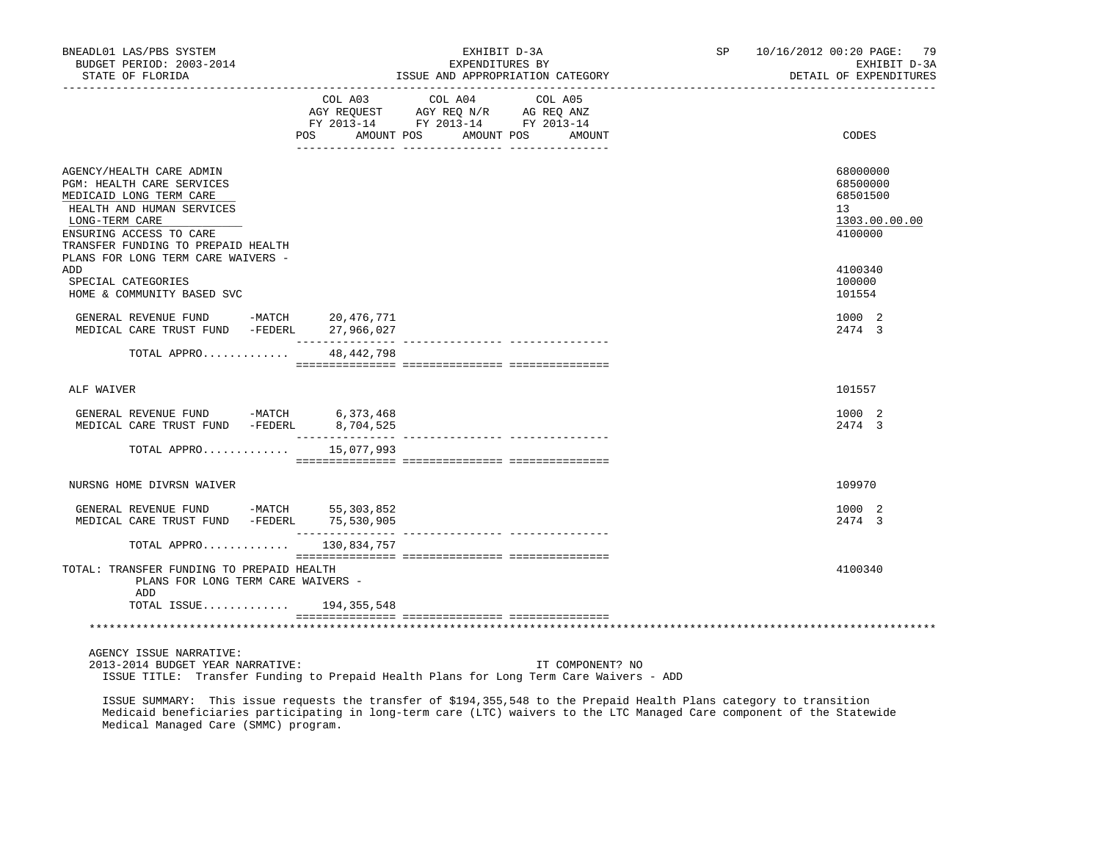| BNEADL01 LAS/PBS SYSTEM<br>BUDGET PERIOD: 2003-2014<br>STATE OF FLORIDA<br>--------------------<br>------------------                                                                            |                               | EXHIBIT D-3A<br>EXPENDITURES BY<br>ISSUE AND APPROPRIATION CATEGORY                                     |                   | SP and the set of the set of the set of the set of the set of the set of the set of the set of the set of the set of the set of the set of the set of the set of the set of the set of the set of the set of the set of the se | 10/16/2012 00:20 PAGE: 79<br>EXHIBIT D-3A<br>DETAIL OF EXPENDITURES |
|--------------------------------------------------------------------------------------------------------------------------------------------------------------------------------------------------|-------------------------------|---------------------------------------------------------------------------------------------------------|-------------------|--------------------------------------------------------------------------------------------------------------------------------------------------------------------------------------------------------------------------------|---------------------------------------------------------------------|
|                                                                                                                                                                                                  | POS<br>AMOUNT POS             | COL A03 COL A04<br>AGY REQUEST AGY REQ N/R AG REQ ANZ<br>FY 2013-14 FY 2013-14 FY 2013-14<br>AMOUNT POS | COL A05<br>AMOUNT |                                                                                                                                                                                                                                | CODES                                                               |
| AGENCY/HEALTH CARE ADMIN<br>PGM: HEALTH CARE SERVICES<br>MEDICAID LONG TERM CARE<br>HEALTH AND HUMAN SERVICES<br>LONG-TERM CARE<br>ENSURING ACCESS TO CARE<br>TRANSFER FUNDING TO PREPAID HEALTH |                               |                                                                                                         |                   |                                                                                                                                                                                                                                | 68000000<br>68500000<br>68501500<br>13<br>1303.00.00.00<br>4100000  |
| PLANS FOR LONG TERM CARE WAIVERS -<br>ADD<br>SPECIAL CATEGORIES<br>HOME & COMMUNITY BASED SVC                                                                                                    |                               |                                                                                                         |                   |                                                                                                                                                                                                                                | 4100340<br>100000<br>101554                                         |
| GENERAL REVENUE FUND -MATCH 20,476,771<br>MEDICAL CARE TRUST FUND -FEDERL 27,966,027                                                                                                             |                               |                                                                                                         |                   |                                                                                                                                                                                                                                | 1000 2<br>2474 3                                                    |
| TOTAL APPRO                                                                                                                                                                                      | 48,442,798                    |                                                                                                         |                   |                                                                                                                                                                                                                                |                                                                     |
| ALF WAIVER                                                                                                                                                                                       |                               |                                                                                                         |                   |                                                                                                                                                                                                                                | 101557                                                              |
| GENERAL REVENUE FUND -MATCH 6,373,468<br>MEDICAL CARE TRUST FUND -FEDERL                                                                                                                         | 8,704,525<br>________________ |                                                                                                         |                   |                                                                                                                                                                                                                                | 1000 2<br>2474 3                                                    |
| TOTAL APPRO                                                                                                                                                                                      | 15,077,993                    |                                                                                                         |                   |                                                                                                                                                                                                                                |                                                                     |
| NURSNG HOME DIVRSN WAIVER                                                                                                                                                                        |                               |                                                                                                         |                   |                                                                                                                                                                                                                                | 109970                                                              |
| GENERAL REVENUE FUND -MATCH 55,303,852<br>MEDICAL CARE TRUST FUND -FEDERL 75,530,905                                                                                                             |                               |                                                                                                         |                   |                                                                                                                                                                                                                                | 1000 2<br>2474 3                                                    |
| TOTAL APPRO                                                                                                                                                                                      | 130,834,757                   |                                                                                                         |                   |                                                                                                                                                                                                                                |                                                                     |
| TOTAL: TRANSFER FUNDING TO PREPAID HEALTH<br>PLANS FOR LONG TERM CARE WAIVERS -<br>ADD                                                                                                           |                               |                                                                                                         |                   |                                                                                                                                                                                                                                | 4100340                                                             |
| TOTAL ISSUE 194,355,548                                                                                                                                                                          |                               |                                                                                                         |                   |                                                                                                                                                                                                                                |                                                                     |
|                                                                                                                                                                                                  |                               |                                                                                                         |                   |                                                                                                                                                                                                                                |                                                                     |
| AGENCY ISSUE NARRATIVE:<br>2013-2014 BUDGET YEAR NARRATIVE:<br>ISSUE TITLE: Transfer Funding to Prepaid Health Plans for Long Term Care Waivers - ADD                                            |                               |                                                                                                         | IT COMPONENT? NO  |                                                                                                                                                                                                                                |                                                                     |

 ISSUE SUMMARY: This issue requests the transfer of \$194,355,548 to the Prepaid Health Plans category to transition Medicaid beneficiaries participating in long-term care (LTC) waivers to the LTC Managed Care component of the Statewide Medical Managed Care (SMMC) program.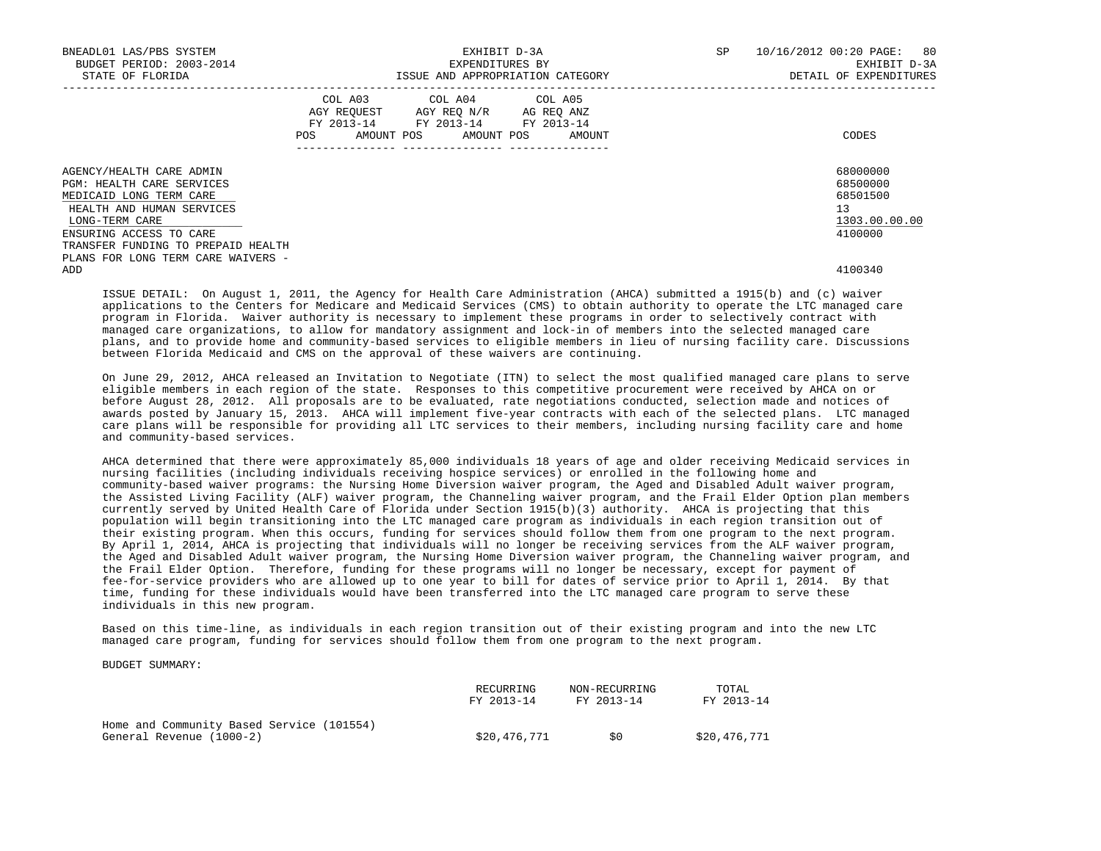| BNEADL01 LAS/PBS SYSTEM<br>BUDGET PERIOD: 2003-2014<br>STATE OF FLORIDA                                                                                    | EXHIBIT D-3A<br>EXPENDITURES BY<br>ISSUE AND APPROPRIATION CATEGORY |                                                                                                   |                              | <b>SP</b> | 10/16/2012 00:20 PAGE: 80<br>EXHIBIT D-3A<br>DETAIL OF EXPENDITURES |
|------------------------------------------------------------------------------------------------------------------------------------------------------------|---------------------------------------------------------------------|---------------------------------------------------------------------------------------------------|------------------------------|-----------|---------------------------------------------------------------------|
|                                                                                                                                                            | POS                                                                 | COL A03 COL A04 COL A05<br>AGY REOUEST AGY REO N/R AG REO ANZ<br>FY 2013-14 FY 2013-14 FY 2013-14 | AMOUNT POS AMOUNT POS AMOUNT |           | CODES                                                               |
| AGENCY/HEALTH CARE ADMIN<br>PGM: HEALTH CARE SERVICES<br>MEDICAID LONG TERM CARE<br>HEALTH AND HUMAN SERVICES<br>LONG-TERM CARE<br>ENSURING ACCESS TO CARE |                                                                     |                                                                                                   |                              |           | 68000000<br>68500000<br>68501500<br>13<br>1303.00.00.00<br>4100000  |
| TRANSFER FUNDING TO PREPAID HEALTH<br>PLANS FOR LONG TERM CARE WAIVERS -<br>ADD                                                                            |                                                                     |                                                                                                   |                              |           | 4100340                                                             |

 ISSUE DETAIL: On August 1, 2011, the Agency for Health Care Administration (AHCA) submitted a 1915(b) and (c) waiver applications to the Centers for Medicare and Medicaid Services (CMS) to obtain authority to operate the LTC managed care program in Florida. Waiver authority is necessary to implement these programs in order to selectively contract with managed care organizations, to allow for mandatory assignment and lock-in of members into the selected managed care plans, and to provide home and community-based services to eligible members in lieu of nursing facility care. Discussions between Florida Medicaid and CMS on the approval of these waivers are continuing.

 On June 29, 2012, AHCA released an Invitation to Negotiate (ITN) to select the most qualified managed care plans to serve eligible members in each region of the state. Responses to this competitive procurement were received by AHCA on or before August 28, 2012. All proposals are to be evaluated, rate negotiations conducted, selection made and notices of awards posted by January 15, 2013. AHCA will implement five-year contracts with each of the selected plans. LTC managed care plans will be responsible for providing all LTC services to their members, including nursing facility care and home and community-based services.

 AHCA determined that there were approximately 85,000 individuals 18 years of age and older receiving Medicaid services in nursing facilities (including individuals receiving hospice services) or enrolled in the following home and community-based waiver programs: the Nursing Home Diversion waiver program, the Aged and Disabled Adult waiver program, the Assisted Living Facility (ALF) waiver program, the Channeling waiver program, and the Frail Elder Option plan members currently served by United Health Care of Florida under Section 1915(b)(3) authority. AHCA is projecting that this population will begin transitioning into the LTC managed care program as individuals in each region transition out of their existing program. When this occurs, funding for services should follow them from one program to the next program. By April 1, 2014, AHCA is projecting that individuals will no longer be receiving services from the ALF waiver program, the Aged and Disabled Adult waiver program, the Nursing Home Diversion waiver program, the Channeling waiver program, and the Frail Elder Option. Therefore, funding for these programs will no longer be necessary, except for payment of fee-for-service providers who are allowed up to one year to bill for dates of service prior to April 1, 2014. By that time, funding for these individuals would have been transferred into the LTC managed care program to serve these individuals in this new program.

 Based on this time-line, as individuals in each region transition out of their existing program and into the new LTC managed care program, funding for services should follow them from one program to the next program.

BUDGET SUMMARY:

|                                                                       | RECURRING    | NON-RECURRING | TOTAL        |
|-----------------------------------------------------------------------|--------------|---------------|--------------|
|                                                                       | FY 2013-14   | FY 2013-14    | FY 2013-14   |
| Home and Community Based Service (101554)<br>General Revenue (1000-2) | \$20,476,771 | 50            | \$20,476,771 |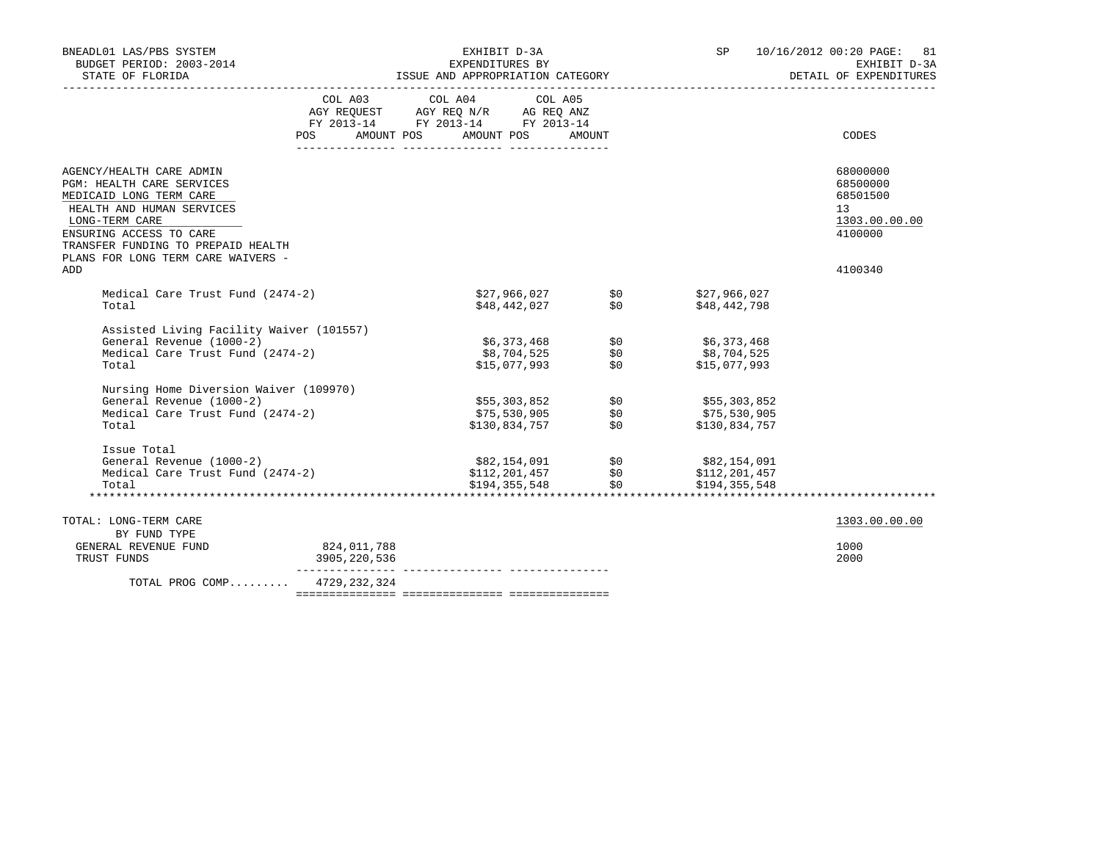| BNEADL01 LAS/PBS SYSTEM                                                  |              | EXHIBIT D-3A                                                                                                                                                                                       |        |               | SP 10/16/2012 00:20 PAGE: 81           |
|--------------------------------------------------------------------------|--------------|----------------------------------------------------------------------------------------------------------------------------------------------------------------------------------------------------|--------|---------------|----------------------------------------|
| BUDGET PERIOD: 2003-2014                                                 |              | EXPENDITURES BY                                                                                                                                                                                    |        |               | EXHIBIT D-3A<br>DETAIL OF EXPENDITURES |
|                                                                          |              |                                                                                                                                                                                                    |        |               |                                        |
|                                                                          |              | COL A03 COL A04 COL A05                                                                                                                                                                            |        |               |                                        |
|                                                                          |              | $\begin{tabular}{lllllll} \bf AGY & \bf REQUEST & \bf AGY & \bf REQ & \tt N/R & \tt AG & \tt REQ & \tt ANZ \\ \bf FY & \tt 2013-14 & \tt FY & \tt 2013-14 & \tt FY & \tt 2013-14 \\ \end{tabular}$ |        |               |                                        |
|                                                                          |              |                                                                                                                                                                                                    |        |               |                                        |
|                                                                          | POS          | AMOUNT POS AMOUNT POS                                                                                                                                                                              | AMOUNT |               | CODES                                  |
|                                                                          |              |                                                                                                                                                                                                    |        |               |                                        |
| AGENCY/HEALTH CARE ADMIN<br>PGM: HEALTH CARE SERVICES                    |              |                                                                                                                                                                                                    |        |               | 68000000<br>68500000                   |
| MEDICAID LONG TERM CARE                                                  |              |                                                                                                                                                                                                    |        |               | 68501500                               |
| HEALTH AND HUMAN SERVICES                                                |              |                                                                                                                                                                                                    |        |               | 13                                     |
| LONG-TERM CARE                                                           |              |                                                                                                                                                                                                    |        |               | 1303.00.00.00                          |
|                                                                          |              |                                                                                                                                                                                                    |        |               |                                        |
| ENSURING ACCESS TO CARE                                                  |              |                                                                                                                                                                                                    |        |               | 4100000                                |
| TRANSFER FUNDING TO PREPAID HEALTH<br>PLANS FOR LONG TERM CARE WAIVERS - |              |                                                                                                                                                                                                    |        |               |                                        |
| ADD                                                                      |              |                                                                                                                                                                                                    |        |               | 4100340                                |
|                                                                          |              |                                                                                                                                                                                                    |        |               |                                        |
| Medical Care Trust Fund (2474-2)                                         |              | \$27,966,027 \$0                                                                                                                                                                                   |        | \$27,966,027  |                                        |
| Total                                                                    |              | \$48,442,027                                                                                                                                                                                       | \$0    | \$48,442,798  |                                        |
|                                                                          |              |                                                                                                                                                                                                    |        |               |                                        |
| Assisted Living Facility Waiver (101557)                                 |              |                                                                                                                                                                                                    |        |               |                                        |
| General Revenue (1000-2)                                                 |              |                                                                                                                                                                                                    |        | \$6,373,468   |                                        |
| Medical Care Trust Fund (2474-2)                                         |              | \$6,373,468                \$0<br>\$8,704,525               \$0                                                                                                                                    |        | \$8,704,525   |                                        |
| Total                                                                    |              | \$15,077,993                                                                                                                                                                                       | \$0    | \$15,077,993  |                                        |
|                                                                          |              |                                                                                                                                                                                                    |        |               |                                        |
| Nursing Home Diversion Waiver (109970)                                   |              |                                                                                                                                                                                                    |        |               |                                        |
| General Revenue (1000-2)                                                 |              |                                                                                                                                                                                                    |        | \$55,303,852  |                                        |
| Medical Care Trust Fund (2474-2)                                         |              | \$55,303,852               \$0<br>\$75,530,905              \$0<br>\$130,834,757               \$0                                                                                                 |        | \$75,530,905  |                                        |
| Total                                                                    |              | \$130,834,757                                                                                                                                                                                      |        | \$130,834,757 |                                        |
| Issue Total                                                              |              |                                                                                                                                                                                                    |        |               |                                        |
| General Revenue (1000-2)                                                 |              |                                                                                                                                                                                                    |        | \$82,154,091  |                                        |
| Medical Care Trust Fund (2474-2)                                         |              |                                                                                                                                                                                                    |        | \$112,201,457 |                                        |
| Total                                                                    |              | \$82,154,091            \$0<br>\$112,201,457         \$0<br>\$194,355,548          \$0                                                                                                             |        | \$194,355,548 |                                        |
|                                                                          |              |                                                                                                                                                                                                    |        |               |                                        |
| TOTAL: LONG-TERM CARE                                                    |              |                                                                                                                                                                                                    |        |               | 1303.00.00.00                          |
| BY FUND TYPE                                                             |              |                                                                                                                                                                                                    |        |               |                                        |
| GENERAL REVENUE FUND                                                     | 824,011,788  |                                                                                                                                                                                                    |        |               | 1000                                   |
| TRUST FUNDS                                                              | 3905,220,536 |                                                                                                                                                                                                    |        |               | 2000                                   |
|                                                                          |              |                                                                                                                                                                                                    |        |               |                                        |
| TOTAL PROG COMP 4729,232,324                                             |              |                                                                                                                                                                                                    |        |               |                                        |
|                                                                          |              |                                                                                                                                                                                                    |        |               |                                        |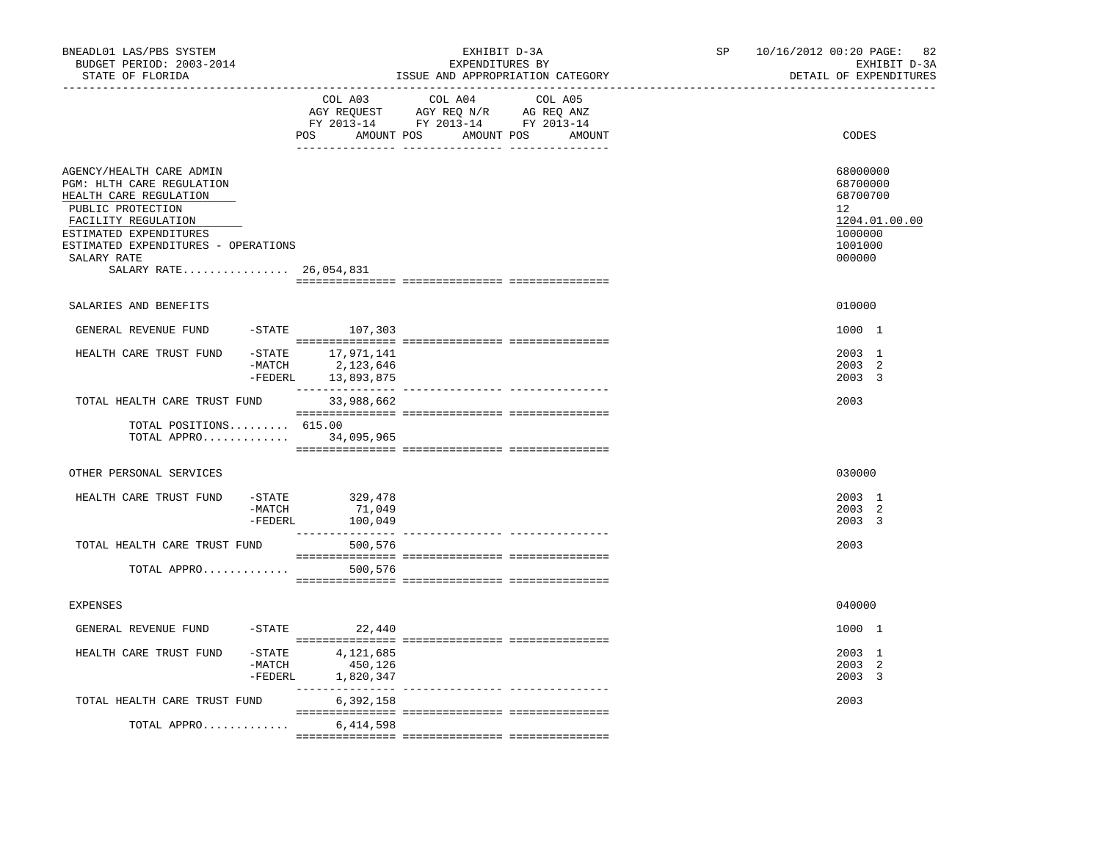| BNEADL01 LAS/PBS SYSTEM<br>BUDGET PERIOD: 2003-2014<br>STATE OF FLORIDA                                                                                                                                                                      |                      |                                                                 | EXHIBIT D-3A<br>EXPENDITURES BY<br>ISSUE AND APPROPRIATION CATEGORY | SP and the set of the set of the set of the set of the set of the set of the set of the set of the set of the set of the set of the set of the set of the set of the set of the set of the set of the set of the set of the se<br>--------------------------------- | 10/16/2012 00:20 PAGE: 82<br>EXHIBIT D-3A<br>DETAIL OF EXPENDITURES |                                                                                                      |
|----------------------------------------------------------------------------------------------------------------------------------------------------------------------------------------------------------------------------------------------|----------------------|-----------------------------------------------------------------|---------------------------------------------------------------------|---------------------------------------------------------------------------------------------------------------------------------------------------------------------------------------------------------------------------------------------------------------------|---------------------------------------------------------------------|------------------------------------------------------------------------------------------------------|
|                                                                                                                                                                                                                                              |                      | COL A03                                                         | COL A04<br>POS AMOUNT POS AMOUNT POS AMOUNT                         | COL A05                                                                                                                                                                                                                                                             |                                                                     | CODES                                                                                                |
| AGENCY/HEALTH CARE ADMIN<br><b>PGM: HLTH CARE REGULATION</b><br>HEALTH CARE REGULATION<br>PUBLIC PROTECTION<br>FACILITY REGULATION<br>ESTIMATED EXPENDITURES<br>ESTIMATED EXPENDITURES - OPERATIONS<br>SALARY RATE<br>SALARY RATE 26,054,831 |                      |                                                                 |                                                                     |                                                                                                                                                                                                                                                                     |                                                                     | 68000000<br>68700000<br>68700700<br>12 <sup>°</sup><br>1204.01.00.00<br>1000000<br>1001000<br>000000 |
| SALARIES AND BENEFITS                                                                                                                                                                                                                        |                      |                                                                 |                                                                     |                                                                                                                                                                                                                                                                     |                                                                     | 010000                                                                                               |
| GENERAL REVENUE FUND                                                                                                                                                                                                                         |                      | $-STATE$ 107,303                                                |                                                                     |                                                                                                                                                                                                                                                                     |                                                                     | 1000 1                                                                                               |
| HEALTH CARE TRUST FUND                                                                                                                                                                                                                       |                      | -STATE 17,971,141<br>-MATCH 2, 123, 646<br>-FEDERL 13, 893, 875 |                                                                     |                                                                                                                                                                                                                                                                     |                                                                     | 2003 1<br>2003 2<br>2003 3                                                                           |
| TOTAL HEALTH CARE TRUST FUND                                                                                                                                                                                                                 |                      | 33,988,662                                                      |                                                                     |                                                                                                                                                                                                                                                                     |                                                                     | 2003                                                                                                 |
| TOTAL POSITIONS 615.00<br>TOTAL APPRO 34,095,965                                                                                                                                                                                             |                      |                                                                 |                                                                     |                                                                                                                                                                                                                                                                     |                                                                     |                                                                                                      |
| OTHER PERSONAL SERVICES                                                                                                                                                                                                                      |                      |                                                                 |                                                                     |                                                                                                                                                                                                                                                                     |                                                                     | 030000                                                                                               |
| HEALTH CARE TRUST FUND                                                                                                                                                                                                                       | -MATCH<br>$-$ FEDERL | $-STATE$ 329,478<br>71,049<br>100,049                           |                                                                     |                                                                                                                                                                                                                                                                     |                                                                     | 2003 1<br>2003 2<br>2003 3                                                                           |
| TOTAL HEALTH CARE TRUST FUND                                                                                                                                                                                                                 |                      | 500,576                                                         |                                                                     |                                                                                                                                                                                                                                                                     |                                                                     | 2003                                                                                                 |
| TOTAL APPRO                                                                                                                                                                                                                                  |                      | 500,576                                                         |                                                                     |                                                                                                                                                                                                                                                                     |                                                                     |                                                                                                      |
| <b>EXPENSES</b>                                                                                                                                                                                                                              |                      |                                                                 |                                                                     |                                                                                                                                                                                                                                                                     |                                                                     | 040000                                                                                               |
| GENERAL REVENUE FUND                                                                                                                                                                                                                         |                      | $-STATE$ 22,440                                                 |                                                                     |                                                                                                                                                                                                                                                                     |                                                                     | 1000 1                                                                                               |
| HEALTH CARE TRUST FUND                                                                                                                                                                                                                       | -MATCH<br>$-FEDERL$  | $-STATE$ 4, 121, 685<br>450,126<br>1,820,347                    |                                                                     |                                                                                                                                                                                                                                                                     |                                                                     | 2003 1<br>2003 2<br>2003 3                                                                           |
| TOTAL HEALTH CARE TRUST FUND                                                                                                                                                                                                                 |                      | 6,392,158                                                       |                                                                     |                                                                                                                                                                                                                                                                     |                                                                     | 2003                                                                                                 |
| TOTAL APPRO                                                                                                                                                                                                                                  |                      | 6,414,598                                                       |                                                                     |                                                                                                                                                                                                                                                                     |                                                                     |                                                                                                      |
|                                                                                                                                                                                                                                              |                      |                                                                 |                                                                     |                                                                                                                                                                                                                                                                     |                                                                     |                                                                                                      |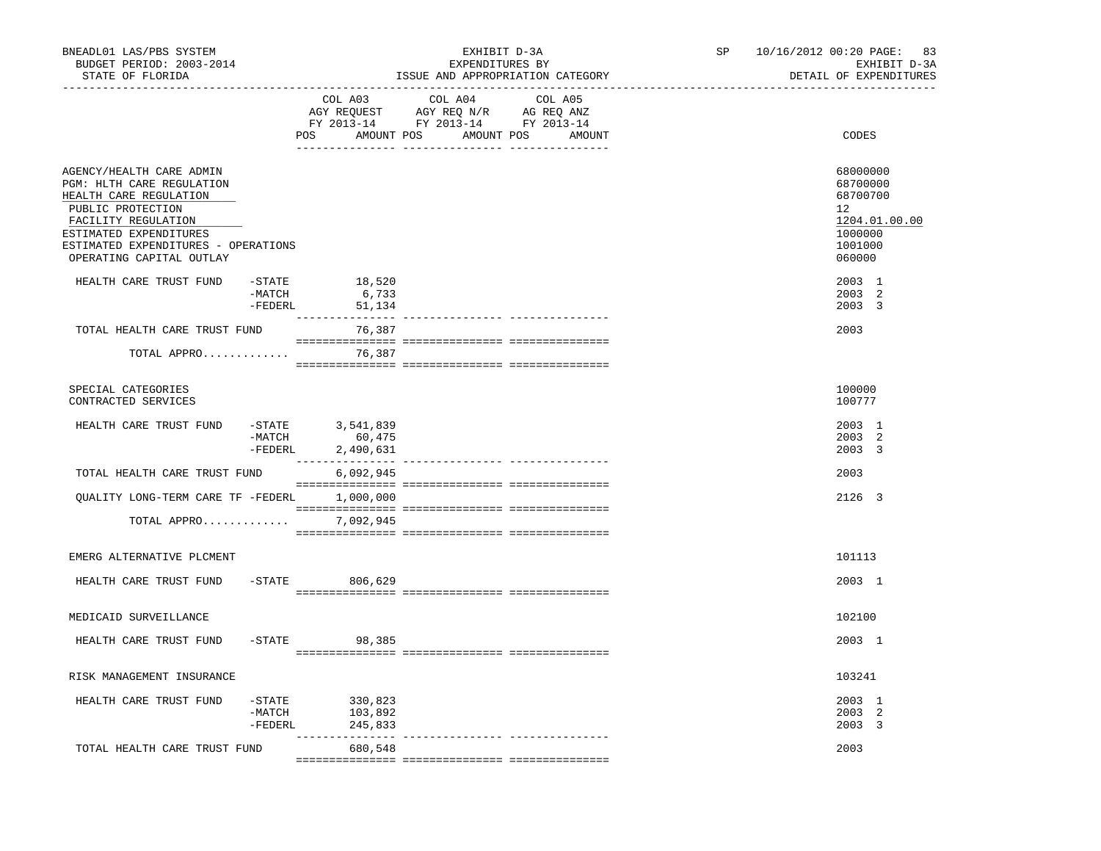| BNEADL01 LAS/PBS SYSTEM<br>BUDGET PERIOD: 2003-2014<br>STATE OF FLORIDA<br>------------------                                                                                                                            |                     |                                                                | EXHIBIT D-3A<br>EXPENDITURES BY<br>ISSUE AND APPROPRIATION CATEGORY                                                                                                                                                                                                                                                                                                                                                                 | SP | 10/16/2012 00:20 PAGE: 83<br>EXHIBIT D-3A<br>DETAIL OF EXPENDITURES                                  |
|--------------------------------------------------------------------------------------------------------------------------------------------------------------------------------------------------------------------------|---------------------|----------------------------------------------------------------|-------------------------------------------------------------------------------------------------------------------------------------------------------------------------------------------------------------------------------------------------------------------------------------------------------------------------------------------------------------------------------------------------------------------------------------|----|------------------------------------------------------------------------------------------------------|
|                                                                                                                                                                                                                          |                     | COL A03                                                        | COL A04 COL A05<br>AGY REQUEST AGY REQ N/R AG REQ ANZ<br>FY 2013-14 FY 2013-14 FY 2013-14<br>POS AMOUNT POS AMOUNT POS AMOUNT                                                                                                                                                                                                                                                                                                       |    | CODES                                                                                                |
| AGENCY/HEALTH CARE ADMIN<br>PGM: HLTH CARE REGULATION<br>HEALTH CARE REGULATION<br>PUBLIC PROTECTION<br>FACILITY REGULATION<br>ESTIMATED EXPENDITURES<br>ESTIMATED EXPENDITURES - OPERATIONS<br>OPERATING CAPITAL OUTLAY |                     |                                                                |                                                                                                                                                                                                                                                                                                                                                                                                                                     |    | 68000000<br>68700000<br>68700700<br>12 <sup>°</sup><br>1204.01.00.00<br>1000000<br>1001000<br>060000 |
| HEALTH CARE TRUST FUND                                                                                                                                                                                                   | -MATCH              | $-$ STATE 18,520<br>6,733<br>-FEDERL 51,134                    |                                                                                                                                                                                                                                                                                                                                                                                                                                     |    | 2003 1<br>2003 2<br>2003 3                                                                           |
| TOTAL HEALTH CARE TRUST FUND                                                                                                                                                                                             |                     | 76,387                                                         |                                                                                                                                                                                                                                                                                                                                                                                                                                     |    | 2003                                                                                                 |
| TOTAL APPRO                                                                                                                                                                                                              |                     | 76,387                                                         | $\begin{minipage}{0.03\textwidth} \begin{tabular}{l} \textbf{1} & \textbf{2} & \textbf{3} & \textbf{5} & \textbf{6} & \textbf{7} & \textbf{8} & \textbf{9} & \textbf{9} & \textbf{9} & \textbf{9} & \textbf{9} & \textbf{9} & \textbf{9} & \textbf{9} & \textbf{9} & \textbf{9} & \textbf{9} & \textbf{9} & \textbf{9} & \textbf{9} & \textbf{9} & \textbf{9} & \textbf{9} & \textbf{9} & \textbf{9} & \textbf{9} & \textbf{9} & \$ |    |                                                                                                      |
| SPECIAL CATEGORIES<br>CONTRACTED SERVICES                                                                                                                                                                                |                     |                                                                |                                                                                                                                                                                                                                                                                                                                                                                                                                     |    | 100000<br>100777                                                                                     |
| HEALTH CARE TRUST FUND                                                                                                                                                                                                   | $-MATCH$<br>-FEDERL | $-$ STATE 3,541,839<br>60,475<br>2,490,631<br>________________ |                                                                                                                                                                                                                                                                                                                                                                                                                                     |    | 2003 1<br>2003 2<br>2003 3                                                                           |
| TOTAL HEALTH CARE TRUST FUND                                                                                                                                                                                             |                     | 6,092,945                                                      |                                                                                                                                                                                                                                                                                                                                                                                                                                     |    | 2003                                                                                                 |
| OUALITY LONG-TERM CARE TF -FEDERL 1,000,000                                                                                                                                                                              |                     |                                                                |                                                                                                                                                                                                                                                                                                                                                                                                                                     |    | 2126 3                                                                                               |
| TOTAL APPRO                                                                                                                                                                                                              |                     | 7,092,945                                                      |                                                                                                                                                                                                                                                                                                                                                                                                                                     |    |                                                                                                      |
| EMERG ALTERNATIVE PLCMENT                                                                                                                                                                                                |                     |                                                                |                                                                                                                                                                                                                                                                                                                                                                                                                                     |    | 101113                                                                                               |
| HEALTH CARE TRUST FUND                                                                                                                                                                                                   |                     | -STATE 806,629                                                 |                                                                                                                                                                                                                                                                                                                                                                                                                                     |    | 2003 1                                                                                               |
| MEDICAID SURVEILLANCE                                                                                                                                                                                                    |                     |                                                                |                                                                                                                                                                                                                                                                                                                                                                                                                                     |    | 102100                                                                                               |
| HEALTH CARE TRUST FUND                                                                                                                                                                                                   |                     | $-STATE$ 98,385                                                |                                                                                                                                                                                                                                                                                                                                                                                                                                     |    | 2003 1                                                                                               |
| RISK MANAGEMENT INSURANCE                                                                                                                                                                                                |                     |                                                                |                                                                                                                                                                                                                                                                                                                                                                                                                                     |    | 103241                                                                                               |
| HEALTH CARE TRUST FUND                                                                                                                                                                                                   | $-MATCH$<br>-FEDERL | -STATE 330,823<br>103,892<br>245,833                           |                                                                                                                                                                                                                                                                                                                                                                                                                                     |    | 2003 1<br>2003 2<br>2003 3                                                                           |
| TOTAL HEALTH CARE TRUST FUND                                                                                                                                                                                             |                     | 680,548                                                        |                                                                                                                                                                                                                                                                                                                                                                                                                                     |    | 2003                                                                                                 |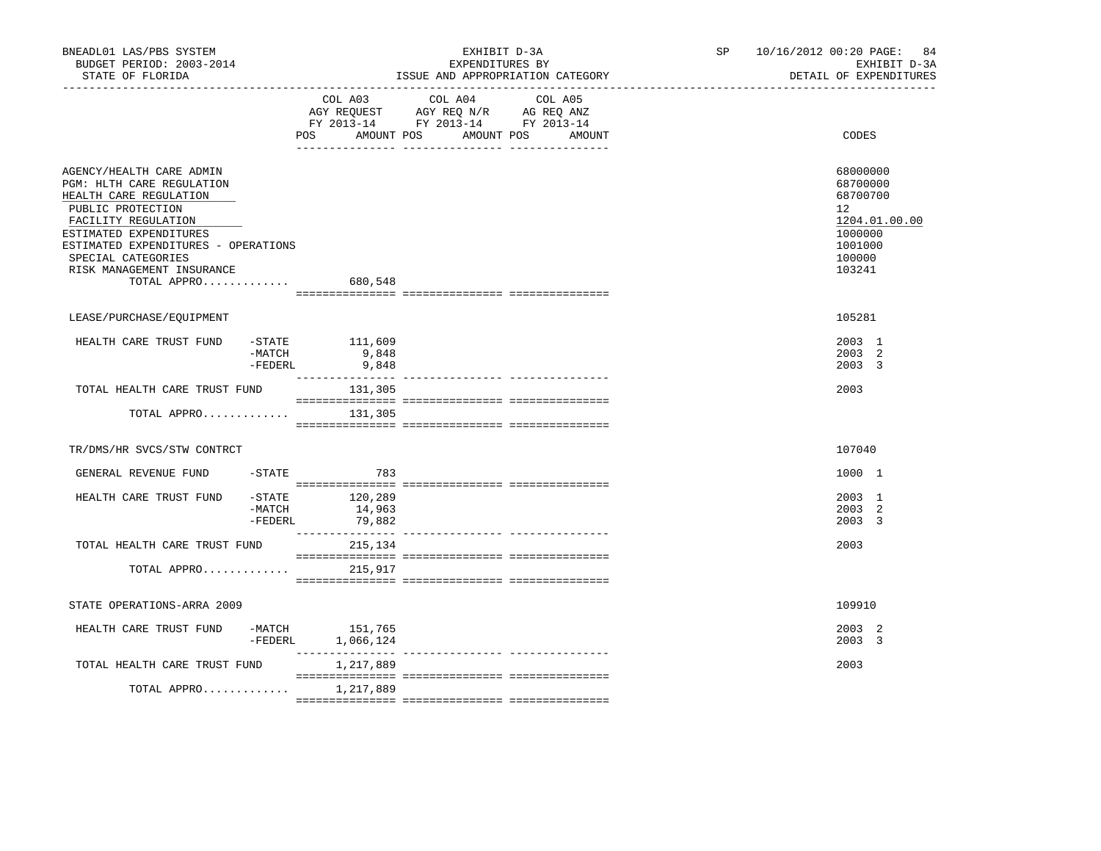| BNEADL01 LAS/PBS SYSTEM<br>BUDGET PERIOD: 2003-2014<br>STATE OF FLORIDA                                                                                                                                                                                                  |                     |                                                                        | ISSUE AND APPROPRIATION CATEGORY                        | EXHIBIT D-3A<br>EXPENDITURES BY | SP <sub>2</sub> | 10/16/2012 00:20 PAGE: 84<br>EXHIBIT D-3A<br>DETAIL OF EXPENDITURES                               |
|--------------------------------------------------------------------------------------------------------------------------------------------------------------------------------------------------------------------------------------------------------------------------|---------------------|------------------------------------------------------------------------|---------------------------------------------------------|---------------------------------|-----------------|---------------------------------------------------------------------------------------------------|
|                                                                                                                                                                                                                                                                          | POS                 | AGY REQUEST AGY REQ N/R AG REQ ANZ<br>FY 2013-14 FY 2013-14 FY 2013-14 | COL A03 COL A04 COL A05<br>AMOUNT POS AMOUNT POS AMOUNT |                                 |                 | CODES                                                                                             |
| AGENCY/HEALTH CARE ADMIN<br>PGM: HLTH CARE REGULATION<br>HEALTH CARE REGULATION<br>PUBLIC PROTECTION<br>FACILITY REGULATION<br>ESTIMATED EXPENDITURES<br>ESTIMATED EXPENDITURES - OPERATIONS<br>SPECIAL CATEGORIES<br>RISK MANAGEMENT INSURANCE<br>TOTAL APPRO $680,548$ |                     |                                                                        |                                                         |                                 |                 | 68000000<br>68700000<br>68700700<br>12<br>1204.01.00.00<br>1000000<br>1001000<br>100000<br>103241 |
| LEASE/PURCHASE/EQUIPMENT                                                                                                                                                                                                                                                 |                     |                                                                        |                                                         |                                 |                 | 105281                                                                                            |
| HEALTH CARE TRUST FUND                                                                                                                                                                                                                                                   | $-MATCH$<br>-FEDERL | $-$ STATE $111,609$<br>9,848<br>9,848                                  |                                                         |                                 |                 | 2003 1<br>2003 2<br>2003 3                                                                        |
| TOTAL HEALTH CARE TRUST FUND                                                                                                                                                                                                                                             |                     | 131,305                                                                |                                                         |                                 |                 | 2003                                                                                              |
| TOTAL APPRO                                                                                                                                                                                                                                                              |                     | 131,305                                                                |                                                         |                                 |                 |                                                                                                   |
| TR/DMS/HR SVCS/STW CONTRCT                                                                                                                                                                                                                                               |                     |                                                                        |                                                         |                                 |                 | 107040                                                                                            |
| GENERAL REVENUE FUND                                                                                                                                                                                                                                                     |                     | $-STATE$ 783                                                           |                                                         |                                 |                 | 1000 1                                                                                            |
| HEALTH CARE TRUST FUND -STATE 120,289                                                                                                                                                                                                                                    | -MATCH<br>-FEDERL   | 14,963<br>79,882                                                       |                                                         |                                 |                 | 2003 1<br>2003 2<br>2003 3                                                                        |
| TOTAL HEALTH CARE TRUST FUND                                                                                                                                                                                                                                             |                     | 215,134                                                                |                                                         |                                 |                 | 2003                                                                                              |
| TOTAL APPRO                                                                                                                                                                                                                                                              |                     | 215,917                                                                |                                                         |                                 |                 |                                                                                                   |
| STATE OPERATIONS-ARRA 2009                                                                                                                                                                                                                                               |                     |                                                                        |                                                         |                                 |                 | 109910                                                                                            |
| HEALTH CARE TRUST FUND                                                                                                                                                                                                                                                   |                     | -MATCH 151,765<br>-FEDERL 1,066,124                                    |                                                         |                                 |                 | 2003 2<br>$2003 - 3$                                                                              |
| TOTAL HEALTH CARE TRUST FUND                                                                                                                                                                                                                                             |                     | 1,217,889                                                              |                                                         |                                 |                 | 2003                                                                                              |
| TOTAL APPRO                                                                                                                                                                                                                                                              |                     | 1,217,889                                                              |                                                         |                                 |                 |                                                                                                   |
|                                                                                                                                                                                                                                                                          |                     |                                                                        |                                                         |                                 |                 |                                                                                                   |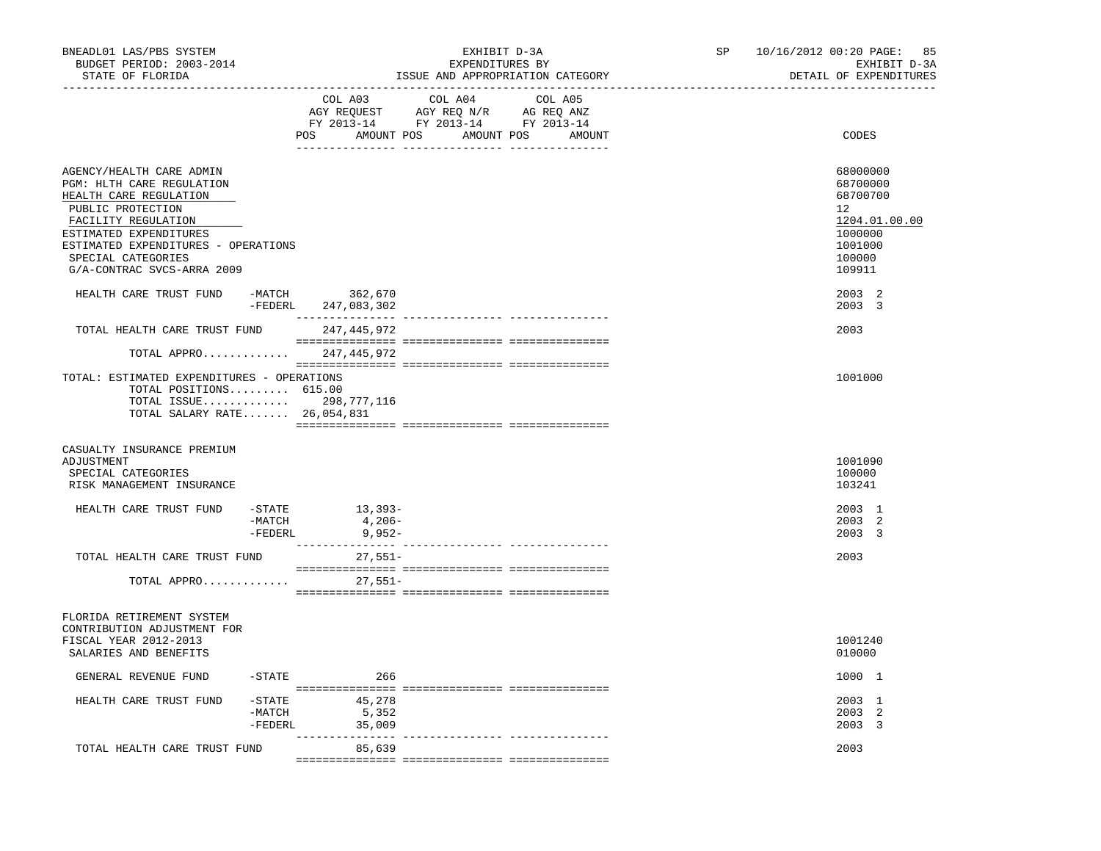| BNEADL01 LAS/PBS SYSTEM<br>BUDGET PERIOD: 2003-2014<br>STATE OF FLORIDA                                                                                                                                                                                                                   |                                  |                              | EXHIBIT D-3A<br>EXPENDITURES BY<br>ISSUE AND APPROPRIATION CATEGORY               | SP                              | 10/16/2012 00:20 PAGE: 85<br>EXHIBIT D-3A<br>DETAIL OF EXPENDITURES |                                                                                                             |
|-------------------------------------------------------------------------------------------------------------------------------------------------------------------------------------------------------------------------------------------------------------------------------------------|----------------------------------|------------------------------|-----------------------------------------------------------------------------------|---------------------------------|---------------------------------------------------------------------|-------------------------------------------------------------------------------------------------------------|
|                                                                                                                                                                                                                                                                                           |                                  | COL A03<br>POS<br>AMOUNT POS | COL A04<br>AGY REQUEST AGY REQ N/R AG REQ ANZ<br>FY 2013-14 FY 2013-14 FY 2013-14 | COL A05<br>AMOUNT POS<br>AMOUNT |                                                                     | CODES                                                                                                       |
| AGENCY/HEALTH CARE ADMIN<br>PGM: HLTH CARE REGULATION<br>HEALTH CARE REGULATION<br>PUBLIC PROTECTION<br>FACILITY REGULATION<br>ESTIMATED EXPENDITURES<br>ESTIMATED EXPENDITURES - OPERATIONS<br>SPECIAL CATEGORIES<br>G/A-CONTRAC SVCS-ARRA 2009<br>HEALTH CARE TRUST FUND -MATCH 362,670 |                                  |                              |                                                                                   |                                 |                                                                     | 68000000<br>68700000<br>68700700<br>12<br>1204.01.00.00<br>1000000<br>1001000<br>100000<br>109911<br>2003 2 |
|                                                                                                                                                                                                                                                                                           |                                  | -FEDERL 247,083,302          |                                                                                   |                                 |                                                                     | 2003 3                                                                                                      |
| TOTAL HEALTH CARE TRUST FUND                                                                                                                                                                                                                                                              |                                  | 247,445,972                  |                                                                                   |                                 |                                                                     | 2003                                                                                                        |
| TOTAL APPRO                                                                                                                                                                                                                                                                               |                                  | 247,445,972                  |                                                                                   |                                 |                                                                     |                                                                                                             |
| TOTAL: ESTIMATED EXPENDITURES - OPERATIONS<br>TOTAL POSITIONS 615.00<br>TOTAL ISSUE 298,777,116<br>TOTAL SALARY RATE 26,054,831                                                                                                                                                           |                                  |                              |                                                                                   |                                 |                                                                     | 1001000                                                                                                     |
| CASUALTY INSURANCE PREMIUM<br>ADJUSTMENT<br>SPECIAL CATEGORIES<br>RISK MANAGEMENT INSURANCE                                                                                                                                                                                               |                                  |                              |                                                                                   |                                 |                                                                     | 1001090<br>100000<br>103241                                                                                 |
| HEALTH CARE TRUST FUND                                                                                                                                                                                                                                                                    | $-$ STATE<br>-MATCH<br>-FEDERL   | 13,393-<br>4,206-<br>9,952-  |                                                                                   |                                 |                                                                     | 2003 1<br>2003 2<br>2003 3                                                                                  |
| TOTAL HEALTH CARE TRUST FUND                                                                                                                                                                                                                                                              |                                  | $27,551-$                    |                                                                                   |                                 |                                                                     | 2003                                                                                                        |
| TOTAL APPRO                                                                                                                                                                                                                                                                               |                                  | $27,551-$                    |                                                                                   |                                 |                                                                     |                                                                                                             |
| FLORIDA RETIREMENT SYSTEM<br>CONTRIBUTION ADJUSTMENT FOR<br>FISCAL YEAR 2012-2013<br>SALARIES AND BENEFITS                                                                                                                                                                                |                                  |                              |                                                                                   |                                 |                                                                     | 1001240<br>010000                                                                                           |
| GENERAL REVENUE FUND                                                                                                                                                                                                                                                                      | $-$ STATE                        | 266                          |                                                                                   |                                 |                                                                     | 1000 1                                                                                                      |
| HEALTH CARE TRUST FUND                                                                                                                                                                                                                                                                    | $-$ STATE<br>$-MATCH$<br>-FEDERL | 45,278<br>5,352<br>35,009    |                                                                                   |                                 |                                                                     | 2003 1<br>2003 2<br>2003 3                                                                                  |
| TOTAL HEALTH CARE TRUST FUND                                                                                                                                                                                                                                                              |                                  | 85,639                       | ------------ ---------                                                            |                                 |                                                                     | 2003                                                                                                        |
|                                                                                                                                                                                                                                                                                           |                                  |                              |                                                                                   |                                 |                                                                     |                                                                                                             |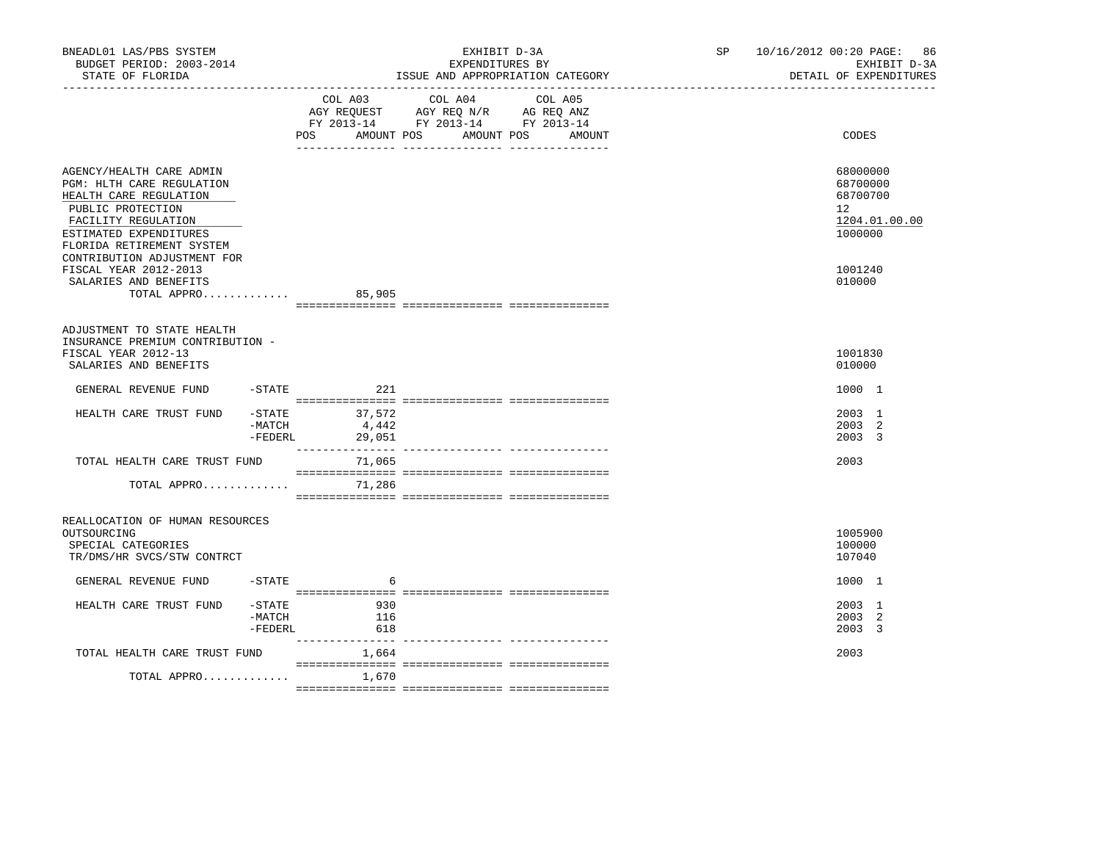| BNEADL01 LAS/PBS SYSTEM<br>BUDGET PERIOD: 2003-2014<br>STATE OF FLORIDA                                                                                                            |                                  |                                                                                           | EXHIBIT D-3A<br>EXPENDITURES BY<br>ISSUE AND APPROPRIATION CATEGORY | SP and the set of the set of the set of the set of the set of the set of the set of the set of the set of the set of the set of the set of the set of the set of the set of the set of the set of the set of the set of the se | 10/16/2012 00:20 PAGE: 86<br>EXHIBIT D-3A<br>DETAIL OF EXPENDITURES |                                                                              |
|------------------------------------------------------------------------------------------------------------------------------------------------------------------------------------|----------------------------------|-------------------------------------------------------------------------------------------|---------------------------------------------------------------------|--------------------------------------------------------------------------------------------------------------------------------------------------------------------------------------------------------------------------------|---------------------------------------------------------------------|------------------------------------------------------------------------------|
|                                                                                                                                                                                    | AMOUNT POS<br>POS                | COL A03 COL A04<br>AGY REQUEST AGY REQ N/R AG REQ ANZ<br>FY 2013-14 FY 2013-14 FY 2013-14 | COL A05<br>AMOUNT POS<br>AMOUNT                                     |                                                                                                                                                                                                                                | CODES                                                               |                                                                              |
| AGENCY/HEALTH CARE ADMIN<br>PGM: HLTH CARE REGULATION<br>HEALTH CARE REGULATION<br>PUBLIC PROTECTION<br>FACILITY REGULATION<br>ESTIMATED EXPENDITURES<br>FLORIDA RETIREMENT SYSTEM |                                  |                                                                                           |                                                                     |                                                                                                                                                                                                                                |                                                                     | 68000000<br>68700000<br>68700700<br>$12^{\circ}$<br>1204.01.00.00<br>1000000 |
| CONTRIBUTION ADJUSTMENT FOR<br>FISCAL YEAR 2012-2013<br>SALARIES AND BENEFITS<br>TOTAL APPRO                                                                                       |                                  | 85,905                                                                                    |                                                                     |                                                                                                                                                                                                                                |                                                                     | 1001240<br>010000                                                            |
| ADJUSTMENT TO STATE HEALTH<br>INSURANCE PREMIUM CONTRIBUTION -<br>FISCAL YEAR 2012-13<br>SALARIES AND BENEFITS                                                                     |                                  |                                                                                           |                                                                     |                                                                                                                                                                                                                                |                                                                     | 1001830<br>010000                                                            |
| GENERAL REVENUE FUND                                                                                                                                                               | $-$ STATE                        | 221                                                                                       |                                                                     |                                                                                                                                                                                                                                |                                                                     | 1000 1                                                                       |
| HEALTH CARE TRUST FUND                                                                                                                                                             | $-$ STATE<br>-MATCH<br>-FEDERL   | 37,572<br>4,442<br>29,051                                                                 |                                                                     |                                                                                                                                                                                                                                |                                                                     | 2003 1<br>2003 2<br>2003 3                                                   |
| TOTAL HEALTH CARE TRUST FUND                                                                                                                                                       |                                  | 71,065                                                                                    |                                                                     |                                                                                                                                                                                                                                |                                                                     | 2003                                                                         |
| TOTAL APPRO                                                                                                                                                                        |                                  | 71,286                                                                                    |                                                                     |                                                                                                                                                                                                                                |                                                                     |                                                                              |
| REALLOCATION OF HUMAN RESOURCES<br>OUTSOURCING<br>SPECIAL CATEGORIES<br>TR/DMS/HR SVCS/STW CONTRCT                                                                                 |                                  |                                                                                           |                                                                     |                                                                                                                                                                                                                                |                                                                     | 1005900<br>100000<br>107040                                                  |
| GENERAL REVENUE FUND                                                                                                                                                               | $-$ STATE                        | -6                                                                                        |                                                                     |                                                                                                                                                                                                                                |                                                                     | 1000 1                                                                       |
| HEALTH CARE TRUST FUND                                                                                                                                                             | $-$ STATE<br>-MATCH<br>$-FEDERL$ | 930<br>116<br>618                                                                         |                                                                     |                                                                                                                                                                                                                                |                                                                     | 2003 1<br>2003 2<br>2003 3                                                   |
| TOTAL HEALTH CARE TRUST FUND                                                                                                                                                       |                                  | 1,664                                                                                     |                                                                     |                                                                                                                                                                                                                                |                                                                     | 2003                                                                         |
| TOTAL APPRO                                                                                                                                                                        |                                  | 1,670                                                                                     |                                                                     |                                                                                                                                                                                                                                |                                                                     |                                                                              |
|                                                                                                                                                                                    |                                  |                                                                                           |                                                                     |                                                                                                                                                                                                                                |                                                                     |                                                                              |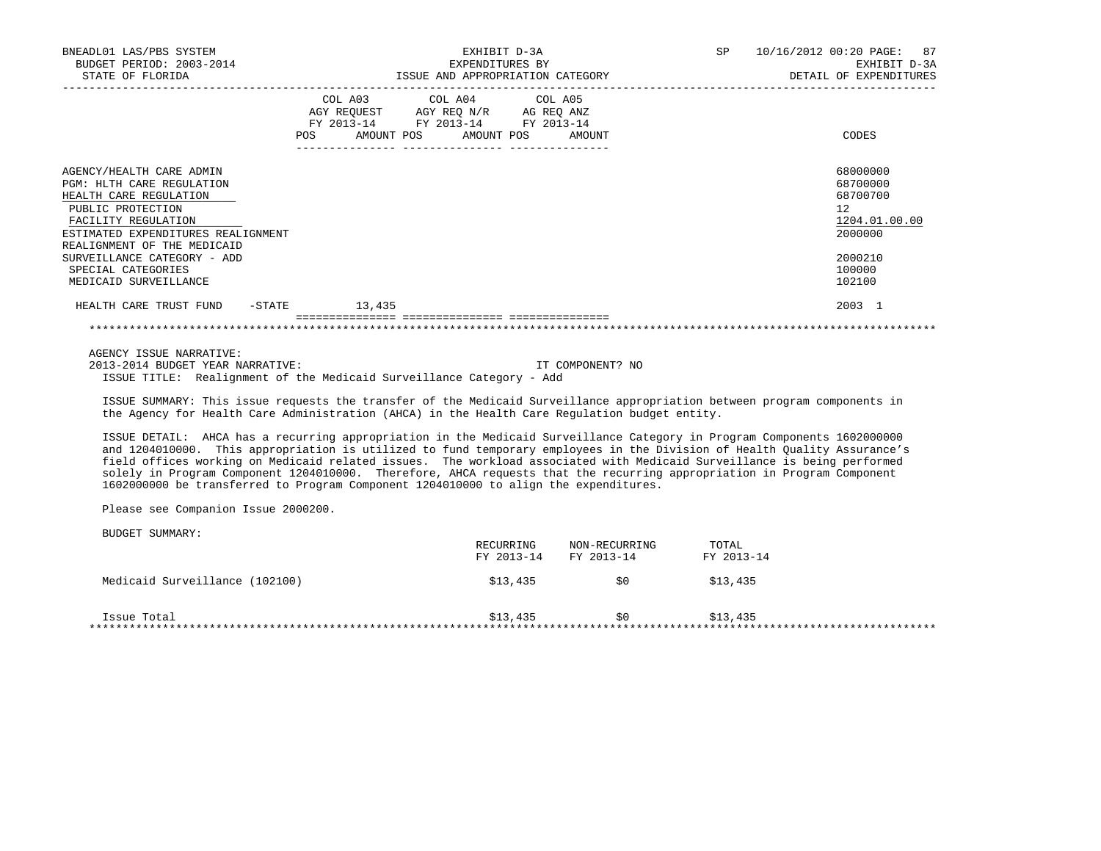| BNEADL01 LAS/PBS SYSTEM<br>BUDGET PERIOD: 2003-2014<br>STATE OF FLORIDA                                                                                                                          | EXHIBIT D-3A<br>EXPENDITURES BY<br>ISSUE AND APPROPRIATION CATEGORY                                                                                                | 10/16/2012 00:20 PAGE: 87<br>SP<br>EXHIBIT D-3A<br>DETAIL OF EXPENDITURES |                                                                                 |  |
|--------------------------------------------------------------------------------------------------------------------------------------------------------------------------------------------------|--------------------------------------------------------------------------------------------------------------------------------------------------------------------|---------------------------------------------------------------------------|---------------------------------------------------------------------------------|--|
|                                                                                                                                                                                                  | COL A03 COL A04 COL A05<br>AGY REQUEST AGY REO N/R AG REO ANZ<br>FY 2013-14 FY 2013-14 FY 2013-14<br>AMOUNT POS AMOUNT POS AMOUNT<br><b>POS</b><br>--------------- |                                                                           | CODES                                                                           |  |
| AGENCY/HEALTH CARE ADMIN<br>PGM: HLTH CARE REGULATION<br>HEALTH CARE REGULATION<br>PUBLIC PROTECTION<br>FACILITY REGULATION<br>ESTIMATED EXPENDITURES REALIGNMENT<br>REALIGNMENT OF THE MEDICAID |                                                                                                                                                                    |                                                                           | 68000000<br>68700000<br>68700700<br>12 <sup>°</sup><br>1204.01.00.00<br>2000000 |  |
| SURVEILLANCE CATEGORY - ADD<br>SPECIAL CATEGORIES<br>MEDICAID SURVEILLANCE                                                                                                                       |                                                                                                                                                                    |                                                                           | 2000210<br>100000<br>102100                                                     |  |
| HEALTH CARE TRUST FUND -STATE                                                                                                                                                                    | 13,435<br>---------------- ---------------                                                                                                                         |                                                                           | 2003 1                                                                          |  |
|                                                                                                                                                                                                  |                                                                                                                                                                    |                                                                           |                                                                                 |  |

AGENCY ISSUE NARRATIVE:

 2013-2014 BUDGET YEAR NARRATIVE: IT COMPONENT? NO ISSUE TITLE: Realignment of the Medicaid Surveillance Category - Add

 ISSUE SUMMARY: This issue requests the transfer of the Medicaid Surveillance appropriation between program components in the Agency for Health Care Administration (AHCA) in the Health Care Regulation budget entity.

 ISSUE DETAIL: AHCA has a recurring appropriation in the Medicaid Surveillance Category in Program Components 1602000000 and 1204010000. This appropriation is utilized to fund temporary employees in the Division of Health Quality Assurance's field offices working on Medicaid related issues. The workload associated with Medicaid Surveillance is being performed solely in Program Component 1204010000. Therefore, AHCA requests that the recurring appropriation in Program Component 1602000000 be transferred to Program Component 1204010000 to align the expenditures.

Please see Companion Issue 2000200.

|                                | RECURRING<br>FY 2013-14 | NON-RECURRING<br>FY 2013-14 | TOTAL<br>FY 2013-14 |
|--------------------------------|-------------------------|-----------------------------|---------------------|
| Medicaid Surveillance (102100) | \$13,435                | S0                          | \$13,435            |
| Issue Total                    | \$13,435                | S0                          | \$13,435            |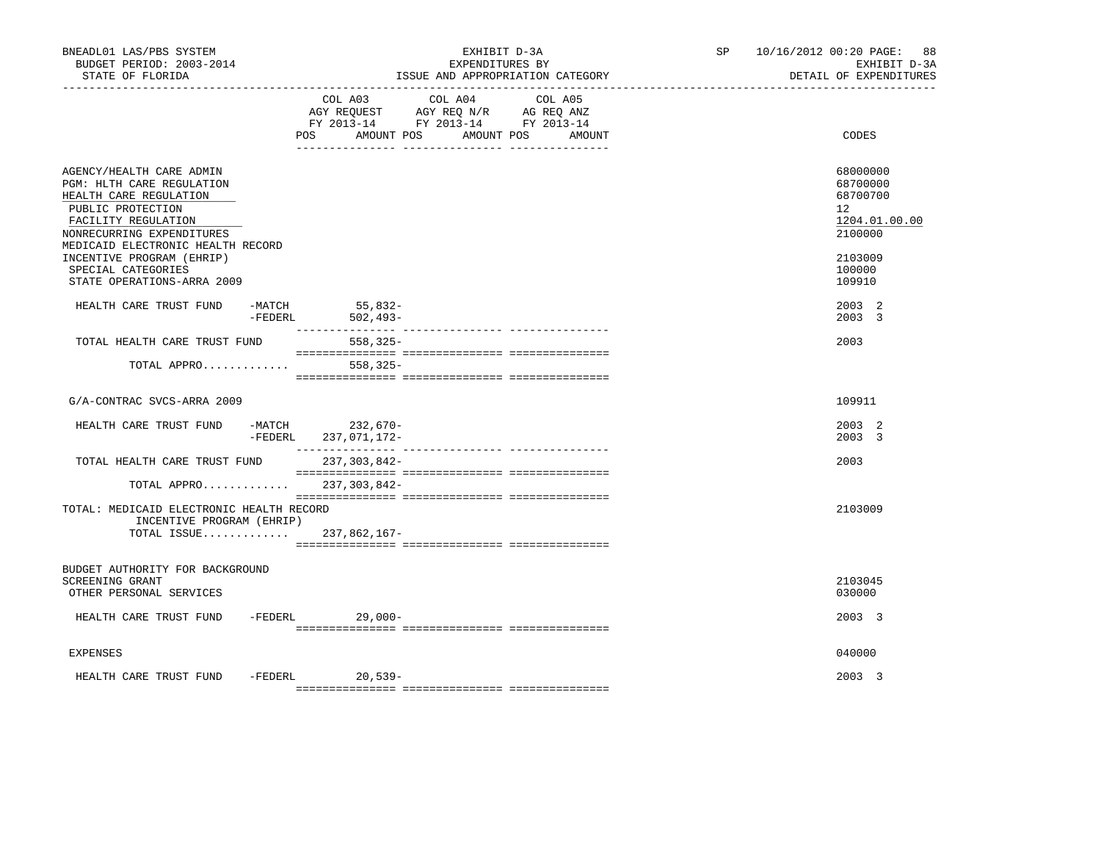| BNEADL01 LAS/PBS SYSTEM<br>BUDGET PERIOD: 2003-2014<br>STATE OF FLORIDA                                                                                                                                                                                                        | EXHIBIT D-3A<br>EXPENDITURES BY<br>ISSUE AND APPROPRIATION CATEGORY                                                                               | SP 10/16/2012 00:20 PAGE: 88<br>EXHIBIT D-3A<br>DETAIL OF EXPENDITURES                                         |
|--------------------------------------------------------------------------------------------------------------------------------------------------------------------------------------------------------------------------------------------------------------------------------|---------------------------------------------------------------------------------------------------------------------------------------------------|----------------------------------------------------------------------------------------------------------------|
|                                                                                                                                                                                                                                                                                | COL A03 COL A04 COL A05<br>AGY REQUEST AGY REQ N/R AG REQ ANZ<br>FY 2013-14 FY 2013-14 FY 2013-14<br>POS DO<br>AMOUNT POS<br>AMOUNT POS<br>AMOUNT | CODES                                                                                                          |
| AGENCY/HEALTH CARE ADMIN<br>PGM: HLTH CARE REGULATION<br>HEALTH CARE REGULATION<br>PUBLIC PROTECTION<br>FACILITY REGULATION<br>NONRECURRING EXPENDITURES<br>MEDICAID ELECTRONIC HEALTH RECORD<br>INCENTIVE PROGRAM (EHRIP)<br>SPECIAL CATEGORIES<br>STATE OPERATIONS-ARRA 2009 |                                                                                                                                                   | 68000000<br>68700000<br>68700700<br>12 <sup>°</sup><br>1204.01.00.00<br>2100000<br>2103009<br>100000<br>109910 |
| HEALTH CARE TRUST FUND -MATCH                                                                                                                                                                                                                                                  | 55,832-<br>-FEDERL 502,493-                                                                                                                       | 2003 2<br>2003 3                                                                                               |
| TOTAL HEALTH CARE TRUST FUND<br>TOTAL APPRO                                                                                                                                                                                                                                    | 558,325-<br>$558, 325 -$                                                                                                                          | 2003                                                                                                           |
| G/A-CONTRAC SVCS-ARRA 2009                                                                                                                                                                                                                                                     |                                                                                                                                                   | 109911                                                                                                         |
| HEALTH CARE TRUST FUND                                                                                                                                                                                                                                                         | -MATCH 232,670-<br>-FEDERL<br>237,071,172-                                                                                                        | 2003 2<br>2003 3                                                                                               |
| TOTAL HEALTH CARE TRUST FUND                                                                                                                                                                                                                                                   | 237,303,842-                                                                                                                                      | 2003                                                                                                           |
| TOTAL: MEDICAID ELECTRONIC HEALTH RECORD<br>INCENTIVE PROGRAM (EHRIP)                                                                                                                                                                                                          | TOTAL APPRO 237,303,842-<br>TOTAL ISSUE 237,862,167-                                                                                              | 2103009                                                                                                        |
| BUDGET AUTHORITY FOR BACKGROUND<br>SCREENING GRANT<br>OTHER PERSONAL SERVICES                                                                                                                                                                                                  |                                                                                                                                                   | 2103045<br>030000                                                                                              |
| HEALTH CARE TRUST FUND -FEDERL 29,000-                                                                                                                                                                                                                                         |                                                                                                                                                   | 2003 3                                                                                                         |
| <b>EXPENSES</b>                                                                                                                                                                                                                                                                |                                                                                                                                                   | 040000                                                                                                         |
| HEALTH CARE TRUST FUND                                                                                                                                                                                                                                                         | -FEDERL 20,539-                                                                                                                                   | 2003 3                                                                                                         |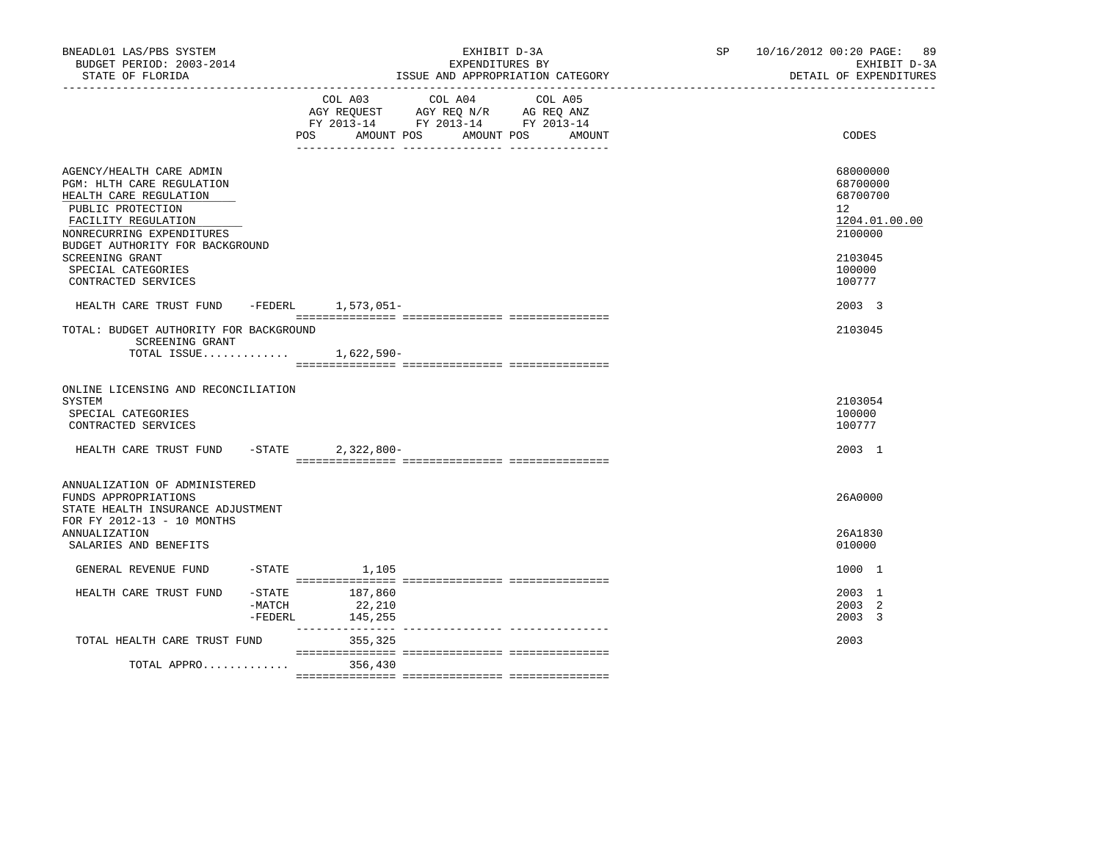| BNEADL01 LAS/PBS SYSTEM<br>BUDGET PERIOD: 2003-2014<br>STATE OF FLORIDA<br>------------------                                                                                                                                                               |                     | EXHIBIT D-3A<br>EXPENDITURES BY<br>ISSUE AND APPROPRIATION CATEGORY                                                                               | SP <sub>2</sub> | 10/16/2012 00:20 PAGE: 89<br>EXHIBIT D-3A<br>DETAIL OF EXPENDITURES                                            |
|-------------------------------------------------------------------------------------------------------------------------------------------------------------------------------------------------------------------------------------------------------------|---------------------|---------------------------------------------------------------------------------------------------------------------------------------------------|-----------------|----------------------------------------------------------------------------------------------------------------|
|                                                                                                                                                                                                                                                             |                     | COL A03<br>COL A04<br>COL A05<br>AGY REQUEST AGY REQ N/R AG REQ ANZ<br>FY 2013-14 FY 2013-14 FY 2013-14<br><b>POS</b><br>AMOUNT POS<br>AMOUNT POS | AMOUNT          | <b>CODES</b>                                                                                                   |
| AGENCY/HEALTH CARE ADMIN<br>PGM: HLTH CARE REGULATION<br>HEALTH CARE REGULATION<br>PUBLIC PROTECTION<br>FACILITY REGULATION<br>NONRECURRING EXPENDITURES<br>BUDGET AUTHORITY FOR BACKGROUND<br>SCREENING GRANT<br>SPECIAL CATEGORIES<br>CONTRACTED SERVICES |                     |                                                                                                                                                   |                 | 68000000<br>68700000<br>68700700<br>12 <sup>7</sup><br>1204.01.00.00<br>2100000<br>2103045<br>100000<br>100777 |
| HEALTH CARE TRUST FUND -FEDERL 1,573,051-                                                                                                                                                                                                                   |                     |                                                                                                                                                   |                 | 2003 3                                                                                                         |
| TOTAL: BUDGET AUTHORITY FOR BACKGROUND<br>SCREENING GRANT<br>TOTAL ISSUE 1,622,590-                                                                                                                                                                         |                     |                                                                                                                                                   |                 | 2103045                                                                                                        |
| ONLINE LICENSING AND RECONCILIATION<br>SYSTEM<br>SPECIAL CATEGORIES<br>CONTRACTED SERVICES                                                                                                                                                                  |                     |                                                                                                                                                   |                 | 2103054<br>100000<br>100777                                                                                    |
| HEALTH CARE TRUST FUND                                                                                                                                                                                                                                      | $-STATE$            | $2,322,800-$                                                                                                                                      |                 | 2003 1                                                                                                         |
| ANNUALIZATION OF ADMINISTERED<br>FUNDS APPROPRIATIONS<br>STATE HEALTH INSURANCE ADJUSTMENT<br>FOR FY 2012-13 - 10 MONTHS<br><b>ANNUALIZATION</b><br>SALARIES AND BENEFITS                                                                                   |                     |                                                                                                                                                   |                 | 26A0000<br>26A1830<br>010000                                                                                   |
| GENERAL REVENUE FUND                                                                                                                                                                                                                                        | $-$ STATE           | 1,105                                                                                                                                             |                 | 1000 1                                                                                                         |
| HEALTH CARE TRUST FUND                                                                                                                                                                                                                                      | $-MATCH$<br>-FEDERL | $-STATE$ 187,860<br>22,210<br>145,255                                                                                                             |                 | 2003 1<br>2003 2<br>2003 3                                                                                     |
| TOTAL HEALTH CARE TRUST FUND                                                                                                                                                                                                                                |                     | 355,325                                                                                                                                           |                 | 2003                                                                                                           |
| TOTAL APPRO                                                                                                                                                                                                                                                 |                     | 356,430                                                                                                                                           |                 |                                                                                                                |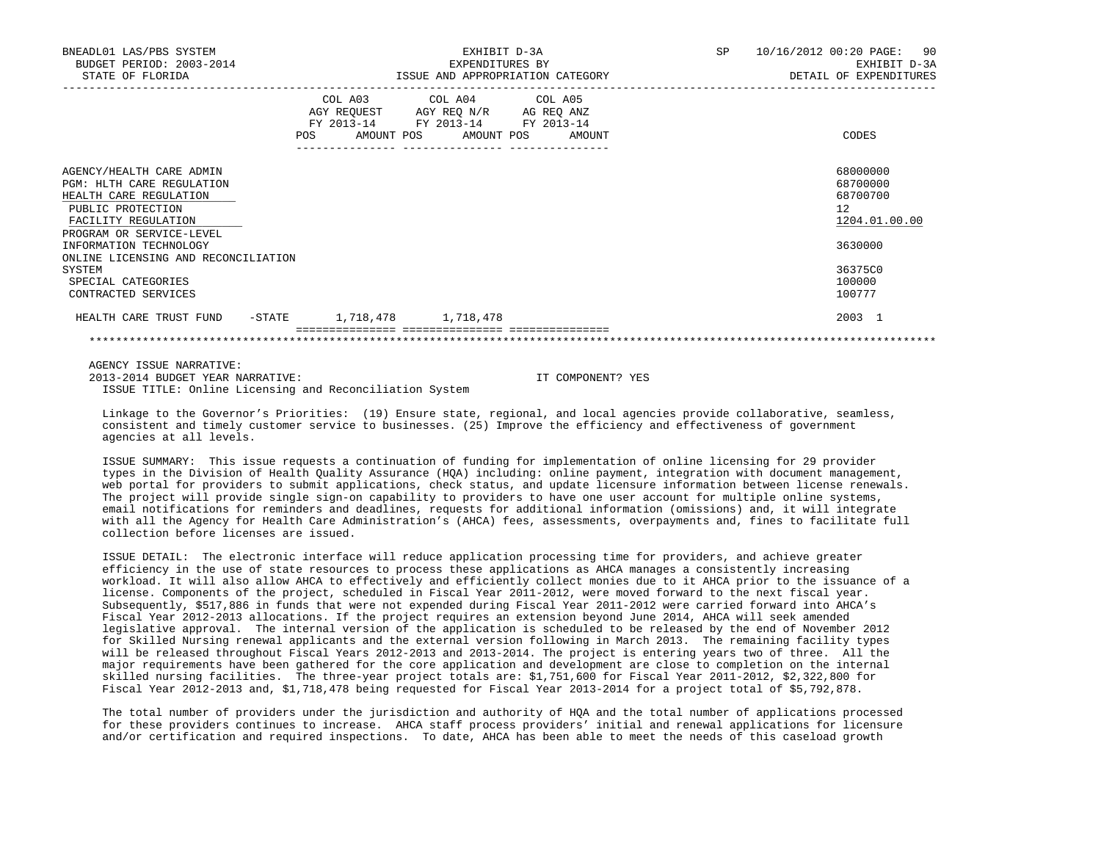| BNEADL01 LAS/PBS SYSTEM<br>BUDGET PERIOD: 2003-2014<br>STATE OF FLORIDA                                                                                        | EXHIBIT D-3A<br>EXPENDITURES BY<br>ISSUE AND APPROPRIATION CATEGORY                                                                   | SP 10/16/2012 00:20 PAGE: 90<br>EXHIBIT D-3A<br>DETAIL OF EXPENDITURES |                                                         |  |
|----------------------------------------------------------------------------------------------------------------------------------------------------------------|---------------------------------------------------------------------------------------------------------------------------------------|------------------------------------------------------------------------|---------------------------------------------------------|--|
|                                                                                                                                                                | COL A03 COL A04 COL A05<br>AGY REQUEST AGY REQ N/R AG REQ ANZ<br>FY 2013-14 FY 2013-14 FY 2013-14<br>POS AMOUNT POS AMOUNT POS AMOUNT |                                                                        | CODES                                                   |  |
| AGENCY/HEALTH CARE ADMIN<br><b>PGM: HLTH CARE REGULATION</b><br>HEALTH CARE REGULATION<br>PUBLIC PROTECTION<br>FACILITY REGULATION<br>PROGRAM OR SERVICE-LEVEL |                                                                                                                                       |                                                                        | 68000000<br>68700000<br>68700700<br>12<br>1204.01.00.00 |  |
| INFORMATION TECHNOLOGY<br>ONLINE LICENSING AND RECONCILIATION                                                                                                  |                                                                                                                                       |                                                                        | 3630000                                                 |  |
| SYSTEM<br>SPECIAL CATEGORIES<br>CONTRACTED SERVICES                                                                                                            |                                                                                                                                       |                                                                        | 36375C0<br>100000<br>100777                             |  |
| HEALTH CARE TRUST FUND -STATE 1,718,478 1,718,478                                                                                                              |                                                                                                                                       |                                                                        | 2003 1                                                  |  |
|                                                                                                                                                                |                                                                                                                                       |                                                                        |                                                         |  |
| ACUSTO LA COLLEGIA MARIARA                                                                                                                                     |                                                                                                                                       |                                                                        |                                                         |  |

 AGENCY ISSUE NARRATIVE: 2013-2014 BUDGET YEAR NARRATIVE: IT COMPONENT? YES ISSUE TITLE: Online Licensing and Reconciliation System

 Linkage to the Governor's Priorities: (19) Ensure state, regional, and local agencies provide collaborative, seamless, consistent and timely customer service to businesses. (25) Improve the efficiency and effectiveness of government agencies at all levels.

 ISSUE SUMMARY: This issue requests a continuation of funding for implementation of online licensing for 29 provider types in the Division of Health Quality Assurance (HQA) including: online payment, integration with document management, web portal for providers to submit applications, check status, and update licensure information between license renewals. The project will provide single sign-on capability to providers to have one user account for multiple online systems, email notifications for reminders and deadlines, requests for additional information (omissions) and, it will integrate with all the Agency for Health Care Administration's (AHCA) fees, assessments, overpayments and, fines to facilitate full collection before licenses are issued.

 ISSUE DETAIL: The electronic interface will reduce application processing time for providers, and achieve greater efficiency in the use of state resources to process these applications as AHCA manages a consistently increasing workload. It will also allow AHCA to effectively and efficiently collect monies due to it AHCA prior to the issuance of a license. Components of the project, scheduled in Fiscal Year 2011-2012, were moved forward to the next fiscal year. Subsequently, \$517,886 in funds that were not expended during Fiscal Year 2011-2012 were carried forward into AHCA's Fiscal Year 2012-2013 allocations. If the project requires an extension beyond June 2014, AHCA will seek amended legislative approval. The internal version of the application is scheduled to be released by the end of November 2012 for Skilled Nursing renewal applicants and the external version following in March 2013. The remaining facility types will be released throughout Fiscal Years 2012-2013 and 2013-2014. The project is entering years two of three. All the major requirements have been gathered for the core application and development are close to completion on the internal skilled nursing facilities. The three-year project totals are: \$1,751,600 for Fiscal Year 2011-2012, \$2,322,800 for Fiscal Year 2012-2013 and, \$1,718,478 being requested for Fiscal Year 2013-2014 for a project total of \$5,792,878.

 The total number of providers under the jurisdiction and authority of HQA and the total number of applications processed for these providers continues to increase. AHCA staff process providers' initial and renewal applications for licensure and/or certification and required inspections. To date, AHCA has been able to meet the needs of this caseload growth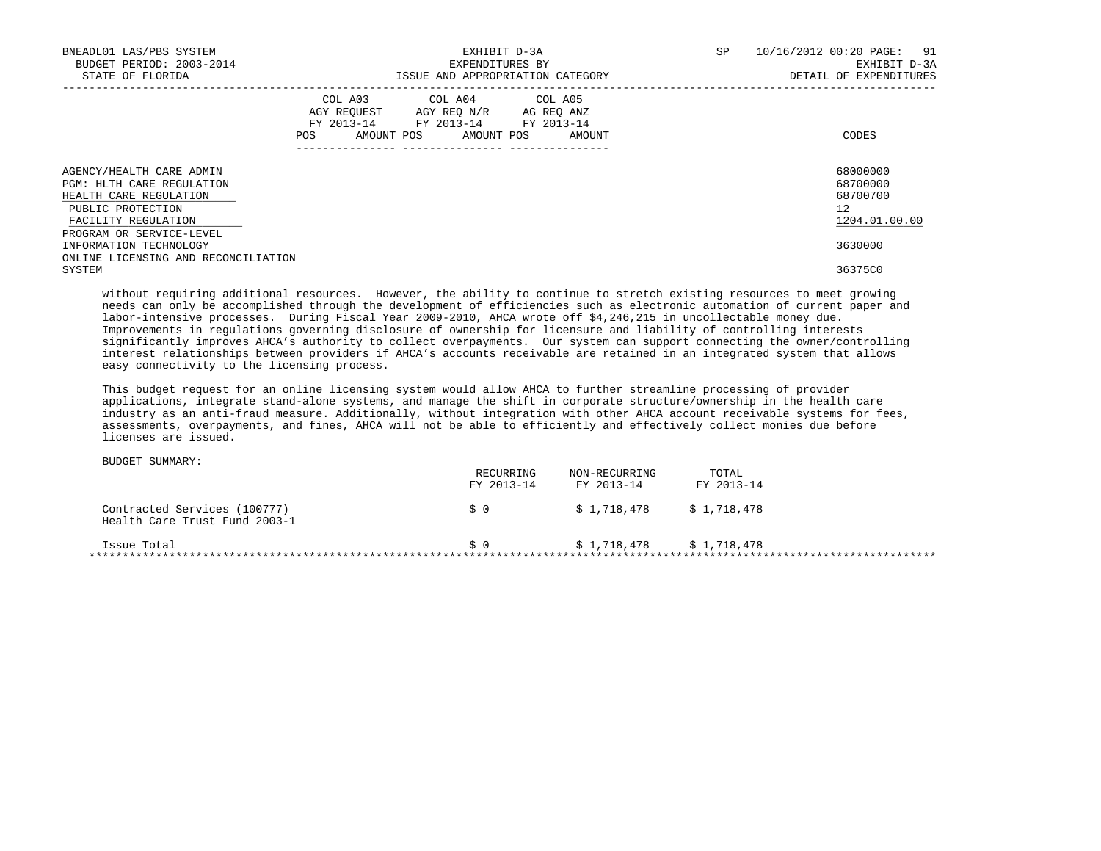| BNEADL01 LAS/PBS SYSTEM<br>BUDGET PERIOD: 2003-2014<br>STATE OF FLORIDA                                                            |     | EXHIBIT D-3A<br>EXPENDITURES BY<br>ISSUE AND APPROPRIATION CATEGORY                                             |            |        |  |  | 10/16/2012 00:20 PAGE:<br>91<br>EXHIBIT D-3A<br>DETAIL OF EXPENDITURES |
|------------------------------------------------------------------------------------------------------------------------------------|-----|-----------------------------------------------------------------------------------------------------------------|------------|--------|--|--|------------------------------------------------------------------------|
|                                                                                                                                    | POS | COL A03 COL A04 COL A05<br>AGY REQUEST AGY REO N/R AG REO ANZ<br>FY 2013-14 FY 2013-14 FY 2013-14<br>AMOUNT POS | AMOUNT POS | AMOUNT |  |  | CODES                                                                  |
| AGENCY/HEALTH CARE ADMIN<br><b>PGM: HLTH CARE REGULATION</b><br>HEALTH CARE REGULATION<br>PUBLIC PROTECTION<br>FACILITY REGULATION |     |                                                                                                                 |            |        |  |  | 68000000<br>68700000<br>68700700<br>12<br>1204.01.00.00                |
| PROGRAM OR SERVICE-LEVEL<br>INFORMATION TECHNOLOGY<br>ONLINE LICENSING AND RECONCILIATION<br>SYSTEM                                |     |                                                                                                                 |            |        |  |  | 3630000<br>36375C0                                                     |

 without requiring additional resources. However, the ability to continue to stretch existing resources to meet growing needs can only be accomplished through the development of efficiencies such as electronic automation of current paper and labor-intensive processes. During Fiscal Year 2009-2010, AHCA wrote off \$4,246,215 in uncollectable money due. Improvements in regulations governing disclosure of ownership for licensure and liability of controlling interests significantly improves AHCA's authority to collect overpayments. Our system can support connecting the owner/controlling interest relationships between providers if AHCA's accounts receivable are retained in an integrated system that allows easy connectivity to the licensing process.

 This budget request for an online licensing system would allow AHCA to further streamline processing of provider applications, integrate stand-alone systems, and manage the shift in corporate structure/ownership in the health care industry as an anti-fraud measure. Additionally, without integration with other AHCA account receivable systems for fees, assessments, overpayments, and fines, AHCA will not be able to efficiently and effectively collect monies due before licenses are issued.

|                                                               | RECURRING<br>FY 2013-14 | NON-RECURRING<br>FY 2013-14 | TOTAL<br>FY 2013-14 |
|---------------------------------------------------------------|-------------------------|-----------------------------|---------------------|
| Contracted Services (100777)<br>Health Care Trust Fund 2003-1 | \$0                     | \$1,718,478                 | \$1,718,478         |
| Issue Total                                                   | S O                     | \$1,718,478                 | \$1,718,478         |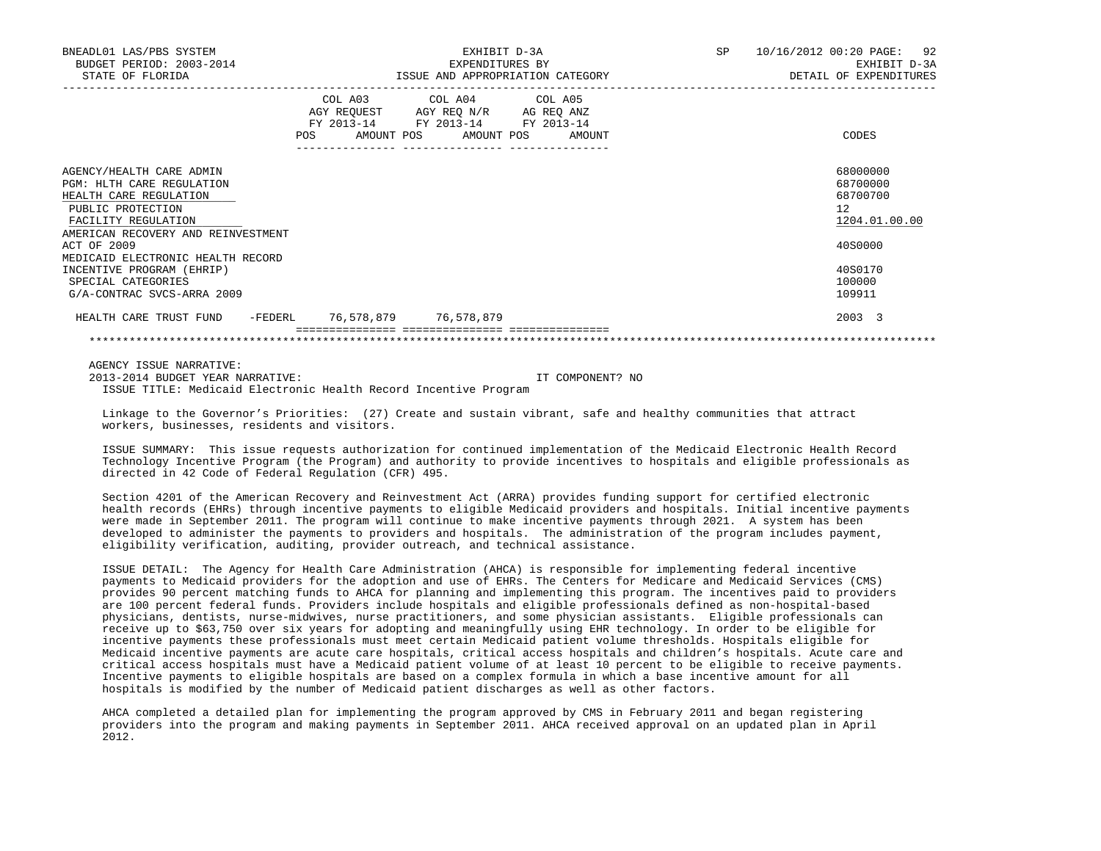| BNEADL01 LAS/PBS SYSTEM<br>BUDGET PERIOD: 2003-2014<br>STATE OF FLORIDA                                                                                                  | EXHIBIT D-3A<br>EXPENDITURES BY<br>ISSUE AND APPROPRIATION CATEGORY |                                                                                                                                   |  | SP | 10/16/2012 00:20 PAGE: 92<br>EXHIBIT D-3A<br>DETAIL OF EXPENDITURES  |
|--------------------------------------------------------------------------------------------------------------------------------------------------------------------------|---------------------------------------------------------------------|-----------------------------------------------------------------------------------------------------------------------------------|--|----|----------------------------------------------------------------------|
|                                                                                                                                                                          | POS DO                                                              | COL A03 COL A04 COL A05<br>AGY REQUEST AGY REQ N/R AG REQ ANZ<br>FY 2013-14 FY 2013-14 FY 2013-14<br>AMOUNT POS AMOUNT POS AMOUNT |  |    | CODES                                                                |
| AGENCY/HEALTH CARE ADMIN<br><b>PGM: HLTH CARE REGULATION</b><br>HEALTH CARE REGULATION<br>PUBLIC PROTECTION<br>FACILITY REGULATION<br>AMERICAN RECOVERY AND REINVESTMENT |                                                                     |                                                                                                                                   |  |    | 68000000<br>68700000<br>68700700<br>12 <sup>°</sup><br>1204.01.00.00 |
| ACT OF 2009<br>MEDICAID ELECTRONIC HEALTH RECORD<br>INCENTIVE PROGRAM (EHRIP)<br>SPECIAL CATEGORIES<br>G/A-CONTRAC SVCS-ARRA 2009                                        |                                                                     |                                                                                                                                   |  |    | 40S0000<br>40S0170<br>100000<br>109911                               |
| HEALTH CARE TRUST FUND -FEDERL 76,578,879 76,578,879                                                                                                                     |                                                                     |                                                                                                                                   |  |    | 2003 3                                                               |

 AGENCY ISSUE NARRATIVE: 2013-2014 BUDGET YEAR NARRATIVE: IT COMPONENT? NO ISSUE TITLE: Medicaid Electronic Health Record Incentive Program

 Linkage to the Governor's Priorities: (27) Create and sustain vibrant, safe and healthy communities that attract workers, businesses, residents and visitors.

 ISSUE SUMMARY: This issue requests authorization for continued implementation of the Medicaid Electronic Health Record Technology Incentive Program (the Program) and authority to provide incentives to hospitals and eligible professionals as directed in 42 Code of Federal Regulation (CFR) 495.

 Section 4201 of the American Recovery and Reinvestment Act (ARRA) provides funding support for certified electronic health records (EHRs) through incentive payments to eligible Medicaid providers and hospitals. Initial incentive payments were made in September 2011. The program will continue to make incentive payments through 2021. A system has been developed to administer the payments to providers and hospitals. The administration of the program includes payment, eligibility verification, auditing, provider outreach, and technical assistance.

 ISSUE DETAIL: The Agency for Health Care Administration (AHCA) is responsible for implementing federal incentive payments to Medicaid providers for the adoption and use of EHRs. The Centers for Medicare and Medicaid Services (CMS) provides 90 percent matching funds to AHCA for planning and implementing this program. The incentives paid to providers are 100 percent federal funds. Providers include hospitals and eligible professionals defined as non-hospital-based physicians, dentists, nurse-midwives, nurse practitioners, and some physician assistants. Eligible professionals can receive up to \$63,750 over six years for adopting and meaningfully using EHR technology. In order to be eligible for incentive payments these professionals must meet certain Medicaid patient volume thresholds. Hospitals eligible for Medicaid incentive payments are acute care hospitals, critical access hospitals and children's hospitals. Acute care and critical access hospitals must have a Medicaid patient volume of at least 10 percent to be eligible to receive payments. Incentive payments to eligible hospitals are based on a complex formula in which a base incentive amount for all hospitals is modified by the number of Medicaid patient discharges as well as other factors.

 AHCA completed a detailed plan for implementing the program approved by CMS in February 2011 and began registering providers into the program and making payments in September 2011. AHCA received approval on an updated plan in April 2012.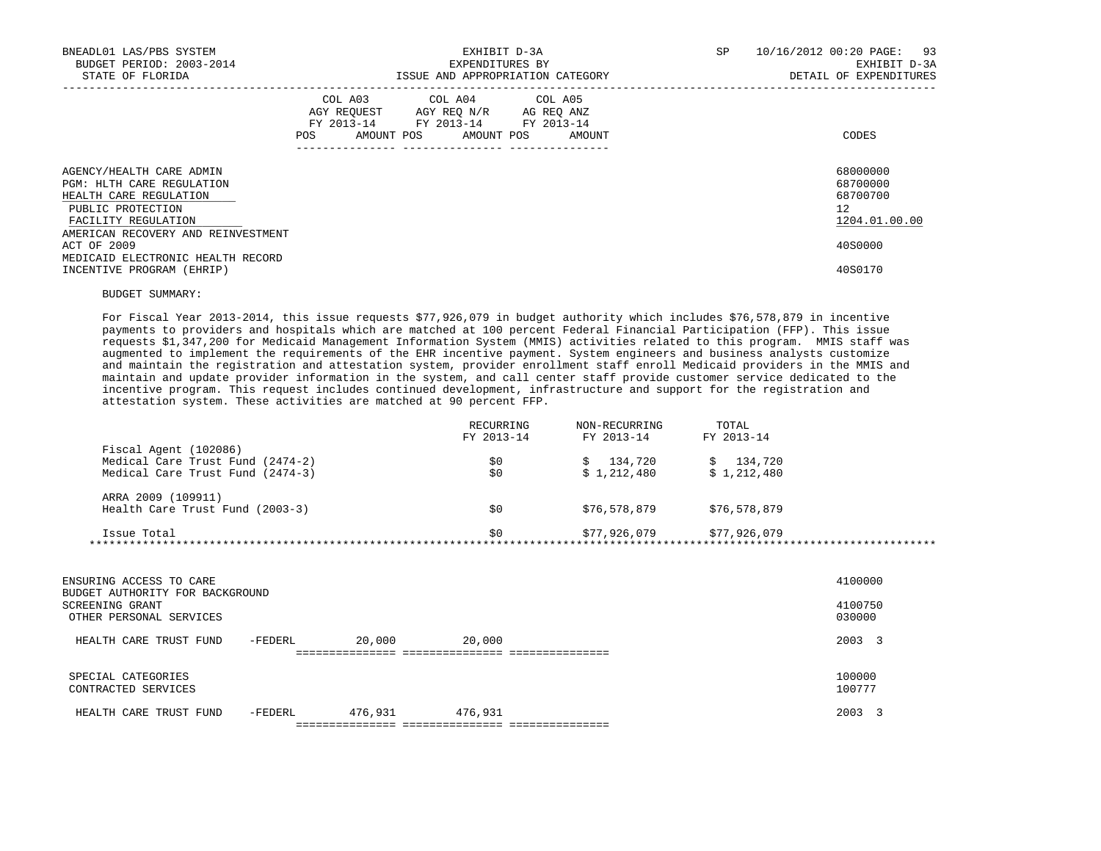| BNEADL01 LAS/PBS SYSTEM<br>BUDGET PERIOD: 2003-2014<br>STATE OF FLORIDA                                                                                                  | EXHIBIT D-3A<br>EXPENDITURES BY<br>ISSUE AND APPROPRIATION CATEGORY                                                                         | 10/16/2012 00:20 PAGE: 93<br>SP<br>EXHIBIT D-3A<br>DETAIL OF EXPENDITURES |
|--------------------------------------------------------------------------------------------------------------------------------------------------------------------------|---------------------------------------------------------------------------------------------------------------------------------------------|---------------------------------------------------------------------------|
|                                                                                                                                                                          | COL A03 COL A04 COL A05<br>AGY REQUEST AGY REO N/R AG REO ANZ<br>FY 2013-14 FY 2013-14 FY 2013-14<br>AMOUNT POS AMOUNT POS<br>POS<br>AMOUNT | CODES                                                                     |
| AGENCY/HEALTH CARE ADMIN<br><b>PGM: HLTH CARE REGULATION</b><br>HEALTH CARE REGULATION<br>PUBLIC PROTECTION<br>FACILITY REGULATION<br>AMERICAN RECOVERY AND REINVESTMENT |                                                                                                                                             | 68000000<br>68700000<br>68700700<br>12 <sup>°</sup><br>1204.01.00.00      |
| ACT OF 2009<br>MEDICAID ELECTRONIC HEALTH RECORD<br>INCENTIVE PROGRAM (EHRIP)                                                                                            |                                                                                                                                             | 40S0000<br>40S0170                                                        |

## BUDGET SUMMARY:

 For Fiscal Year 2013-2014, this issue requests \$77,926,079 in budget authority which includes \$76,578,879 in incentive payments to providers and hospitals which are matched at 100 percent Federal Financial Participation (FFP). This issue requests \$1,347,200 for Medicaid Management Information System (MMIS) activities related to this program. MMIS staff was augmented to implement the requirements of the EHR incentive payment. System engineers and business analysts customize and maintain the registration and attestation system, provider enrollment staff enroll Medicaid providers in the MMIS and maintain and update provider information in the system, and call center staff provide customer service dedicated to the incentive program. This request includes continued development, infrastructure and support for the registration and attestation system. These activities are matched at 90 percent FFP.

|                                  | RECURRING  | NON-RECURRING | TOTAL        |  |
|----------------------------------|------------|---------------|--------------|--|
|                                  | FY 2013-14 | FY 2013-14    | FY 2013-14   |  |
| Fiscal Agent (102086)            |            |               |              |  |
| Medical Care Trust Fund (2474-2) | \$0        | 134,720<br>S. | \$134,720    |  |
| Medical Care Trust Fund (2474-3) | \$0        | \$1,212,480   | \$1,212,480  |  |
| ARRA 2009 (109911)               |            |               |              |  |
| Health Care Trust Fund (2003-3)  | \$0        | \$76,578,879  | \$76,578,879 |  |
| Issue Total                      | \$0        | \$77,926,079  | \$77,926,079 |  |
|                                  |            |               |              |  |

| ENSURING ACCESS TO CARE<br>BUDGET AUTHORITY FOR BACKGROUND<br>SCREENING GRANT<br>OTHER PERSONAL SERVICES |         |                                          |         | 4100000<br>4100750<br>030000 |
|----------------------------------------------------------------------------------------------------------|---------|------------------------------------------|---------|------------------------------|
| HEALTH CARE TRUST FUND                                                                                   | -FEDERL | 20,000                                   | 20,000  | 2003 3                       |
| SPECIAL CATEGORIES<br>CONTRACTED SERVICES                                                                |         |                                          |         | 100000<br>100777             |
| HEALTH CARE TRUST FUND                                                                                   | -FEDERL | 476,931<br>============================= | 476,931 | 2003                         |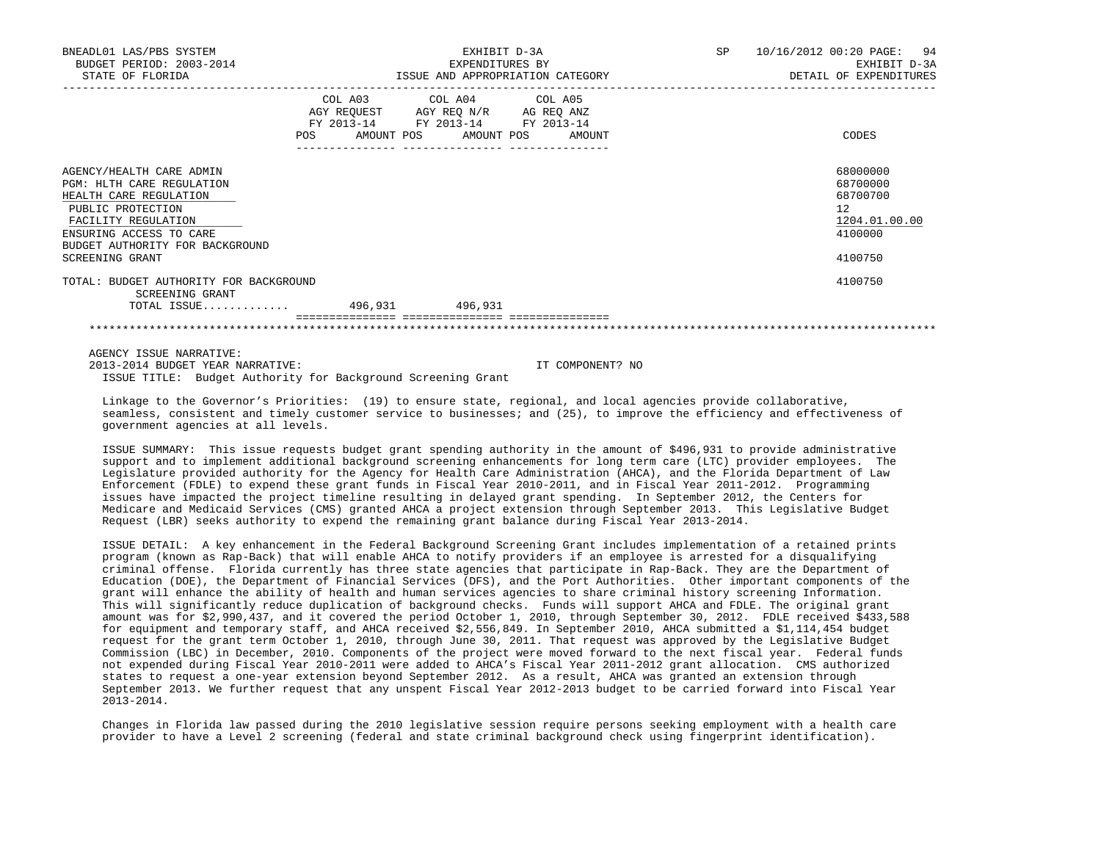| BNEADL01 LAS/PBS SYSTEM<br>BUDGET PERIOD: 2003-2014<br>STATE OF FLORIDA                                                                                                                                      | EXHIBIT D-3A<br>EXPENDITURES BY<br>ISSUE AND APPROPRIATION CATEGORY |                                                                                                                            |        | SP. | 10/16/2012 00:20 PAGE: 94<br>EXHIBIT D-3A<br>DETAIL OF EXPENDITURES                        |
|--------------------------------------------------------------------------------------------------------------------------------------------------------------------------------------------------------------|---------------------------------------------------------------------|----------------------------------------------------------------------------------------------------------------------------|--------|-----|--------------------------------------------------------------------------------------------|
|                                                                                                                                                                                                              | POS DO                                                              | COL A03 COL A04 COL A05<br>AGY REQUEST AGY REQ N/R AG REQ ANZ<br>FY 2013-14 FY 2013-14 FY 2013-14<br>AMOUNT POS AMOUNT POS | AMOUNT |     | CODES                                                                                      |
| AGENCY/HEALTH CARE ADMIN<br>PGM: HLTH CARE REGULATION<br>HEALTH CARE REGULATION<br>PUBLIC PROTECTION<br>FACILITY REGULATION<br>ENSURING ACCESS TO CARE<br>BUDGET AUTHORITY FOR BACKGROUND<br>SCREENING GRANT |                                                                     |                                                                                                                            |        |     | 68000000<br>68700000<br>68700700<br>12 <sup>°</sup><br>1204.01.00.00<br>4100000<br>4100750 |
| TOTAL: BUDGET AUTHORITY FOR BACKGROUND<br>SCREENING GRANT                                                                                                                                                    |                                                                     | 496,931                                                                                                                    |        |     | 4100750                                                                                    |
|                                                                                                                                                                                                              |                                                                     |                                                                                                                            |        |     |                                                                                            |

 AGENCY ISSUE NARRATIVE: 2013-2014 BUDGET YEAR NARRATIVE: IT COMPONENT? NO ISSUE TITLE: Budget Authority for Background Screening Grant

 Linkage to the Governor's Priorities: (19) to ensure state, regional, and local agencies provide collaborative, seamless, consistent and timely customer service to businesses; and (25), to improve the efficiency and effectiveness of government agencies at all levels.

 ISSUE SUMMARY: This issue requests budget grant spending authority in the amount of \$496,931 to provide administrative support and to implement additional background screening enhancements for long term care (LTC) provider employees. The Legislature provided authority for the Agency for Health Care Administration (AHCA), and the Florida Department of Law Enforcement (FDLE) to expend these grant funds in Fiscal Year 2010-2011, and in Fiscal Year 2011-2012. Programming issues have impacted the project timeline resulting in delayed grant spending. In September 2012, the Centers for Medicare and Medicaid Services (CMS) granted AHCA a project extension through September 2013. This Legislative Budget Request (LBR) seeks authority to expend the remaining grant balance during Fiscal Year 2013-2014.

 ISSUE DETAIL: A key enhancement in the Federal Background Screening Grant includes implementation of a retained prints program (known as Rap-Back) that will enable AHCA to notify providers if an employee is arrested for a disqualifying criminal offense. Florida currently has three state agencies that participate in Rap-Back. They are the Department of Education (DOE), the Department of Financial Services (DFS), and the Port Authorities. Other important components of the grant will enhance the ability of health and human services agencies to share criminal history screening Information. This will significantly reduce duplication of background checks. Funds will support AHCA and FDLE. The original grant amount was for \$2,990,437, and it covered the period October 1, 2010, through September 30, 2012. FDLE received \$433,588 for equipment and temporary staff, and AHCA received \$2,556,849. In September 2010, AHCA submitted a \$1,114,454 budget request for the grant term October 1, 2010, through June 30, 2011. That request was approved by the Legislative Budget Commission (LBC) in December, 2010. Components of the project were moved forward to the next fiscal year. Federal funds not expended during Fiscal Year 2010-2011 were added to AHCA's Fiscal Year 2011-2012 grant allocation. CMS authorized states to request a one-year extension beyond September 2012. As a result, AHCA was granted an extension through September 2013. We further request that any unspent Fiscal Year 2012-2013 budget to be carried forward into Fiscal Year 2013-2014.

 Changes in Florida law passed during the 2010 legislative session require persons seeking employment with a health care provider to have a Level 2 screening (federal and state criminal background check using fingerprint identification).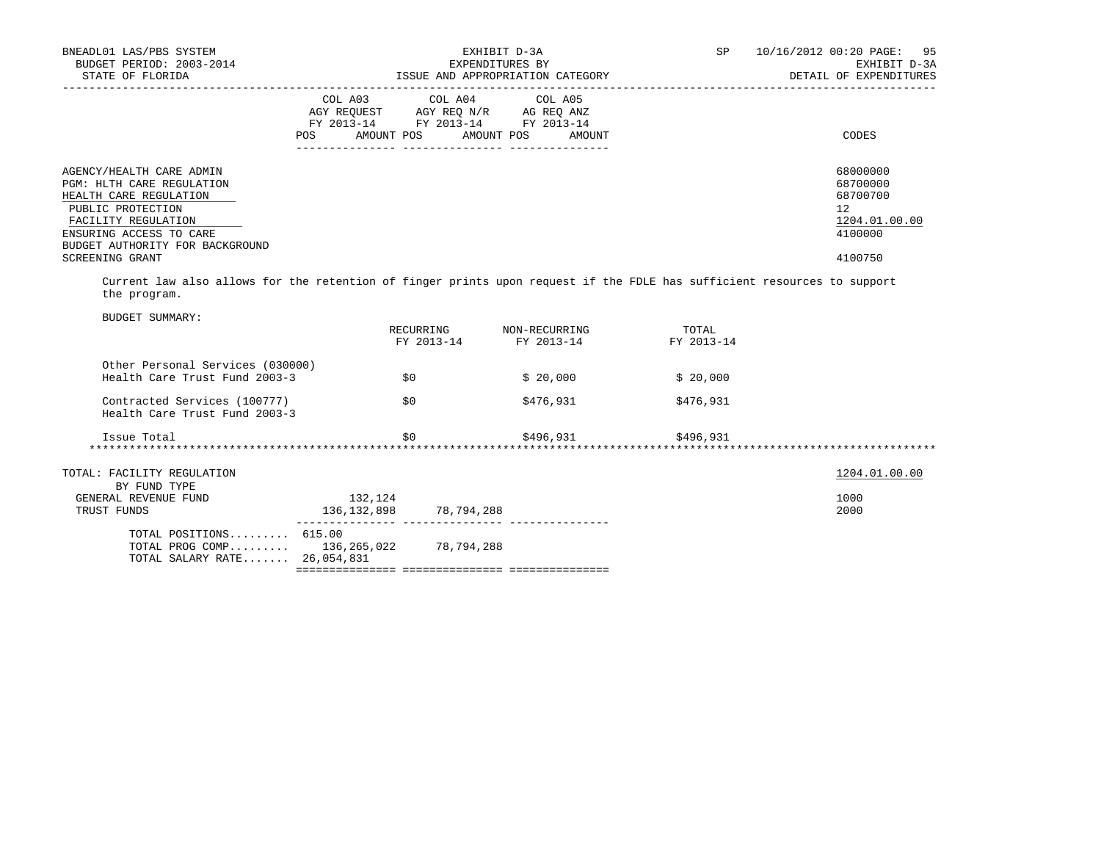| BUDGET PERIOD: 2003-2014<br>STATE OF FLORIDA                                                                                                                                                  |            | EXHIBIT D-3A<br>EXPENDITURES BY<br>ISSUE AND APPROPRIATION CATEGORY                                                        | SP <sub>2</sub> | 10/16/2012 00:20 PAGE: 95<br>EXHIBIT D-3A<br>DETAIL OF EXPENDITURES |
|-----------------------------------------------------------------------------------------------------------------------------------------------------------------------------------------------|------------|----------------------------------------------------------------------------------------------------------------------------|-----------------|---------------------------------------------------------------------|
|                                                                                                                                                                                               | <b>POS</b> | COL A03 COL A04 COL A05<br>AGY REQUEST AGY REQ N/R AG REQ ANZ<br>FY 2013-14 FY 2013-14 FY 2013-14<br>AMOUNT POS AMOUNT POS | AMOUNT          | CODES                                                               |
| AGENCY/HEALTH CARE ADMIN<br><b>PGM: HLTH CARE REGULATION</b><br>HEALTH CARE REGULATION<br>PUBLIC PROTECTION<br>FACILITY REGULATION<br>ENSURING ACCESS TO CARE                                 |            |                                                                                                                            |                 | 68000000<br>68700000<br>68700700<br>12<br>1204.01.00.00<br>4100000  |
| BUDGET AUTHORITY FOR BACKGROUND<br>SCREENING GRANT<br>Current law also allows for the retention of finger prints upon request if the FDLE has sufficient resources to support<br>the program. |            |                                                                                                                            |                 | 4100750                                                             |
| <b>BUDGET SUMMARY:</b>                                                                                                                                                                        |            |                                                                                                                            |                 |                                                                     |
|                                                                                                                                                                                               |            | RECURRING NON-RECURRING TOTAL<br>FY 2013-14<br>FY 2013-14                                                                  | FY 2013-14      |                                                                     |
| Other Personal Services (030000)                                                                                                                                                              |            |                                                                                                                            |                 |                                                                     |
| Health Care Trust Fund 2003-3                                                                                                                                                                 | \$0        | \$20.000                                                                                                                   | \$20.000        |                                                                     |
| Contracted Services (100777)<br>Health Care Trust Fund 2003-3                                                                                                                                 | \$0        | \$476,931                                                                                                                  | \$476,931       |                                                                     |

| TOTAL: FACILITY REGULATION<br>BY FUND TYPE                                                |                        |            | 1204.01.00.00 |
|-------------------------------------------------------------------------------------------|------------------------|------------|---------------|
| GENERAL REVENUE FUND<br>TRUST FUNDS                                                       | 132,124<br>136,132,898 | 78,794,288 | 1000<br>2000  |
| TOTAL POSITIONS 615.00<br>TOTAL PROG COMP $136, 265, 022$<br>TOTAL SALARY RATE 26,054,831 |                        | 78,794,288 |               |

=============== =============== ===============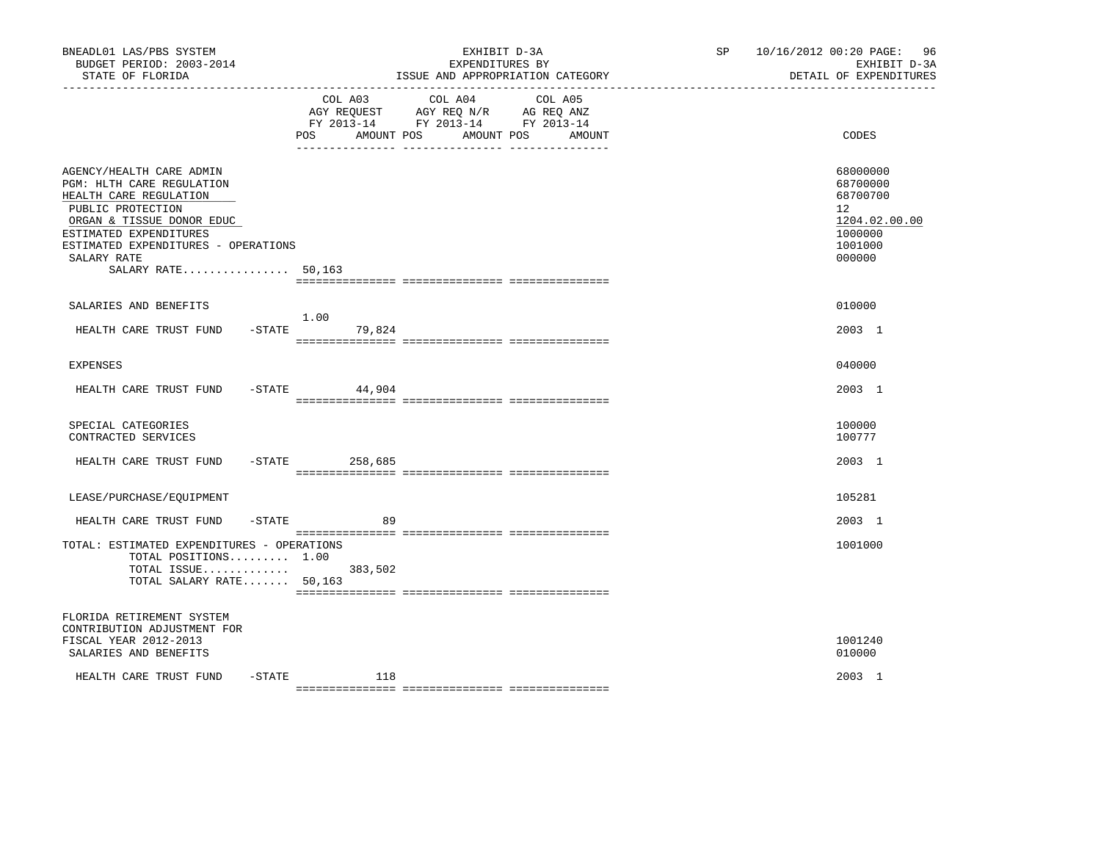| BNEADL01 LAS/PBS SYSTEM<br>BUDGET PERIOD: 2003-2014<br>STATE OF FLORIDA                                                                                                                                                                   |                             | EXHIBIT D-3A<br>EXPENDITURES BY<br>ISSUE AND APPROPRIATION CATEGORY                                                                                                                                                                        | SP and the set of the set of the set of the set of the set of the set of the set of the set of the set of the set of the set of the set of the set of the set of the set of the set of the set of the set of the set of the se | 10/16/2012 00:20 PAGE: 96<br>EXHIBIT D-3A<br>DETAIL OF EXPENDITURES                     |
|-------------------------------------------------------------------------------------------------------------------------------------------------------------------------------------------------------------------------------------------|-----------------------------|--------------------------------------------------------------------------------------------------------------------------------------------------------------------------------------------------------------------------------------------|--------------------------------------------------------------------------------------------------------------------------------------------------------------------------------------------------------------------------------|-----------------------------------------------------------------------------------------|
|                                                                                                                                                                                                                                           | COL A03<br>POS AMOUNT POS   | COL A04<br>COL A05<br>$\begin{tabular}{lllllll} AGY & \texttt{REQUEST} & \texttt{AGY} & \texttt{REG} & \texttt{N/R} & \texttt{AG} & \texttt{REQ} & \texttt{ANZ} \end{tabular}$<br>FY 2013-14 FY 2013-14 FY 2013-14<br>AMOUNT POS<br>AMOUNT |                                                                                                                                                                                                                                | CODES                                                                                   |
| AGENCY/HEALTH CARE ADMIN<br>PGM: HLTH CARE REGULATION<br>HEALTH CARE REGULATION<br>PUBLIC PROTECTION<br>ORGAN & TISSUE DONOR EDUC<br>ESTIMATED EXPENDITURES<br>ESTIMATED EXPENDITURES - OPERATIONS<br>SALARY RATE<br>SALARY RATE $50,163$ |                             |                                                                                                                                                                                                                                            |                                                                                                                                                                                                                                | 68000000<br>68700000<br>68700700<br>12<br>1204.02.00.00<br>1000000<br>1001000<br>000000 |
| SALARIES AND BENEFITS                                                                                                                                                                                                                     |                             |                                                                                                                                                                                                                                            |                                                                                                                                                                                                                                | 010000                                                                                  |
| HEALTH CARE TRUST FUND                                                                                                                                                                                                                    | 1.00<br>$-$ STATE<br>79,824 |                                                                                                                                                                                                                                            |                                                                                                                                                                                                                                | 2003 1                                                                                  |
| <b>EXPENSES</b>                                                                                                                                                                                                                           |                             |                                                                                                                                                                                                                                            |                                                                                                                                                                                                                                | 040000                                                                                  |
| HEALTH CARE TRUST FUND -STATE                                                                                                                                                                                                             | 44,904                      |                                                                                                                                                                                                                                            |                                                                                                                                                                                                                                | 2003 1                                                                                  |
| SPECIAL CATEGORIES<br>CONTRACTED SERVICES                                                                                                                                                                                                 |                             |                                                                                                                                                                                                                                            |                                                                                                                                                                                                                                | 100000<br>100777                                                                        |
| HEALTH CARE TRUST FUND                                                                                                                                                                                                                    | $-$ STATE 258,685           |                                                                                                                                                                                                                                            |                                                                                                                                                                                                                                | 2003 1                                                                                  |
| LEASE/PURCHASE/EQUIPMENT                                                                                                                                                                                                                  |                             |                                                                                                                                                                                                                                            |                                                                                                                                                                                                                                | 105281                                                                                  |
| $-$ STATE<br>HEALTH CARE TRUST FUND                                                                                                                                                                                                       | 89                          |                                                                                                                                                                                                                                            |                                                                                                                                                                                                                                | 2003 1                                                                                  |
| TOTAL: ESTIMATED EXPENDITURES - OPERATIONS<br>TOTAL POSITIONS $1.00$<br>TOTAL ISSUE 383,502<br>TOTAL SALARY RATE 50,163                                                                                                                   |                             |                                                                                                                                                                                                                                            |                                                                                                                                                                                                                                | 1001000                                                                                 |
| FLORIDA RETIREMENT SYSTEM<br>CONTRIBUTION ADJUSTMENT FOR<br>FISCAL YEAR 2012-2013<br>SALARIES AND BENEFITS                                                                                                                                |                             |                                                                                                                                                                                                                                            |                                                                                                                                                                                                                                | 1001240<br>010000                                                                       |
| $-$ STATE<br>HEALTH CARE TRUST FUND                                                                                                                                                                                                       | 118                         |                                                                                                                                                                                                                                            |                                                                                                                                                                                                                                | 2003 1                                                                                  |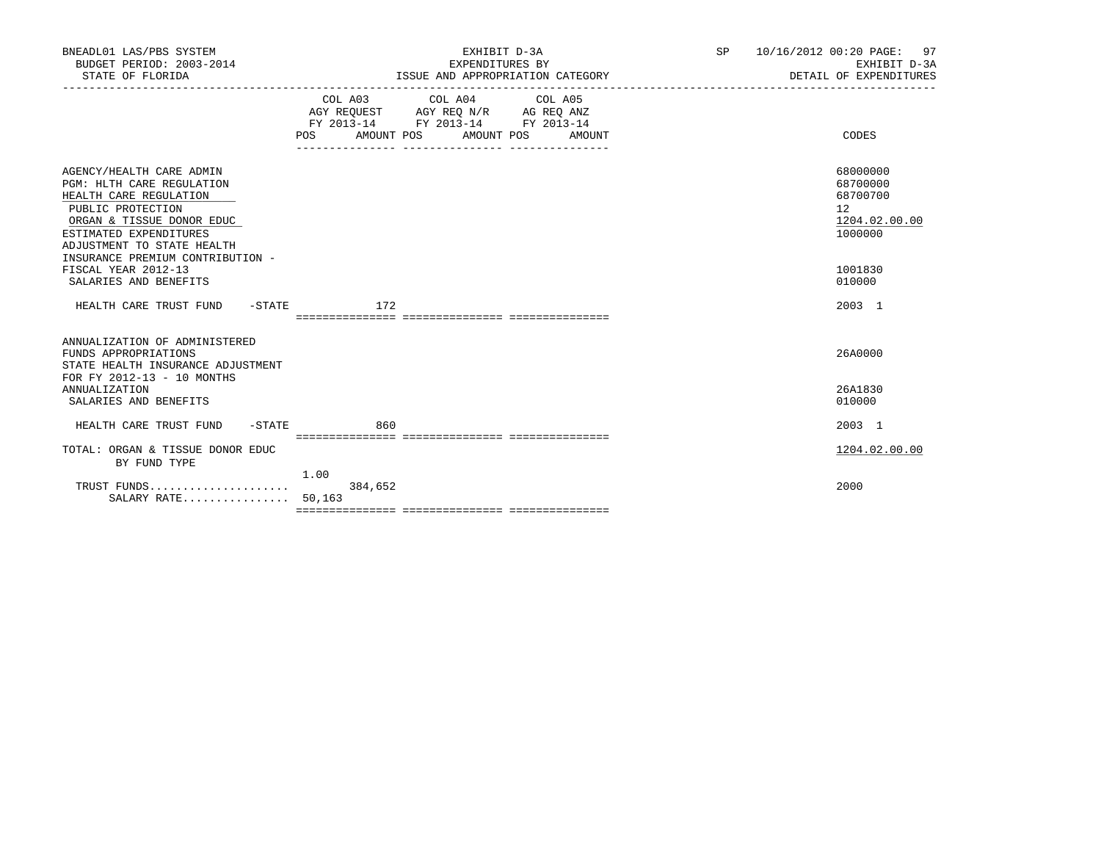| BNEADL01 LAS/PBS SYSTEM<br>BUDGET PERIOD: 2003-2014<br>STATE OF FLORIDA                                                                                                                          | EXHIBIT D-3A<br>EXPENDITURES BY<br>ISSUE AND APPROPRIATION CATEGORY                                                                                   | 97<br>SP<br>10/16/2012 00:20 PAGE:<br>EXHIBIT D-3A<br>DETAIL OF EXPENDITURES |
|--------------------------------------------------------------------------------------------------------------------------------------------------------------------------------------------------|-------------------------------------------------------------------------------------------------------------------------------------------------------|------------------------------------------------------------------------------|
|                                                                                                                                                                                                  | COL A03 COL A04 COL A05<br>AGY REOUEST AGY REO N/R AG REO ANZ<br>FY 2013-14 FY 2013-14 FY 2013-14<br>AMOUNT POS<br>AMOUNT POS<br><b>POS</b><br>AMOUNT | CODES                                                                        |
| AGENCY/HEALTH CARE ADMIN<br><b>PGM: HLTH CARE REGULATION</b><br>HEALTH CARE REGULATION<br>PUBLIC PROTECTION<br>ORGAN & TISSUE DONOR EDUC<br>ESTIMATED EXPENDITURES<br>ADJUSTMENT TO STATE HEALTH |                                                                                                                                                       | 68000000<br>68700000<br>68700700<br>12<br>1204.02.00.00<br>1000000           |
| INSURANCE PREMIUM CONTRIBUTION -<br>FISCAL YEAR 2012-13<br>SALARIES AND BENEFITS                                                                                                                 |                                                                                                                                                       | 1001830<br>010000                                                            |
| HEALTH CARE TRUST FUND<br>-STATE                                                                                                                                                                 | 172                                                                                                                                                   | 2003 1                                                                       |
| ANNUALIZATION OF ADMINISTERED<br>FUNDS APPROPRIATIONS<br>STATE HEALTH INSURANCE ADJUSTMENT<br>FOR FY 2012-13 - 10 MONTHS                                                                         |                                                                                                                                                       | 26A0000                                                                      |
| <b>ANNUALIZATION</b><br>SALARIES AND BENEFITS                                                                                                                                                    |                                                                                                                                                       | 26A1830<br>010000                                                            |
| HEALTH CARE TRUST FUND<br>$-$ STATE                                                                                                                                                              | 860                                                                                                                                                   | 2003 1                                                                       |
| TOTAL: ORGAN & TISSUE DONOR EDUC<br>BY FUND TYPE                                                                                                                                                 |                                                                                                                                                       | 1204.02.00.00                                                                |
| SALARY RATE 50,163                                                                                                                                                                               | 1.00<br>384,652                                                                                                                                       | 2000                                                                         |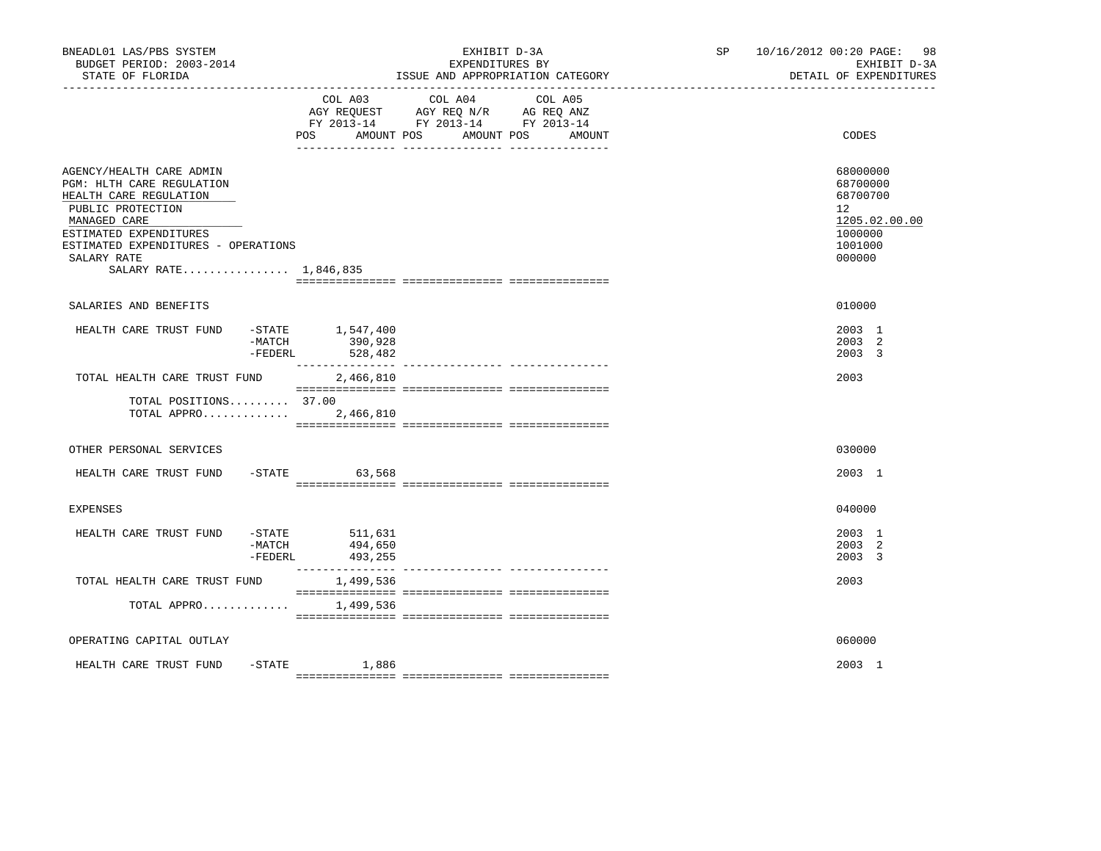| BNEADL01 LAS/PBS SYSTEM<br>BUDGET PERIOD: 2003-2014<br>STATE OF FLORIDA                                                                                                                                                       |                                                           |                                                                                                                                  | EXHIBIT D-3A<br>EXPENDITURES BY<br>ISSUE AND APPROPRIATION CATEGORY | SP and the set of the set of the set of the set of the set of the set of the set of the set of the set of the set of the set of the set of the set of the set of the set of the set of the set of the set of the set of the se | 10/16/2012 00:20 PAGE: 98<br>EXHIBIT D-3A<br>DETAIL OF EXPENDITURES                               |
|-------------------------------------------------------------------------------------------------------------------------------------------------------------------------------------------------------------------------------|-----------------------------------------------------------|----------------------------------------------------------------------------------------------------------------------------------|---------------------------------------------------------------------|--------------------------------------------------------------------------------------------------------------------------------------------------------------------------------------------------------------------------------|---------------------------------------------------------------------------------------------------|
|                                                                                                                                                                                                                               |                                                           | COL A03<br>COL A04<br>AGY REQUEST AGY REQ N/R AG REQ ANZ<br>FY 2013-14 FY 2013-14 FY 2013-14<br>POS AMOUNT POS AMOUNT POS AMOUNT | COL A05                                                             |                                                                                                                                                                                                                                | CODES                                                                                             |
| AGENCY/HEALTH CARE ADMIN<br>PGM: HLTH CARE REGULATION<br>HEALTH CARE REGULATION<br>PUBLIC PROTECTION<br>MANAGED CARE<br>ESTIMATED EXPENDITURES<br>ESTIMATED EXPENDITURES - OPERATIONS<br>SALARY RATE<br>SALARY RATE 1,846,835 |                                                           |                                                                                                                                  |                                                                     |                                                                                                                                                                                                                                | 68000000<br>68700000<br>68700700<br>$12^{\circ}$<br>1205.02.00.00<br>1000000<br>1001000<br>000000 |
| SALARIES AND BENEFITS                                                                                                                                                                                                         |                                                           |                                                                                                                                  |                                                                     |                                                                                                                                                                                                                                | 010000                                                                                            |
| HEALTH CARE TRUST FUND                                                                                                                                                                                                        | $-$ STATE $1, 547, 400$<br>$-MATCH$<br>-FEDERL<br>528,482 | 390,928                                                                                                                          |                                                                     |                                                                                                                                                                                                                                | 2003 1<br>2003 2<br>2003 3                                                                        |
| TOTAL HEALTH CARE TRUST FUND                                                                                                                                                                                                  |                                                           | 2,466,810                                                                                                                        |                                                                     |                                                                                                                                                                                                                                | 2003                                                                                              |
| TOTAL POSITIONS 37.00<br>TOTAL APPRO                                                                                                                                                                                          |                                                           | 2,466,810                                                                                                                        |                                                                     |                                                                                                                                                                                                                                |                                                                                                   |
| OTHER PERSONAL SERVICES                                                                                                                                                                                                       |                                                           |                                                                                                                                  |                                                                     |                                                                                                                                                                                                                                | 030000                                                                                            |
| HEALTH CARE TRUST FUND                                                                                                                                                                                                        | $-STATE$ 63,568                                           |                                                                                                                                  |                                                                     |                                                                                                                                                                                                                                | 2003 1                                                                                            |
| <b>EXPENSES</b>                                                                                                                                                                                                               |                                                           |                                                                                                                                  |                                                                     |                                                                                                                                                                                                                                | 040000                                                                                            |
| HEALTH CARE TRUST FUND                                                                                                                                                                                                        | $-STATE$ 511,631<br>-MATCH<br>-FEDERL                     | 494,650<br>493,255                                                                                                               |                                                                     |                                                                                                                                                                                                                                | 2003 1<br>2003 2<br>2003 3                                                                        |
| TOTAL HEALTH CARE TRUST FUND                                                                                                                                                                                                  |                                                           | 1,499,536                                                                                                                        |                                                                     |                                                                                                                                                                                                                                | 2003                                                                                              |
| TOTAL APPRO 1,499,536                                                                                                                                                                                                         |                                                           |                                                                                                                                  |                                                                     |                                                                                                                                                                                                                                |                                                                                                   |
| OPERATING CAPITAL OUTLAY                                                                                                                                                                                                      |                                                           |                                                                                                                                  |                                                                     |                                                                                                                                                                                                                                | 060000                                                                                            |
| HEALTH CARE TRUST FUND                                                                                                                                                                                                        | $-$ STATE $1,886$                                         |                                                                                                                                  |                                                                     |                                                                                                                                                                                                                                | 2003 1                                                                                            |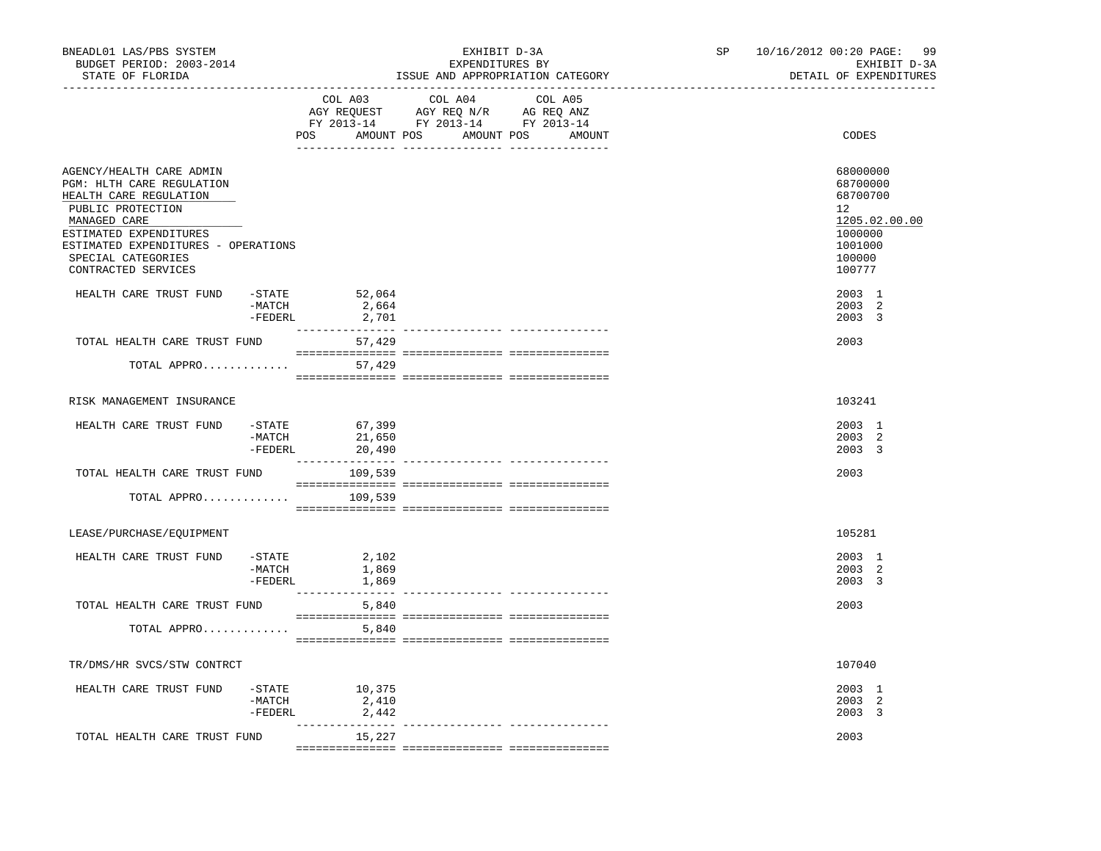| BNEADL01 LAS/PBS SYSTEM<br>BUDGET PERIOD: 2003-2014<br>STATE OF FLORIDA                                                                                                                                                            |                     | --------------------------------                    | EXHIBIT D-3A<br>EXPENDITURES BY                                                           | ISSUE AND APPROPRIATION CATEGORY | SP and the set of the set of the set of the set of the set of the set of the set of the set of the set of the set of the set of the set of the set of the set of the set of the set of the set of the set of the set of the se | 10/16/2012 00:20 PAGE:<br>99<br>EXHIBIT D-3A<br>DETAIL OF EXPENDITURES                            |
|------------------------------------------------------------------------------------------------------------------------------------------------------------------------------------------------------------------------------------|---------------------|-----------------------------------------------------|-------------------------------------------------------------------------------------------|----------------------------------|--------------------------------------------------------------------------------------------------------------------------------------------------------------------------------------------------------------------------------|---------------------------------------------------------------------------------------------------|
|                                                                                                                                                                                                                                    |                     | COL A03                                             | COL A04 COL A05<br>AGY REQUEST AGY REQ N/R AG REQ ANZ<br>FY 2013-14 FY 2013-14 FY 2013-14 | POS AMOUNT POS AMOUNT POS AMOUNT |                                                                                                                                                                                                                                | CODES                                                                                             |
| AGENCY/HEALTH CARE ADMIN<br>PGM: HLTH CARE REGULATION<br>HEALTH CARE REGULATION<br>PUBLIC PROTECTION<br>MANAGED CARE<br>ESTIMATED EXPENDITURES<br>ESTIMATED EXPENDITURES - OPERATIONS<br>SPECIAL CATEGORIES<br>CONTRACTED SERVICES |                     |                                                     |                                                                                           |                                  |                                                                                                                                                                                                                                | 68000000<br>68700000<br>68700700<br>12<br>1205.02.00.00<br>1000000<br>1001000<br>100000<br>100777 |
| HEALTH CARE TRUST FUND                                                                                                                                                                                                             | $-MATCH$<br>-FEDERL | $-$ STATE 52,064<br>2,664<br>2,701                  |                                                                                           |                                  |                                                                                                                                                                                                                                | 2003 1<br>2003 2<br>2003 3                                                                        |
| TOTAL HEALTH CARE TRUST FUND                                                                                                                                                                                                       |                     | 57,429                                              |                                                                                           |                                  |                                                                                                                                                                                                                                | 2003                                                                                              |
| TOTAL APPRO                                                                                                                                                                                                                        |                     | 57,429                                              |                                                                                           |                                  |                                                                                                                                                                                                                                |                                                                                                   |
|                                                                                                                                                                                                                                    |                     |                                                     |                                                                                           |                                  |                                                                                                                                                                                                                                |                                                                                                   |
| RISK MANAGEMENT INSURANCE                                                                                                                                                                                                          |                     |                                                     |                                                                                           |                                  |                                                                                                                                                                                                                                | 103241                                                                                            |
| HEALTH CARE TRUST FUND                                                                                                                                                                                                             | -MATCH<br>$-FEDERL$ | $-$ STATE 67,399<br>21,650<br>20,490                |                                                                                           |                                  |                                                                                                                                                                                                                                | 2003 1<br>2003 2<br>2003 3                                                                        |
| TOTAL HEALTH CARE TRUST FUND                                                                                                                                                                                                       |                     | 109,539                                             |                                                                                           |                                  |                                                                                                                                                                                                                                | 2003                                                                                              |
| TOTAL APPRO                                                                                                                                                                                                                        |                     | 109,539                                             |                                                                                           |                                  |                                                                                                                                                                                                                                |                                                                                                   |
| LEASE/PURCHASE/EOUIPMENT                                                                                                                                                                                                           |                     |                                                     |                                                                                           |                                  |                                                                                                                                                                                                                                | 105281                                                                                            |
| HEALTH CARE TRUST FUND                                                                                                                                                                                                             | $-MATCH$<br>-FEDERL | $-STATE$ 2,102<br>1,869<br>1,869<br>--------------- |                                                                                           |                                  |                                                                                                                                                                                                                                | 2003 1<br>2003 2<br>2003 3                                                                        |
| TOTAL HEALTH CARE TRUST FUND                                                                                                                                                                                                       |                     | 5,840                                               |                                                                                           | --------------- ---------------  |                                                                                                                                                                                                                                | 2003                                                                                              |
| TOTAL APPRO                                                                                                                                                                                                                        |                     | 5,840                                               |                                                                                           |                                  |                                                                                                                                                                                                                                |                                                                                                   |
| TR/DMS/HR SVCS/STW CONTRCT                                                                                                                                                                                                         |                     |                                                     |                                                                                           |                                  |                                                                                                                                                                                                                                | 107040                                                                                            |
| HEALTH CARE TRUST FUND                                                                                                                                                                                                             | $-MATCH$<br>-FEDERL | $-STATE$ 10,375<br>2,410<br>2,442                   |                                                                                           |                                  |                                                                                                                                                                                                                                | 2003 1<br>2003 2<br>2003 3                                                                        |
| TOTAL HEALTH CARE TRUST FUND                                                                                                                                                                                                       |                     | ________________<br>15,227                          |                                                                                           |                                  |                                                                                                                                                                                                                                | 2003                                                                                              |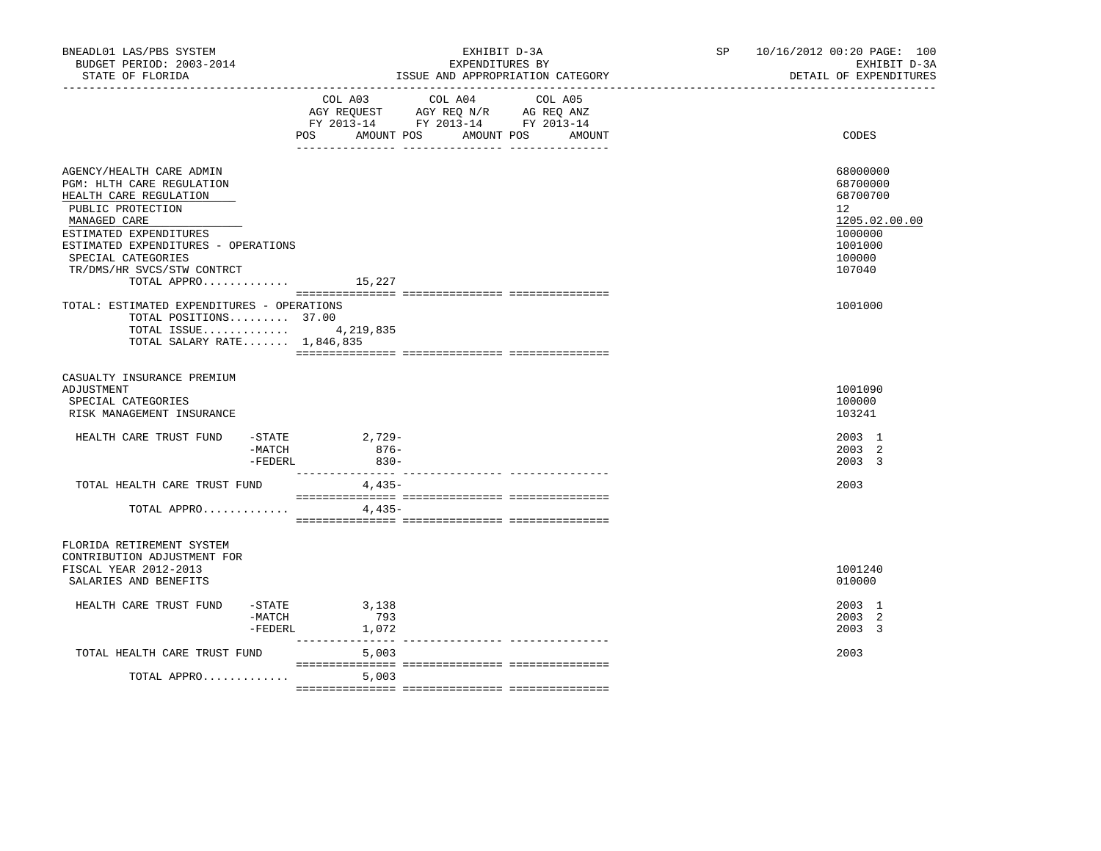| BNEADL01 LAS/PBS SYSTEM<br>BUDGET PERIOD: 2003-2014<br>STATE OF FLORIDA<br>___________________                                                                                                                                            | EXHIBIT D-3A<br>EXPENDITURES BY<br>ISSUE AND APPROPRIATION CATEGORY                                                                               | 10/16/2012 00:20 PAGE: 100<br>SP <sub>2</sub><br>EXHIBIT D-3A<br>DETAIL OF EXPENDITURES                        |
|-------------------------------------------------------------------------------------------------------------------------------------------------------------------------------------------------------------------------------------------|---------------------------------------------------------------------------------------------------------------------------------------------------|----------------------------------------------------------------------------------------------------------------|
|                                                                                                                                                                                                                                           | COL A03 COL A04<br>COL A05<br>AGY REQUEST AGY REQ N/R AG REQ ANZ<br>FY 2013-14 FY 2013-14 FY 2013-14<br>POS<br>AMOUNT POS<br>AMOUNT POS<br>AMOUNT | CODES                                                                                                          |
| AGENCY/HEALTH CARE ADMIN<br>PGM: HLTH CARE REGULATION<br>HEALTH CARE REGULATION<br>PUBLIC PROTECTION<br>MANAGED CARE<br>ESTIMATED EXPENDITURES<br>ESTIMATED EXPENDITURES - OPERATIONS<br>SPECIAL CATEGORIES<br>TR/DMS/HR SVCS/STW CONTRCT |                                                                                                                                                   | 68000000<br>68700000<br>68700700<br>12 <sup>°</sup><br>1205.02.00.00<br>1000000<br>1001000<br>100000<br>107040 |
| TOTAL APPRO $15,227$                                                                                                                                                                                                                      |                                                                                                                                                   |                                                                                                                |
| TOTAL: ESTIMATED EXPENDITURES - OPERATIONS<br>TOTAL POSITIONS 37.00<br>TOTAL ISSUE 4,219,835<br>TOTAL SALARY RATE 1,846,835                                                                                                               |                                                                                                                                                   | 1001000                                                                                                        |
| CASUALTY INSURANCE PREMIUM<br>ADJUSTMENT<br>SPECIAL CATEGORIES<br>RISK MANAGEMENT INSURANCE                                                                                                                                               |                                                                                                                                                   | 1001090<br>100000<br>103241                                                                                    |
| HEALTH CARE TRUST FUND<br>-STATE<br>-MATCH<br>$-FEDERL$                                                                                                                                                                                   | 2,729-<br>876-<br>$830 -$                                                                                                                         | 2003 1<br>2003 2<br>2003 3                                                                                     |
| TOTAL HEALTH CARE TRUST FUND                                                                                                                                                                                                              | 4,435-                                                                                                                                            | 2003                                                                                                           |
| TOTAL APPRO                                                                                                                                                                                                                               | 4,435-                                                                                                                                            |                                                                                                                |
| FLORIDA RETIREMENT SYSTEM<br>CONTRIBUTION ADJUSTMENT FOR<br>FISCAL YEAR 2012-2013<br>SALARIES AND BENEFITS                                                                                                                                |                                                                                                                                                   | 1001240<br>010000                                                                                              |
| HEALTH CARE TRUST FUND<br>-MATCH<br>$-FEDERL$                                                                                                                                                                                             | $-STATE$ 3, 138<br>793<br>1,072                                                                                                                   | 2003 1<br>2003 2<br>2003 3                                                                                     |
| TOTAL HEALTH CARE TRUST FUND                                                                                                                                                                                                              | 5,003                                                                                                                                             | 2003                                                                                                           |
| TOTAL APPRO                                                                                                                                                                                                                               | 5,003                                                                                                                                             |                                                                                                                |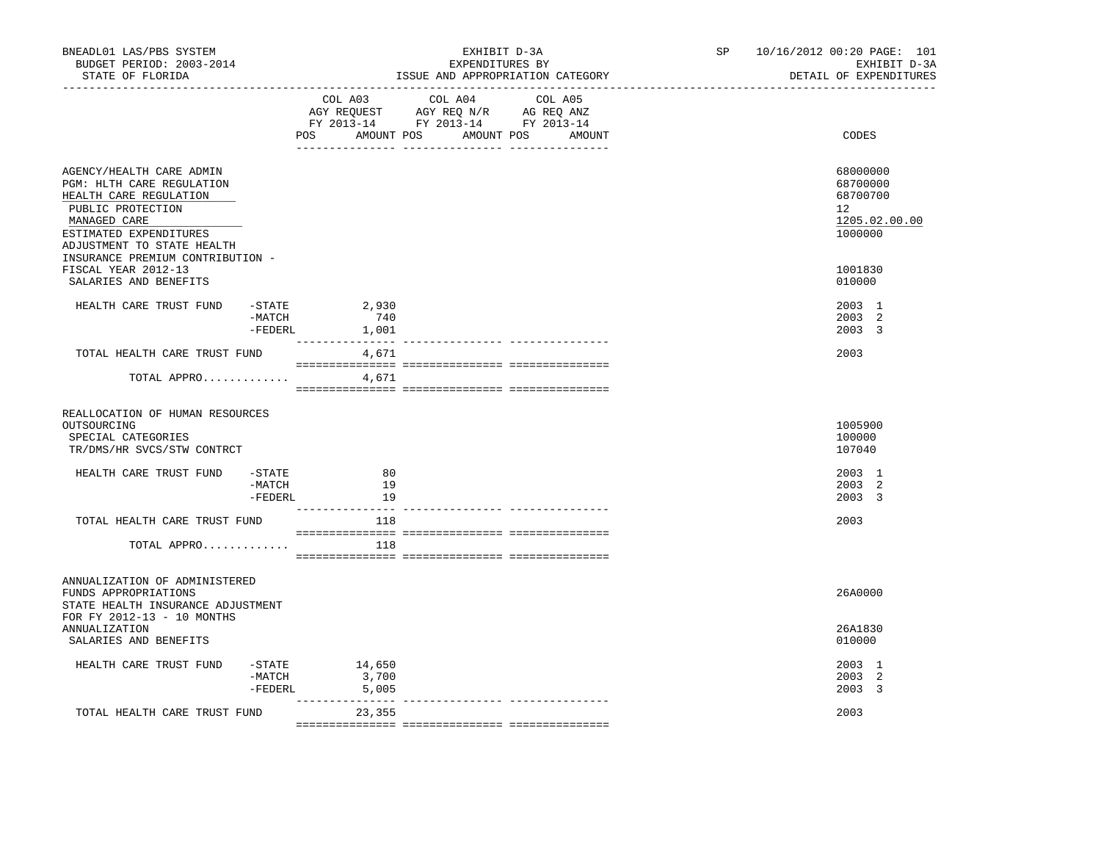| COL A03 COL A04 COL A05<br>AGY REQUEST AGY REQ N/R AG REQ ANZ<br>FY 2013-14 FY 2013-14 FY 2013-14<br>POS AMOUNT POS AMOUNT POS AMOUNT<br>CODES<br>AGENCY/HEALTH CARE ADMIN<br>68000000<br>PGM: HLTH CARE REGULATION<br>68700000<br>HEALTH CARE REGULATION<br>68700700<br>PUBLIC PROTECTION<br>12<br>MANAGED CARE<br>ESTIMATED EXPENDITURES<br>1000000<br>ADJUSTMENT TO STATE HEALTH<br>INSURANCE PREMIUM CONTRIBUTION -<br>FISCAL YEAR 2012-13<br>1001830<br>SALARIES AND BENEFITS<br>010000<br>HEALTH CARE TRUST FUND -STATE 2,930<br>2003 1<br>$-MATCH$<br>740<br>2003 2<br>-FEDERL 1,001<br>2003 3<br>TOTAL HEALTH CARE TRUST FUND<br>4,671<br>2003<br>TOTAL APPRO<br>4,671<br>REALLOCATION OF HUMAN RESOURCES<br>OUTSOURCING<br>1005900<br>100000<br>SPECIAL CATEGORIES<br>TR/DMS/HR SVCS/STW CONTRCT<br>107040 | EXHIBIT D-3A<br>DETAIL OF EXPENDITURES |
|---------------------------------------------------------------------------------------------------------------------------------------------------------------------------------------------------------------------------------------------------------------------------------------------------------------------------------------------------------------------------------------------------------------------------------------------------------------------------------------------------------------------------------------------------------------------------------------------------------------------------------------------------------------------------------------------------------------------------------------------------------------------------------------------------------------------|----------------------------------------|
|                                                                                                                                                                                                                                                                                                                                                                                                                                                                                                                                                                                                                                                                                                                                                                                                                     |                                        |
|                                                                                                                                                                                                                                                                                                                                                                                                                                                                                                                                                                                                                                                                                                                                                                                                                     | 1205.02.00.00                          |
|                                                                                                                                                                                                                                                                                                                                                                                                                                                                                                                                                                                                                                                                                                                                                                                                                     |                                        |
|                                                                                                                                                                                                                                                                                                                                                                                                                                                                                                                                                                                                                                                                                                                                                                                                                     |                                        |
|                                                                                                                                                                                                                                                                                                                                                                                                                                                                                                                                                                                                                                                                                                                                                                                                                     |                                        |
|                                                                                                                                                                                                                                                                                                                                                                                                                                                                                                                                                                                                                                                                                                                                                                                                                     |                                        |
|                                                                                                                                                                                                                                                                                                                                                                                                                                                                                                                                                                                                                                                                                                                                                                                                                     |                                        |
| $-$ STATE<br>80<br>2003 1<br>HEALTH CARE TRUST FUND<br>19<br>2003 2<br>-MATCH<br>-FEDERL<br>2003 3<br>19                                                                                                                                                                                                                                                                                                                                                                                                                                                                                                                                                                                                                                                                                                            |                                        |
| TOTAL HEALTH CARE TRUST FUND<br>2003<br>118                                                                                                                                                                                                                                                                                                                                                                                                                                                                                                                                                                                                                                                                                                                                                                         |                                        |
| TOTAL APPRO<br>118                                                                                                                                                                                                                                                                                                                                                                                                                                                                                                                                                                                                                                                                                                                                                                                                  |                                        |
| ANNUALIZATION OF ADMINISTERED<br>26A0000<br>FUNDS APPROPRIATIONS<br>STATE HEALTH INSURANCE ADJUSTMENT                                                                                                                                                                                                                                                                                                                                                                                                                                                                                                                                                                                                                                                                                                               |                                        |
| FOR FY 2012-13 - 10 MONTHS<br><b>ANNUALIZATION</b><br>26A1830<br>010000<br>SALARIES AND BENEFITS                                                                                                                                                                                                                                                                                                                                                                                                                                                                                                                                                                                                                                                                                                                    |                                        |
| HEALTH CARE TRUST FUND<br>$-$ STATE $14,650$<br>2003 1<br>3,700<br>-MATCH<br>2003 2<br>2003 3<br>-FEDERL<br>5,005<br>______________ _______________                                                                                                                                                                                                                                                                                                                                                                                                                                                                                                                                                                                                                                                                 |                                        |
| TOTAL HEALTH CARE TRUST FUND<br>23,355<br>2003                                                                                                                                                                                                                                                                                                                                                                                                                                                                                                                                                                                                                                                                                                                                                                      |                                        |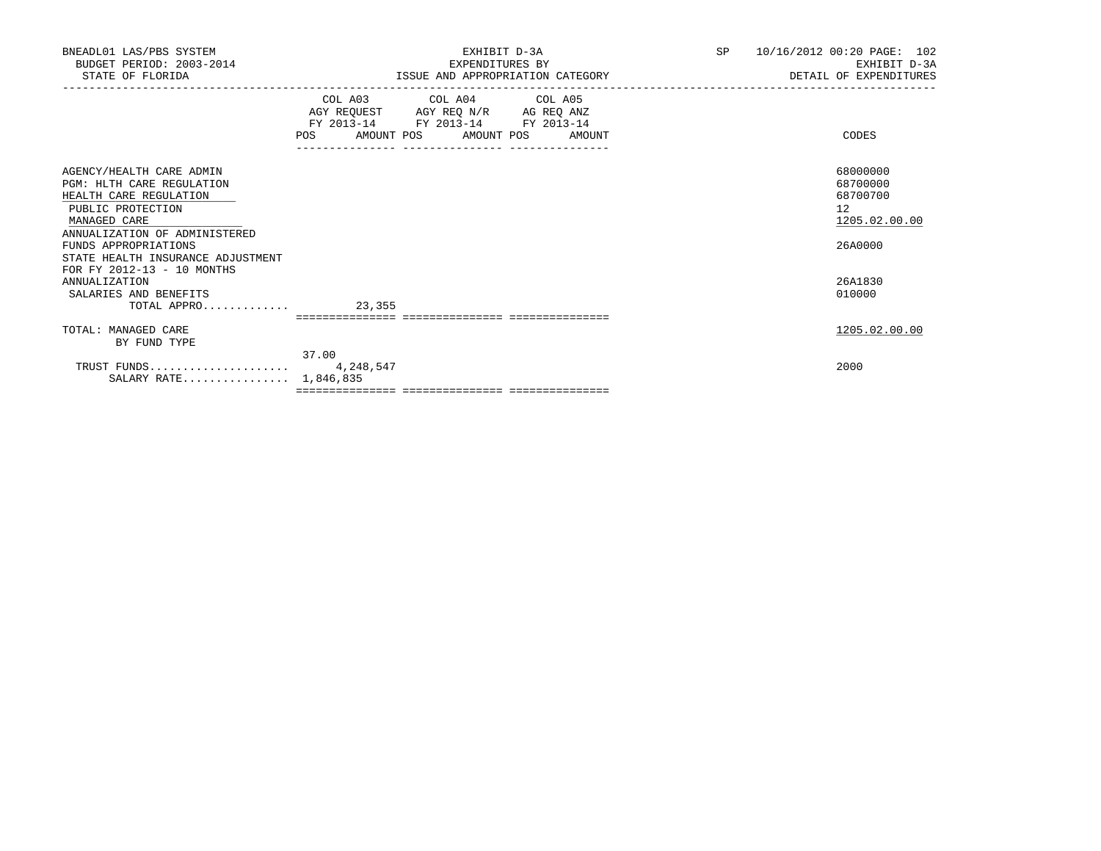| BNEADL01 LAS/PBS SYSTEM<br>BUDGET PERIOD: 2003-2014<br>STATE OF FLORIDA                                                                                                                                                                          | EXHIBIT D-3A<br>EXPENDITURES BY<br>ISSUE AND APPROPRIATION CATEGORY                                                                                                              | <b>SP</b> | 10/16/2012 00:20 PAGE: 102<br>EXHIBIT D-3A<br>DETAIL OF EXPENDITURES |
|--------------------------------------------------------------------------------------------------------------------------------------------------------------------------------------------------------------------------------------------------|----------------------------------------------------------------------------------------------------------------------------------------------------------------------------------|-----------|----------------------------------------------------------------------|
|                                                                                                                                                                                                                                                  | COL A03 COL A04 COL A05<br>AGY REQUEST AGY REQ N/R AG REQ ANZ<br>FY 2013-14 FY 2013-14 FY 2013-14<br>AMOUNT POS AMOUNT POS AMOUNT<br>POS<br>____________________________________ |           | CODES                                                                |
| AGENCY/HEALTH CARE ADMIN<br>PGM: HLTH CARE REGULATION<br>HEALTH CARE REGULATION<br>PUBLIC PROTECTION<br>MANAGED CARE<br>ANNUALIZATION OF ADMINISTERED<br>FUNDS APPROPRIATIONS<br>STATE HEALTH INSURANCE ADJUSTMENT<br>FOR FY 2012-13 - 10 MONTHS |                                                                                                                                                                                  |           | 68000000<br>68700000<br>68700700<br>12<br>1205.02.00.00<br>26A0000   |
| <b>ANNUALIZATION</b><br>SALARIES AND BENEFITS<br>TOTAL APPRO 23,355                                                                                                                                                                              |                                                                                                                                                                                  |           | 26A1830<br>010000                                                    |
|                                                                                                                                                                                                                                                  | ============================                                                                                                                                                     |           |                                                                      |
| TOTAL: MANAGED CARE                                                                                                                                                                                                                              |                                                                                                                                                                                  |           | 1205.02.00.00                                                        |
| BY FUND TYPE                                                                                                                                                                                                                                     | 37.00                                                                                                                                                                            |           |                                                                      |
| SALARY RATE 1,846,835                                                                                                                                                                                                                            |                                                                                                                                                                                  |           | 2000                                                                 |
|                                                                                                                                                                                                                                                  |                                                                                                                                                                                  |           |                                                                      |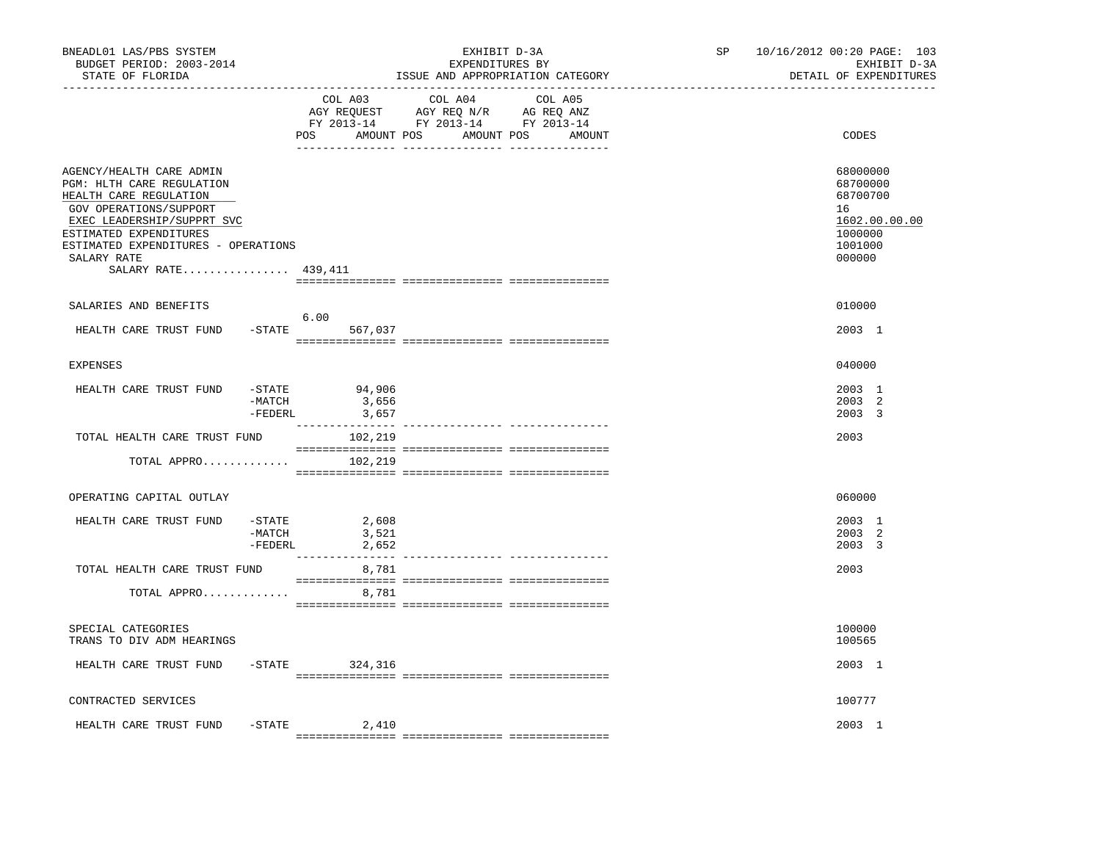| BNEADL01 LAS/PBS SYSTEM<br>BUDGET PERIOD: 2003-2014<br>STATE OF FLORIDA                                                                                                                                                                        |                                  |                                                                                                 | EXHIBIT D-3A<br>EXPENDITURES BY<br>ISSUE AND APPROPRIATION CATEGORY |  | SP    | 10/16/2012 00:20 PAGE: 103<br>EXHIBIT D-3A<br>DETAIL OF EXPENDITURES                    |
|------------------------------------------------------------------------------------------------------------------------------------------------------------------------------------------------------------------------------------------------|----------------------------------|-------------------------------------------------------------------------------------------------|---------------------------------------------------------------------|--|-------|-----------------------------------------------------------------------------------------|
| ----------------                                                                                                                                                                                                                               | COL A03<br>POS<br>AMOUNT POS     | COL A04<br>AGY REQUEST AGY REQ N/R AG REQ ANZ<br>FY 2013-14 FY 2013-14 FY 2013-14<br>AMOUNT POS | COL A05<br>AMOUNT                                                   |  | CODES |                                                                                         |
| AGENCY/HEALTH CARE ADMIN<br>PGM: HLTH CARE REGULATION<br>HEALTH CARE REGULATION<br>GOV OPERATIONS/SUPPORT<br>EXEC LEADERSHIP/SUPPRT SVC<br>ESTIMATED EXPENDITURES<br>ESTIMATED EXPENDITURES - OPERATIONS<br>SALARY RATE<br>SALARY RATE 439,411 |                                  |                                                                                                 |                                                                     |  |       | 68000000<br>68700000<br>68700700<br>16<br>1602.00.00.00<br>1000000<br>1001000<br>000000 |
| SALARIES AND BENEFITS                                                                                                                                                                                                                          |                                  |                                                                                                 |                                                                     |  |       | 010000                                                                                  |
| HEALTH CARE TRUST FUND                                                                                                                                                                                                                         | $-$ STATE                        | 6.00<br>567,037                                                                                 |                                                                     |  |       | 2003 1                                                                                  |
| <b>EXPENSES</b>                                                                                                                                                                                                                                |                                  |                                                                                                 |                                                                     |  |       | 040000                                                                                  |
| HEALTH CARE TRUST FUND                                                                                                                                                                                                                         | $-$ STATE<br>$-MATCH$<br>-FEDERL | 94,906<br>3,656<br>3,657                                                                        |                                                                     |  |       | 2003 1<br>2003 2<br>2003 3                                                              |
| TOTAL HEALTH CARE TRUST FUND                                                                                                                                                                                                                   |                                  | 102,219                                                                                         |                                                                     |  |       | 2003                                                                                    |
| TOTAL APPRO                                                                                                                                                                                                                                    |                                  | 102,219                                                                                         |                                                                     |  |       |                                                                                         |
| OPERATING CAPITAL OUTLAY                                                                                                                                                                                                                       |                                  |                                                                                                 |                                                                     |  |       | 060000                                                                                  |
| HEALTH CARE TRUST FUND                                                                                                                                                                                                                         | $-$ STATE<br>-MATCH<br>-FEDERL   | 2,608<br>3,521<br>2,652<br>_______________                                                      |                                                                     |  |       | 2003 1<br>2003 2<br>2003 3                                                              |
| TOTAL HEALTH CARE TRUST FUND                                                                                                                                                                                                                   |                                  | 8,781                                                                                           |                                                                     |  |       | 2003                                                                                    |
| TOTAL APPRO                                                                                                                                                                                                                                    |                                  | 8,781                                                                                           |                                                                     |  |       |                                                                                         |
| SPECIAL CATEGORIES<br>TRANS TO DIV ADM HEARINGS                                                                                                                                                                                                |                                  |                                                                                                 |                                                                     |  |       | 100000<br>100565                                                                        |
| HEALTH CARE TRUST FUND                                                                                                                                                                                                                         |                                  | $-STATE$ 324,316                                                                                |                                                                     |  |       | 2003 1                                                                                  |
| CONTRACTED SERVICES                                                                                                                                                                                                                            |                                  |                                                                                                 |                                                                     |  |       | 100777                                                                                  |
| HEALTH CARE TRUST FUND                                                                                                                                                                                                                         | $-$ STATE                        | 2,410                                                                                           |                                                                     |  |       | 2003 1                                                                                  |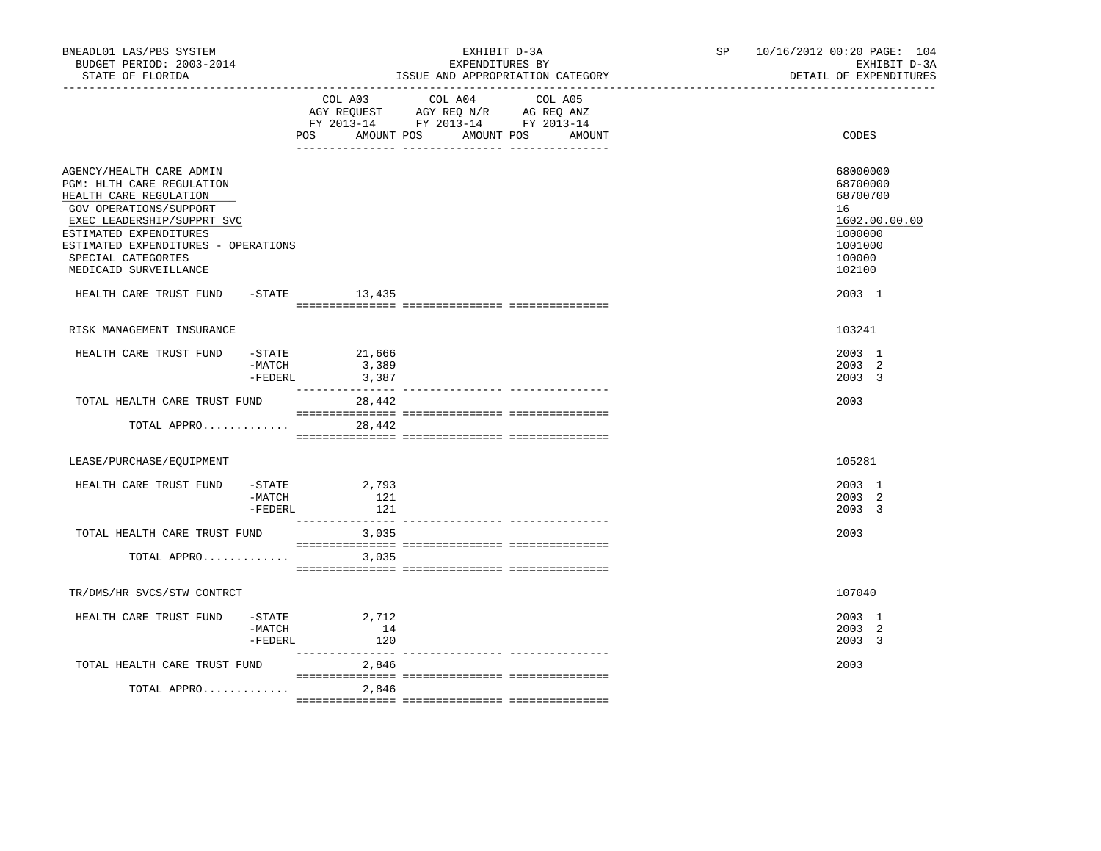| BNEADL01 LAS/PBS SYSTEM<br>BUDGET PERIOD: 2003-2014<br>STATE OF FLORIDA                                                                                                                                                                                                                         |                                  |                              | EXPENDITURES BY                                                                                                 | EXHIBIT D-3A<br>ISSUE AND APPROPRIATION CATEGORY | SP 10/16/2012 00:20 PAGE: 104<br>EXHIBIT D-3A<br>DETAIL OF EXPENDITURES                                     |
|-------------------------------------------------------------------------------------------------------------------------------------------------------------------------------------------------------------------------------------------------------------------------------------------------|----------------------------------|------------------------------|-----------------------------------------------------------------------------------------------------------------|--------------------------------------------------|-------------------------------------------------------------------------------------------------------------|
|                                                                                                                                                                                                                                                                                                 |                                  | AMOUNT POS<br>POS            | COL A03 COL A04 COL A05<br>AGY REQUEST AGY REQ N/R AG REQ ANZ<br>FY 2013-14 FY 2013-14 FY 2013-14<br>AMOUNT POS | AMOUNT                                           | CODES                                                                                                       |
| AGENCY/HEALTH CARE ADMIN<br>PGM: HLTH CARE REGULATION<br>HEALTH CARE REGULATION<br>GOV OPERATIONS/SUPPORT<br>EXEC LEADERSHIP/SUPPRT SVC<br>ESTIMATED EXPENDITURES<br>ESTIMATED EXPENDITURES - OPERATIONS<br>SPECIAL CATEGORIES<br>MEDICAID SURVEILLANCE<br>HEALTH CARE TRUST FUND -STATE 13,435 |                                  |                              |                                                                                                                 |                                                  | 68000000<br>68700000<br>68700700<br>16<br>1602.00.00.00<br>1000000<br>1001000<br>100000<br>102100<br>2003 1 |
|                                                                                                                                                                                                                                                                                                 |                                  |                              |                                                                                                                 |                                                  |                                                                                                             |
| RISK MANAGEMENT INSURANCE                                                                                                                                                                                                                                                                       |                                  |                              |                                                                                                                 |                                                  | 103241                                                                                                      |
| HEALTH CARE TRUST FUND -STATE 21,666                                                                                                                                                                                                                                                            | $-MATCH$<br>$-FEDERL$            | 3,389<br>3,387               |                                                                                                                 |                                                  | 2003 1<br>2003 2<br>2003 3                                                                                  |
| TOTAL HEALTH CARE TRUST FUND                                                                                                                                                                                                                                                                    |                                  | 28,442                       |                                                                                                                 |                                                  | 2003                                                                                                        |
| TOTAL APPRO                                                                                                                                                                                                                                                                                     |                                  | 28,442                       |                                                                                                                 |                                                  |                                                                                                             |
| LEASE/PURCHASE/EQUIPMENT                                                                                                                                                                                                                                                                        |                                  |                              |                                                                                                                 |                                                  | 105281                                                                                                      |
| HEALTH CARE TRUST FUND                                                                                                                                                                                                                                                                          | $-$ STATE<br>$-MATCH$<br>-FEDERL | 2,793<br>121<br>121          |                                                                                                                 |                                                  | 2003 1<br>2003 2<br>$2003 \quad 3$                                                                          |
| TOTAL HEALTH CARE TRUST FUND                                                                                                                                                                                                                                                                    |                                  | 3,035                        |                                                                                                                 |                                                  | 2003                                                                                                        |
| TOTAL APPRO                                                                                                                                                                                                                                                                                     |                                  | 3,035                        |                                                                                                                 |                                                  |                                                                                                             |
| TR/DMS/HR SVCS/STW CONTRCT                                                                                                                                                                                                                                                                      |                                  |                              |                                                                                                                 |                                                  | 107040                                                                                                      |
| HEALTH CARE TRUST FUND                                                                                                                                                                                                                                                                          | -MATCH<br>-FEDERL                | $-$ STATE 2,712<br>14<br>120 |                                                                                                                 |                                                  | 2003 1<br>2003 2<br>2003 3                                                                                  |
| TOTAL HEALTH CARE TRUST FUND                                                                                                                                                                                                                                                                    |                                  | 2,846                        |                                                                                                                 |                                                  | 2003                                                                                                        |
| TOTAL APPRO                                                                                                                                                                                                                                                                                     |                                  | 2,846                        |                                                                                                                 |                                                  |                                                                                                             |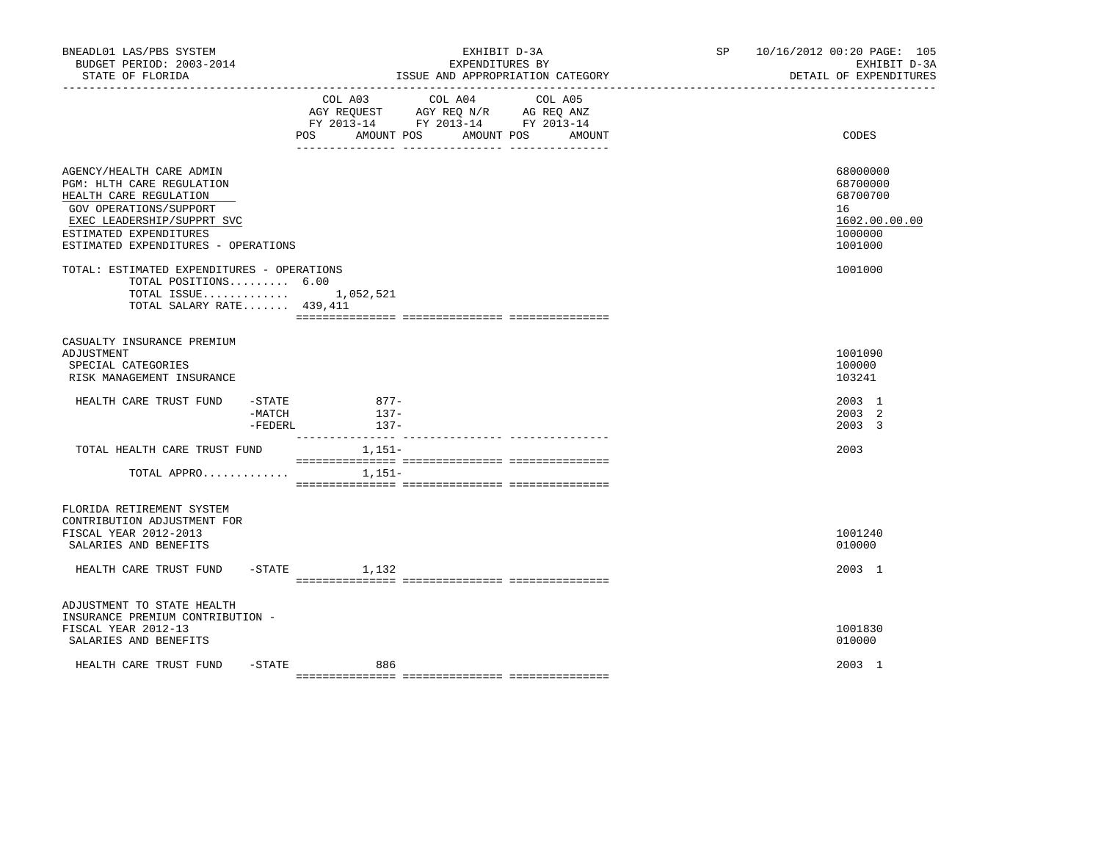| BNEADL01 LAS/PBS SYSTEM<br>BUDGET PERIOD: 2003-2014<br>STATE OF FLORIDA                                                                                                                                  |                             | EXHIBIT D-3A<br>EXPENDITURES BY<br>ISSUE AND APPROPRIATION CATEGORY                                                              |        | SP and the set of the set of the set of the set of the set of the set of the set of the set of the set of the set of the set of the set of the set of the set of the set of the set of the set of the set of the set of the se | 10/16/2012 00:20 PAGE: 105<br>EXHIBIT D-3A<br>DETAIL OF EXPENDITURES          |
|----------------------------------------------------------------------------------------------------------------------------------------------------------------------------------------------------------|-----------------------------|----------------------------------------------------------------------------------------------------------------------------------|--------|--------------------------------------------------------------------------------------------------------------------------------------------------------------------------------------------------------------------------------|-------------------------------------------------------------------------------|
|                                                                                                                                                                                                          | POS                         | COL A03<br>COL A04 COL A05<br>AGY REQUEST AGY REQ N/R AG REQ ANZ<br>FY 2013-14 FY 2013-14 FY 2013-14<br>AMOUNT POS<br>AMOUNT POS | AMOUNT |                                                                                                                                                                                                                                | CODES                                                                         |
| AGENCY/HEALTH CARE ADMIN<br>PGM: HLTH CARE REGULATION<br>HEALTH CARE REGULATION<br>GOV OPERATIONS/SUPPORT<br>EXEC LEADERSHIP/SUPPRT SVC<br>ESTIMATED EXPENDITURES<br>ESTIMATED EXPENDITURES - OPERATIONS |                             |                                                                                                                                  |        |                                                                                                                                                                                                                                | 68000000<br>68700000<br>68700700<br>16<br>1602.00.00.00<br>1000000<br>1001000 |
| TOTAL: ESTIMATED EXPENDITURES - OPERATIONS<br>TOTAL POSITIONS 6.00<br>TOTAL ISSUE $1,052,521$<br>TOTAL SALARY RATE 439,411                                                                               |                             |                                                                                                                                  |        |                                                                                                                                                                                                                                | 1001000                                                                       |
| CASUALTY INSURANCE PREMIUM<br>ADJUSTMENT<br>SPECIAL CATEGORIES<br>RISK MANAGEMENT INSURANCE                                                                                                              |                             |                                                                                                                                  |        |                                                                                                                                                                                                                                | 1001090<br>100000<br>103241                                                   |
| HEALTH CARE TRUST FUND                                                                                                                                                                                   | -STATE<br>-MATCH<br>-FEDERL | $877-$<br>137-<br>$137-$                                                                                                         |        |                                                                                                                                                                                                                                | 2003 1<br>2003 2<br>2003 3                                                    |
| TOTAL HEALTH CARE TRUST FUND                                                                                                                                                                             |                             | 1,151-                                                                                                                           |        |                                                                                                                                                                                                                                | 2003                                                                          |
| TOTAL APPRO                                                                                                                                                                                              |                             | 1,151–                                                                                                                           |        |                                                                                                                                                                                                                                |                                                                               |
| FLORIDA RETIREMENT SYSTEM<br>CONTRIBUTION ADJUSTMENT FOR<br>FISCAL YEAR 2012-2013<br>SALARIES AND BENEFITS                                                                                               |                             |                                                                                                                                  |        |                                                                                                                                                                                                                                | 1001240<br>010000                                                             |
| HEALTH CARE TRUST FUND -STATE 1,132                                                                                                                                                                      |                             |                                                                                                                                  |        |                                                                                                                                                                                                                                | 2003 1                                                                        |
| ADJUSTMENT TO STATE HEALTH<br>INSURANCE PREMIUM CONTRIBUTION -<br>FISCAL YEAR 2012-13<br>SALARIES AND BENEFITS                                                                                           |                             |                                                                                                                                  |        |                                                                                                                                                                                                                                | 1001830<br>010000                                                             |
| HEALTH CARE TRUST FUND                                                                                                                                                                                   | $-STATE$                    | 886                                                                                                                              |        |                                                                                                                                                                                                                                | 2003 1                                                                        |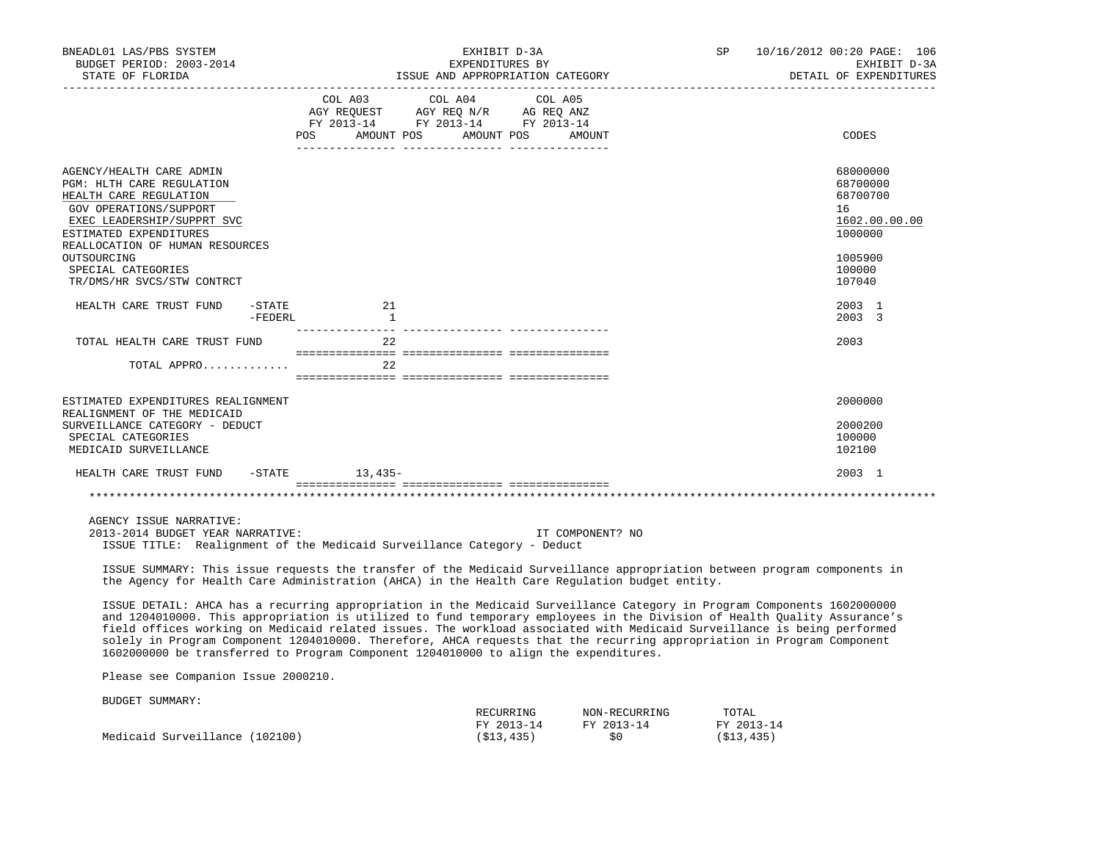| BNEADL01 LAS/PBS SYSTEM<br>BUDGET PERIOD: 2003-2014<br>STATE OF FLORIDA                                                                                                                                                                                                                                                                                                                                                                                                                                                                                                                          |         |                     | EXHIBIT D-3A<br>EXPENDITURES BY                                                                                |                         |                  | ISSUE AND APPROPRIATION CATEGORY | SP                  | 10/16/2012 00:20 PAGE: 106<br>EXHIBIT D-3A<br>DETAIL OF EXPENDITURES |
|--------------------------------------------------------------------------------------------------------------------------------------------------------------------------------------------------------------------------------------------------------------------------------------------------------------------------------------------------------------------------------------------------------------------------------------------------------------------------------------------------------------------------------------------------------------------------------------------------|---------|---------------------|----------------------------------------------------------------------------------------------------------------|-------------------------|------------------|----------------------------------|---------------------|----------------------------------------------------------------------|
| ___________________________________                                                                                                                                                                                                                                                                                                                                                                                                                                                                                                                                                              |         | COL A03             | COL A04<br>AGY REQUEST AGY REQ N/R AG REQ ANZ<br>FY 2013-14 FY 2013-14 FY 2013-14<br>POS AMOUNT POS AMOUNT POS | COL A05                 | AMOUNT           |                                  |                     | CODES                                                                |
| AGENCY/HEALTH CARE ADMIN<br>PGM: HLTH CARE REGULATION<br>HEALTH CARE REGULATION<br>GOV OPERATIONS/SUPPORT<br>EXEC LEADERSHIP/SUPPRT SVC<br>ESTIMATED EXPENDITURES<br>REALLOCATION OF HUMAN RESOURCES                                                                                                                                                                                                                                                                                                                                                                                             |         |                     |                                                                                                                |                         |                  |                                  |                     | 68000000<br>68700000<br>68700700<br>16<br>1602.00.00.00<br>1000000   |
| OUTSOURCING<br>SPECIAL CATEGORIES<br>TR/DMS/HR SVCS/STW CONTRCT                                                                                                                                                                                                                                                                                                                                                                                                                                                                                                                                  |         |                     |                                                                                                                |                         |                  |                                  |                     | 1005900<br>100000<br>107040                                          |
| HEALTH CARE TRUST FUND<br>$-$ STATE                                                                                                                                                                                                                                                                                                                                                                                                                                                                                                                                                              | -FEDERL | 21<br>$\frac{1}{2}$ |                                                                                                                |                         |                  |                                  |                     | 2003 1<br>2003 3                                                     |
| TOTAL HEALTH CARE TRUST FUND                                                                                                                                                                                                                                                                                                                                                                                                                                                                                                                                                                     |         | 2.2                 |                                                                                                                |                         |                  |                                  |                     | 2003                                                                 |
| TOTAL APPRO                                                                                                                                                                                                                                                                                                                                                                                                                                                                                                                                                                                      |         | 22                  |                                                                                                                |                         |                  |                                  |                     |                                                                      |
| ESTIMATED EXPENDITURES REALIGNMENT<br>REALIGNMENT OF THE MEDICAID<br>SURVEILLANCE CATEGORY - DEDUCT<br>SPECIAL CATEGORIES<br>MEDICAID SURVEILLANCE                                                                                                                                                                                                                                                                                                                                                                                                                                               |         |                     |                                                                                                                |                         |                  |                                  |                     | 2000000<br>2000200<br>100000<br>102100                               |
| HEALTH CARE TRUST FUND -STATE 13,435-                                                                                                                                                                                                                                                                                                                                                                                                                                                                                                                                                            |         |                     |                                                                                                                |                         |                  |                                  |                     | 2003 1                                                               |
|                                                                                                                                                                                                                                                                                                                                                                                                                                                                                                                                                                                                  |         |                     |                                                                                                                |                         |                  |                                  |                     |                                                                      |
| AGENCY ISSUE NARRATIVE:<br>2013-2014 BUDGET YEAR NARRATIVE:<br>ISSUE TITLE: Realignment of the Medicaid Surveillance Category - Deduct                                                                                                                                                                                                                                                                                                                                                                                                                                                           |         |                     |                                                                                                                |                         | IT COMPONENT? NO |                                  |                     |                                                                      |
| ISSUE SUMMARY: This issue requests the transfer of the Medicaid Surveillance appropriation between program components in<br>the Agency for Health Care Administration (AHCA) in the Health Care Regulation budget entity.                                                                                                                                                                                                                                                                                                                                                                        |         |                     |                                                                                                                |                         |                  |                                  |                     |                                                                      |
| ISSUE DETAIL: AHCA has a recurring appropriation in the Medicaid Surveillance Category in Program Components 1602000000<br>and 1204010000. This appropriation is utilized to fund temporary employees in the Division of Health Quality Assurance's<br>field offices working on Medicaid related issues. The workload associated with Medicaid Surveillance is being performed<br>solely in Program Component 1204010000. Therefore, AHCA requests that the recurring appropriation in Program Component<br>1602000000 be transferred to Program Component 1204010000 to align the expenditures. |         |                     |                                                                                                                |                         |                  |                                  |                     |                                                                      |
| Please see Companion Issue 2000210.                                                                                                                                                                                                                                                                                                                                                                                                                                                                                                                                                              |         |                     |                                                                                                                |                         |                  |                                  |                     |                                                                      |
| BUDGET SUMMARY:                                                                                                                                                                                                                                                                                                                                                                                                                                                                                                                                                                                  |         |                     |                                                                                                                | RECURRING<br>FY 2013-14 | FY 2013-14       | NON-RECURRING                    | TOTAL<br>FY 2013-14 |                                                                      |

Medicaid Surveillance (102100) (\$13,435) \$0 (\$13,435)